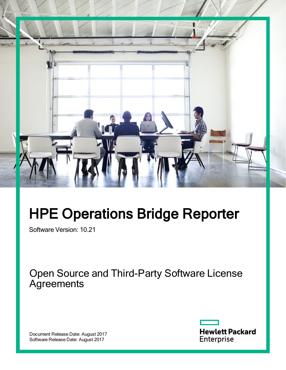

# HPE Operations Bridge Reporter

Software Version: 10.21

Open Source and Third-Party Software License **Agreements** 

Document Release Date: August 2017 Software Release Date: August 2017

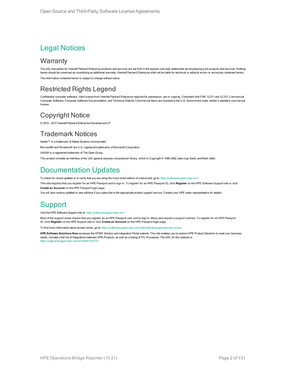## Legal Notices

#### **Warranty**

The only warranties for Hewlett Packard Enterprise products and services are set forth in the express warranty statements accompanying such products and services. Nothing herein should be construed as constituting an additional warranty. Hewlett Packard Enterprise shall not be liable for technical or editorial errors or omissions contained herein. The information contained herein is subject to change without notice.

### Restricted Rights Legend

Confidential computer software. Valid license from Hewlett Packard Enterprise required for possession, use or copying. Consistent with FAR 12.211 and 12.212, Commercial Computer Software, Computer Software Documentation, and Technical Data for Commercial Items are licensed to the U.S. Government under vendor's standard commercial license.

### Copyright Notice

© 2015 - 2017 Hewlett Packard Enterprise Development LP

### Trademark Notices

Adobe™ is a trademark of Adobe Systems Incorporated. Microsoft® and Windows® are U.S. registered trademarks of Microsoft Corporation. UNIX® is a registered trademark of The Open Group. This product includes an interface of the 'zlib' general purpose compression library, which is Copyright © 1995-2002 Jean-loup Gailly and Mark Adler.

### Documentation Updates

To check for recent updates or to verify that you are using the most recent edition of a document, go to: <https://softwaresupport.hpe.com/>.

This site requires that you register for an HPE Passport and to sign in. To register for an HPE Passport ID, click **Register** on the HPE Software Support site or click **Create an Account** on the HPE Passport login page.

You will also receive updated or new editions if you subscribe to the appropriate product support service. Contact your HPE sales representative for details.

## Support

Visit the HPE Software Support site at: <https://softwaresupport.hpe.com/>.

Most of the support areas require that you register as an HPE Passport user and to sign in. Many also require a support contract. To register for an HPE Passport ID, click **Register** on the HPE Support site or click **Create an Account** on the HPE Passport login page.

To find more information about access levels, go to: <https://softwaresupport.hpe.com/web/softwaresupport/access-levels>.

**HPE Software Solutions Now** accesses the HPSW Solution and Integration Portal website. This site enables you to explore HPE Product Solutions to meet your business needs, includes a full list of Integrations between HPE Products, as well as a listing of ITIL Processes. The URL for this website is [https://softwaresupport.hpe.com/km/KM01702731.](https://softwaresupport.hpe.com/km/KM01702731)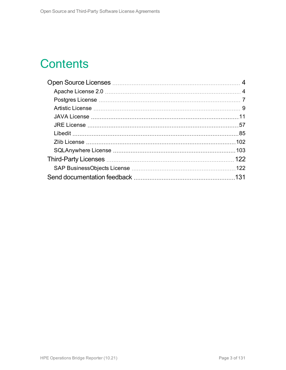## **Contents**

| .131 |
|------|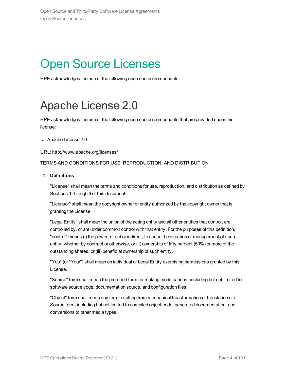## <span id="page-3-0"></span>Open Source Licenses

<span id="page-3-1"></span>HPE acknowledges the use of the following open source components.

## Apache License 2.0

HPE acknowledges the use of the following open source components that are provided under this license:

• Apache License 2.0

URL: http://www.apache.org/licenses/

TERMS AND CONDITIONS FOR USE, REPRODUCTION, AND DISTRIBUTION

1. **Definitions**.

"License" shall mean the terms and conditions for use, reproduction, and distribution as defined by Sections 1 through 9 of this document.

"Licensor" shall mean the copyright owner or entity authorized by the copyright owner that is granting the License.

"Legal Entity" shall mean the union of the acting entity and all other entities that control, are controlled by, or are under common control with that entity. For the purposes of this definition, "control" means (i) the power, direct or indirect, to cause the direction or management of such entity, whether by contract or otherwise, or (ii) ownership of fifty percent (50%) or more of the outstanding shares, or (iii) beneficial ownership of such entity.

"You" (or "Your") shall mean an individual or Legal Entity exercising permissions granted by this License.

"Source" form shall mean the preferred form for making modifications, including but not limited to software source code, documentation source, and configuration files.

"Object" form shall mean any form resulting from mechanical transformation or translation of a Source form, including but not limited to compiled object code, generated documentation, and conversions to other media types.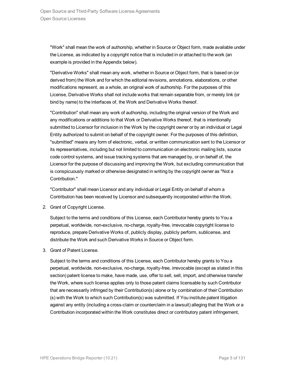"Work" shall mean the work of authorship, whether in Source or Object form, made available under the License, as indicated by a copyright notice that is included in or attached to the work (an example is provided in the Appendix below).

"Derivative Works" shall mean any work, whether in Source or Object form, that is based on (or derived from) the Work and for which the editorial revisions, annotations, elaborations, or other modifications represent, as a whole, an original work of authorship. For the purposes of this License, Derivative Works shall not include works that remain separable from, or merely link (or bind by name) to the interfaces of, the Work and Derivative Works thereof.

"Contribution" shall mean any work of authorship, including the original version of the Work and any modifications or additions to that Work or Derivative Works thereof, that is intentionally submitted to Licensor for inclusion in the Work by the copyright owner or by an individual or Legal Entity authorized to submit on behalf of the copyright owner. For the purposes of this definition, "submitted" means any form of electronic, verbal, or written communication sent to the Licensor or its representatives, including but not limited to communication on electronic mailing lists, source code control systems, and issue tracking systems that are managed by, or on behalf of, the Licensor for the purpose of discussing and improving the Work, but excluding communication that is conspicuously marked or otherwise designated in writing by the copyright owner as "Not a Contribution."

"Contributor" shall mean Licensor and any individual or Legal Entity on behalf of whom a Contribution has been received by Licensor and subsequently incorporated within the Work.

2. Grant of Copyright License.

Subject to the terms and conditions of this License, each Contributor hereby grants to You a perpetual, worldwide, non-exclusive, no-charge, royalty-free, irrevocable copyright license to reproduce, prepare Derivative Works of, publicly display, publicly perform, sublicense, and distribute the Work and such Derivative Works in Source or Object form.

3. Grant of Patent License.

Subject to the terms and conditions of this License, each Contributor hereby grants to You a perpetual, worldwide, non-exclusive, no-charge, royalty-free, irrevocable (except as stated in this section) patent license to make, have made, use, offer to sell, sell, import, and otherwise transfer the Work, where such license applies only to those patent claims licensable by such Contributor that are necessarily infringed by their Contribution(s) alone or by combination of their Contribution (s) with the Work to which such Contribution(s) was submitted. If You institute patent litigation against any entity (including a cross-claim or counterclaim in a lawsuit) alleging that the Work or a Contribution incorporated within the Work constitutes direct or contributory patent infringement,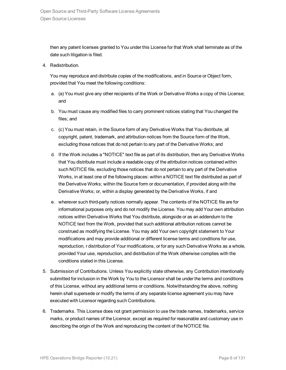then any patent licenses granted to You under this License for that Work shall terminate as of the date such litigation is filed.

4. Redistribution.

You may reproduce and distribute copies of the modifications, and in Source or Object form, provided that You meet the following conditions:

- a. (a) You must give any other recipients of the Work or Derivative Works a copy of this License; and
- b. You must cause any modified files to carry prominent notices stating that You changed the files; and
- c. (c) You must retain, in the Source form of any Derivative Works that You distribute, all copyright, patent, trademark, and attribution notices from the Source form of the Work, excluding those notices that do not pertain to any part of the Derivative Works; and
- d. If the Work includes a "NOTICE" text file as part of its distribution, then any Derivative Works that You distribute must include a readable copy of the attribution notices contained within such NOTICE file, excluding those notices that do not pertain to any part of the Derivative Works, in at least one of the following places: within a NOTICE text file distributed as part of the Derivative Works; within the Source form or documentation, if provided along with the Derivative Works; or, within a display generated by the Derivative Works, if and
- e. wherever such third-party notices normally appear. The contents of the NOTICE file are for informational purposes only and do not modify the License. You may add Your own attribution notices within Derivative Works that You distribute, alongside or as an addendum to the NOTICE text from the Work, provided that such additional attribution notices cannot be construed as modifying the License. You may add Your own copyright statement to Your modifications and may provide additional or different license terms and conditions for use, reproduction, r distribution of Your modifications, or for any such Derivative Works as a whole, provided Your use, reproduction, and distribution of the Work otherwise complies with the conditions stated in this License.
- 5. Submission of Contributions. Unless You explicitly state otherwise, any Contribution intentionally submitted for inclusion in the Work by You to the Licensor shall be under the terms and conditions of this License, without any additional terms or conditions. Notwithstanding the above, nothing herein shall supersede or modify the terms of any separate license agreement you may have executed with Licensor regarding such Contributions.
- 6. Trademarks. This License does not grant permission to use the trade names, trademarks, service marks, or product names of the Licensor, except as required for reasonable and customary use in describing the origin of the Work and reproducing the content of the NOTICE file.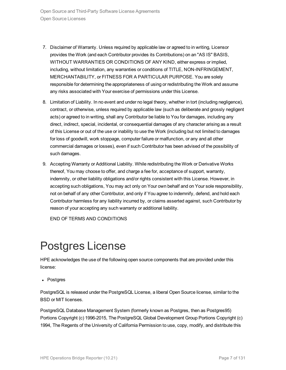Open Source and Third-Party Software License Agreements Open Source Licenses

- 7. Disclaimer of Warranty. Unless required by applicable law or agreed to in writing, Licensor provides the Work (and each Contributor provides its Contributions) on an "AS IS" BASIS, WITHOUT WARRANTIES OR CONDITIONS OF ANY KIND, either express or implied, including, without limitation, any warranties or conditions of TITLE, NON-INFRINGEMENT, MERCHANTABILITY, or FITNESS FOR A PARTICULAR PURPOSE. You are solely responsible for determining the appropriateness of using or redistributing the Work and assume any risks associated with Your exercise of permissions under this License.
- 8. Limitation of Liability. In no event and under no legal theory, whether in tort (including negligence), contract, or otherwise, unless required by applicable law (such as deliberate and grossly negligent acts) or agreed to in writing, shall any Contributor be liable to You for damages, including any direct, indirect, special, incidental, or consequential damages of any character arising as a result of this License or out of the use or inability to use the Work (including but not limited to damages for loss of goodwill, work stoppage, computer failure or malfunction, or any and all other commercial damages or losses), even if such Contributor has been advised of the possibility of such damages.
- 9. Accepting Warranty or Additional Liability. While redistributing the Work or Derivative Works thereof, You may choose to offer, and charge a fee for, acceptance of support, warranty, indemnity, or other liability obligations and/or rights consistent with this License. However, in accepting such obligations, You may act only on Your own behalf and on Your sole responsibility, not on behalf of any other Contributor, and only if You agree to indemnify, defend, and hold each Contributor harmless for any liability incurred by, or claims asserted against, such Contributor by reason of your accepting any such warranty or additional liability.

END OF TERMS AND CONDITIONS

## <span id="page-6-0"></span>Postgres License

HPE acknowledges the use of the following open source components that are provided under this license:

• Postgres

PostgreSQL is released under the PostgreSQL License, a liberal Open Source license, similar to the BSD or MIT licenses.

PostgreSQL Database Management System (formerly known as Postgres, then as Postgres95) Portions Copyright (c) 1996-2015, The PostgreSQL Global Development Group Portions Copyright (c) 1994, The Regents of the University of California Permission to use, copy, modify, and distribute this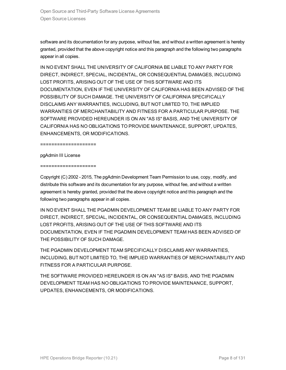Open Source and Third-Party Software License Agreements Open Source Licenses

software and its documentation for any purpose, without fee, and without a written agreement is hereby granted, provided that the above copyright notice and this paragraph and the following two paragraphs appear in all copies.

IN NO EVENT SHALL THE UNIVERSITY OF CALIFORNIA BE LIABLE TO ANY PARTY FOR DIRECT, INDIRECT, SPECIAL, INCIDENTAL, OR CONSEQUENTIAL DAMAGES, INCLUDING LOST PROFITS, ARISING OUT OF THE USE OF THIS SOFTWARE AND ITS DOCUMENTATION, EVEN IF THE UNIVERSITY OF CALIFORNIA HAS BEEN ADVISED OF THE POSSIBILITY OF SUCH DAMAGE. THE UNIVERSITY OF CALIFORNIA SPECIFICALLY DISCLAIMS ANY WARRANTIES, INCLUDING, BUT NOT LIMITED TO, THE IMPLIED WARRANTIES OF MERCHANTABILITY AND FITNESS FOR A PARTICULAR PURPOSE. THE SOFTWARE PROVIDED HEREUNDER IS ON AN "AS IS" BASIS, AND THE UNIVERSITY OF CALIFORNIA HAS NO OBLIGATIONS TO PROVIDE MAINTENANCE, SUPPORT, UPDATES, ENHANCEMENTS, OR MODIFICATIONS.

#### ====================

pgAdmin III License

#### ====================

Copyright (C) 2002 - 2015, The pgAdmin Development Team Permission to use, copy, modify, and distribute this software and its documentation for any purpose, without fee, and without a written agreement is hereby granted, provided that the above copyright notice and this paragraph and the following two paragraphs appear in all copies.

IN NO EVENT SHALL THE PGADMIN DEVELOPMENT TEAM BE LIABLE TO ANY PARTY FOR DIRECT, INDIRECT, SPECIAL, INCIDENTAL, OR CONSEQUENTIAL DAMAGES, INCLUDING LOST PROFITS, ARISING OUT OF THE USE OF THIS SOFTWARE AND ITS DOCUMENTATION, EVEN IF THE PGADMIN DEVELOPMENT TEAM HAS BEEN ADVISED OF THE POSSIBILITY OF SUCH DAMAGE.

THE PGADMIN DEVELOPMENT TEAM SPECIFICALLY DISCLAIMS ANY WARRANTIES, INCLUDING, BUT NOT LIMITED TO, THE IMPLIED WARRANTIES OF MERCHANTABILITY AND FITNESS FOR A PARTICULAR PURPOSE.

THE SOFTWARE PROVIDED HEREUNDER IS ON AN "AS IS" BASIS, AND THE PGADMIN DEVELOPMENT TEAM HAS NO OBLIGATIONS TO PROVIDE MAINTENANCE, SUPPORT, UPDATES, ENHANCEMENTS, OR MODIFICATIONS.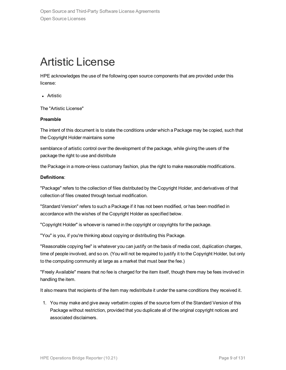## <span id="page-8-0"></span>Artistic License

HPE acknowledges the use of the following open source components that are provided under this license:

• Artistic

The "Artistic License"

#### **Preamble**

The intent of this document is to state the conditions under which a Package may be copied, such that the Copyright Holder maintains some

semblance of artistic control over the development of the package, while giving the users of the package the right to use and distribute

the Package in a more-or-less customary fashion, plus the right to make reasonable modifications.

#### **Definitions**:

"Package" refers to the collection of files distributed by the Copyright Holder, and derivatives of that collection of files created through textual modification.

"Standard Version" refers to such a Package if it has not been modified, or has been modified in accordance with the wishes of the Copyright Holder as specified below.

"Copyright Holder" is whoever is named in the copyright or copyrights for the package.

"You" is you, if you're thinking about copying or distributing this Package.

"Reasonable copying fee" is whatever you can justify on the basis of media cost, duplication charges, time of people involved, and so on. (You will not be required to justify it to the Copyright Holder, but only to the computing community at large as a market that must bear the fee.)

"Freely Available" means that no fee is charged for the item itself, though there may be fees involved in handling the item.

It also means that recipients of the item may redistribute it under the same conditions they received it.

1. You may make and give away verbatim copies of the source form of the Standard Version of this Package without restriction, provided that you duplicate all of the original copyright notices and associated disclaimers.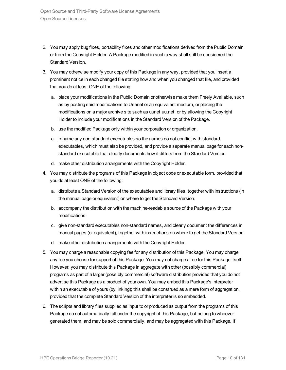- 2. You may apply bug fixes, portability fixes and other modifications derived from the Public Domain or from the Copyright Holder. A Package modified in such a way shall still be considered the Standard Version.
- 3. You may otherwise modify your copy of this Package in any way, provided that you insert a prominent notice in each changed file stating how and when you changed that file, and provided that you do at least ONE of the following:
	- a. place your modifications in the Public Domain or otherwise make them Freely Available, such as by posting said modifications to Usenet or an equivalent medium, or placing the modifications on a major archive site such as uunet.uu.net, or by allowing the Copyright Holder to include your modifications in the Standard Version of the Package.
	- b. use the modified Package only within your corporation or organization.
	- c. rename any non-standard executables so the names do not conflict with standard executables, which must also be provided, and provide a separate manual page for each nonstandard executable that clearly documents how it differs from the Standard Version.
	- d. make other distribution arrangements with the Copyright Holder.
- 4. You may distribute the programs of this Package in object code or executable form, provided that you do at least ONE of the following:
	- a. distribute a Standard Version of the executables and library files, together with instructions (in the manual page or equivalent) on where to get the Standard Version.
	- b. accompany the distribution with the machine-readable source of the Package with your modifications.
	- c. give non-standard executables non-standard names, and clearly document the differences in manual pages (or equivalent), together with instructions on where to get the Standard Version.
	- d. make other distribution arrangements with the Copyright Holder.
- 5. You may charge a reasonable copying fee for any distribution of this Package. You may charge any fee you choose for support of this Package. You may not charge a fee for this Package itself. However, you may distribute this Package in aggregate with other (possibly commercial) programs as part of a larger (possibly commercial) software distribution provided that you do not advertise this Package as a product of your own. You may embed this Package's interpreter within an executable of yours (by linking); this shall be construed as a mere form of aggregation, provided that the complete Standard Version of the interpreter is so embedded.
- 6. The scripts and library files supplied as input to or produced as output from the programs of this Package do not automatically fall under the copyright of this Package, but belong to whoever generated them, and may be sold commercially, and may be aggregated with this Package. If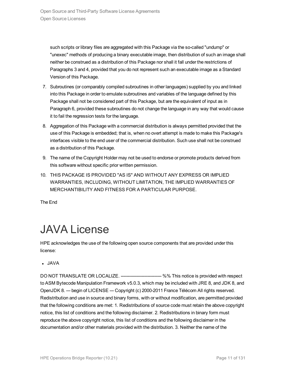such scripts or library files are aggregated with this Package via the so-called "undump" or "unexec" methods of producing a binary executable image, then distribution of such an image shall neither be construed as a distribution of this Package nor shall it fall under the restrictions of Paragraphs 3 and 4, provided that you do not represent such an executable image as a Standard Version of this Package.

- 7. Subroutines (or comparably compiled subroutines in other languages) supplied by you and linked into this Package in order to emulate subroutines and variables of the language defined by this Package shall not be considered part of this Package, but are the equivalent of input as in Paragraph 6, provided these subroutines do not change the language in any way that would cause it to fail the regression tests for the language.
- 8. Aggregation of this Package with a commercial distribution is always permitted provided that the use of this Package is embedded; that is, when no overt attempt is made to make this Package's interfaces visible to the end user of the commercial distribution. Such use shall not be construed as a distribution of this Package.
- 9. The name of the Copyright Holder may not be used to endorse or promote products derived from this software without specific prior written permission.
- 10. THIS PACKAGE IS PROVIDED "AS IS" AND WITHOUT ANY EXPRESS OR IMPLIED WARRANTIES, INCLUDING, WITHOUT LIMITATION, THE IMPLIED WARRANTIES OF MERCHANTIBILITY AND FITNESS FOR A PARTICULAR PURPOSE.

<span id="page-10-0"></span>The End

## JAVA License

HPE acknowledges the use of the following open source components that are provided under this license:

<sup>l</sup> JAVA

DO NOT TRANSLATE OR LOCALIZE. ------------------------------ %% This notice is provided with respect to ASM Bytecode Manipulation Framework v5.0.3, which may be included with JRE 8, and JDK 8, and OpenJDK 8. --- begin of LICENSE --- Copyright (c) 2000-2011 France Télécom All rights reserved. Redistribution and use in source and binary forms, with or without modification, are permitted provided that the following conditions are met: 1. Redistributions of source code must retain the above copyright notice, this list of conditions and the following disclaimer. 2. Redistributions in binary form must reproduce the above copyright notice, this list of conditions and the following disclaimer in the documentation and/or other materials provided with the distribution. 3. Neither the name of the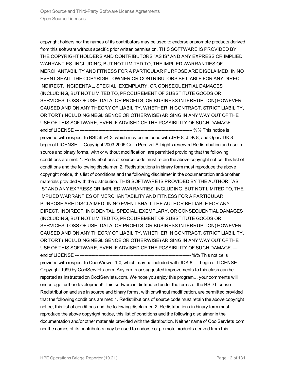copyright holders nor the names of its contributors may be used to endorse or promote products derived from this software without specific prior written permission. THIS SOFTWARE IS PROVIDED BY THE COPYRIGHT HOLDERS AND CONTRIBUTORS "AS IS" AND ANY EXPRESS OR IMPLIED WARRANTIES, INCLUDING, BUT NOT LIMITED TO, THE IMPLIED WARRANTIES OF MERCHANTABILITY AND FITNESS FOR A PARTICULAR PURPOSE ARE DISCLAIMED. IN NO EVENT SHALL THE COPYRIGHT OWNER OR CONTRIBUTORS BE LIABLE FOR ANY DIRECT, INDIRECT, INCIDENTAL, SPECIAL, EXEMPLARY, OR CONSEQUENTIAL DAMAGES (INCLUDING, BUT NOT LIMITED TO, PROCUREMENT OF SUBSTITUTE GOODS OR SERVICES; LOSS OF USE, DATA, OR PROFITS; OR BUSINESS INTERRUPTION) HOWEVER CAUSED AND ON ANY THEORY OF LIABILITY, WHETHER IN CONTRACT, STRICT LIABILITY, OR TORT (INCLUDING NEGLIGENCE OR OTHERWISE) ARISING IN ANY WAY OUT OF THE USE OF THIS SOFTWARE, EVEN IF ADVISED OF THE POSSIBILITY OF SUCH DAMAGE. --end of LICENSE --- -------------------------------------------------------------------------------- %% This notice is provided with respect to BSDiff v4.3, which may be included with JRE 8, JDK 8, and OpenJDK 8. -- begin of LICENSE --- Copyright 2003-2005 Colin Percival All rights reserved Redistribution and use in source and binary forms, with or without modification, are permitted providing that the following conditions are met: 1. Redistributions of source code must retain the above copyright notice, this list of conditions and the following disclaimer. 2. Redistributions in binary form must reproduce the above copyright notice, this list of conditions and the following disclaimer in the documentation and/or other materials provided with the distribution. THIS SOFTWARE IS PROVIDED BY THE AUTHOR ``AS IS'' AND ANY EXPRESS OR IMPLIED WARRANTIES, INCLUDING, BUT NOT LIMITED TO, THE IMPLIED WARRANTIES OF MERCHANTABILITY AND FITNESS FOR A PARTICULAR PURPOSE ARE DISCLAIMED. IN NO EVENT SHALL THE AUTHOR BE LIABLE FOR ANY DIRECT, INDIRECT, INCIDENTAL, SPECIAL, EXEMPLARY, OR CONSEQUENTIAL DAMAGES (INCLUDING, BUT NOT LIMITED TO, PROCUREMENT OF SUBSTITUTE GOODS OR SERVICES; LOSS OF USE, DATA, OR PROFITS; OR BUSINESS INTERRUPTION) HOWEVER CAUSED AND ON ANY THEORY OF LIABILITY, WHETHER IN CONTRACT, STRICT LIABILITY, OR TORT (INCLUDING NEGLIGENCE OR OTHERWISE) ARISING IN ANY WAY OUT OF THE USE OF THIS SOFTWARE, EVEN IF ADVISED OF THE POSSIBILITY OF SUCH DAMAGE. --end of LICENSE --- ------------------------------------------------------------------------------- %% This notice is provided with respect to CodeViewer 1.0, which may be included with JDK 8. --- begin of LICENSE --- Copyright 1999 by CoolServlets.com. Any errors or suggested improvements to this class can be reported as instructed on CoolServlets.com. We hope you enjoy this program... your comments will encourage further development! This software is distributed under the terms of the BSD License. Redistribution and use in source and binary forms, with or without modification, are permitted provided that the following conditions are met: 1. Redistributions of source code must retain the above copyright notice, this list of conditions and the following disclaimer. 2. Redistributions in binary form must reproduce the above copyright notice, this list of conditions and the following disclaimer in the documentation and/or other materials provided with the distribution. Neither name of CoolServlets.com nor the names of its contributors may be used to endorse or promote products derived from this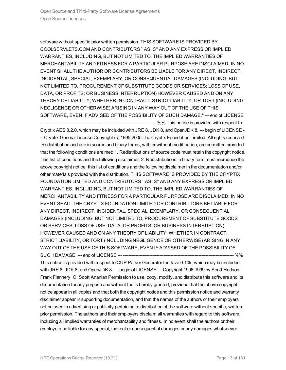software without specific prior written permission. THIS SOFTWARE IS PROVIDED BY COOLSERVLETS.COM AND CONTRIBUTORS ``AS IS'' AND ANY EXPRESS OR IMPLIED WARRANTIES, INCLUDING, BUT NOT LIMITED TO, THE IMPLIED WARRANTIES OF MERCHANTABILITY AND FITNESS FOR A PARTICULAR PURPOSE ARE DISCLAIMED. IN NO EVENT SHALL THE AUTHOR OR CONTRIBUTORS BE LIABLE FOR ANY DIRECT, INDIRECT, INCIDENTAL, SPECIAL, EXEMPLARY, OR CONSEQUENTIAL DAMAGES (INCLUDING, BUT NOT LIMITED TO, PROCUREMENT OF SUBSTITUTE GOODS OR SERVICES; LOSS OF USE, DATA, OR PROFITS; OR BUSINESS INTERRUPTION) HOWEVER CAUSED AND ON ANY THEORY OF LIABILITY, WHETHER IN CONTRACT, STRICT LIABILITY, OR TORT (INCLUDING NEGLIGENCE OR OTHERWISE) ARISING IN ANY WAY OUT OF THE USE OF THIS SOFTWARE, EVEN IF ADVISED OF THE POSSIBILITY OF SUCH DAMAGE." --- end of LICENSE --- ------------------------------------------------------------------------------- %% This notice is provided with respect to

Cryptix AES 3.2.0, which may be included with JRE 8, JDK 8, and OpenJDK 8. --- begin of LICENSE --- Cryptix General License Copyright (c) 1995-2005 The Cryptix Foundation Limited. All rights reserved. Redistribution and use in source and binary forms, with or without modification, are permitted provided that the following conditions are met: 1. Redistributions of source code must retain the copyright notice, this list of conditions and the following disclaimer. 2. Redistributions in binary form must reproduce the above copyright notice, this list of conditions and the following disclaimer in the documentation and/or other materials provided with the distribution. THIS SOFTWARE IS PROVIDED BY THE CRYPTIX FOUNDATION LIMITED AND CONTRIBUTORS ``AS IS'' AND ANY EXPRESS OR IMPLIED WARRANTIES, INCLUDING, BUT NOT LIMITED TO, THE IMPLIED WARRANTIES OF MERCHANTABILITY AND FITNESS FOR A PARTICULAR PURPOSE ARE DISCLAIMED. IN NO EVENT SHALL THE CRYPTIX FOUNDATION LIMITED OR CONTRIBUTORS BE LIABLE FOR ANY DIRECT, INDIRECT, INCIDENTAL, SPECIAL, EXEMPLARY, OR CONSEQUENTIAL DAMAGES (INCLUDING, BUT NOT LIMITED TO, PROCUREMENT OF SUBSTITUTE GOODS OR SERVICES; LOSS OF USE, DATA, OR PROFITS; OR BUSINESS INTERRUPTION) HOWEVER CAUSED AND ON ANY THEORY OF LIABILITY, WHETHER IN CONTRACT, STRICT LIABILITY, OR TORT (INCLUDING NEGLIGENCE OR OTHERWISE) ARISING IN ANY WAY OUT OF THE USE OF THIS SOFTWARE, EVEN IF ADVISED OF THE POSSIBILITY OF SUCH DAMAGE. --- end of LICENSE --- ------------------------------------------------------------------------------- %% This notice is provided with respect to CUP Parser Generator for Java 0.10k, which may be included with JRE 8, JDK 8, and OpenJDK 8. --- begin of LICENSE --- Copyright 1996-1999 by Scott Hudson, Frank Flannery, C. Scott Ananian Permission to use, copy, modify, and distribute this software and its documentation for any purpose and without fee is hereby granted, provided that the above copyright notice appear in all copies and that both the copyright notice and this permission notice and warranty disclaimer appear in supporting documentation, and that the names of the authors or their employers not be used in advertising or publicity pertaining to distribution of the software without specific, written prior permission. The authors and their employers disclaim all warranties with regard to this software, including all implied warranties of merchantability and fitness. In no event shall the authors or their employers be liable for any special, indirect or consequential damages or any damages whatsoever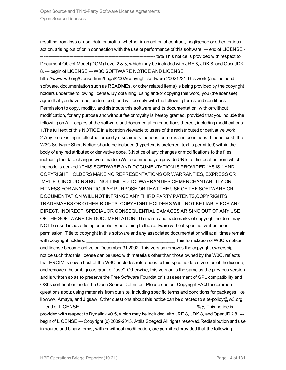resulting from loss of use, data or profits, whether in an action of contract, negligence or other tortious action, arising out of or in connection with the use or performance of this software. --- end of LICENSE - -- ------------------------------------------------------------------------------- %% This notice is provided with respect to

Document Object Model (DOM) Level 2 & 3, which may be included with JRE 8, JDK 8, and OpenJDK

8. --- begin of LICENSE --- W3C SOFTWARE NOTICE AND LICENSE http://www.w3.org/Consortium/Legal/2002/copyright-software-20021231 This work (and included software, documentation such as READMEs, or other related items) is being provided by the copyright holders under the following license. By obtaining, using and/or copying this work, you (the licensee) agree that you have read, understood, and will comply with the following terms and conditions. Permission to copy, modify, and distribute this software and its documentation, with or without modification, for any purpose and without fee or royalty is hereby granted, provided that you include the following on ALL copies of the software and documentation or portions thereof, including modifications: 1.The full text of this NOTICE in a location viewable to users of the redistributed or derivative work. 2.Any pre-existing intellectual property disclaimers, notices, or terms and conditions. If none exist, the W3C Software Short Notice should be included (hypertext is preferred, text is permitted) within the body of any redistributed or derivative code. 3.Notice of any changes or modifications to the files, including the date changes were made. (We recommend you provide URIs to the location from which the code is derived.) THIS SOFTWARE AND DOCUMENTATION IS PROVIDED "AS IS," AND COPYRIGHT HOLDERS MAKE NO REPRESENTATIONS OR WARRANTIES, EXPRESS OR IMPLIED, INCLUDING BUT NOT LIMITED TO, WARRANTIES OF MERCHANTABILITY OR FITNESS FOR ANY PARTICULAR PURPOSE OR THAT THE USE OF THE SOFTWARE OR DOCUMENTATION WILL NOT INFRINGE ANY THIRD PARTY PATENTS,COPYRIGHTS, TRADEMARKS OR OTHER RIGHTS. COPYRIGHT HOLDERS WILL NOT BE LIABLE FOR ANY DIRECT, INDIRECT, SPECIAL OR CONSEQUENTIAL DAMAGES ARISING OUT OF ANY USE OF THE SOFTWARE OR DOCUMENTATION. The name and trademarks of copyright holders may NOT be used in advertising or publicity pertaining to the software without specific, written prior permission. Title to copyright in this software and any associated documentation will at all times remain with copyright holders. \_\_\_\_\_\_\_\_\_\_\_\_\_\_\_\_\_\_\_\_\_\_\_\_\_\_\_\_\_\_\_\_\_\_\_\_ This formulation of W3C's notice and license became active on December 31 2002. This version removes the copyright ownership notice such that this license can be used with materials other than those owned by the W3C, reflects that ERCIM is now a host of the W3C, includes references to this specific dated version of the license, and removes the ambiguous grant of "use". Otherwise, this version is the same as the previous version and is written so as to preserve the Free Software Foundation's assessment of GPL compatibility and OSI's certification under the Open Source Definition. Please see our Copyright FAQ for common questions about using materials from our site, including specific terms and conditions for packages like libwww, Amaya, and Jigsaw. Other questions about this notice can be directed to site-policy@w3.org. --- end of LICENSE --- ------------------------------------------------------------------------------- %% This notice is provided with respect to Dynalink v0.5, which may be included with JRE 8, JDK 8, and OpenJDK 8. -- begin of LICENSE --- Copyright (c) 2009-2013, Attila Szegedi All rights reserved.Redistribution and use in source and binary forms, with or without modification, are permitted provided that the following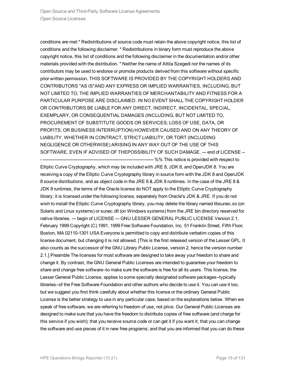conditions are met:\* Redistributions of source code must retain the above copyright notice, this list of conditions and the following disclaimer. \* Redistributions in binary form must reproduce the above copyright notice, this list of conditions and the following disclaimer in the documentation and/or other materials provided with the distribution. \* Neither the name of Attila Szegedi nor the names of its contributors may be used to endorse or promote products derived from this software without specific prior written permission. THIS SOFTWARE IS PROVIDED BY THE COPYRIGHT HOLDERS AND CONTRIBUTORS "AS IS"AND ANY EXPRESS OR IMPLIED WARRANTIES, INCLUDING, BUT NOT LIMITED TO, THE IMPLIED WARRANTIES OF MERCHANTABILITY AND FITNESS FOR A PARTICULAR PURPOSE ARE DISCLAIMED. IN NO EVENT SHALL THE COPYRIGHT HOLDER OR CONTRIBUTORS BE LIABLE FOR ANY DIRECT, INDIRECT, INCIDENTAL, SPECIAL, EXEMPLARY, OR CONSEQUENTIAL DAMAGES (INCLUDING, BUT NOT LIMITED TO, PROCUREMENT OF SUBSTITUTE GOODS OR SERVICES; LOSS OF USE, DATA, OR PROFITS; OR BUSINESS INTERRUPTION) HOWEVER CAUSED AND ON ANY THEORY OF LIABILITY, WHETHER IN CONTRACT, STRICT LIABILITY, OR TORT (INCLUDING NEGLIGENCE OR OTHERWISE) ARISING IN ANY WAY OUT OF THE USE OF THIS SOFTWARE, EVEN IF ADVISED OF THEPOSSIBILITY OF SUCH DAMAGE. --- end of LICENSE ----- %% This notice is provided with respect to

Elliptic Curve Cryptography, which may be included with JRE 8, JDK 8, and OpenJDK 8. You are receiving a copy of the Elliptic Curve Cryptography library in source form with the JDK 8 and OpenJDK 8 source distributions, and as object code in the JRE 8 & JDK 8 runtimes. In the case of the JRE 8 & JDK 8 runtimes, the terms of the Oracle license do NOT apply to the Elliptic Curve Cryptography library; it is licensed under the following license, separately from Oracle's JDK & JRE. If you do not wish to install the Elliptic Curve Cryptography library, you may delete the library named libsunec.so (on Solaris and Linux systems) or sunec.dll (on Windows systems) from the JRE bin directory reserved for native libraries. --- begin of LICENSE --- GNU LESSER GENERAL PUBLIC LICENSE Version 2.1, February 1999 Copyright (C) 1991, 1999 Free Software Foundation, Inc. 51 Franklin Street, Fifth Floor, Boston, MA 02110-1301 USA Everyone is permitted to copy and distribute verbatim copies of this license document, but changing it is not allowed. [This is the first released version of the Lesser GPL. It also counts as the successor of the GNU Library Public License, version 2, hence the version number 2.1.] Preamble The licenses for most software are designed to take away your freedom to share and change it. By contrast, the GNU General Public Licenses are intended to guarantee your freedom to share and change free software--to make sure the software is free for all its users. This license, the Lesser General Public License, applies to some specially designated software packages--typically libraries--of the Free Software Foundation and other authors who decide to use it. You can use it too, but we suggest you first think carefully about whether this license or the ordinary General Public License is the better strategy to use in any particular case, based on the explanations below. When we speak of free software, we are referring to freedom of use, not price. Our General Public Licenses are designed to make sure that you have the freedom to distribute copies of free software (and charge for this service if you wish); that you receive source code or can get it if you want it; that you can change the software and use pieces of it in new free programs; and that you are informed that you can do these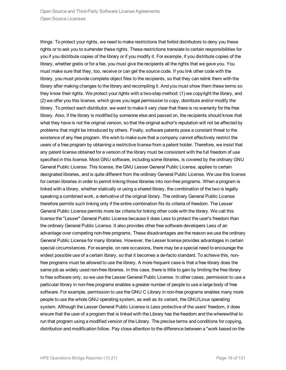things. To protect your rights, we need to make restrictions that forbid distributors to deny you these rights or to ask you to surrender these rights. These restrictions translate to certain responsibilities for you if you distribute copies of the library or if you modify it. For example, if you distribute copies of the library, whether gratis or for a fee, you must give the recipients all the rights that we gave you. You must make sure that they, too, receive or can get the source code. If you link other code with the library, you must provide complete object files to the recipients, so that they can relink them with the library after making changes to the library and recompiling it. And you must show them these terms so they know their rights. We protect your rights with a two-step method: (1) we copyright the library, and (2) we offer you this license, which gives you legal permission to copy, distribute and/or modify the library. To protect each distributor, we want to make it very clear that there is no warranty for the free library. Also, if the library is modified by someone else and passed on, the recipients should know that what they have is not the original version, so that the original author's reputation will not be affected by problems that might be introduced by others. Finally, software patents pose a constant threat to the existence of any free program. We wish to make sure that a company cannot effectively restrict the users of a free program by obtaining a restrictive license from a patent holder. Therefore, we insist that any patent license obtained for a version of the library must be consistent with the full freedom of use specified in this license. Most GNU software, including some libraries, is covered by the ordinary GNU General Public License. This license, the GNU Lesser General Public License, applies to certain designated libraries, and is quite different from the ordinary General Public License. We use this license for certain libraries in order to permit linking those libraries into non-free programs. When a program is linked with a library, whether statically or using a shared library, the combination of the two is legally speaking a combined work, a derivative of the original library. The ordinary General Public License therefore permits such linking only if the entire combination fits its criteria of freedom. The Lesser General Public License permits more lax criteria for linking other code with the library. We call this license the "Lesser" General Public License because it does Less to protect the user's freedom than the ordinary General Public License. It also provides other free software developers Less of an advantage over competing non-free programs. These disadvantages are the reason we use the ordinary General Public License for many libraries. However, the Lesser license provides advantages in certain special circumstances. For example, on rare occasions, there may be a special need to encourage the widest possible use of a certain library, so that it becomes a de-facto standard. To achieve this, nonfree programs must be allowed to use the library. A more frequent case is that a free library does the same job as widely used non-free libraries. In this case, there is little to gain by limiting the free library to free software only, so we use the Lesser General Public License. In other cases, permission to use a particular library in non-free programs enables a greater number of people to use a large body of free software. For example, permission to use the GNU C Library in non-free programs enables many more people to use the whole GNU operating system, as well as its variant, the GNU/Linux operating system. Although the Lesser General Public License is Less protective of the users' freedom, it does ensure that the user of a program that is linked with the Library has the freedom and the wherewithal to run that program using a modified version of the Library. The precise terms and conditions for copying, distribution and modification follow. Pay close attention to the difference between a "work based on the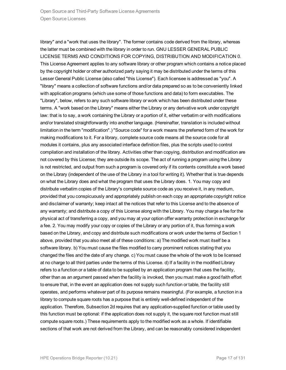library" and a "work that uses the library". The former contains code derived from the library, whereas the latter must be combined with the library in order to run. GNU LESSER GENERAL PUBLIC LICENSE TERMS AND CONDITIONS FOR COPYING, DISTRIBUTION AND MODIFICATION 0. This License Agreement applies to any software library or other program which contains a notice placed by the copyright holder or other authorized party saying it may be distributed under the terms of this Lesser General Public License (also called "this License"). Each licensee is addressed as "you". A "library" means a collection of software functions and/or data prepared so as to be conveniently linked with application programs (which use some of those functions and data) to form executables. The "Library", below, refers to any such software library or work which has been distributed under these terms. A "work based on the Library" means either the Library or any derivative work under copyright law: that is to say, a work containing the Library or a portion of it, either verbatim or with modifications and/or translated straightforwardly into another language. (Hereinafter, translation is included without limitation in the term "modification".) "Source code" for a work means the preferred form of the work for making modifications to it. For a library, complete source code means all the source code for all modules it contains, plus any associated interface definition files, plus the scripts used to control compilation and installation of the library. Activities other than copying, distribution and modification are not covered by this License; they are outside its scope. The act of running a program using the Library is not restricted, and output from such a program is covered only if its contents constitute a work based on the Library (independent of the use of the Library in a tool for writing it). Whether that is true depends on what the Library does and what the program that uses the Library does. 1. You may copy and distribute verbatim copies of the Library's complete source code as you receive it, in any medium, provided that you conspicuously and appropriately publish on each copy an appropriate copyright notice and disclaimer of warranty; keep intact all the notices that refer to this License and to the absence of any warranty; and distribute a copy of this License along with the Library. You may charge a fee for the physical act of transferring a copy, and you may at your option offer warranty protection in exchange for a fee. 2. You may modify your copy or copies of the Library or any portion of it, thus forming a work based on the Library, and copy and distribute such modifications or work under the terms of Section 1 above, provided that you also meet all of these conditions: a) The modified work must itself be a software library. b) You must cause the files modified to carry prominent notices stating that you changed the files and the date of any change. c) You must cause the whole of the work to be licensed at no charge to all third parties under the terms of this License. d) If a facility in the modified Library refers to a function or a table of data to be supplied by an application program that uses the facility, other than as an argument passed when the facility is invoked, then you must make a good faith effort to ensure that, in the event an application does not supply such function or table, the facility still operates, and performs whatever part of its purpose remains meaningful. (For example, a function in a library to compute square roots has a purpose that is entirely well-defined independent of the application. Therefore, Subsection 2d requires that any application-supplied function or table used by this function must be optional: if the application does not supply it, the square root function must still compute square roots.) These requirements apply to the modified work as a whole. If identifiable sections of that work are not derived from the Library, and can be reasonably considered independent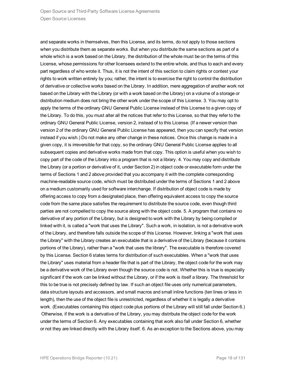and separate works in themselves, then this License, and its terms, do not apply to those sections when you distribute them as separate works. But when you distribute the same sections as part of a whole which is a work based on the Library, the distribution of the whole must be on the terms of this License, whose permissions for other licensees extend to the entire whole, and thus to each and every part regardless of who wrote it. Thus, it is not the intent of this section to claim rights or contest your rights to work written entirely by you; rather, the intent is to exercise the right to control the distribution of derivative or collective works based on the Library. In addition, mere aggregation of another work not based on the Library with the Library (or with a work based on the Library) on a volume of a storage or distribution medium does not bring the other work under the scope of this License. 3. You may opt to apply the terms of the ordinary GNU General Public License instead of this License to a given copy of the Library. To do this, you must alter all the notices that refer to this License, so that they refer to the ordinary GNU General Public License, version 2, instead of to this License. (If a newer version than version 2 of the ordinary GNU General Public License has appeared, then you can specify that version instead if you wish.) Do not make any other change in these notices. Once this change is made in a given copy, it is irreversible for that copy, so the ordinary GNU General Public License applies to all subsequent copies and derivative works made from that copy. This option is useful when you wish to copy part of the code of the Library into a program that is not a library. 4. You may copy and distribute the Library (or a portion or derivative of it, under Section 2) in object code or executable form under the terms of Sections 1 and 2 above provided that you accompany it with the complete corresponding machine-readable source code, which must be distributed under the terms of Sections 1 and 2 above on a medium customarily used for software interchange. If distribution of object code is made by offering access to copy from a designated place, then offering equivalent access to copy the source code from the same place satisfies the requirement to distribute the source code, even though third parties are not compelled to copy the source along with the object code. 5. A program that contains no derivative of any portion of the Library, but is designed to work with the Library by being compiled or linked with it, is called a "work that uses the Library". Such a work, in isolation, is not a derivative work of the Library, and therefore falls outside the scope of this License. However, linking a "work that uses the Library" with the Library creates an executable that is a derivative of the Library (because it contains portions of the Library), rather than a "work that uses the library". The executable is therefore covered by this License. Section 6 states terms for distribution of such executables. When a "work that uses the Library" uses material from a header file that is part of the Library, the object code for the work may be a derivative work of the Library even though the source code is not. Whether this is true is especially significant if the work can be linked without the Library, or if the work is itself a library. The threshold for this to be true is not precisely defined by law. If such an object file uses only numerical parameters, data structure layouts and accessors, and small macros and small inline functions (ten lines or less in length), then the use of the object file is unrestricted, regardless of whether it is legally a derivative work. (Executables containing this object code plus portions of the Library will still fall under Section 6.) Otherwise, if the work is a derivative of the Library, you may distribute the object code for the work under the terms of Section 6. Any executables containing that work also fall under Section 6, whether or not they are linked directly with the Library itself. 6. As an exception to the Sections above, you may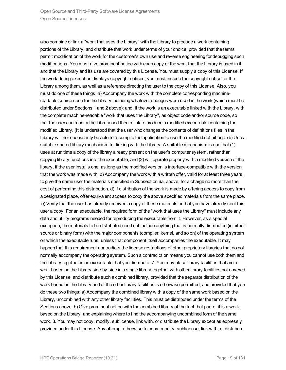also combine or link a "work that uses the Library" with the Library to produce a work containing portions of the Library, and distribute that work under terms of your choice, provided that the terms permit modification of the work for the customer's own use and reverse engineering for debugging such modifications. You must give prominent notice with each copy of the work that the Library is used in it and that the Library and its use are covered by this License. You must supply a copy of this License. If the work during execution displays copyright notices, you must include the copyright notice for the Library among them, as well as a reference directing the user to the copy of this License. Also, you must do one of these things: a) Accompany the work with the complete corresponding machinereadable source code for the Library including whatever changes were used in the work (which must be distributed under Sections 1 and 2 above); and, if the work is an executable linked with the Library, with the complete machine-readable "work that uses the Library", as object code and/or source code, so that the user can modify the Library and then relink to produce a modified executable containing the modified Library. (It is understood that the user who changes the contents of definitions files in the Library will not necessarily be able to recompile the application to use the modified definitions.) b) Use a suitable shared library mechanism for linking with the Library. A suitable mechanism is one that (1) uses at run time a copy of the library already present on the user's computer system, rather than copying library functions into the executable, and (2) will operate properly with a modified version of the library, if the user installs one, as long as the modified version is interface-compatible with the version that the work was made with. c) Accompany the work with a written offer, valid for at least three years, to give the same user the materials specified in Subsection 6a, above, for a charge no more than the cost of performing this distribution. d) If distribution of the work is made by offering access to copy from a designated place, offer equivalent access to copy the above specified materials from the same place. e) Verify that the user has already received a copy of these materials or that you have already sent this user a copy. For an executable, the required form of the "work that uses the Library" must include any data and utility programs needed for reproducing the executable from it. However, as a special exception, the materials to be distributed need not include anything that is normally distributed (in either source or binary form) with the major components (compiler, kernel, and so on) of the operating system on which the executable runs, unless that component itself accompanies the executable. It may happen that this requirement contradicts the license restrictions of other proprietary libraries that do not normally accompany the operating system. Such a contradiction means you cannot use both them and the Library together in an executable that you distribute. 7. You may place library facilities that are a work based on the Library side-by-side in a single library together with other library facilities not covered by this License, and distribute such a combined library, provided that the separate distribution of the work based on the Library and of the other library facilities is otherwise permitted, and provided that you do these two things: a) Accompany the combined library with a copy of the same work based on the Library, uncombined with any other library facilities. This must be distributed under the terms of the Sections above. b) Give prominent notice with the combined library of the fact that part of it is a work based on the Library, and explaining where to find the accompanying uncombined form of the same work. 8. You may not copy, modify, sublicense, link with, or distribute the Library except as expressly provided under this License. Any attempt otherwise to copy, modify, sublicense, link with, or distribute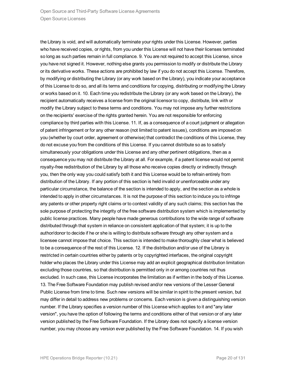the Library is void, and will automatically terminate your rights under this License. However, parties who have received copies, or rights, from you under this License will not have their licenses terminated so long as such parties remain in full compliance. 9. You are not required to accept this License, since you have not signed it. However, nothing else grants you permission to modify or distribute the Library or its derivative works. These actions are prohibited by law if you do not accept this License. Therefore, by modifying or distributing the Library (or any work based on the Library), you indicate your acceptance of this License to do so, and all its terms and conditions for copying, distributing or modifying the Library or works based on it. 10. Each time you redistribute the Library (or any work based on the Library), the recipient automatically receives a license from the original licensor to copy, distribute, link with or modify the Library subject to these terms and conditions. You may not impose any further restrictions on the recipients' exercise of the rights granted herein. You are not responsible for enforcing compliance by third parties with this License. 11. If, as a consequence of a court judgment or allegation of patent infringement or for any other reason (not limited to patent issues), conditions are imposed on you (whether by court order, agreement or otherwise) that contradict the conditions of this License, they do not excuse you from the conditions of this License. If you cannot distribute so as to satisfy simultaneously your obligations under this License and any other pertinent obligations, then as a consequence you may not distribute the Library at all. For example, if a patent license would not permit royalty-free redistribution of the Library by all those who receive copies directly or indirectly through you, then the only way you could satisfy both it and this License would be to refrain entirely from distribution of the Library. If any portion of this section is held invalid or unenforceable under any particular circumstance, the balance of the section is intended to apply, and the section as a whole is intended to apply in other circumstances. It is not the purpose of this section to induce you to infringe any patents or other property right claims or to contest validity of any such claims; this section has the sole purpose of protecting the integrity of the free software distribution system which is implemented by public license practices. Many people have made generous contributions to the wide range of software distributed through that system in reliance on consistent application of that system; it is up to the author/donor to decide if he or she is willing to distribute software through any other system and a licensee cannot impose that choice. This section is intended to make thoroughly clear what is believed to be a consequence of the rest of this License. 12. If the distribution and/or use of the Library is restricted in certain countries either by patents or by copyrighted interfaces, the original copyright holder who places the Library under this License may add an explicit geographical distribution limitation excluding those countries, so that distribution is permitted only in or among countries not thus excluded. In such case, this License incorporates the limitation as if written in the body of this License. 13. The Free Software Foundation may publish revised and/or new versions of the Lesser General Public License from time to time. Such new versions will be similar in spirit to the present version, but may differ in detail to address new problems or concerns. Each version is given a distinguishing version number. If the Library specifies a version number of this License which applies to it and "any later version", you have the option of following the terms and conditions either of that version or of any later version published by the Free Software Foundation. If the Library does not specify a license version number, you may choose any version ever published by the Free Software Foundation. 14. If you wish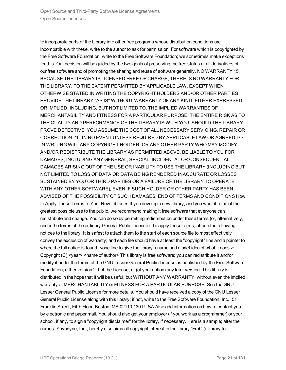to incorporate parts of the Library into other free programs whose distribution conditions are incompatible with these, write to the author to ask for permission. For software which is copyrighted by the Free Software Foundation, write to the Free Software Foundation; we sometimes make exceptions for this. Our decision will be guided by the two goals of preserving the free status of all derivatives of our free software and of promoting the sharing and reuse of software generally. NO WARRANTY 15. BECAUSE THE LIBRARY IS LICENSED FREE OF CHARGE, THERE IS NO WARRANTY FOR THE LIBRARY, TO THE EXTENT PERMITTED BY APPLICABLE LAW. EXCEPT WHEN OTHERWISE STATED IN WRITING THE COPYRIGHT HOLDERS AND/OR OTHER PARTIES PROVIDE THE LIBRARY "AS IS" WITHOUT WARRANTY OF ANY KIND, EITHER EXPRESSED OR IMPLIED, INCLUDING, BUT NOT LIMITED TO, THE IMPLIED WARRANTIES OF MERCHANTABILITY AND FITNESS FOR A PARTICULAR PURPOSE. THE ENTIRE RISK AS TO THE QUALITY AND PERFORMANCE OF THE LIBRARY IS WITH YOU. SHOULD THE LIBRARY PROVE DEFECTIVE, YOU ASSUME THE COST OF ALL NECESSARY SERVICING, REPAIR OR CORRECTION. 16. IN NO EVENT UNLESS REQUIRED BY APPLICABLE LAW OR AGREED TO IN WRITING WILL ANY COPYRIGHT HOLDER, OR ANY OTHER PARTY WHO MAY MODIFY AND/OR REDISTRIBUTE THE LIBRARY AS PERMITTED ABOVE, BE LIABLE TO YOU FOR DAMAGES, INCLUDING ANY GENERAL, SPECIAL, INCIDENTAL OR CONSEQUENTIAL DAMAGES ARISING OUT OF THE USE OR INABILITY TO USE THE LIBRARY (INCLUDING BUT NOT LIMITED TO LOSS OF DATA OR DATA BEING RENDERED INACCURATE OR LOSSES SUSTAINED BY YOU OR THIRD PARTIES OR A FAILURE OF THE LIBRARY TO OPERATE WITH ANY OTHER SOFTWARE), EVEN IF SUCH HOLDER OR OTHER PARTY HAS BEEN ADVISED OF THE POSSIBILITY OF SUCH DAMAGES. END OF TERMS AND CONDITIONS How to Apply These Terms to Your New Libraries If you develop a new library, and you want it to be of the greatest possible use to the public, we recommend making it free software that everyone can redistribute and change. You can do so by permitting redistribution under these terms (or, alternatively, under the terms of the ordinary General Public License). To apply these terms, attach the following notices to the library. It is safest to attach them to the start of each source file to most effectively convey the exclusion of warranty; and each file should have at least the "copyright" line and a pointer to where the full notice is found. < one line to give the library's name and a brief idea of what it does. > Copyright (C) <year> <name of author> This library is free software; you can redistribute it and/or modify it under the terms of the GNU Lesser General Public License as published by the Free Software Foundation; either version 2.1 of the License, or (at your option) any later version. This library is distributed in the hope that it will be useful, but WITHOUT ANY WARRANTY; without even the implied warranty of MERCHANTABILITY or FITNESS FOR A PARTICULAR PURPOSE. See the GNU Lesser General Public License for more details. You should have received a copy of the GNU Lesser General Public License along with this library; if not, write to the Free Software Foundation, Inc., 51 Franklin Street, Fifth Floor, Boston, MA 02110-1301 USA Also add information on how to contact you by electronic and paper mail. You should also get your employer (if you work as a programmer) or your school, if any, to sign a "copyright disclaimer" for the library, if necessary. Here is a sample; alter the names: Yoyodyne, Inc., hereby disclaims all copyright interest in the library `Frob' (a library for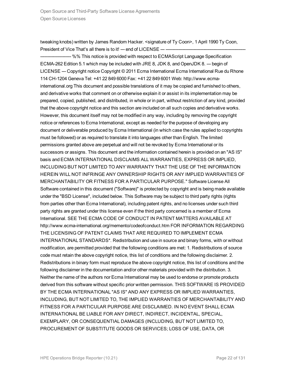tweaking knobs) written by James Random Hacker. <signature of Ty Coon>, 1 April 1990 Ty Coon, President of Vice That's all there is to it! --- end of LICENSE --- -----------

---------------------- %% This notice is provided with respect to ECMAScript Language Specification ECMA-262 Edition 5.1 which may be included with JRE 8, JDK 8, and OpenJDK 8. --- begin of LICENSE --- Copyright notice Copyright © 2011 Ecma International Ecma International Rue du Rhone 114 CH-1204 Geneva Tel: +41 22 849 6000 Fax: +41 22 849 6001 Web: http://www.ecmainternational.org This document and possible translations of it may be copied and furnished to others, and derivative works that comment on or otherwise explain it or assist in its implementation may be prepared, copied, published, and distributed, in whole or in part, without restriction of any kind, provided that the above copyright notice and this section are included on all such copies and derivative works. However, this document itself may not be modified in any way, including by removing the copyright notice or references to Ecma International, except as needed for the purpose of developing any document or deliverable produced by Ecma International (in which case the rules applied to copyrights must be followed) or as required to translate it into languages other than English. The limited permissions granted above are perpetual and will not be revoked by Ecma International or its successors or assigns. This document and the information contained herein is provided on an "AS IS" basis and ECMA INTERNATIONAL DISCLAIMS ALL WARRANTIES, EXPRESS OR IMPLIED, INCLUDING BUT NOT LIMITED TO ANY WARRANTY THAT THE USE OF THE INFORMATION HEREIN WILL NOT INFRINGE ANY OWNERSHIP RIGHTS OR ANY IMPLIED WARRANTIES OF MERCHANTABILITY OR FITNESS FOR A PARTICULAR PURPOSE." Software License All Software contained in this document ("Software)" is protected by copyright and is being made available under the "BSD License", included below. This Software may be subject to third party rights (rights from parties other than Ecma International), including patent rights, and no licenses under such third party rights are granted under this license even if the third party concerned is a member of Ecma International. SEE THE ECMA CODE OF CONDUCT IN PATENT MATTERS AVAILABLE AT http://www.ecma-international.org/memento/codeofconduct.htm FOR INFORMATION REGARDING THE LICENSING OF PATENT CLAIMS THAT ARE REQUIRED TO IMPLEMENT ECMA INTERNATIONAL STANDARDS\*. Redistribution and use in source and binary forms, with or without modification, are permitted provided that the following conditions are met: 1. Redistributions of source code must retain the above copyright notice, this list of conditions and the following disclaimer. 2. Redistributions in binary form must reproduce the above copyright notice, this list of conditions and the following disclaimer in the documentation and/or other materials provided with the distribution. 3. Neither the name of the authors nor Ecma International may be used to endorse or promote products derived from this software without specific prior written permission. THIS SOFTWARE IS PROVIDED BY THE ECMA INTERNATIONAL "AS IS" AND ANY EXPRESS OR IMPLIED WARRANTIES, INCLUDING, BUT NOT LIMITED TO, THE IMPLIED WARRANTIES OF MERCHANTABILITY AND FITNESS FOR A PARTICULAR PURPOSE ARE DISCLAIMED. IN NO EVENT SHALL ECMA INTERNATIONAL BE LIABLE FOR ANY DIRECT, INDIRECT, INCIDENTAL, SPECIAL, EXEMPLARY, OR CONSEQUENTIAL DAMAGES (INCLUDING, BUT NOT LIMITED TO, PROCUREMENT OF SUBSTITUTE GOODS OR SERVICES; LOSS OF USE, DATA, OR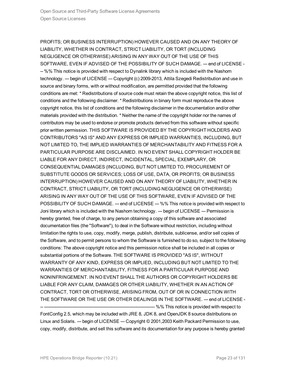PROFITS; OR BUSINESS INTERRUPTION) HOWEVER CAUSED AND ON ANY THEORY OF LIABILITY, WHETHER IN CONTRACT, STRICT LIABILITY, OR TORT (INCLUDING NEGLIGENCE OR OTHERWISE) ARISING IN ANY WAY OUT OF THE USE OF THIS SOFTWARE, EVEN IF ADVISED OF THE POSSIBILITY OF SUCH DAMAGE. --- end of LICENSE --- %% This notice is provided with respect to Dynalink library which is included with the Nashorn technology. --- begin of LICENSE --- Copyright (c) 2009-2013, Attila Szegedi Redistribution and use in source and binary forms, with or without modification, are permitted provided that the following conditions are met: \* Redistributions of source code must retain the above copyright notice, this list of conditions and the following disclaimer. \* Redistributions in binary form must reproduce the above copyright notice, this list of conditions and the following disclaimer in the documentation and/or other materials provided with the distribution. \* Neither the name of the copyright holder nor the names of contributors may be used to endorse or promote products derived from this software without specific prior written permission. THIS SOFTWARE IS PROVIDED BY THE COPYRIGHT HOLDERS AND CONTRIBUTORS "AS IS" AND ANY EXPRESS OR IMPLIED WARRANTIES, INCLUDING, BUT NOT LIMITED TO, THE IMPLIED WARRANTIES OF MERCHANTABILITY AND FITNESS FOR A PARTICULAR PURPOSE ARE DISCLAIMED. IN NO EVENT SHALL COPYRIGHT HOLDER BE LIABLE FOR ANY DIRECT, INDIRECT, INCIDENTAL, SPECIAL, EXEMPLARY, OR CONSEQUENTIAL DAMAGES (INCLUDING, BUT NOT LIMITED TO, PROCUREMENT OF SUBSTITUTE GOODS OR SERVICES; LOSS OF USE, DATA, OR PROFITS; OR BUSINESS INTERRUPTION) HOWEVER CAUSED AND ON ANY THEORY OF LIABILITY, WHETHER IN CONTRACT, STRICT LIABILITY, OR TORT (INCLUDING NEGLIGENCE OR OTHERWISE) ARISING IN ANY WAY OUT OF THE USE OF THIS SOFTWARE, EVEN IF ADVISED OF THE POSSIBILITY OF SUCH DAMAGE. --- end of LICENSE --- %% This notice is provided with respect to Joni library which is included with the Nashorn technology. --- begin of LICENSE --- Permission is hereby granted, free of charge, to any person obtaining a copy of this software and associated documentation files (the "Software"), to deal in the Software without restriction, including without limitation the rights to use, copy, modify, merge, publish, distribute, sublicense, and/or sell copies of the Software, and to permit persons to whom the Software is furnished to do so, subject to the following conditions: The above copyright notice and this permission notice shall be included in all copies or substantial portions of the Software. THE SOFTWARE IS PROVIDED "AS IS", WITHOUT WARRANTY OF ANY KIND, EXPRESS OR IMPLIED, INCLUDING BUT NOT LIMITED TO THE WARRANTIES OF MERCHANTABILITY, FITNESS FOR A PARTICULAR PURPOSE AND NONINFRINGEMENT. IN NO EVENT SHALL THE AUTHORS OR COPYRIGHT HOLDERS BE LIABLE FOR ANY CLAIM, DAMAGES OR OTHER LIABILITY, WHETHER IN AN ACTION OF CONTRACT, TORT OR OTHERWISE, ARISING FROM, OUT OF OR IN CONNECTION WITH THE SOFTWARE OR THE USE OR OTHER DEALINGS IN THE SOFTWARE. --- end of LICENSE - -- ------------------------------------------------------------------------------- %% This notice is provided with respect to

FontConfig 2.5, which may be included with JRE 8, JDK 8, and OpenJDK 8 source distributions on Linux and Solaris. --- begin of LICENSE --- Copyright © 2001, 2003 Keith Packard Permission to use, copy, modify, distribute, and sell this software and its documentation for any purpose is hereby granted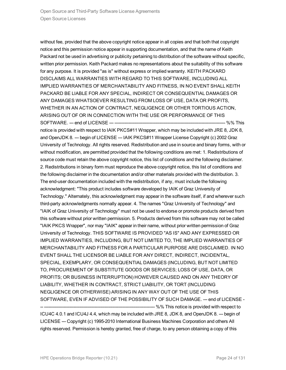without fee, provided that the above copyright notice appear in all copies and that both that copyright notice and this permission notice appear in supporting documentation, and that the name of Keith Packard not be used in advertising or publicity pertaining to distribution of the software without specific, written prior permission. Keith Packard makes no representations about the suitability of this software for any purpose. It is provided "as is" without express or implied warranty. KEITH PACKARD DISCLAIMS ALL WARRANTIES WITH REGARD TO THIS SOFTWARE, INCLUDING ALL IMPLIED WARRANTIES OF MERCHANTABILITY AND FITNESS, IN NO EVENT SHALL KEITH PACKARD BE LIABLE FOR ANY SPECIAL, INDIRECT OR CONSEQUENTIAL DAMAGES OR ANY DAMAGES WHATSOEVER RESULTING FROM LOSS OF USE, DATA OR PROFITS, WHETHER IN AN ACTION OF CONTRACT, NEGLIGENCE OR OTHER TORTIOUS ACTION, ARISING OUT OF OR IN CONNECTION WITH THE USE OR PERFORMANCE OF THIS SOFTWARE. --- end of LICENSE --- ------------------------------------------------------------------------------- %% This

notice is provided with respect to IAIK PKCS#11 Wrapper, which may be included with JRE 8, JDK 8, and OpenJDK 8. --- begin of LICENSE --- IAIK PKCS#11 Wrapper License Copyright (c) 2002 Graz University of Technology. All rights reserved. Redistribution and use in source and binary forms, with or without modification, are permitted provided that the following conditions are met: 1. Redistributions of source code must retain the above copyright notice, this list of conditions and the following disclaimer. 2. Redistributions in binary form must reproduce the above copyright notice, this list of conditions and the following disclaimer in the documentation and/or other materials provided with the distribution. 3. The end-user documentation included with the redistribution, if any, must include the following acknowledgment: "This product includes software developed by IAIK of Graz University of Technology." Alternately, this acknowledgment may appear in the software itself, if and wherever such third-party acknowledgments normally appear. 4. The names "Graz University of Technology" and "IAIK of Graz University of Technology" must not be used to endorse or promote products derived from this software without prior written permission. 5. Products derived from this software may not be called "IAIK PKCS Wrapper", nor may "IAIK" appear in their name, without prior written permission of Graz University of Technology. THIS SOFTWARE IS PROVIDED "AS IS" AND ANY EXPRESSED OR IMPLIED WARRANTIES, INCLUDING, BUT NOT LIMITED TO, THE IMPLIED WARRANTIES OF MERCHANTABILITY AND FITNESS FOR A PARTICULAR PURPOSE ARE DISCLAIMED. IN NO EVENT SHALL THE LICENSOR BE LIABLE FOR ANY DIRECT, INDIRECT, INCIDENTAL, SPECIAL, EXEMPLARY, OR CONSEQUENTIAL DAMAGES (INCLUDING, BUT NOT LIMITED TO, PROCUREMENT OF SUBSTITUTE GOODS OR SERVICES; LOSS OF USE, DATA, OR PROFITS; OR BUSINESS INTERRUPTION) HOWEVER CAUSED AND ON ANY THEORY OF LIABILITY, WHETHER IN CONTRACT, STRICT LIABILITY, OR TORT (INCLUDING NEGLIGENCE OR OTHERWISE) ARISING IN ANY WAY OUT OF THE USE OF THIS SOFTWARE, EVEN IF ADVISED OF THE POSSIBILITY OF SUCH DAMAGE. --- end of LICENSE --- ------------------------------------------------------------------------------- %% This notice is provided with respect to

ICU4C 4.0.1 and ICU4J 4.4, which may be included with JRE 8, JDK 8, and OpenJDK 8. --- begin of LICENSE --- Copyright (c) 1995-2010 International Business Machines Corporation and others All rights reserved. Permission is hereby granted, free of charge, to any person obtaining a copy of this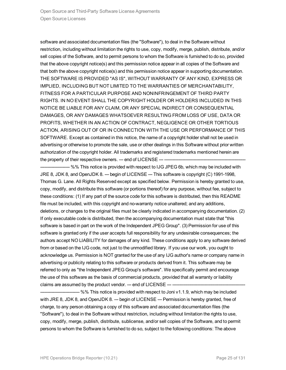software and associated documentation files (the "Software"), to deal in the Software without restriction, including without limitation the rights to use, copy, modify, merge, publish, distribute, and/or sell copies of the Software, and to permit persons to whom the Software is furnished to do so, provided that the above copyright notice(s) and this permission notice appear in all copies of the Software and that both the above copyright notice(s) and this permission notice appear in supporting documentation. THE SOFTWARE IS PROVIDED "AS IS", WITHOUT WARRANTY OF ANY KIND, EXPRESS OR IMPLIED, INCLUDING BUT NOT LIMITED TO THE WARRANTIES OF MERCHANTABILITY, FITNESS FOR A PARTICULAR PURPOSE AND NONINFRINGEMENT OF THIRD PARTY RIGHTS. IN NO EVENT SHALL THE COPYRIGHT HOLDER OR HOLDERS INCLUDED IN THIS NOTICE BE LIABLE FOR ANY CLAIM, OR ANY SPECIAL INDIRECT OR CONSEQUENTIAL DAMAGES, OR ANY DAMAGES WHATSOEVER RESULTING FROM LOSS OF USE, DATA OR PROFITS, WHETHER IN AN ACTION OF CONTRACT, NEGLIGENCE OR OTHER TORTIOUS ACTION, ARISING OUT OF OR IN CONNECTION WITH THE USE OR PERFORMANCE OF THIS SOFTWARE. Except as contained in this notice, the name of a copyright holder shall not be used in advertising or otherwise to promote the sale, use or other dealings in this Software without prior written authorization of the copyright holder. All trademarks and registered trademarks mentioned herein are the property of their respective owners. --- end of LICENSE --- ----------

--- %% This notice is provided with respect to IJG JPEG 6b, which may be included with JRE 8, JDK 8, and OpenJDK 8. --- begin of LICENSE --- This software is copyright (C) 1991-1998, Thomas G. Lane. All Rights Reserved except as specified below. Permission is hereby granted to use, copy, modify, and distribute this software (or portions thereof) for any purpose, without fee, subject to these conditions: (1) If any part of the source code for this software is distributed, then this README file must be included, with this copyright and no-warranty notice unaltered; and any additions, deletions, or changes to the original files must be clearly indicated in accompanying documentation. (2) If only executable code is distributed, then the accompanying documentation must state that "this software is based in part on the work of the Independent JPEG Group". (3) Permission for use of this software is granted only if the user accepts full responsibility for any undesirable consequences; the authors accept NO LIABILITY for damages of any kind. These conditions apply to any software derived from or based on the IJG code, not just to the unmodified library. If you use our work, you ought to acknowledge us. Permission is NOT granted for the use of any IJG author's name or company name in advertising or publicity relating to this software or products derived from it. This software may be referred to only as "the Independent JPEG Group's software". We specifically permit and encourage the use of this software as the basis of commercial products, provided that all warranty or liability claims are assumed by the product vendor. --- end of LICENSE --- ---

---------------------------- %% This notice is provided with respect to Joni v1.1.9, which may be included with JRE 8, JDK 8, and OpenJDK 8. --- begin of LICENSE --- Permission is hereby granted, free of charge, to any person obtaining a copy of this software and associated documentation files (the "Software"), to deal in the Software without restriction, including without limitation the rights to use, copy, modify, merge, publish, distribute, sublicense, and/or sell copies of the Software, and to permit persons to whom the Software is furnished to do so, subject to the following conditions: The above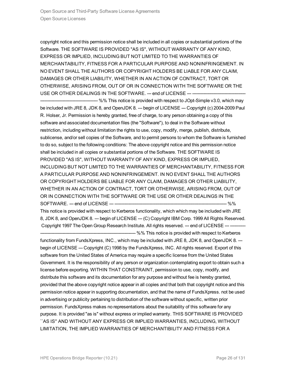copyright notice and this permission notice shall be included in all copies or substantial portions of the Software. THE SOFTWARE IS PROVIDED "AS IS", WITHOUT WARRANTY OF ANY KIND, EXPRESS OR IMPLIED, INCLUDING BUT NOT LIMITED TO THE WARRANTIES OF MERCHANTABILITY, FITNESS FOR A PARTICULAR PURPOSE AND NONINFRINGEMENT. IN NO EVENT SHALL THE AUTHORS OR COPYRIGHT HOLDERS BE LIABLE FOR ANY CLAIM, DAMAGES OR OTHER LIABILITY, WHETHER IN AN ACTION OF CONTRACT, TORT OR OTHERWISE, ARISING FROM, OUT OF OR IN CONNECTION WITH THE SOFTWARE OR THE USE OR OTHER DEALINGS IN THE SOFTWARE. --- end of LICENSE --- --

----------------------------------------- %% This notice is provided with respect to JOpt-Simple v3.0, which may be included with JRE 8, JDK 8, and OpenJDK 8. --- begin of LICENSE --- Copyright (c) 2004-2009 Paul R. Holser, Jr. Permission is hereby granted, free of charge, to any person obtaining a copy of this software and associated documentation files (the "Software"), to deal in the Software without restriction, including without limitation the rights to use, copy, modify, merge, publish, distribute, sublicense, and/or sell copies of the Software, and to permit persons to whom the Software is furnished to do so, subject to the following conditions: The above copyright notice and this permission notice shall be included in all copies or substantial portions of the Software. THE SOFTWARE IS PROVIDED "AS IS", WITHOUT WARRANTY OF ANY KIND, EXPRESS OR IMPLIED, INCLUDING BUT NOT LIMITED TO THE WARRANTIES OF MERCHANTABILITY, FITNESS FOR A PARTICULAR PURPOSE AND NONINFRINGEMENT. IN NO EVENT SHALL THE AUTHORS OR COPYRIGHT HOLDERS BE LIABLE FOR ANY CLAIM, DAMAGES OR OTHER LIABILITY, WHETHER IN AN ACTION OF CONTRACT, TORT OR OTHERWISE, ARISING FROM, OUT OF OR IN CONNECTION WITH THE SOFTWARE OR THE USE OR OTHER DEALINGS IN THE SOFTWARE. --- end of LICENSE --- -------------------------------------------------------------------------------- %% This notice is provided with respect to Kerberos functionality, which which may be included with JRE

8, JDK 8, and OpenJDK 8. --- begin of LICENSE --- (C) Copyright IBM Corp. 1999 All Rights Reserved. Copyright 1997 The Open Group Research Institute. All rights reserved. --- end of LICENSE ----------------------------------------------------------------------- %% This notice is provided with respect to Kerberos

functionality from FundsXpress, INC., which may be included with JRE 8, JDK 8, and OpenJDK 8. -- begin of LICENSE --- Copyright (C) 1998 by the FundsXpress, INC. All rights reserved. Export of this software from the United States of America may require a specific license from the United States Government. It is the responsibility of any person or organization contemplating export to obtain such a license before exporting. WITHIN THAT CONSTRAINT, permission to use, copy, modify, and distribute this software and its documentation for any purpose and without fee is hereby granted, provided that the above copyright notice appear in all copies and that both that copyright notice and this permission notice appear in supporting documentation, and that the name of FundsXpress. not be used in advertising or publicity pertaining to distribution of the software without specific, written prior permission. FundsXpress makes no representations about the suitability of this software for any purpose. It is provided "as is" without express or implied warranty. THIS SOFTWARE IS PROVIDED ``AS IS'' AND WITHOUT ANY EXPRESS OR IMPLIED WARRANTIES, INCLUDING, WITHOUT LIMITATION, THE IMPLIED WARRANTIES OF MERCHANTIBILITY AND FITNESS FOR A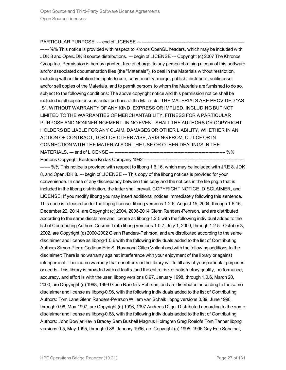#### PARTICULAR PURPOSE. --- end of LICENSE --- -------------------------------------------------------------------------

------ %% This notice is provided with respect to Kronos OpenGL headers, which may be included with JDK 8 and OpenJDK 8 source distributions. --- begin of LICENSE --- Copyright (c) 2007 The Khronos Group Inc. Permission is hereby granted, free of charge, to any person obtaining a copy of this software and/or associated documentation files (the "Materials"), to deal in the Materials without restriction, including without limitation the rights to use, copy, modify, merge, publish, distribute, sublicense, and/or sell copies of the Materials, and to permit persons to whom the Materials are furnished to do so, subject to the following conditions: The above copyright notice and this permission notice shall be included in all copies or substantial portions of the Materials. THE MATERIALS ARE PROVIDED "AS IS", WITHOUT WARRANTY OF ANY KIND, EXPRESS OR IMPLIED, INCLUDING BUT NOT LIMITED TO THE WARRANTIES OF MERCHANTABILITY, FITNESS FOR A PARTICULAR PURPOSE AND NONINFRINGEMENT. IN NO EVENT SHALL THE AUTHORS OR COPYRIGHT HOLDERS BE LIABLE FOR ANY CLAIM, DAMAGES OR OTHER LIABILITY, WHETHER IN AN ACTION OF CONTRACT, TORT OR OTHERWISE, ARISING FROM, OUT OF OR IN CONNECTION WITH THE MATERIALS OR THE USE OR OTHER DEALINGS IN THE MATERIALS. --- end of LICENSE --- ------------------------------------------------------------------------------- %%

Portions Copyright Eastman Kodak Company 1992 ------------------------------------------------------------------------

---- %% This notice is provided with respect to libpng 1.6.16, which may be included with JRE 8, JDK 8, and OpenJDK 8. --- begin of LICENSE --- This copy of the libpng notices is provided for your convenience. In case of any discrepancy between this copy and the notices in the file png.h that is included in the libpng distribution, the latter shall prevail. COPYRIGHT NOTICE, DISCLAIMER, and LICENSE: If you modify libpng you may insert additional notices immediately following this sentence. This code is released under the libpng license. libpng versions 1.2.6, August 15, 2004, through 1.6.16, December 22, 2014, are Copyright (c) 2004, 2006-2014 Glenn Randers-Pehrson, and are distributed according to the same disclaimer and license as libpng-1.2.5 with the following individual added to the list of Contributing Authors Cosmin Truta libpng versions 1.0.7, July 1, 2000, through 1.2.5 - October 3, 2002, are Copyright (c) 2000-2002 Glenn Randers-Pehrson, and are distributed according to the same disclaimer and license as libpng-1.0.6 with the following individuals added to the list of Contributing Authors Simon-Pierre Cadieux Eric S. Raymond Gilles Vollant and with the following additions to the disclaimer: There is no warranty against interference with your enjoyment of the library or against infringement. There is no warranty that our efforts or the library will fulfill any of your particular purposes or needs. This library is provided with all faults, and the entire risk of satisfactory quality, performance, accuracy, and effort is with the user. libpng versions 0.97, January 1998, through 1.0.6, March 20, 2000, are Copyright (c) 1998, 1999 Glenn Randers-Pehrson, and are distributed according to the same disclaimer and license as libpng-0.96, with the following individuals added to the list of Contributing Authors: Tom Lane Glenn Randers-Pehrson Willem van Schaik libpng versions 0.89, June 1996, through 0.96, May 1997, are Copyright (c) 1996, 1997 Andreas Dilger Distributed according to the same disclaimer and license as libpng-0.88, with the following individuals added to the list of Contributing Authors: John Bowler Kevin Bracey Sam Bushell Magnus Holmgren Greg Roelofs Tom Tanner libpng versions 0.5, May 1995, through 0.88, January 1996, are Copyright (c) 1995, 1996 Guy Eric Schalnat,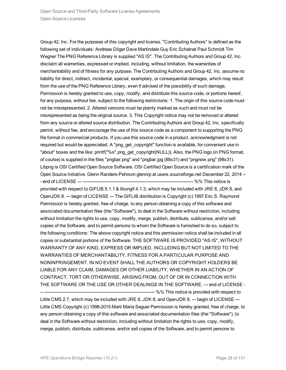Group 42, Inc. For the purposes of this copyright and license, "Contributing Authors" is defined as the following set of individuals: Andreas Dilger Dave Martindale Guy Eric Schalnat Paul Schmidt Tim Wegner The PNG Reference Library is supplied "AS IS". The Contributing Authors and Group 42, Inc. disclaim all warranties, expressed or implied, including, without limitation, the warranties of merchantability and of fitness for any purpose. The Contributing Authors and Group 42, Inc. assume no liability for direct, indirect, incidental, special, exemplary, or consequential damages, which may result from the use of the PNG Reference Library, even if advised of the possibility of such damage. Permission is hereby granted to use, copy, modify, and distribute this source code, or portions hereof, for any purpose, without fee, subject to the following restrictions: 1. The origin of this source code must not be misrepresented. 2. Altered versions must be plainly marked as such and must not be misrepresented as being the original source. 3. This Copyright notice may not be removed or altered from any source or altered source distribution. The Contributing Authors and Group 42, Inc. specifically permit, without fee, and encourage the use of this source code as a component to supporting the PNG file format in commercial products. If you use this source code in a product, acknowledgment is not required but would be appreciated. A "png\_get\_copyright" function is available, for convenient use in "about" boxes and the like: printf("%s", png\_get\_copyright(NULL)); Also, the PNG logo (in PNG format, of course) is supplied in the files "pngbar.png" and "pngbar.jpg (88x31) and "pngnow.png" (98x31). Libpng is OSI Certified Open Source Software. OSI Certified Open Source is a certification mark of the Open Source Initiative. Glenn Randers-Pehrson glennrp at users.sourceforge.net December 22, 2014 -- - end of LICENSE --- ------------------------------------------------------------------------------- %% This notice is provided with respect to GIFLIB 5.1.1 & libungif 4.1.3, which may be included with JRE 8, JDK 8, and OpenJDK 8. --- begin of LICENSE --- The GIFLIB distribution is Copyright (c) 1997 Eric S. Raymond Permission is hereby granted, free of charge, to any person obtaining a copy of this software and associated documentation files (the "Software"), to deal in the Software without restriction, including without limitation the rights to use, copy, modify, merge, publish, distribute, sublicense, and/or sell copies of the Software, and to permit persons to whom the Software is furnished to do so, subject to the following conditions: The above copyright notice and this permission notice shall be included in all copies or substantial portions of the Software. THE SOFTWARE IS PROVIDED "AS IS", WITHOUT WARRANTY OF ANY KIND, EXPRESS OR IMPLIED, INCLUDING BUT NOT LIMITED TO THE WARRANTIES OF MERCHANTABILITY, FITNESS FOR A PARTICULAR PURPOSE AND NONINFRINGEMENT. IN NO EVENT SHALL THE AUTHORS OR COPYRIGHT HOLDERS BE LIABLE FOR ANY CLAIM, DAMAGES OR OTHER LIABILITY, WHETHER IN AN ACTION OF CONTRACT, TORT OR OTHERWISE, ARISING FROM, OUT OF OR IN CONNECTION WITH THE SOFTWARE OR THE USE OR OTHER DEALINGS IN THE SOFTWARE. --- end of LICENSE - -------------------- %% This notice is provided with respect to

Little CMS 2.7, which may be included with JRE 8, JDK 8, and OpenJDK 8. --- begin of LICENSE ---Little CMS Copyright (c) 1998-2015 Marti Maria Saguer Permission is hereby granted, free of charge, to any person obtaining a copy of this software and associated documentation files (the "Software"), to deal in the Software without restriction, including without limitation the rights to use, copy, modify, merge, publish, distribute, sublicense, and/or sell copies of the Software, and to permit persons to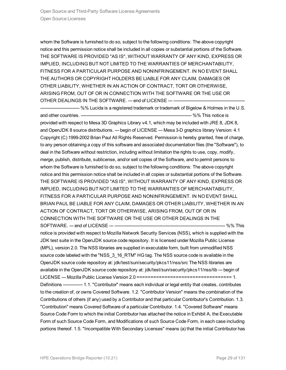whom the Software is furnished to do so, subject to the following conditions: The above copyright notice and this permission notice shall be included in all copies or substantial portions of the Software. THE SOFTWARE IS PROVIDED "AS IS", WITHOUT WARRANTY OF ANY KIND, EXPRESS OR IMPLIED, INCLUDING BUT NOT LIMITED TO THE WARRANTIES OF MERCHANTABILITY, FITNESS FOR A PARTICULAR PURPOSE AND NONINFRINGEMENT. IN NO EVENT SHALL THE AUTHORS OR COPYRIGHT HOLDERS BE LIABLE FOR ANY CLAIM, DAMAGES OR OTHER LIABILITY, WHETHER IN AN ACTION OF CONTRACT, TORT OR OTHERWISE, ARISING FROM, OUT OF OR IN CONNECTION WITH THE SOFTWARE OR THE USE OR OTHER DEALINGS IN THE SOFTWARE. --- end of LICENSE --- ---

---------------------------- %% Lucida is a registered trademark or trademark of Bigelow & Holmes in the U.S. and other countries. ------------------------------------------------------------------------------- %% This notice is provided with respect to Mesa 3D Graphics Library v4.1, which may be included with JRE 8, JDK 8, and OpenJDK 8 source distributions. --- begin of LICENSE --- Mesa 3-D graphics library Version: 4.1 Copyright (C) 1999-2002 Brian Paul All Rights Reserved. Permission is hereby granted, free of charge, to any person obtaining a copy of this software and associated documentation files (the "Software"), to deal in the Software without restriction, including without limitation the rights to use, copy, modify, merge, publish, distribute, sublicense, and/or sell copies of the Software, and to permit persons to whom the Software is furnished to do so, subject to the following conditions: The above copyright notice and this permission notice shall be included in all copies or substantial portions of the Software. THE SOFTWARE IS PROVIDED "AS IS", WITHOUT WARRANTY OF ANY KIND, EXPRESS OR IMPLIED, INCLUDING BUT NOT LIMITED TO THE WARRANTIES OF MERCHANTABILITY, FITNESS FOR A PARTICULAR PURPOSE AND NONINFRINGEMENT. IN NO EVENT SHALL BRIAN PAUL BE LIABLE FOR ANY CLAIM, DAMAGES OR OTHER LIABILITY, WHETHER IN AN ACTION OF CONTRACT, TORT OR OTHERWISE, ARISING FROM, OUT OF OR IN CONNECTION WITH THE SOFTWARE OR THE USE OR OTHER DEALINGS IN THE SOFTWARE. --- end of LICENSE --- ------------------------------------------------------------------------------- %% This notice is provided with respect to Mozilla Network Security Services (NSS), which is supplied with the JDK test suite in the OpenJDK source code repository. It is licensed under Mozilla Public License (MPL), version 2.0. The NSS libraries are supplied in executable form, built from unmodified NSS source code labeled with the "NSS 3 16 RTM" HG tag. The NSS source code is available in the OpenJDK source code repository at: jdk/test/sun/security/pkcs11/nss/src The NSS libraries are available in the OpenJDK source code repository at: jdk/test/sun/security/pkcs11/nss/lib --- begin of LICENSE --- Mozilla Public License Version 2.0 ================================== 1. Definitions -------------- 1.1. "Contributor" means each individual or legal entity that creates, contributes to the creation of, or owns Covered Software. 1.2. "Contributor Version" means the combination of the Contributions of others (if any) used by a Contributor and that particular Contributor's Contribution. 1.3. "Contribution" means Covered Software of a particular Contributor. 1.4. "Covered Software" means Source Code Form to which the initial Contributor has attached the notice in Exhibit A, the Executable Form of such Source Code Form, and Modifications of such Source Code Form, in each case including portions thereof. 1.5. "Incompatible With Secondary Licenses" means (a) that the initial Contributor has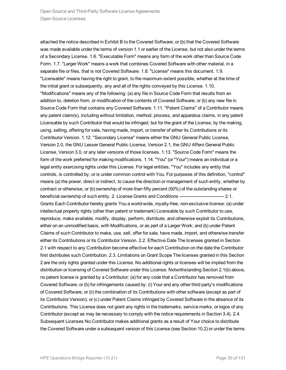attached the notice described in Exhibit B to the Covered Software; or (b) that the Covered Software was made available under the terms of version 1.1 or earlier of the License, but not also under the terms of a Secondary License. 1.6. "Executable Form" means any form of the work other than Source Code Form. 1.7. "Larger Work" means a work that combines Covered Software with other material, in a separate file or files, that is not Covered Software. 1.8. "License" means this document. 1.9. "Licensable" means having the right to grant, to the maximum extent possible, whether at the time of the initial grant or subsequently, any and all of the rights conveyed by this License. 1.10. "Modifications" means any of the following: (a) any file in Source Code Form that results from an addition to, deletion from, or modification of the contents of Covered Software; or (b) any new file in Source Code Form that contains any Covered Software. 1.11. "Patent Claims" of a Contributor means any patent claim(s), including without limitation, method, process, and apparatus claims, in any patent Licensable by such Contributor that would be infringed, but for the grant of the License, by the making, using, selling, offering for sale, having made, import, or transfer of either its Contributions or its Contributor Version. 1.12. "Secondary License" means either the GNU General Public License, Version 2.0, the GNU Lesser General Public License, Version 2.1, the GNU Affero General Public License, Version 3.0, or any later versions of those licenses. 1.13. "Source Code Form" means the form of the work preferred for making modifications. 1.14. "You" (or "Your") means an individual or a legal entity exercising rights under this License. For legal entities, "You" includes any entity that controls, is controlled by, or is under common control with You. For purposes of this definition, "control" means (a) the power, direct or indirect, to cause the direction or management of such entity, whether by contract or otherwise, or (b) ownership of more than fifty percent (50%) of the outstanding shares or beneficial ownership of such entity. 2. License Grants and Conditions -------------------------------- 2.1. Grants Each Contributor hereby grants You a world-wide, royalty-free, non-exclusive license: (a) under intellectual property rights (other than patent or trademark) Licensable by such Contributor to use, reproduce, make available, modify, display, perform, distribute, and otherwise exploit its Contributions, either on an unmodified basis, with Modifications, or as part of a Larger Work; and (b) under Patent Claims of such Contributor to make, use, sell, offer for sale, have made, import, and otherwise transfer either its Contributions or its Contributor Version. 2.2. Effective Date The licenses granted in Section 2.1 with respect to any Contribution become effective for each Contribution on the date the Contributor first distributes such Contribution. 2.3. Limitations on Grant Scope The licenses granted in this Section 2 are the only rights granted under this License. No additional rights or licenses will be implied from the distribution or licensing of Covered Software under this License. Notwithstanding Section 2.1(b) above, no patent license is granted by a Contributor: (a) for any code that a Contributor has removed from Covered Software; or (b) for infringements caused by: (i) Your and any other third party's modifications of Covered Software, or (ii) the combination of its Contributions with other software (except as part of its Contributor Version); or (c) under Patent Claims infringed by Covered Software in the absence of its Contributions. This License does not grant any rights in the trademarks, service marks, or logos of any Contributor (except as may be necessary to comply with the notice requirements in Section 3.4). 2.4. Subsequent Licenses No Contributor makes additional grants as a result of Your choice to distribute the Covered Software under a subsequent version of this License (see Section 10.2) or under the terms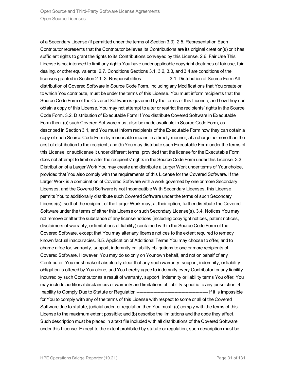of a Secondary License (if permitted under the terms of Section 3.3). 2.5. Representation Each Contributor represents that the Contributor believes its Contributions are its original creation(s) or it has sufficient rights to grant the rights to its Contributions conveyed by this License. 2.6. Fair Use This License is not intended to limit any rights You have under applicable copyright doctrines of fair use, fair dealing, or other equivalents. 2.7. Conditions Sections 3.1, 3.2, 3.3, and 3.4 are conditions of the licenses granted in Section 2.1. 3. Responsibilities ------------------- 3.1. Distribution of Source Form All distribution of Covered Software in Source Code Form, including any Modifications that You create or to which You contribute, must be under the terms of this License. You must inform recipients that the Source Code Form of the Covered Software is governed by the terms of this License, and how they can obtain a copy of this License. You may not attempt to alter or restrict the recipients' rights in the Source Code Form. 3.2. Distribution of Executable Form If You distribute Covered Software in Executable Form then: (a) such Covered Software must also be made available in Source Code Form, as described in Section 3.1, and You must inform recipients of the Executable Form how they can obtain a copy of such Source Code Form by reasonable means in a timely manner, at a charge no more than the cost of distribution to the recipient; and (b) You may distribute such Executable Form under the terms of this License, or sublicense it under different terms, provided that the license for the Executable Form does not attempt to limit or alter the recipients' rights in the Source Code Form under this License. 3.3. Distribution of a Larger Work You may create and distribute a Larger Work under terms of Your choice, provided that You also comply with the requirements of this License for the Covered Software. If the Larger Work is a combination of Covered Software with a work governed by one or more Secondary Licenses, and the Covered Software is not Incompatible With Secondary Licenses, this License permits You to additionally distribute such Covered Software under the terms of such Secondary License(s), so that the recipient of the Larger Work may, at their option, further distribute the Covered Software under the terms of either this License or such Secondary License(s). 3.4. Notices You may not remove or alter the substance of any license notices (including copyright notices, patent notices, disclaimers of warranty, or limitations of liability) contained within the Source Code Form of the Covered Software, except that You may alter any license notices to the extent required to remedy known factual inaccuracies. 3.5. Application of Additional Terms You may choose to offer, and to charge a fee for, warranty, support, indemnity or liability obligations to one or more recipients of Covered Software. However, You may do so only on Your own behalf, and not on behalf of any Contributor. You must make it absolutely clear that any such warranty, support, indemnity, or liability obligation is offered by You alone, and You hereby agree to indemnify every Contributor for any liability incurred by such Contributor as a result of warranty, support, indemnity or liability terms You offer. You may include additional disclaimers of warranty and limitations of liability specific to any jurisdiction. 4. Inability to Comply Due to Statute or Regulation --------------------------------------------------- If it is impossible for You to comply with any of the terms of this License with respect to some or all of the Covered Software due to statute, judicial order, or regulation then You must: (a) comply with the terms of this License to the maximum extent possible; and (b) describe the limitations and the code they affect. Such description must be placed in a text file included with all distributions of the Covered Software under this License. Except to the extent prohibited by statute or regulation, such description must be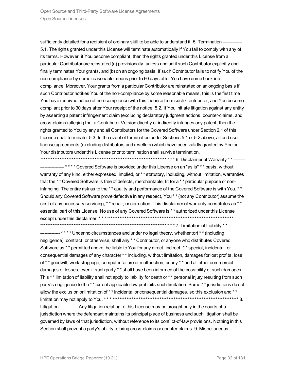sufficiently detailed for a recipient of ordinary skill to be able to understand it. 5. Termination -------------5.1. The rights granted under this License will terminate automatically if You fail to comply with any of its terms. However, if You become compliant, then the rights granted under this License from a particular Contributor are reinstated (a) provisionally, unless and until such Contributor explicitly and finally terminates Your grants, and (b) on an ongoing basis, if such Contributor fails to notify You of the non-compliance by some reasonable means prior to 60 days after You have come back into compliance. Moreover, Your grants from a particular Contributor are reinstated on an ongoing basis if such Contributor notifies You of the non-compliance by some reasonable means, this is the first time You have received notice of non-compliance with this License from such Contributor, and You become compliant prior to 30 days after Your receipt of the notice. 5.2. If You initiate litigation against any entity by asserting a patent infringement claim (excluding declaratory judgment actions, counter-claims, and cross-claims) alleging that a Contributor Version directly or indirectly infringes any patent, then the rights granted to You by any and all Contributors for the Covered Software under Section 2.1 of this License shall terminate. 5.3. In the event of termination under Sections 5.1 or 5.2 above, all end user license agreements (excluding distributors and resellers) which have been validly granted by You or Your distributors under this License prior to termination shall survive termination.

\*\*\*\*\*\*\*\*\*\*\*\*\*\*\*\*\*\*\*\*\*\*\*\*\*\*\*\*\*\*\*\*\*\*\*\*\*\*\*\*\*\*\*\*\*\*\*\*\*\*\*\*\*\*\*\*\*\*\*\*\*\*\*\*\*\*\*\*\*\*\*\* \* \* \* 6. Disclaimer of Warranty \* \* -------- ---\*\*\*\* Covered Software is provided under this License on an "as is" \*\* basis, without warranty of any kind, either expressed, implied, or \* \* statutory, including, without limitation, warranties that the \* \* Covered Software is free of defects, merchantable, fit for a \* \* particular purpose or noninfringing. The entire risk as to the \*\* quality and performance of the Covered Software is with You. \*\* Should any Covered Software prove defective in any respect, You \* \* (not any Contributor) assume the cost of any necessary servicing, \*\* repair, or correction. This disclaimer of warranty constitutes an \*\* essential part of this License. No use of any Covered Software is \* \* authorized under this License except under this disclaimer. \* \* \* \*\*\*\*\*\*\*\*\*\*\*\*\*\*\*\*\*\*\*\*\*\*\*\*\*\*\*\*\*\*\*\*\*\*\*\*\*\*\*\*\*\*\*\*\*\*\*\*\*\*\*\*\*\*\*\*\*\*\*\*\*\*\*\*\*\*\*\*\*\*\*\* \*\*\*\*\*\*\*\*\*\*\*\*\*\*\*\*\*\*\*\*\*\*\*\*\*\*\*\*\*\*\*\*\*\*\*\*\*\*\*\*\*\*\*\*\*\*\*\*\*\*\*\*\*\*\*\*\*\*\*\*\*\*\*\*\*\*\*\*\*\*\*\* \* \* \* 7. Limitation of Liability \* \* ------------

---<sup>\*\*\*\*</sup> Under no circumstances and under no legal theory, whether tort \*\* (including negligence), contract, or otherwise, shall any \* \* Contributor, or anyone who distributes Covered Software as \* \* permitted above, be liable to You for any direct, indirect, \* \* special, incidental, or consequential damages of any character\* \* including, without limitation, damages for lost profits, loss of \* \* goodwill, work stoppage, computer failure or malfunction, or any \* \* and all other commercial damages or losses, even if such party \* \* shall have been informed of the possibility of such damages. This \* \* limitation of liability shall not apply to liability for death or \* \* personal injury resulting from such party's negligence to the \* \* extent applicable law prohibits such limitation. Some \* \* jurisdictions do not allow the exclusion or limitation of \* \* incidental or consequential damages, so this exclusion and \* \* limitation may not apply to You. \* \* \* \*\*\*\*\*\*\*\*\*\*\*\*\*\*\*\*\*\*\*\*\*\*\*\*\*\*\*\*\*\*\*\*\*\*\*\*\*\*\*\*\*\*\*\*\*\*\*\*\*\*\*\*\*\*\*\*\*\*\*\*\*\*\*\*\*\*\*\*\*\*\*\* 8. Litigation ------------- Any litigation relating to this License may be brought only in the courts of a jurisdiction where the defendant maintains its principal place of business and such litigation shall be governed by laws of that jurisdiction, without reference to its conflict-of-law provisions. Nothing in this Section shall prevent a party's ability to bring cross-claims or counter-claims. 9. Miscellaneous --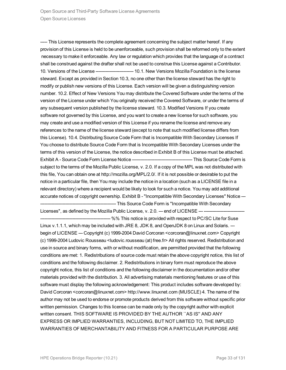Open Source and Third-Party Software License Agreements Open Source Licenses

----- This License represents the complete agreement concerning the subject matter hereof. If any provision of this License is held to be unenforceable, such provision shall be reformed only to the extent necessary to make it enforceable. Any law or regulation which provides that the language of a contract shall be construed against the drafter shall not be used to construe this License against a Contributor. 10. Versions of the License --------------------------- 10.1. New Versions Mozilla Foundation is the license steward. Except as provided in Section 10.3, no one other than the license steward has the right to modify or publish new versions of this License. Each version will be given a distinguishing version number. 10.2. Effect of New Versions You may distribute the Covered Software under the terms of the version of the License under which You originally received the Covered Software, or under the terms of any subsequent version published by the license steward. 10.3. Modified Versions If you create software not governed by this License, and you want to create a new license for such software, you may create and use a modified version of this License if you rename the license and remove any references to the name of the license steward (except to note that such modified license differs from this License). 10.4. Distributing Source Code Form that is Incompatible With Secondary Licenses If You choose to distribute Source Code Form that is Incompatible With Secondary Licenses under the terms of this version of the License, the notice described in Exhibit B of this License must be attached. Exhibit A - Source Code Form License Notice ------------------------------------------- This Source Code Form is subject to the terms of the Mozilla Public License, v. 2.0. If a copy of the MPL was not distributed with this file, You can obtain one at http://mozilla.org/MPL/2.0/. If it is not possible or desirable to put the notice in a particular file, then You may include the notice in a location (such as a LICENSE file in a relevant directory) where a recipient would be likely to look for such a notice. You may add additional accurate notices of copyright ownership. Exhibit B - "Incompatible With Secondary Licenses" Notice --------------------------------------------------------- This Source Code Form is "Incompatible With Secondary

Licenses", as defined by the Mozilla Public License, v. 2.0. --- end of LICENSE --- -

-%% This notice is provided with respect to PC/SC Lite for Suse Linux v.1.1.1, which may be included with JRE 8, JDK 8, and OpenJDK 8 on Linux and Solaris. --begin of LICENSE --- Copyright (c) 1999-2004 David Corcoran <corcoran@linuxnet.com> Copyright (c) 1999-2004 Ludovic Rousseau <ludovic.rousseau (at) free.fr> All rights reserved. Redistribution and use in source and binary forms, with or without modification, are permitted provided that the following conditions are met: 1. Redistributions of source code must retain the above copyright notice, this list of conditions and the following disclaimer. 2. Redistributions in binary form must reproduce the above copyright notice, this list of conditions and the following disclaimer in the documentation and/or other materials provided with the distribution. 3. All advertising materials mentioning features or use of this software must display the following acknowledgement: This product includes software developed by: David Corcoran <corcoran@linuxnet.com> http://www.linuxnet.com (MUSCLE) 4. The name of the author may not be used to endorse or promote products derived from this software without specific prior written permission. Changes to this license can be made only by the copyright author with explicit written consent. THIS SOFTWARE IS PROVIDED BY THE AUTHOR ``AS IS'' AND ANY EXPRESS OR IMPLIED WARRANTIES, INCLUDING, BUT NOT LIMITED TO, THE IMPLIED WARRANTIES OF MERCHANTABILITY AND FITNESS FOR A PARTICULAR PURPOSE ARE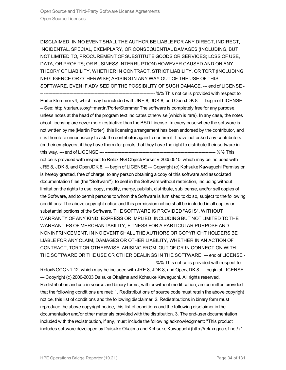DISCLAIMED. IN NO EVENT SHALL THE AUTHOR BE LIABLE FOR ANY DIRECT, INDIRECT, INCIDENTAL, SPECIAL, EXEMPLARY, OR CONSEQUENTIAL DAMAGES (INCLUDING, BUT NOT LIMITED TO, PROCUREMENT OF SUBSTITUTE GOODS OR SERVICES; LOSS OF USE, DATA, OR PROFITS; OR BUSINESS INTERRUPTION) HOWEVER CAUSED AND ON ANY THEORY OF LIABILITY, WHETHER IN CONTRACT, STRICT LIABILITY, OR TORT (INCLUDING NEGLIGENCE OR OTHERWISE) ARISING IN ANY WAY OUT OF THE USE OF THIS SOFTWARE, EVEN IF ADVISED OF THE POSSIBILITY OF SUCH DAMAGE. --- end of LICENSE -

-- ------------------------------------------------------------------------------- %% This notice is provided with respect to

PorterStemmer v4, which may be included with JRE 8, JDK 8, and OpenJDK 8. --- begin of LICENSE --- See: http://tartarus.org/~martin/PorterStemmer The software is completely free for any purpose, unless notes at the head of the program text indicates otherwise (which is rare). In any case, the notes about licensing are never more restrictive than the BSD License. In every case where the software is not written by me (Martin Porter), this licensing arrangement has been endorsed by the contributor, and it is therefore unnecessary to ask the contributor again to confirm it. I have not asked any contributors (or their employers, if they have them) for proofs that they have the right to distribute their software in this way. --- end of LICENSE --- ------------------------------------------------------------------------------- %% This

notice is provided with respect to Relax NG Object/Parser v.20050510, which may be included with JRE 8, JDK 8, and OpenJDK 8. --- begin of LICENSE --- Copyright (c) Kohsuke Kawaguchi Permission is hereby granted, free of charge, to any person obtaining a copy of this software and associated documentation files (the "Software"), to deal in the Software without restriction, including without limitation the rights to use, copy, modify, merge, publish, distribute, sublicense, and/or sell copies of the Software, and to permit persons to whom the Software is furnished to do so, subject to the following conditions: The above copyright notice and this permission notice shall be included in all copies or substantial portions of the Software. THE SOFTWARE IS PROVIDED "AS IS", WITHOUT WARRANTY OF ANY KIND, EXPRESS OR IMPLIED, INCLUDING BUT NOT LIMITED TO THE WARRANTIES OF MERCHANTABILITY, FITNESS FOR A PARTICULAR PURPOSE AND NONINFRINGEMENT. IN NO EVENT SHALL THE AUTHORS OR COPYRIGHT HOLDERS BE LIABLE FOR ANY CLAIM, DAMAGES OR OTHER LIABILITY, WHETHER IN AN ACTION OF CONTRACT, TORT OR OTHERWISE, ARISING FROM, OUT OF OR IN CONNECTION WITH THE SOFTWARE OR THE USE OR OTHER DEALINGS IN THE SOFTWARE. --- end of LICENSE --- ------------------------------------------------------------------------------- %% This notice is provided with respect to

RelaxNGCC v1.12, which may be included with JRE 8, JDK 8, and OpenJDK 8. --- begin of LICENSE --- Copyright (c) 2000-2003 Daisuke Okajima and Kohsuke Kawaguchi. All rights reserved. Redistribution and use in source and binary forms, with or without modification, are permitted provided that the following conditions are met: 1. Redistributions of source code must retain the above copyright notice, this list of conditions and the following disclaimer. 2. Redistributions in binary form must reproduce the above copyright notice, this list of conditions and the following disclaimer in the documentation and/or other materials provided with the distribution. 3. The end-user documentation included with the redistribution, if any, must include the following acknowledgment: "This product

includes software developed by Daisuke Okajima and Kohsuke Kawaguchi (http://relaxngcc.sf.net/)."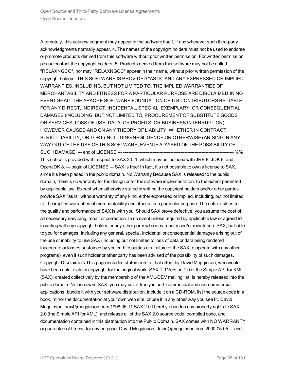Alternately, this acknowledgment may appear in the software itself, if and wherever such third-party acknowledgments normally appear. 4. The names of the copyright holders must not be used to endorse or promote products derived from this software without prior written permission. For written permission, please contact the copyright holders. 5. Products derived from this software may not be called "RELAXNGCC", nor may "RELAXNGCC" appear in their name, without prior written permission of the copyright holders. THIS SOFTWARE IS PROVIDED "AS IS" AND ANY EXPRESSED OR IMPLIED WARRANTIES, INCLUDING, BUT NOT LIMITED TO, THE IMPLIED WARRANTIES OF MERCHANTABILITY AND FITNESS FOR A PARTICULAR PURPOSE ARE DISCLAIMED.IN NO EVENT SHALL THE APACHE SOFTWARE FOUNDATION OR ITS CONTRIBUTORS BE LIABLE FOR ANY DIRECT, INDIRECT, INCIDENTAL, SPECIAL, EXEMPLARY, OR CONSEQUENTIAL DAMAGES (INCLUDING, BUT NOT LIMITED TO, PROCUREMENT OF SUBSTITUTE GOODS OR SERVICES; LOSS OF USE, DATA, OR PROFITS; OR BUSINESS INTERRUPTION) HOWEVER CAUSED AND ON ANY THEORY OF LIABILITY, WHETHER IN CONTRACT, STRICT LIABILITY, OR TORT (INCLUDING NEGLIGENCE OR OTHERWISE) ARISING IN ANY WAY OUT OF THE USE OF THIS SOFTWARE, EVEN IF ADVISED OF THE POSSIBILITY OF SUCH DAMAGE. --- end of LICENSE --- ------------------------------------------------------------------------------- %%

This notice is provided with respect to SAX 2.0.1, which may be included with JRE 8, JDK 8, and OpenJDK 8. --- begin of LICENSE --- SAX is free! In fact, it's not possible to own a license to SAX, since it's been placed in the public domain. No Warranty Because SAX is released to the public domain, there is no warranty for the design or for the software implementation, to the extent permitted by applicable law. Except when otherwise stated in writing the copyright holders and/or other parties provide SAX "as is" without warranty of any kind, either expressed or implied, including, but not limited to, the implied warranties of merchantability and fitness for a particular purpose. The entire risk as to the quality and performance of SAX is with you. Should SAX prove defective, you assume the cost of all necessary servicing, repair or correction. In no event unless required by applicable law or agreed to in writing will any copyright holder, or any other party who may modify and/or redistribute SAX, be liable to you for damages, including any general, special, incidental or consequential damages arising out of the use or inability to use SAX (including but not limited to loss of data or data being rendered inaccurate or losses sustained by you or third parties or a failure of the SAX to operate with any other programs), even if such holder or other party has been advised of the possibility of such damages. Copyright Disclaimers This page includes statements to that effect by David Megginson, who would have been able to claim copyright for the original work. SAX 1.0 Version 1.0 of the Simple API for XML (SAX), created collectively by the membership of the XML-DEV mailing list, is hereby released into the public domain. No one owns SAX: you may use it freely in both commercial and non-commercial applications, bundle it with your software distribution, include it on a CD-ROM, list the source code in a book, mirror the documentation at your own web site, or use it in any other way you see fit. David Megginson, sax@megginson.com 1998-05-11 SAX 2.0 I hereby abandon any property rights to SAX 2.0 (the Simple API for XML), and release all of the SAX 2.0 source code, compiled code, and documentation contained in this distribution into the Public Domain. SAX comes with NO WARRANTY or guarantee of fitness for any purpose. David Megginson, david@megginson.com 2000-05-05 --- end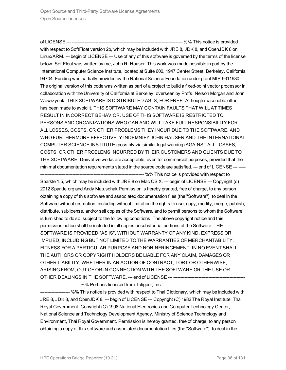of LICENSE --- ------------------------------------------------------------------------------- %% This notice is provided with respect to SoftFloat version 2b, which may be included with JRE 8, JDK 8, and OpenJDK 8 on Linux/ARM. --- begin of LICENSE --- Use of any of this software is governed by the terms of the license below: SoftFloat was written by me, John R. Hauser. This work was made possible in part by the International Computer Science Institute, located at Suite 600, 1947 Center Street, Berkeley, California 94704. Funding was partially provided by the National Science Foundation under grant MIP-9311980. The original version of this code was written as part of a project to build a fixed-point vector processor in collaboration with the University of California at Berkeley, overseen by Profs. Nelson Morgan and John Wawrzynek. THIS SOFTWARE IS DISTRIBUTED AS IS, FOR FREE. Although reasonable effort has been made to avoid it, THIS SOFTWARE MAY CONTAIN FAULTS THAT WILL AT TIMES RESULT IN INCORRECT BEHAVIOR. USE OF THIS SOFTWARE IS RESTRICTED TO PERSONS AND ORGANIZATIONS WHO CAN AND WILL TAKE FULL RESPONSIBILITY FOR ALL LOSSES, COSTS, OR OTHER PROBLEMS THEY INCUR DUE TO THE SOFTWARE, AND WHO FURTHERMORE EFFECTIVELY INDEMNIFY JOHN HAUSER AND THE INTERNATIONAL COMPUTER SCIENCE INSTITUTE (possibly via similar legal warning) AGAINST ALL LOSSES, COSTS, OR OTHER PROBLEMS INCURRED BY THEIR CUSTOMERS AND CLIENTS DUE TO THE SOFTWARE. Derivative works are acceptable, even for commercial purposes, provided that the minimal documentation requirements stated in the source code are satisfied. --- end of LICENSE --- -----

-------------------------------------------------------------------------- %% This notice is provided with respect to

Sparkle 1.5, which may be included with JRE 8 on Mac OS X. --- begin of LICENSE --- Copyright (c) 2012 Sparkle.org and Andy Matuschak Permission is hereby granted, free of charge, to any person obtaining a copy of this software and associated documentation files (the "Software"), to deal in the Software without restriction, including without limitation the rights to use, copy, modify, merge, publish, distribute, sublicense, and/or sell copies of the Software, and to permit persons to whom the Software is furnished to do so, subject to the following conditions: The above copyright notice and this permission notice shall be included in all copies or substantial portions of the Software. THE SOFTWARE IS PROVIDED "AS IS", WITHOUT WARRANTY OF ANY KIND, EXPRESS OR IMPLIED, INCLUDING BUT NOT LIMITED TO THE WARRANTIES OF MERCHANTABILITY, FITNESS FOR A PARTICULAR PURPOSE AND NONINFRINGEMENT. IN NO EVENT SHALL THE AUTHORS OR COPYRIGHT HOLDERS BE LIABLE FOR ANY CLAIM, DAMAGES OR OTHER LIABILITY, WHETHER IN AN ACTION OF CONTRACT, TORT OR OTHERWISE, ARISING FROM, OUT OF OR IN CONNECTION WITH THE SOFTWARE OR THE USE OR OTHER DEALINGS IN THE SOFTWARE. --- end of LICENSE --- ----

---%% Portions licensed from Taligent, Inc. -----

--------------------- %% This notice is provided with respect to Thai Dictionary, which may be included with JRE 8, JDK 8, and OpenJDK 8. --- begin of LICENSE --- Copyright (C) 1982 The Royal Institute, Thai Royal Government. Copyright (C) 1998 National Electronics and Computer Technology Center, National Science and Technology Development Agency, Ministry of Science Technology and Environment, Thai Royal Government. Permission is hereby granted, free of charge, to any person obtaining a copy of this software and associated documentation files (the "Software"), to deal in the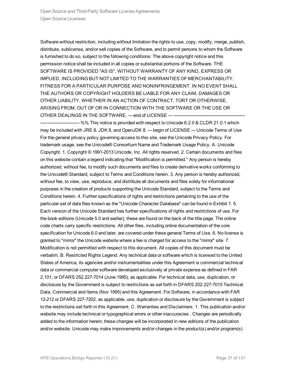Software without restriction, including without limitation the rights to use, copy, modify, merge, publish, distribute, sublicense, and/or sell copies of the Software, and to permit persons to whom the Software is furnished to do so, subject to the following conditions: The above copyright notice and this permission notice shall be included in all copies or substantial portions of the Software. THE SOFTWARE IS PROVIDED "AS IS", WITHOUT WARRANTY OF ANY KIND, EXPRESS OR IMPLIED, INCLUDING BUT NOT LIMITED TO THE WARRANTIES OF MERCHANTABILITY, FITNESS FOR A PARTICULAR PURPOSE AND NONINFRINGEMENT. IN NO EVENT SHALL THE AUTHORS OR COPYRIGHT HOLDERS BE LIABLE FOR ANY CLAIM, DAMAGES OR OTHER LIABILITY, WHETHER IN AN ACTION OF CONTRACT, TORT OR OTHERWISE, ARISING FROM, OUT OF OR IN CONNECTION WITH THE SOFTWARE OR THE USE OR OTHER DEALINGS IN THE SOFTWARE. --- end of LICENSE --- ---

----%% This notice is provided with respect to Unicode 6.2.0 & CLDR 21.0.1 which may be included with JRE 8, JDK 8, and OpenJDK 8. --- begin of LICENSE --- Unicode Terms of Use For the general privacy policy governing access to this site, see the Unicode Privacy Policy. For trademark usage, see the Unicode® Consortium Name and Trademark Usage Policy. A. Unicode Copyright. 1. Copyright © 1991-2013 Unicode, Inc. All rights reserved. 2. Certain documents and files on this website contain a legend indicating that "Modification is permitted." Any person is hereby authorized, without fee, to modify such documents and files to create derivative works conforming to the Unicode® Standard, subject to Terms and Conditions herein. 3. Any person is hereby authorized, without fee, to view, use, reproduce, and distribute all documents and files solely for informational purposes in the creation of products supporting the Unicode Standard, subject to the Terms and Conditions herein. 4. Further specifications of rights and restrictions pertaining to the use of the particular set of data files known as the "Unicode Character Database" can be found in Exhibit 1. 5. Each version of the Unicode Standard has further specifications of rights and restrictions of use. For the book editions (Unicode 5.0 and earlier), these are found on the back of the title page. The online code charts carry specific restrictions. All other files, including online documentation of the core specification for Unicode 6.0 and later, are covered under these general Terms of Use. 6. No license is granted to "mirror" the Unicode website where a fee is charged for access to the "mirror" site. 7. Modification is not permitted with respect to this document. All copies of this document must be verbatim. B. Restricted Rights Legend. Any technical data or software which is licensed to the United States of America, its agencies and/or instrumentalities under this Agreement is commercial technical data or commercial computer software developed exclusively at private expense as defined in FAR 2.101, or DFARS 252.227-7014 (June 1995), as applicable. For technical data, use, duplication, or disclosure by the Government is subject to restrictions as set forth in DFARS 202.227-7015 Technical Data, Commercial and Items (Nov 1995) and this Agreement. For Software, in accordance with FAR 12-212 or DFARS 227-7202, as applicable, use, duplication or disclosure by the Government is subject to the restrictions set forth in this Agreement. C. Warranties and Disclaimers. 1. This publication and/or website may include technical or typographical errors or other inaccuracies . Changes are periodically added to the information herein; these changes will be incorporated in new editions of the publication and/or website. Unicode may make improvements and/or changes in the product(s) and/or program(s)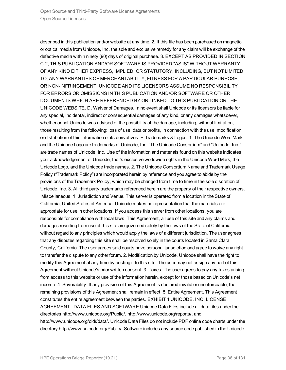described in this publication and/or website at any time. 2. If this file has been purchased on magnetic or optical media from Unicode, Inc. the sole and exclusive remedy for any claim will be exchange of the defective media within ninety (90) days of original purchase. 3. EXCEPT AS PROVIDED IN SECTION C.2, THIS PUBLICATION AND/OR SOFTWARE IS PROVIDED "AS IS" WITHOUT WARRANTY OF ANY KIND EITHER EXPRESS, IMPLIED, OR STATUTORY, INCLUDING, BUT NOT LIMITED TO, ANY WARRANTIES OF MERCHANTABILITY, FITNESS FOR A PARTICULAR PURPOSE, OR NON-INFRINGEMENT. UNICODE AND ITS LICENSORS ASSUME NO RESPONSIBILITY FOR ERRORS OR OMISSIONS IN THIS PUBLICATION AND/OR SOFTWARE OR OTHER DOCUMENTS WHICH ARE REFERENCED BY OR LINKED TO THIS PUBLICATION OR THE UNICODE WEBSITE. D. Waiver of Damages. In no event shall Unicode or its licensors be liable for any special, incidental, indirect or consequential damages of any kind, or any damages whatsoever, whether or not Unicode was advised of the possibility of the damage, including, without limitation, those resulting from the following: loss of use, data or profits, in connection with the use, modification or distribution of this information or its derivatives. E.Trademarks & Logos. 1. The Unicode Word Mark and the Unicode Logo are trademarks of Unicode, Inc. "The Unicode Consortium" and "Unicode, Inc." are trade names of Unicode, Inc. Use of the information and materials found on this website indicates your acknowledgement of Unicode, Inc.'s exclusive worldwide rights in the Unicode Word Mark, the Unicode Logo, and the Unicode trade names. 2. The Unicode Consortium Name and Trademark Usage Policy ("Trademark Policy") are incorporated herein by reference and you agree to abide by the provisions of the Trademark Policy, which may be changed from time to time in the sole discretion of Unicode, Inc. 3. All third party trademarks referenced herein are the property of their respective owners. Miscellaneous. 1. Jurisdiction and Venue. This server is operated from a location in the State of California, United States of America. Unicode makes no representation that the materials are appropriate for use in other locations. If you access this server from other locations, you are responsible for compliance with local laws. This Agreement, all use of this site and any claims and damages resulting from use of this site are governed solely by the laws of the State of California without regard to any principles which would apply the laws of a different jurisdiction. The user agrees that any disputes regarding this site shall be resolved solely in the courts located in Santa Clara County, California. The user agrees said courts have personal jurisdiction and agree to waive any right to transfer the dispute to any other forum. 2. Modification by Unicode. Unicode shall have the right to modify this Agreement at any time by posting it to this site. The user may not assign any part of this Agreement without Unicode's prior written consent. 3. Taxes. The user agrees to pay any taxes arising from access to this website or use of the information herein, except for those based on Unicode's net income. 4. Severability. If any provision of this Agreement is declared invalid or unenforceable, the remaining provisions of this Agreement shall remain in effect. 5. Entire Agreement. This Agreement constitutes the entire agreement between the parties. EXHIBIT 1 UNICODE, INC. LICENSE AGREEMENT - DATA FILES AND SOFTWARE Unicode Data Files include all data files under the directories http://www.unicode.org/Public/, http://www.unicode.org/reports/, and http://www.unicode.org/cldr/data/. Unicode Data Files do not include PDF online code charts under the directory http://www.unicode.org/Public/. Software includes any source code published in the Unicode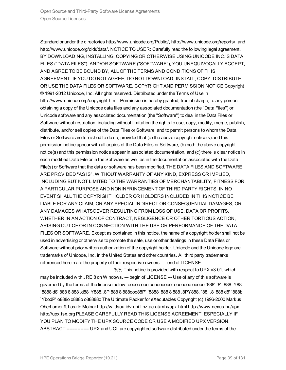Standard or under the directories http://www.unicode.org/Public/, http://www.unicode.org/reports/, and http://www.unicode.org/cldr/data/. NOTICE TO USER: Carefully read the following legal agreement. BY DOWNLOADING, INSTALLING, COPYING OR OTHERWISE USING UNICODE INC.'S DATA FILES ("DATA FILES"), AND/OR SOFTWARE ("SOFTWARE"), YOU UNEQUIVOCALLY ACCEPT, AND AGREE TO BE BOUND BY, ALL OF THE TERMS AND CONDITIONS OF THIS AGREEMENT. IF YOU DO NOT AGREE, DO NOT DOWNLOAD, INSTALL, COPY, DISTRIBUTE OR USE THE DATA FILES OR SOFTWARE. COPYRIGHT AND PERMISSION NOTICE Copyright © 1991-2012 Unicode, Inc. All rights reserved. Distributed under the Terms of Use in http://www.unicode.org/copyright.html. Permission is hereby granted, free of charge, to any person obtaining a copy of the Unicode data files and any associated documentation (the "Data Files") or Unicode software and any associated documentation (the "Software") to deal in the Data Files or Software without restriction, including without limitation the rights to use, copy, modify, merge, publish, distribute, and/or sell copies of the Data Files or Software, and to permit persons to whom the Data Files or Software are furnished to do so, provided that (a) the above copyright notice(s) and this permission notice appear with all copies of the Data Files or Software, (b) both the above copyright notice(s) and this permission notice appear in associated documentation, and (c) there is clear notice in each modified Data File or in the Software as well as in the documentation associated with the Data File(s) or Software that the data or software has been modified. THE DATA FILES AND SOFTWARE ARE PROVIDED "AS IS", WITHOUT WARRANTY OF ANY KIND, EXPRESS OR IMPLIED, INCLUDING BUT NOT LIMITED TO THE WARRANTIES OF MERCHANTABILITY, FITNESS FOR A PARTICULAR PURPOSE AND NONINFRINGEMENT OF THIRD PARTY RIGHTS. IN NO EVENT SHALL THE COPYRIGHT HOLDER OR HOLDERS INCLUDED IN THIS NOTICE BE LIABLE FOR ANY CLAIM, OR ANY SPECIAL INDIRECT OR CONSEQUENTIAL DAMAGES, OR ANY DAMAGES WHATSOEVER RESULTING FROM LOSS OF USE, DATA OR PROFITS, WHETHER IN AN ACTION OF CONTRACT, NEGLIGENCE OR OTHER TORTIOUS ACTION, ARISING OUT OF OR IN CONNECTION WITH THE USE OR PERFORMANCE OF THE DATA FILES OR SOFTWARE. Except as contained in this notice, the name of a copyright holder shall not be used in advertising or otherwise to promote the sale, use or other dealings in these Data Files or Software without prior written authorization of the copyright holder. Unicode and the Unicode logo are trademarks of Unicode, Inc. in the United States and other countries. All third party trademarks referenced herein are the property of their respective owners. --- end of LICENSE --- -------------------------------------------------------- %% This notice is provided with respect to UPX v3.01, which

may be included with JRE 8 on Windows. --- begin of LICENSE --- Use of any of this software is governed by the terms of the license below: ooooo ooo ooooooooo. ooooooo ooooo `888' `8' `888 `Y88. `8888 d8' 888 8 888 .d88' Y888..8P 888 8 888ooo88P' `8888' 888 8 888 .8PY888. `88. .8' 888 d8' `888b `YbodP' o888o o888o o88888o The Ultimate Packer for eXecutables Copyright (c) 1996-2000 Markus Oberhumer & Laszlo Molnar http://wildsau.idv.uni-linz.ac.at/mfx/upx.html http://www.nexus.hu/upx http://upx.tsx.org PLEASE CAREFULLY READ THIS LICENSE AGREEMENT, ESPECIALLY IF YOU PLAN TO MODIFY THE UPX SOURCE CODE OR USE A MODIFIED UPX VERSION. ABSTRACT ======== UPX and UCL are copyrighted software distributed under the terms of the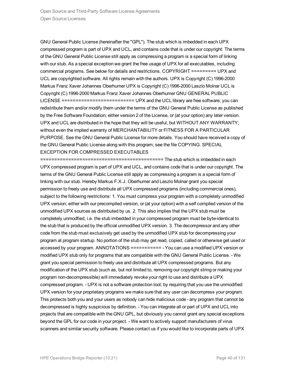GNU General Public License (hereinafter the "GPL"). The stub which is imbedded in each UPX compressed program is part of UPX and UCL, and contains code that is under our copyright. The terms of the GNU General Public License still apply as compressing a program is a special form of linking with our stub. As a special exception we grant the free usage of UPX for all executables, including commercial programs. See below for details and restrictions. COPYRIGHT ========= UPX and UCL are copyrighted software. All rights remain with the authors. UPX is Copyright (C) 1996-2000 Markus Franz Xaver Johannes Oberhumer UPX is Copyright (C) 1996-2000 Laszlo Molnar UCL is Copyright (C) 1996-2000 Markus Franz Xaver Johannes Oberhumer GNU GENERAL PUBLIC LICENSE ========================= UPX and the UCL library are free software; you can redistribute them and/or modify them under the terms of the GNU General Public License as published by the Free Software Foundation; either version 2 of the License, or (at your option) any later version. UPX and UCL are distributed in the hope that they will be useful, but WITHOUT ANY WARRANTY; without even the implied warranty of MERCHANTABILITY or FITNESS FOR A PARTICULAR PURPOSE. See the GNU General Public License for more details. You should have received a copy of the GNU General Public License along with this program; see the file COPYING. SPECIAL EXCEPTION FOR COMPRESSED EXECUTABLES

============================================ The stub which is imbedded in each UPX compressed program is part of UPX and UCL, and contains code that is under our copyright. The terms of the GNU General Public License still apply as compressing a program is a special form of linking with our stub. Hereby Markus F.X.J. Oberhumer and Laszlo Molnar grant you special permission to freely use and distribute all UPX compressed programs (including commercial ones), subject to the following restrictions: 1. You must compress your program with a completely unmodified UPX version; either with our precompiled version, or (at your option) with a self compiled version of the unmodified UPX sources as distributed by us. 2. This also implies that the UPX stub must be completely unmodfied, i.e. the stub imbedded in your compressed program must be byte-identical to the stub that is produced by the official unmodified UPX version. 3. The decompressor and any other code from the stub must exclusively get used by the unmodified UPX stub for decompressing your program at program startup. No portion of the stub may get read, copied, called or otherwise get used or accessed by your program. ANNOTATIONS =========== - You can use a modified UPX version or modified UPX stub only for programs that are compatible with the GNU General Public License. - We grant you special permission to freely use and distribute all UPX compressed programs. But any modification of the UPX stub (such as, but not limited to, removing our copyright string or making your program non-decompressible) will immediately revoke your right to use and distribute a UPX compressed program. - UPX is not a software protection tool; by requiring that you use the unmodified UPX version for your proprietary programs we make sure that any user can decompress your program. This protects both you and your users as nobody can hide malicious code - any program that cannot be decompressed is highly suspicious by definition. - You can integrate all or part of UPX and UCL into projects that are compatible with the GNU GPL, but obviously you cannot grant any special exceptions beyond the GPL for our code in your project. - We want to actively support manufacturers of virus scanners and similar security software. Please contact us if you would like to incorporate parts of UPX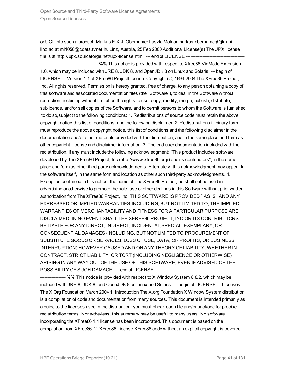or UCL into such a product. Markus F.X.J. Oberhumer Laszlo Molnar markus.oberhumer@jk.unilinz.ac.at ml1050@cdata.tvnet.hu Linz, Austria, 25 Feb 2000 Additional License(s) The UPX license file is at http://upx.sourceforge.net/upx-license.html. --- end of LICENSE --- --

--- %% This notice is provided with respect to Xfree86-VidMode Extension 1.0, which may be included with JRE 8, JDK 8, and OpenJDK 8 on Linux and Solaris. --- begin of LICENSE --- Version 1.1 of XFree86 ProjectLicence. Copyright (C) 1994-2004 The XFree86 Project, Inc. All rights reserved. Permission is hereby granted, free of charge, to any person obtaining a copy of this software and associated documentation files (the "Software"), to deal in the Software without restriction, including without limitation the rights to use, copy, modify, merge, publish, distribute, sublicence, and/or sell copies of the Software, and to permit persons to whom the Software is furnished to do so,subject to the following conditions: 1. Redistributions of source code must retain the above copyright notice,this list of conditions, and the following disclaimer. 2. Redistributions in binary form must reproduce the above copyright notice, this list of conditions and the following disclaimer in the documentation and/or other materials provided with the distribution, and in the same place and form as other copyright, license and disclaimer information. 3. The end-user documentation included with the redistribution, if any,must include the following acknowledgment: "This product includes software developed by The XFree86 Project, Inc (http://www.xfree86.org/) and its contributors", in the same place and form as other third-party acknowledgments. Alternately, this acknowledgment may appear in the software itself, in the same form and location as other such third-party acknowledgments. 4. Except as contained in this notice, the name of The XFree86 Project,Inc shall not be used in advertising or otherwise to promote the sale, use or other dealings in this Software without prior written authorization from The XFree86 Project, Inc. THIS SOFTWARE IS PROVIDED ``AS IS'' AND ANY EXPRESSED OR IMPLIED WARRANTIES,INCLUDING, BUT NOT LIMITED TO, THE IMPLIED WARRANTIES OF MERCHANTABILITY AND FITNESS FOR A PARTICULAR PURPOSE ARE DISCLAIMED. IN NO EVENT SHALL THE XFREE86 PROJECT, INC OR ITS CONTRIBUTORS BE LIABLE FOR ANY DIRECT, INDIRECT, INCIDENTAL,SPECIAL, EXEMPLARY, OR CONSEQUENTIAL DAMAGES (INCLUDING, BUT NOT LIMITED TO,PROCUREMENT OF SUBSTITUTE GOODS OR SERVICES; LOSS OF USE, DATA, OR PROFITS; OR BUSINESS INTERRUPTION) HOWEVER CAUSED AND ON ANY THEORY OF LIABILITY, WHETHER IN CONTRACT, STRICT LIABILITY, OR TORT (INCLUDING NEGLIGENCE OR OTHERWISE) ARISING IN ANY WAY OUT OF THE USE OF THIS SOFTWARE, EVEN IF ADVISED OF THE POSSIBILITY OF SUCH DAMAGE. --- end of LICENSE --- ----

--%% This notice is provided with respect to X Window System 6.8.2, which may be included with JRE 8, JDK 8, and OpenJDK 8 on Linux and Solaris. --- begin of LICENSE --- Licenses The X.Org Foundation March 2004 1. Introduction The X.org Foundation X Window System distribution is a compilation of code and documentation from many sources. This document is intended primarily as a guide to the licenses used in the distribution: you must check each file and/or package for precise redistribution terms. None-the-less, this summary may be useful to many users. No software incorporating the XFree86 1.1 license has been incorporated. This document is based on the compilation from XFree86. 2. XFree86 License XFree86 code without an explicit copyright is covered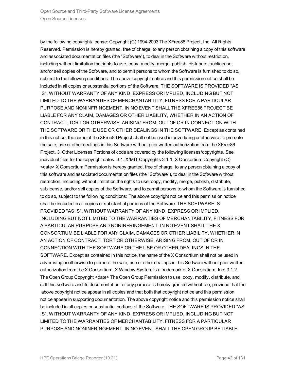by the following copyright/license: Copyright (C) 1994-2003 The XFree86 Project, Inc. All Rights Reserved. Permission is hereby granted, free of charge, to any person obtaining a copy of this software and associated documentation files (the "Software"), to deal in the Software without restriction, including without limitation the rights to use, copy, modify, merge, publish, distribute, sublicense, and/or sell copies of the Software, and to permit persons to whom the Software is furnished to do so, subject to the following conditions: The above copyright notice and this permission notice shall be included in all copies or substantial portions of the Software. THE SOFTWARE IS PROVIDED "AS IS", WITHOUT WARRANTY OF ANY KIND, EXPRESS OR IMPLIED, INCLUDING BUT NOT LIMITED TO THE WARRANTIES OF MERCHANTABILITY, FITNESS FOR A PARTICULAR PURPOSE AND NONINFRINGEMENT. IN NO EVENT SHALL THE XFREE86 PROJECT BE LIABLE FOR ANY CLAIM, DAMAGES OR OTHER LIABILITY, WHETHER IN AN ACTION OF CONTRACT, TORT OR OTHERWISE, ARISING FROM, OUT OF OR IN CONNECTION WITH THE SOFTWARE OR THE USE OR OTHER DEALINGS IN THE SOFTWARE. Except as contained in this notice, the name of the XFree86 Project shall not be used in advertising or otherwise to promote the sale, use or other dealings in this Software without prior written authorization from the XFree86 Project. 3. Other Licenses Portions of code are covered by the following licenses/copyrights. See individual files for the copyright dates. 3.1. X/MIT Copyrights 3.1.1. X Consortium Copyright (C) <date> X Consortium Permission is hereby granted, free of charge, to any person obtaining a copy of this software and associated documentation files (the "Software"), to deal in the Software without restriction, including without limitation the rights to use, copy, modify, merge, publish, distribute, sublicense, and/or sell copies of the Software, and to permit persons to whom the Software is furnished to do so, subject to the following conditions: The above copyright notice and this permission notice shall be included in all copies or substantial portions of the Software. THE SOFTWARE IS PROVIDED "AS IS", WITHOUT WARRANTY OF ANY KIND, EXPRESS OR IMPLIED, INCLUDING BUT NOT LIMITED TO THE WARRANTIES OF MERCHANTABILITY, FITNESS FOR A PARTICULAR PURPOSE AND NONINFRINGEMENT. IN NO EVENT SHALL THE X CONSORTIUM BE LIABLE FOR ANY CLAIM, DAMAGES OR OTHER LIABILITY, WHETHER IN AN ACTION OF CONTRACT, TORT OR OTHERWISE, ARISING FROM, OUT OF OR IN CONNECTION WITH THE SOFTWARE OR THE USE OR OTHER DEALINGS IN THE SOFTWARE. Except as contained in this notice, the name of the X Consortium shall not be used in advertising or otherwise to promote the sale, use or other dealings in this Software without prior written authorization from the X Consortium. X Window System is a trademark of X Consortium, Inc. 3.1.2. The Open Group Copyright <date> The Open Group Permission to use, copy, modify, distribute, and sell this software and its documentation for any purpose is hereby granted without fee, provided that the above copyright notice appear in all copies and that both that copyright notice and this permission notice appear in supporting documentation. The above copyright notice and this permission notice shall be included in all copies or substantial portions of the Software. THE SOFTWARE IS PROVIDED "AS IS", WITHOUT WARRANTY OF ANY KIND, EXPRESS OR IMPLIED, INCLUDING BUT NOT LIMITED TO THE WARRANTIES OF MERCHANTABILITY, FITNESS FOR A PARTICULAR PURPOSE AND NONINFRINGEMENT. IN NO EVENT SHALL THE OPEN GROUP BE LIABLE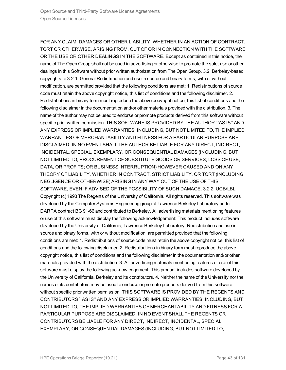FOR ANY CLAIM, DAMAGES OR OTHER LIABILITY, WHETHER IN AN ACTION OF CONTRACT, TORT OR OTHERWISE, ARISING FROM, OUT OF OR IN CONNECTION WITH THE SOFTWARE OR THE USE OR OTHER DEALINGS IN THE SOFTWARE. Except as contained in this notice, the name of The Open Group shall not be used in advertising or otherwise to promote the sale, use or other dealings in this Software without prior written authorization from The Open Group. 3.2. Berkeley-based copyrights: o 3.2.1. General Redistribution and use in source and binary forms, with or without modification, are permitted provided that the following conditions are met: 1. Redistributions of source code must retain the above copyright notice, this list of conditions and the following disclaimer. 2. Redistributions in binary form must reproduce the above copyright notice, this list of conditions and the following disclaimer in the documentation and/or other materials provided with the distribution. 3. The name of the author may not be used to endorse or promote products derived from this software without specific prior written permission. THIS SOFTWARE IS PROVIDED BY THE AUTHOR ``AS IS'' AND ANY EXPRESS OR IMPLIED WARRANTIES, INCLUDING, BUT NOT LIMITED TO, THE IMPLIED WARRANTIES OF MERCHANTABILITY AND FITNESS FOR A PARTICULAR PURPOSE ARE DISCLAIMED. IN NO EVENT SHALL THE AUTHOR BE LIABLE FOR ANY DIRECT, INDIRECT, INCIDENTAL, SPECIAL, EXEMPLARY, OR CONSEQUENTIAL DAMAGES (INCLUDING, BUT NOT LIMITED TO, PROCUREMENT OF SUBSTITUTE GOODS OR SERVICES; LOSS OF USE, DATA, OR PROFITS; OR BUSINESS INTERRUPTION) HOWEVER CAUSED AND ON ANY THEORY OF LIABILITY, WHETHER IN CONTRACT, STRICT LIABILITY, OR TORT (INCLUDING NEGLIGENCE OR OTHERWISE) ARISING IN ANY WAY OUT OF THE USE OF THIS SOFTWARE, EVEN IF ADVISED OF THE POSSIBILITY OF SUCH DAMAGE. 3.2.2. UCB/LBL Copyright (c) 1993 The Regents of the University of California. All rights reserved. This software was developed by the Computer Systems Engineering group at Lawrence Berkeley Laboratory under DARPA contract BG 91-66 and contributed to Berkeley. All advertising materials mentioning features or use of this software must display the following acknowledgement: This product includes software developed by the University of California, Lawrence Berkeley Laboratory. Redistribution and use in source and binary forms, with or without modification, are permitted provided that the following conditions are met: 1. Redistributions of source code must retain the above copyright notice, this list of conditions and the following disclaimer. 2. Redistributions in binary form must reproduce the above copyright notice, this list of conditions and the following disclaimer in the documentation and/or other materials provided with the distribution. 3. All advertising materials mentioning features or use of this software must display the following acknowledgement: This product includes software developed by the University of California, Berkeley and its contributors. 4. Neither the name of the University nor the names of its contributors may be used to endorse or promote products derived from this software without specific prior written permission. THIS SOFTWARE IS PROVIDED BY THE REGENTS AND CONTRIBUTORS ``AS IS'' AND ANY EXPRESS OR IMPLIED WARRANTIES, INCLUDING, BUT NOT LIMITED TO, THE IMPLIED WARRANTIES OF MERCHANTABILITY AND FITNESS FOR A PARTICULAR PURPOSE ARE DISCLAIMED. IN NO EVENT SHALL THE REGENTS OR CONTRIBUTORS BE LIABLE FOR ANY DIRECT, INDIRECT, INCIDENTAL, SPECIAL, EXEMPLARY, OR CONSEQUENTIAL DAMAGES (INCLUDING, BUT NOT LIMITED TO,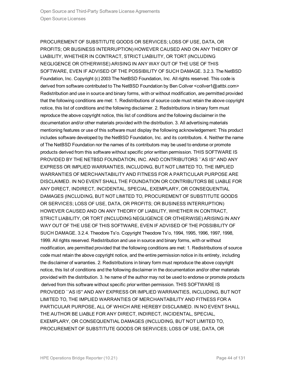PROCUREMENT OF SUBSTITUTE GOODS OR SERVICES; LOSS OF USE, DATA, OR PROFITS; OR BUSINESS INTERRUPTION) HOWEVER CAUSED AND ON ANY THEORY OF LIABILITY, WHETHER IN CONTRACT, STRICT LIABILITY, OR TORT (INCLUDING NEGLIGENCE OR OTHERWISE) ARISING IN ANY WAY OUT OF THE USE OF THIS SOFTWARE, EVEN IF ADVISED OF THE POSSIBILITY OF SUCH DAMAGE. 3.2.3. The NetBSD Foundation, Inc. Copyright (c) 2003 The NetBSD Foundation, Inc. All rights reserved. This code is derived from software contributed to The NetBSD Foundation by Ben Collver <collver1@attbi.com> Redistribution and use in source and binary forms, with or without modification, are permitted provided that the following conditions are met: 1. Redistributions of source code must retain the above copyright notice, this list of conditions and the following disclaimer. 2. Redistributions in binary form must reproduce the above copyright notice, this list of conditions and the following disclaimer in the documentation and/or other materials provided with the distribution. 3. All advertising materials mentioning features or use of this software must display the following acknowledgement: This product includes software developed by the NetBSD Foundation, Inc. and its contributors. 4. Neither the name of The NetBSD Foundation nor the names of its contributors may be used to endorse or promote products derived from this software without specific prior written permission. THIS SOFTWARE IS PROVIDED BY THE NETBSD FOUNDATION, INC. AND CONTRIBUTORS ``AS IS'' AND ANY EXPRESS OR IMPLIED WARRANTIES, INCLUDING, BUT NOT LIMITED TO, THE IMPLIED WARRANTIES OF MERCHANTABILITY AND FITNESS FOR A PARTICULAR PURPOSE ARE DISCLAIMED. IN NO EVENT SHALL THE FOUNDATION OR CONTRIBUTORS BE LIABLE FOR ANY DIRECT, INDIRECT, INCIDENTAL, SPECIAL, EXEMPLARY, OR CONSEQUENTIAL DAMAGES (INCLUDING, BUT NOT LIMITED TO, PROCUREMENT OF SUBSTITUTE GOODS OR SERVICES; LOSS OF USE, DATA, OR PROFITS; OR BUSINESS INTERRUPTION) HOWEVER CAUSED AND ON ANY THEORY OF LIABILITY, WHETHER IN CONTRACT, STRICT LIABILITY, OR TORT (INCLUDING NEGLIGENCE OR OTHERWISE) ARISING IN ANY WAY OUT OF THE USE OF THIS SOFTWARE, EVEN IF ADVISED OF THE POSSIBILITY OF SUCH DAMAGE. 3.2.4. Theodore Ts'o. Copyright Theodore Ts'o, 1994, 1995, 1996, 1997, 1998, 1999. All rights reserved. Redistribution and use in source and binary forms, with or without modification, are permitted provided that the following conditions are met: 1. Redistributions of source code must retain the above copyright notice, and the entire permission notice in its entirety, including the disclaimer of warranties. 2. Redistributions in binary form must reproduce the above copyright notice, this list of conditions and the following disclaimer in the documentation and/or other materials provided with the distribution. 3. he name of the author may not be used to endorse or promote products derived from this software without specific prior written permission. THIS SOFTWARE IS PROVIDED ``AS IS'' AND ANY EXPRESS OR IMPLIED WARRANTIES, INCLUDING, BUT NOT LIMITED TO, THE IMPLIED WARRANTIES OF MERCHANTABILITY AND FITNESS FOR A PARTICULAR PURPOSE, ALL OF WHICH ARE HEREBY DISCLAIMED. IN NO EVENT SHALL THE AUTHOR BE LIABLE FOR ANY DIRECT, INDIRECT, INCIDENTAL, SPECIAL, EXEMPLARY, OR CONSEQUENTIAL DAMAGES (INCLUDING, BUT NOT LIMITED TO, PROCUREMENT OF SUBSTITUTE GOODS OR SERVICES; LOSS OF USE, DATA, OR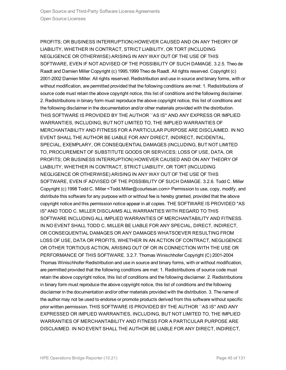PROFITS; OR BUSINESS INTERRUPTION) HOWEVER CAUSED AND ON ANY THEORY OF LIABILITY, WHETHER IN CONTRACT, STRICT LIABILITY, OR TORT (INCLUDING NEGLIGENCE OR OTHERWISE) ARISING IN ANY WAY OUT OF THE USE OF THIS SOFTWARE, EVEN IF NOT ADVISED OF THE POSSIBILITY OF SUCH DAMAGE. 3.2.5. Theo de Raadt and Damien Miller Copyright (c) 1995,1999 Theo de Raadt. All rights reserved. Copyright (c) 2001-2002 Damien Miller. All rights reserved. Redistribution and use in source and binary forms, with or without modification, are permitted provided that the following conditions are met: 1. Redistributions of source code must retain the above copyright notice, this list of conditions and the following disclaimer. 2. Redistributions in binary form must reproduce the above copyright notice, this list of conditions and the following disclaimer in the documentation and/or other materials provided with the distribution. THIS SOFTWARE IS PROVIDED BY THE AUTHOR ``AS IS'' AND ANY EXPRESS OR IMPLIED WARRANTIES, INCLUDING, BUT NOT LIMITED TO, THE IMPLIED WARRANTIES OF MERCHANTABILITY AND FITNESS FOR A PARTICULAR PURPOSE ARE DISCLAIMED. IN NO EVENT SHALL THE AUTHOR BE LIABLE FOR ANY DIRECT, INDIRECT, INCIDENTAL, SPECIAL, EXEMPLARY, OR CONSEQUENTIAL DAMAGES (INCLUDING, BUT NOT LIMITED TO, PROCUREMENT OF SUBSTITUTE GOODS OR SERVICES; LOSS OF USE, DATA, OR PROFITS; OR BUSINESS INTERRUPTION) HOWEVER CAUSED AND ON ANY THEORY OF LIABILITY, WHETHER IN CONTRACT, STRICT LIABILITY, OR TORT (INCLUDING NEGLIGENCE OR OTHERWISE) ARISING IN ANY WAY OUT OF THE USE OF THIS SOFTWARE, EVEN IF ADVISED OF THE POSSIBILITY OF SUCH DAMAGE. 3.2.6. Todd C. Miller Copyright (c) 1998 Todd C. Miller <Todd.Miller@courtesan.com> Permission to use, copy, modify, and distribute this software for any purpose with or without fee is hereby granted, provided that the above copyright notice and this permission notice appear in all copies. THE SOFTWARE IS PROVIDED "AS IS" AND TODD C. MILLER DISCLAIMS ALL WARRANTIES WITH REGARD TO THIS SOFTWARE INCLUDING ALL IMPLIED WARRANTIES OF MERCHANTABILITY AND FITNESS. IN NO EVENT SHALL TODD C. MILLER BE LIABLE FOR ANY SPECIAL, DIRECT, INDIRECT, OR CONSEQUENTIAL DAMAGES OR ANY DAMAGES WHATSOEVER RESULTING FROM LOSS OF USE, DATA OR PROFITS, WHETHER IN AN ACTION OF CONTRACT, NEGLIGENCE OR OTHER TORTIOUS ACTION, ARISING OUT OF OR IN CONNECTION WITH THE USE OR PERFORMANCE OF THIS SOFTWARE. 3.2.7. Thomas Winischhofer Copyright (C) 2001-2004 Thomas Winischhofer Redistribution and use in source and binary forms, with or without modification, are permitted provided that the following conditions are met: 1. Redistributions of source code must retain the above copyright notice, this list of conditions and the following disclaimer. 2. Redistributions in binary form must reproduce the above copyright notice, this list of conditions and the following disclaimer in the documentation and/or other materials provided with the distribution. 3. The name of the author may not be used to endorse or promote products derived from this software without specific prior written permission. THIS SOFTWARE IS PROVIDED BY THE AUTHOR ``AS IS'' AND ANY EXPRESSED OR IMPLIED WARRANTIES, INCLUDING, BUT NOT LIMITED TO, THE IMPLIED WARRANTIES OF MERCHANTABILITY AND FITNESS FOR A PARTICULAR PURPOSE ARE DISCLAIMED. IN NO EVENT SHALL THE AUTHOR BE LIABLE FOR ANY DIRECT, INDIRECT,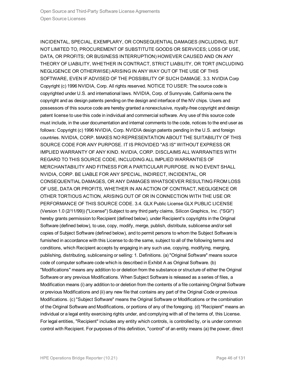INCIDENTAL, SPECIAL, EXEMPLARY, OR CONSEQUENTIAL DAMAGES (INCLUDING, BUT NOT LIMITED TO, PROCUREMENT OF SUBSTITUTE GOODS OR SERVICES; LOSS OF USE, DATA, OR PROFITS; OR BUSINESS INTERRUPTION) HOWEVER CAUSED AND ON ANY THEORY OF LIABILITY, WHETHER IN CONTRACT, STRICT LIABILITY, OR TORT (INCLUDING NEGLIGENCE OR OTHERWISE) ARISING IN ANY WAY OUT OF THE USE OF THIS SOFTWARE, EVEN IF ADVISED OF THE POSSIBILITY OF SUCH DAMAGE. 3.3. NVIDIA Corp Copyright (c) 1996 NVIDIA, Corp. All rights reserved. NOTICE TO USER: The source code is copyrighted under U.S. and international laws. NVIDIA, Corp. of Sunnyvale, California owns the copyright and as design patents pending on the design and interface of the NV chips. Users and possessors of this source code are hereby granted a nonexclusive, royalty-free copyright and design patent license to use this code in individual and commercial software. Any use of this source code must include, in the user documentation and internal comments to the code, notices to the end user as follows: Copyright (c) 1996 NVIDIA, Corp. NVIDIA design patents pending in the U.S. and foreign countries. NVIDIA, CORP. MAKES NO REPRESENTATION ABOUT THE SUITABILITY OF THIS SOURCE CODE FOR ANY PURPOSE. IT IS PROVIDED "AS IS" WITHOUT EXPRESS OR IMPLIED WARRANTY OF ANY KIND. NVIDIA, CORP. DISCLAIMS ALL WARRANTIES WITH REGARD TO THIS SOURCE CODE, INCLUDING ALL IMPLIED WARRANTIES OF MERCHANTABILITY AND FITNESS FOR A PARTICULAR PURPOSE. IN NO EVENT SHALL NVIDIA, CORP. BE LIABLE FOR ANY SPECIAL, INDIRECT, INCIDENTAL, OR CONSEQUENTIAL DAMAGES, OR ANY DAMAGES WHATSOEVER RESULTING FROM LOSS OF USE, DATA OR PROFITS, WHETHER IN AN ACTION OF CONTRACT, NEGLIGENCE OR OTHER TORTIOUS ACTION, ARISING OUT OF OR IN CONNECTION WITH THE USE OR PERFORMANCE OF THIS SOURCE CODE. 3.4. GLX Public License GLX PUBLIC LICENSE (Version 1.0 (2/11/99)) ("License") Subject to any third party claims, Silicon Graphics, Inc. ("SGI") hereby grants permission to Recipient (defined below), under Recipient's copyrights in the Original Software (defined below), to use, copy, modify, merge, publish, distribute, sublicense and/or sell copies of Subject Software (defined below), and to permit persons to whom the Subject Software is furnished in accordance with this License to do the same, subject to all of the following terms and conditions, which Recipient accepts by engaging in any such use, copying, modifying, merging, publishing, distributing, sublicensing or selling: 1. Definitions. (a) "Original Software" means source code of computer software code which is described in Exhibit A as Original Software. (b) "Modifications" means any addition to or deletion from the substance or structure of either the Original Software or any previous Modifications. When Subject Software is released as a series of files, a Modification means (i) any addition to or deletion from the contents of a file containing Original Software or previous Modifications and (ii) any new file that contains any part of the Original Code or previous Modifications. (c) "Subject Software" means the Original Software or Modifications or the combination of the Original Software and Modifications, or portions of any of the foregoing. (d) "Recipient" means an individual or a legal entity exercising rights under, and complying with all of the terms of, this License. For legal entities, "Recipient" includes any entity which controls, is controlled by, or is under common control with Recipient. For purposes of this definition, "control" of an entity means (a) the power, direct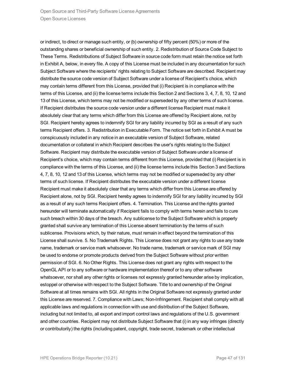or indirect, to direct or manage such entity, or (b) ownership of fifty percent (50%) or more of the outstanding shares or beneficial ownership of such entity. 2. Redistribution of Source Code Subject to These Terms. Redistributions of Subject Software in source code form must retain the notice set forth in Exhibit A, below, in every file. A copy of this License must be included in any documentation for such Subject Software where the recipients' rights relating to Subject Software are described. Recipient may distribute the source code version of Subject Software under a license of Recipient's choice, which may contain terms different from this License, provided that (i) Recipient is in compliance with the terms of this License, and (ii) the license terms include this Section 2 and Sections 3, 4, 7, 8, 10, 12 and 13 of this License, which terms may not be modified or superseded by any other terms of such license. If Recipient distributes the source code version under a different license Recipient must make it absolutely clear that any terms which differ from this License are offered by Recipient alone, not by SGI. Recipient hereby agrees to indemnify SGI for any liability incurred by SGI as a result of any such terms Recipient offers. 3. Redistribution in Executable Form. The notice set forth in Exhibit A must be conspicuously included in any notice in an executable version of Subject Software, related documentation or collateral in which Recipient describes the user's rights relating to the Subject Software. Recipient may distribute the executable version of Subject Software under a license of Recipient's choice, which may contain terms different from this License, provided that (i) Recipient is in compliance with the terms of this License, and (ii) the license terms include this Section 3 and Sections 4, 7, 8, 10, 12 and 13 of this License, which terms may not be modified or superseded by any other terms of such license. If Recipient distributes the executable version under a different license Recipient must make it absolutely clear that any terms which differ from this License are offered by Recipient alone, not by SGI. Recipient hereby agrees to indemnify SGI for any liability incurred by SGI as a result of any such terms Recipient offers. 4. Termination. This License and the rights granted hereunder will terminate automatically if Recipient fails to comply with terms herein and fails to cure such breach within 30 days of the breach. Any sublicense to the Subject Software which is properly granted shall survive any termination of this License absent termination by the terms of such sublicense. Provisions which, by their nature, must remain in effect beyond the termination of this License shall survive. 5. No Trademark Rights. This License does not grant any rights to use any trade name, trademark or service mark whatsoever. No trade name, trademark or service mark of SGI may be used to endorse or promote products derived from the Subject Software without prior written permission of SGI. 6. No Other Rights. This License does not grant any rights with respect to the OpenGL API or to any software or hardware implementation thereof or to any other software whatsoever, nor shall any other rights or licenses not expressly granted hereunder arise by implication, estoppel or otherwise with respect to the Subject Software. Title to and ownership of the Original Software at all times remains with SGI. All rights in the Original Software not expressly granted under this License are reserved. 7. Compliance with Laws; Non-Infringement. Recipient shall comply with all applicable laws and regulations in connection with use and distribution of the Subject Software, including but not limited to, all export and import control laws and regulations of the U.S. government and other countries. Recipient may not distribute Subject Software that (i) in any way infringes (directly or contributorily) the rights (including patent, copyright, trade secret, trademark or other intellectual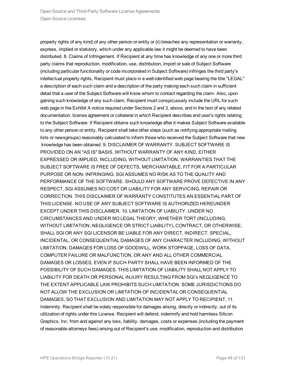property rights of any kind) of any other person or entity or (ii) breaches any representation or warranty, express, implied or statutory, which under any applicable law it might be deemed to have been distributed. 8. Claims of Infringement. If Recipient at any time has knowledge of any one or more third party claims that reproduction, modification, use, distribution, import or sale of Subject Software (including particular functionality or code incorporated in Subject Software) infringes the third party's intellectual property rights, Recipient must place in a well-identified web page bearing the title "LEGAL" a description of each such claim and a description of the party making each such claim in sufficient detail that a user of the Subject Software will know whom to contact regarding the claim. Also, upon gaining such knowledge of any such claim, Recipient must conspicuously include the URL for such web page in the Exhibit A notice required under Sections 2 and 3, above, and in the text of any related documentation, license agreement or collateral in which Recipient describes end user's rights relating to the Subject Software. If Recipient obtains such knowledge after it makes Subject Software available to any other person or entity, Recipient shall take other steps (such as notifying appropriate mailing lists or newsgroups) reasonably calculated to inform those who received the Subject Software that new knowledge has been obtained. 9. DISCLAIMER OF WARRANTY. SUBJECT SOFTWARE IS PROVIDED ON AN "AS IS" BASIS, WITHOUT WARRANTY OF ANY KIND, EITHER EXPRESSED OR IMPLIED, INCLUDING, WITHOUT LIMITATION, WARRANTIES THAT THE SUBJECT SOFTWARE IS FREE OF DEFECTS, MERCHANTABLE, FIT FOR A PARTICULAR PURPOSE OR NON- INFRINGING. SGI ASSUMES NO RISK AS TO THE QUALITY AND PERFORMANCE OF THE SOFTWARE. SHOULD ANY SOFTWARE PROVE DEFECTIVE IN ANY RESPECT, SGI ASSUMES NO COST OR LIABILITY FOR ANY SERVICING, REPAIR OR CORRECTION. THIS DISCLAIMER OF WARRANTY CONSTITUTES AN ESSENTIAL PART OF THIS LICENSE. NO USE OF ANY SUBJECT SOFTWARE IS AUTHORIZED HEREUNDER EXCEPT UNDER THIS DISCLAIMER. 10. LIMITATION OF LIABILITY. UNDER NO CIRCUMSTANCES AND UNDER NO LEGAL THEORY, WHETHER TORT (INCLUDING, WITHOUT LIMITATION, NEGLIGENCE OR STRICT LIABILITY), CONTRACT, OR OTHERWISE, SHALL SGI OR ANY SGI LICENSOR BE LIABLE FOR ANY DIRECT, INDIRECT, SPECIAL, INCIDENTAL, OR CONSEQUENTIAL DAMAGES OF ANY CHARACTER INCLUDING, WITHOUT LIMITATION, DAMAGES FOR LOSS OF GOODWILL, WORK STOPPAGE, LOSS OF DATA, COMPUTER FAILURE OR MALFUNCTION, OR ANY AND ALL OTHER COMMERCIAL DAMAGES OR LOSSES, EVEN IF SUCH PARTY SHALL HAVE BEEN INFORMED OF THE POSSIBILITY OF SUCH DAMAGES. THIS LIMITATION OF LIABILITY SHALL NOT APPLY TO LIABILITY FOR DEATH OR PERSONAL INJURY RESULTING FROM SGI's NEGLIGENCE TO THE EXTENT APPLICABLE LAW PROHIBITS SUCH LIMITATION. SOME JURISDICTIONS DO NOT ALLOW THE EXCLUSION OR LIMITATION OF INCIDENTAL OR CONSEQUENTIAL DAMAGES, SO THAT EXCLUSION AND LIMITATION MAY NOT APPLY TO RECIPIENT. 11. Indemnity. Recipient shall be solely responsible for damages arising, directly or indirectly, out of its utilization of rights under this License. Recipient will defend, indemnify and hold harmless Silicon Graphics, Inc. from and against any loss, liability, damages, costs or expenses (including the payment of reasonable attorneys fees) arising out of Recipient's use, modification, reproduction and distribution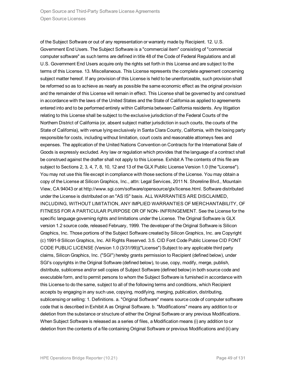of the Subject Software or out of any representation or warranty made by Recipient. 12. U.S. Government End Users. The Subject Software is a "commercial item" consisting of "commercial computer software" as such terms are defined in title 48 of the Code of Federal Regulations and all U.S. Government End Users acquire only the rights set forth in this License and are subject to the terms of this License. 13. Miscellaneous. This License represents the complete agreement concerning subject matter hereof. If any provision of this License is held to be unenforceable, such provision shall be reformed so as to achieve as nearly as possible the same economic effect as the original provision and the remainder of this License will remain in effect. This License shall be governed by and construed in accordance with the laws of the United States and the State of California as applied to agreements entered into and to be performed entirely within California between California residents. Any litigation relating to this License shall be subject to the exclusive jurisdiction of the Federal Courts of the Northern District of California (or, absent subject matter jurisdiction in such courts, the courts of the State of California), with venue lying exclusively in Santa Clara County, California, with the losing party responsible for costs, including without limitation, court costs and reasonable attorneys fees and expenses. The application of the United Nations Convention on Contracts for the International Sale of Goods is expressly excluded. Any law or regulation which provides that the language of a contract shall be construed against the drafter shall not apply to this License. Exhibit A The contents of this file are subject to Sections 2, 3, 4, 7, 8, 10, 12 and 13 of the GLX Public License Version 1.0 (the "License"). You may not use this file except in compliance with those sections of the License. You may obtain a copy of the License at Silicon Graphics, Inc., attn: Legal Services, 2011 N. Shoreline Blvd., Mountain View, CA 94043 or at http://www.sgi.com/software/opensource/glx/license.html. Software distributed under the License is distributed on an "AS IS" basis. ALL WARRANTIES ARE DISCLAIMED, INCLUDING, WITHOUT LIMITATION, ANY IMPLIED WARRANTIES OF MERCHANTABILITY, OF FITNESS FOR A PARTICULAR PURPOSE OR OF NON- INFRINGEMENT. See the License for the specific language governing rights and limitations under the License. The Original Software is GLX version 1.2 source code, released February, 1999. The developer of the Original Software is Silicon Graphics, Inc. Those portions of the Subject Software created by Silicon Graphics, Inc. are Copyright (c) 1991-9 Silicon Graphics, Inc. All Rights Reserved. 3.5. CID Font Code Public License CID FONT CODE PUBLIC LICENSE (Version 1.0 (3/31/99))("License") Subject to any applicable third party claims, Silicon Graphics, Inc. ("SGI") hereby grants permission to Recipient (defined below), under SGI's copyrights in the Original Software (defined below), to use, copy, modify, merge, publish, distribute, sublicense and/or sell copies of Subject Software (defined below) in both source code and executable form, and to permit persons to whom the Subject Software is furnished in accordance with this License to do the same, subject to all of the following terms and conditions, which Recipient accepts by engaging in any such use, copying, modifying, merging, publication, distributing, sublicensing or selling: 1. Definitions. a. "Original Software" means source code of computer software code that is described in Exhibit A as Original Software. b. "Modifications" means any addition to or deletion from the substance or structure of either the Original Software or any previous Modifications. When Subject Software is released as a series of files, a Modification means (i) any addition to or deletion from the contents of a file containing Original Software or previous Modifications and (ii) any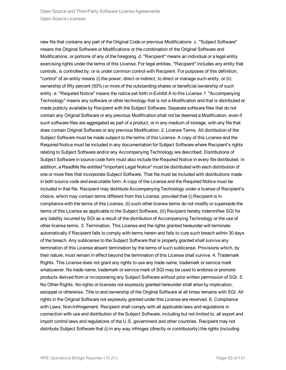new file that contains any part of the Original Code or previous Modifications. c. "Subject Software" means the Original Software or Modifications or the combination of the Original Software and Modifications, or portions of any of the foregoing. d. "Recipient" means an individual or a legal entity exercising rights under the terms of this License. For legal entities, "Recipient" includes any entity that controls, is controlled by, or is under common control with Recipient. For purposes of this definition, "control" of an entity means (i) the power, direct or indirect, to direct or manage such entity, or (ii) ownership of fifty percent (50%) or more of the outstanding shares or beneficial ownership of such entity. e. "Required Notice" means the notice set forth in Exhibit A to this License. f. "Accompanying Technology" means any software or other technology that is not a Modification and that is distributed or made publicly available by Recipient with the Subject Software. Separate software files that do not contain any Original Software or any previous Modification shall not be deemed a Modification, even if such software files are aggregated as part of a product, or in any medium of storage, with any file that does contain Original Software or any previous Modification. 2. License Terms. All distribution of the Subject Software must be made subject to the terms of this License. A copy of this License and the Required Notice must be included in any documentation for Subject Software where Recipient's rights relating to Subject Software and/or any Accompanying Technology are described. Distributions of Subject Software in source code form must also include the Required Notice in every file distributed. In addition, a ReadMe file entitled "Important Legal Notice" must be distributed with each distribution of one or more files that incorporate Subject Software. That file must be included with distributions made in both source code and executable form. A copy of the License and the Required Notice must be included in that file. Recipient may distribute Accompanying Technology under a license of Recipient's choice, which may contain terms different from this License, provided that (i) Recipient is in compliance with the terms of this License, (ii) such other license terms do not modify or supersede the terms of this License as applicable to the Subject Software, (iii) Recipient hereby indemnifies SGI for any liability incurred by SGI as a result of the distribution of Accompanying Technology or the use of other license terms. 3. Termination. This License and the rights granted hereunder will terminate automatically if Recipient fails to comply with terms herein and fails to cure such breach within 30 days of the breach. Any sublicense to the Subject Software that is properly granted shall survive any termination of this License absent termination by the terms of such sublicense. Provisions which, by their nature, must remain in effect beyond the termination of this License shall survive. 4. Trademark Rights. This License does not grant any rights to use any trade name, trademark or service mark whatsoever. No trade name, trademark or service mark of SGI may be used to endorse or promote products derived from or incorporating any Subject Software without prior written permission of SGI. 5. No Other Rights. No rights or licenses not expressly granted hereunder shall arise by implication, estoppel or otherwise. Title to and ownership of the Original Software at all times remains with SGI. All rights in the Original Software not expressly granted under this License are reserved. 6. Compliance with Laws; Non-Infringement. Recipient shall comply with all applicable laws and regulations in connection with use and distribution of the Subject Software, including but not limited to, all export and import control laws and regulations of the U.S. government and other countries. Recipient may not distribute Subject Software that (i) in any way infringes (directly or contributorily) the rights (including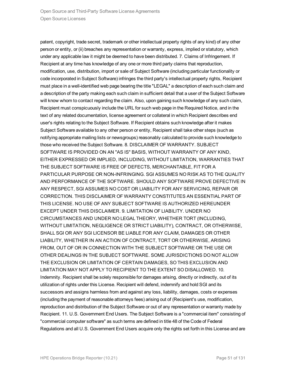patent, copyright, trade secret, trademark or other intellectual property rights of any kind) of any other person or entity, or (ii) breaches any representation or warranty, express, implied or statutory, which under any applicable law it might be deemed to have been distributed. 7. Claims of Infringement. If Recipient at any time has knowledge of any one or more third party claims that reproduction, modification, use, distribution, import or sale of Subject Software (including particular functionality or code incorporated in Subject Software) infringes the third party's intellectual property rights, Recipient must place in a well-identified web page bearing the title "LEGAL" a description of each such claim and a description of the party making each such claim in sufficient detail that a user of the Subject Software will know whom to contact regarding the claim. Also, upon gaining such knowledge of any such claim, Recipient must conspicuously include the URL for such web page in the Required Notice, and in the text of any related documentation, license agreement or collateral in which Recipient describes end user's rights relating to the Subject Software. If Recipient obtains such knowledge after it makes Subject Software available to any other person or entity, Recipient shall take other steps (such as notifying appropriate mailing lists or newsgroups) reasonably calculated to provide such knowledge to those who received the Subject Software. 8. DISCLAIMER OF WARRANTY. SUBJECT SOFTWARE IS PROVIDED ON AN "AS IS" BASIS, WITHOUT WARRANTY OF ANY KIND, EITHER EXPRESSED OR IMPLIED, INCLUDING, WITHOUT LIMITATION, WARRANTIES THAT THE SUBJECT SOFTWARE IS FREE OF DEFECTS, MERCHANTABLE, FIT FOR A PARTICULAR PURPOSE OR NON-INFRINGING. SGI ASSUMES NO RISK AS TO THE QUALITY AND PERFORMANCE OF THE SOFTWARE. SHOULD ANY SOFTWARE PROVE DEFECTIVE IN ANY RESPECT, SGI ASSUMES NO COST OR LIABILITY FOR ANY SERVICING, REPAIR OR CORRECTION. THIS DISCLAIMER OF WARRANTY CONSTITUTES AN ESSENTIAL PART OF THIS LICENSE. NO USE OF ANY SUBJECT SOFTWARE IS AUTHORIZED HEREUNDER EXCEPT UNDER THIS DISCLAIMER. 9. LIMITATION OF LIABILITY. UNDER NO CIRCUMSTANCES AND UNDER NO LEGAL THEORY, WHETHER TORT (INCLUDING, WITHOUT LIMITATION, NEGLIGENCE OR STRICT LIABILITY), CONTRACT, OR OTHERWISE, SHALL SGI OR ANY SGI LICENSOR BE LIABLE FOR ANY CLAIM, DAMAGES OR OTHER LIABILITY, WHETHER IN AN ACTION OF CONTRACT, TORT OR OTHERWISE, ARISING FROM, OUT OF OR IN CONNECTION WITH THE SUBJECT SOFTWARE OR THE USE OR OTHER DEALINGS IN THE SUBJECT SOFTWARE. SOME JURISDICTIONS DO NOT ALLOW THE EXCLUSION OR LIMITATION OF CERTAIN DAMAGES, SO THIS EXCLUSION AND LIMITATION MAY NOT APPLY TO RECIPIENT TO THE EXTENT SO DISALLOWED. 10. Indemnity. Recipient shall be solely responsible for damages arising, directly or indirectly, out of its utilization of rights under this License. Recipient will defend, indemnify and hold SGI and its successors and assigns harmless from and against any loss, liability, damages, costs or expenses (including the payment of reasonable attorneys fees) arising out of (Recipient's use, modification, reproduction and distribution of the Subject Software or out of any representation or warranty made by Recipient. 11. U.S. Government End Users. The Subject Software is a "commercial item" consisting of "commercial computer software" as such terms are defined in title 48 of the Code of Federal Regulations and all U.S. Government End Users acquire only the rights set forth in this License and are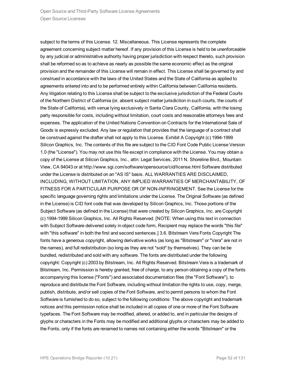subject to the terms of this License. 12. Miscellaneous. This License represents the complete agreement concerning subject matter hereof. If any provision of this License is held to be unenforceable by any judicial or administrative authority having proper jurisdiction with respect thereto, such provision shall be reformed so as to achieve as nearly as possible the same economic effect as the original provision and the remainder of this License will remain in effect. This License shall be governed by and construed in accordance with the laws of the United States and the State of California as applied to agreements entered into and to be performed entirely within California between California residents. Any litigation relating to this License shall be subject to the exclusive jurisdiction of the Federal Courts of the Northern District of California (or, absent subject matter jurisdiction in such courts, the courts of the State of California), with venue lying exclusively in Santa Clara County, California, with the losing party responsible for costs, including without limitation, court costs and reasonable attorneys fees and expenses. The application of the United Nations Convention on Contracts for the International Sale of Goods is expressly excluded. Any law or regulation that provides that the language of a contract shall be construed against the drafter shall not apply to this License. Exhibit A Copyright (c) 1994-1999 Silicon Graphics, Inc. The contents of this file are subject to the CID Font Code Public License Version 1.0 (the "License"). You may not use this file except in compliance with the License. You may obtain a copy of the License at Silicon Graphics, Inc., attn: Legal Services, 2011 N. Shoreline Blvd., Mountain View, CA 94043 or at http://www.sgi.com/software/opensource/cid/license.html Software distributed under the License is distributed on an "AS IS" basis. ALL WARRANTIES ARE DISCLAIMED, INCLUDING, WITHOUT LIMITATION, ANY IMPLIED WARRANTIES OF MERCHANTABILITY, OF FITNESS FOR A PARTICULAR PURPOSE OR OF NON-INFRINGEMENT. See the License for the specific language governing rights and limitations under the License. The Original Software (as defined in the License) is CID font code that was developed by Silicon Graphics, Inc. Those portions of the Subject Software (as defined in the License) that were created by Silicon Graphics, Inc. are Copyright (c) 1994-1999 Silicon Graphics, Inc. All Rights Reserved. [NOTE: When using this text in connection with Subject Software delivered solely in object code form, Recipient may replace the words "this file" with "this software" in both the first and second sentences.] 3.6. Bitstream Vera Fonts Copyright The fonts have a generous copyright, allowing derivative works (as long as "Bitstream" or "Vera" are not in the names), and full redistribution (so long as they are not \*sold\* by themselves). They can be be bundled, redistributed and sold with any software. The fonts are distributed under the following copyright: Copyright (c) 2003 by Bitstream, Inc. All Rights Reserved. Bitstream Vera is a trademark of Bitstream, Inc. Permission is hereby granted, free of charge, to any person obtaining a copy of the fonts accompanying this license ("Fonts") and associated documentation files (the "Font Software"), to reproduce and distribute the Font Software, including without limitation the rights to use, copy, merge, publish, distribute, and/or sell copies of the Font Software, and to permit persons to whom the Font Software is furnished to do so, subject to the following conditions: The above copyright and trademark notices and this permission notice shall be included in all copies of one or more of the Font Software typefaces. The Font Software may be modified, altered, or added to, and in particular the designs of glyphs or characters in the Fonts may be modified and additional glyphs or characters may be added to the Fonts, only if the fonts are renamed to names not containing either the words "Bitstream" or the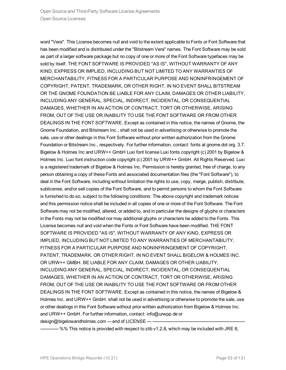word "Vera". This License becomes null and void to the extent applicable to Fonts or Font Software that has been modified and is distributed under the "Bitstream Vera" names. The Font Software may be sold as part of a larger software package but no copy of one or more of the Font Software typefaces may be sold by itself. THE FONT SOFTWARE IS PROVIDED "AS IS", WITHOUT WARRANTY OF ANY KIND, EXPRESS OR IMPLIED, INCLUDING BUT NOT LIMITED TO ANY WARRANTIES OF MERCHANTABILITY, FITNESS FOR A PARTICULAR PURPOSE AND NONINFRINGEMENT OF COPYRIGHT, PATENT, TRADEMARK, OR OTHER RIGHT. IN NO EVENT SHALL BITSTREAM OR THE GNOME FOUNDATION BE LIABLE FOR ANY CLAIM, DAMAGES OR OTHER LIABILITY, INCLUDING ANY GENERAL, SPECIAL, INDIRECT, INCIDENTAL, OR CONSEQUENTIAL DAMAGES, WHETHER IN AN ACTION OF CONTRACT, TORT OR OTHERWISE, ARISING FROM, OUT OF THE USE OR INABILITY TO USE THE FONT SOFTWARE OR FROM OTHER DEALINGS IN THE FONT SOFTWARE. Except as contained in this notice, the names of Gnome, the Gnome Foundation, and Bitstream Inc., shall not be used in advertising or otherwise to promote the sale, use or other dealings in this Font Software without prior written authorization from the Gnome Foundation or Bitstream Inc., respectively. For further information, contact: fonts at gnome dot org. 3.7. Bigelow & Holmes Inc and URW++ GmbH Luxi font license Luxi fonts copyright (c) 2001 by Bigelow & Holmes Inc. Luxi font instruction code copyright (c) 2001 by URW++ GmbH. All Rights Reserved. Luxi is a registered trademark of Bigelow & Holmes Inc. Permission is hereby granted, free of charge, to any person obtaining a copy of these Fonts and associated documentation files (the "Font Software"), to deal in the Font Software, including without limitation the rights to use, copy, merge, publish, distribute, sublicense, and/or sell copies of the Font Software, and to permit persons to whom the Font Software is furnished to do so, subject to the following conditions: The above copyright and trademark notices and this permission notice shall be included in all copies of one or more of the Font Software. The Font Software may not be modified, altered, or added to, and in particular the designs of glyphs or characters in the Fonts may not be modified nor may additional glyphs or characters be added to the Fonts. This License becomes null and void when the Fonts or Font Software have been modified. THE FONT SOFTWARE IS PROVIDED "AS IS", WITHOUT WARRANTY OF ANY KIND, EXPRESS OR IMPLIED, INCLUDING BUT NOT LIMITED TO ANY WARRANTIES OF MERCHANTABILITY, FITNESS FOR A PARTICULAR PURPOSE AND NONINFRINGEMENT OF COPYRIGHT, PATENT, TRADEMARK, OR OTHER RIGHT. IN NO EVENT SHALL BIGELOW & HOLMES INC. OR URW++ GMBH. BE LIABLE FOR ANY CLAIM, DAMAGES OR OTHER LIABILITY, INCLUDING ANY GENERAL, SPECIAL, INDIRECT, INCIDENTAL, OR CONSEQUENTIAL DAMAGES, WHETHER IN AN ACTION OF CONTRACT, TORT OR OTHERWISE, ARISING FROM, OUT OF THE USE OR INABILITY TO USE THE FONT SOFTWARE OR FROM OTHER DEALINGS IN THE FONT SOFTWARE. Except as contained in this notice, the names of Bigelow & Holmes Inc. and URW++ GmbH. shall not be used in advertising or otherwise to promote the sale, use or other dealings in this Font Software without prior written authorization from Bigelow & Holmes Inc. and URW++ GmbH. For further information, contact: info@urwpp.de or design@bigelowandholmes.com --- end of LICENSE --- ----

------------- %% This notice is provided with respect to zlib v1.2.8, which may be included with JRE 8,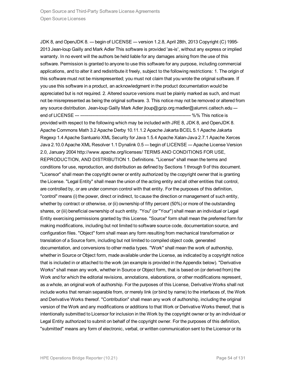JDK 8, and OpenJDK 8. --- begin of LICENSE --- version 1.2.8, April 28th, 2013 Copyright (C) 1995-2013 Jean-loup Gailly and Mark Adler This software is provided 'as-is', without any express or implied warranty. In no event will the authors be held liable for any damages arising from the use of this software. Permission is granted to anyone to use this software for any purpose, including commercial applications, and to alter it and redistribute it freely, subject to the following restrictions: 1. The origin of this software must not be misrepresented; you must not claim that you wrote the original software. If you use this software in a product, an acknowledgment in the product documentation would be appreciated but is not required. 2. Altered source versions must be plainly marked as such, and must not be misrepresented as being the original software. 3. This notice may not be removed or altered from any source distribution. Jean-loup Gailly Mark Adler jloup@gzip.org madler@alumni.caltech.edu --end of LICENSE --- ------------------------------------------------------------------------------- %% This notice is provided with respect to the following which may be included with JRE 8, JDK 8, and OpenJDK 8. Apache Commons Math 3.2 Apache Derby 10.11.1.2 Apache Jakarta BCEL 5.1 Apache Jakarta Regexp 1.4 Apache Santuario XML Security for Java 1.5.4 Apache Xalan-Java 2.7.1 Apache Xerces Java 2.10.0 Apache XML Resolver 1.1 Dynalink 0.5 --- begin of LICENSE --- Apache License Version 2.0, January 2004 http://www.apache.org/licenses/ TERMS AND CONDITIONS FOR USE, REPRODUCTION, AND DISTRIBUTION 1. Definitions. "License" shall mean the terms and conditions for use, reproduction, and distribution as defined by Sections 1 through 9 of this document. "Licensor" shall mean the copyright owner or entity authorized by the copyright owner that is granting the License. "Legal Entity" shall mean the union of the acting entity and all other entities that control, are controlled by, or are under common control with that entity. For the purposes of this definition, "control" means (i) the power, direct or indirect, to cause the direction or management of such entity, whether by contract or otherwise, or (ii) ownership of fifty percent (50%) or more of the outstanding shares, or (iii) beneficial ownership of such entity. "You" (or "Your") shall mean an individual or Legal Entity exercising permissions granted by this License. "Source" form shall mean the preferred form for making modifications, including but not limited to software source code, documentation source, and configuration files. "Object" form shall mean any form resulting from mechanical transformation or translation of a Source form, including but not limited to compiled object code, generated documentation, and conversions to other media types. "Work" shall mean the work of authorship, whether in Source or Object form, made available under the License, as indicated by a copyright notice that is included in or attached to the work (an example is provided in the Appendix below). "Derivative Works" shall mean any work, whether in Source or Object form, that is based on (or derived from) the Work and for which the editorial revisions, annotations, elaborations, or other modifications represent, as a whole, an original work of authorship. For the purposes of this License, Derivative Works shall not include works that remain separable from, or merely link (or bind by name) to the interfaces of, the Work and Derivative Works thereof. "Contribution" shall mean any work of authorship, including the original version of the Work and any modifications or additions to that Work or Derivative Works thereof, that is intentionally submitted to Licensor for inclusion in the Work by the copyright owner or by an individual or Legal Entity authorized to submit on behalf of the copyright owner. For the purposes of this definition, "submitted" means any form of electronic, verbal, or written communication sent to the Licensor or its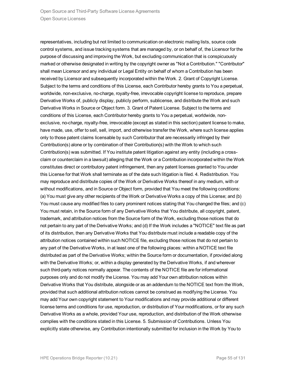representatives, including but not limited to communication on electronic mailing lists, source code control systems, and issue tracking systems that are managed by, or on behalf of, the Licensor for the purpose of discussing and improving the Work, but excluding communication that is conspicuously marked or otherwise designated in writing by the copyright owner as "Not a Contribution." "Contributor" shall mean Licensor and any individual or Legal Entity on behalf of whom a Contribution has been received by Licensor and subsequently incorporated within the Work. 2. Grant of Copyright License. Subject to the terms and conditions of this License, each Contributor hereby grants to You a perpetual, worldwide, non-exclusive, no-charge, royalty-free, irrevocable copyright license to reproduce, prepare Derivative Works of, publicly display, publicly perform, sublicense, and distribute the Work and such Derivative Works in Source or Object form. 3. Grant of Patent License. Subject to the terms and conditions of this License, each Contributor hereby grants to You a perpetual, worldwide, nonexclusive, no-charge, royalty-free, irrevocable (except as stated in this section) patent license to make, have made, use, offer to sell, sell, import, and otherwise transfer the Work, where such license applies only to those patent claims licensable by such Contributor that are necessarily infringed by their Contribution(s) alone or by combination of their Contribution(s) with the Work to which such Contribution(s) was submitted. If You institute patent litigation against any entity (including a crossclaim or counterclaim in a lawsuit) alleging that the Work or a Contribution incorporated within the Work constitutes direct or contributory patent infringement, then any patent licenses granted to You under this License for that Work shall terminate as of the date such litigation is filed. 4. Redistribution. You may reproduce and distribute copies of the Work or Derivative Works thereof in any medium, with or without modifications, and in Source or Object form, provided that You meet the following conditions: (a) You must give any other recipients of the Work or Derivative Works a copy of this License; and (b) You must cause any modified files to carry prominent notices stating that You changed the files; and (c) You must retain, in the Source form of any Derivative Works that You distribute, all copyright, patent, trademark, and attribution notices from the Source form of the Work, excluding those notices that do not pertain to any part of the Derivative Works; and (d) If the Work includes a "NOTICE" text file as part of its distribution, then any Derivative Works that You distribute must include a readable copy of the attribution notices contained within such NOTICE file, excluding those notices that do not pertain to any part of the Derivative Works, in at least one of the following places: within a NOTICE text file distributed as part of the Derivative Works; within the Source form or documentation, if provided along with the Derivative Works; or, within a display generated by the Derivative Works, if and wherever such third-party notices normally appear. The contents of the NOTICE file are for informational purposes only and do not modify the License. You may add Your own attribution notices within Derivative Works that You distribute, alongside or as an addendum to the NOTICE text from the Work, provided that such additional attribution notices cannot be construed as modifying the License. You may add Your own copyright statement to Your modifications and may provide additional or different license terms and conditions for use, reproduction, or distribution of Your modifications, or for any such Derivative Works as a whole, provided Your use, reproduction, and distribution of the Work otherwise complies with the conditions stated in this License. 5. Submission of Contributions. Unless You explicitly state otherwise, any Contribution intentionally submitted for inclusion in the Work by You to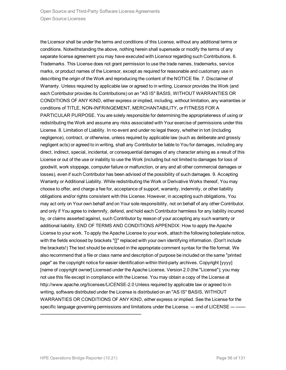the Licensor shall be under the terms and conditions of this License, without any additional terms or conditions. Notwithstanding the above, nothing herein shall supersede or modify the terms of any separate license agreement you may have executed with Licensor regarding such Contributions. 6. Trademarks. This License does not grant permission to use the trade names, trademarks, service marks, or product names of the Licensor, except as required for reasonable and customary use in describing the origin of the Work and reproducing the content of the NOTICE file. 7. Disclaimer of Warranty. Unless required by applicable law or agreed to in writing, Licensor provides the Work (and each Contributor provides its Contributions) on an "AS IS" BASIS, WITHOUT WARRANTIES OR CONDITIONS OF ANY KIND, either express or implied, including, without limitation, any warranties or conditions of TITLE, NON-INFRINGEMENT, MERCHANTABILITY, or FITNESS FOR A PARTICULAR PURPOSE. You are solely responsible for determining the appropriateness of using or redistributing the Work and assume any risks associated with Your exercise of permissions under this License. 8. Limitation of Liability. In no event and under no legal theory, whether in tort (including negligence), contract, or otherwise, unless required by applicable law (such as deliberate and grossly negligent acts) or agreed to in writing, shall any Contributor be liable to You for damages, including any direct, indirect, special, incidental, or consequential damages of any character arising as a result of this License or out of the use or inability to use the Work (including but not limited to damages for loss of goodwill, work stoppage, computer failure or malfunction, or any and all other commercial damages or losses), even if such Contributor has been advised of the possibility of such damages. 9. Accepting Warranty or Additional Liability. While redistributing the Work or Derivative Works thereof, You may choose to offer, and charge a fee for, acceptance of support, warranty, indemnity, or other liability obligations and/or rights consistent with this License. However, in accepting such obligations, You may act only on Your own behalf and on Your sole responsibility, not on behalf of any other Contributor, and only if You agree to indemnify, defend, and hold each Contributor harmless for any liability incurred by, or claims asserted against, such Contributor by reason of your accepting any such warranty or additional liability. END OF TERMS AND CONDITIONS APPENDIX: How to apply the Apache License to your work. To apply the Apache License to your work, attach the following boilerplate notice, with the fields enclosed by brackets "[]" replaced with your own identifying information. (Don't include the brackets!) The text should be enclosed in the appropriate comment syntax for the file format. We also recommend that a file or class name and description of purpose be included on the same "printed page" as the copyright notice for easier identification within third-party archives. Copyright [yyyy] [name of copyright owner] Licensed under the Apache License, Version 2.0 (the "License"); you may not use this file except in compliance with the License. You may obtain a copy of the License at http://www.apache.org/licenses/LICENSE-2.0 Unless required by applicable law or agreed to in writing, software distributed under the License is distributed on an "AS IS" BASIS, WITHOUT WARRANTIES OR CONDITIONS OF ANY KIND, either express or implied. See the License for the specific language governing permissions and limitations under the License. --- end of LICENSE --- -------

------------------------------------------------------------------------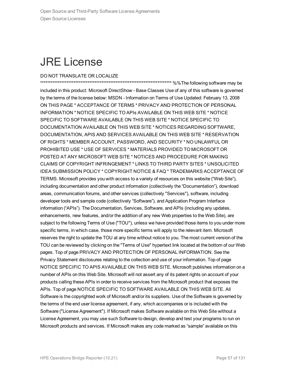## JRE License

## DO NOT TRANSLATE OR LOCALIZE

\*\*\*\*\*\*\*\*\*\*\*\*\*\*\*\*\*\*\*\*\*\*\*\*\*\*\*\*\*\*\*\*\*\*\*\*\*\*\*\*\*\*\*\*\*\*\*\*\*\*\*\*\*\*\*\*\*\*\*\*\*\*\*\*\*\*\*\*\*\*\*\*\*\*\* %%The following software may be included in this product: Microsoft DirectShow - Base Classes Use of any of this software is governed by the terms of the license below: MSDN - Information on Terms of Use Updated: February 13, 2008 ON THIS PAGE \* ACCEPTANCE OF TERMS \* PRIVACY AND PROTECTION OF PERSONAL INFORMATION \* NOTICE SPECIFIC TO APIs AVAILABLE ON THIS WEB SITE \* NOTICE SPECIFIC TO SOFTWARE AVAILABLE ON THIS WEB SITE \* NOTICE SPECIFIC TO DOCUMENTATION AVAILABLE ON THIS WEB SITE \* NOTICES REGARDING SOFTWARE, DOCUMENTATION, APIS AND SERVICES AVAILABLE ON THIS WEB SITE \* RESERVATION OF RIGHTS \* MEMBER ACCOUNT, PASSWORD, AND SECURITY \* NO UNLAWFUL OR PROHIBITED USE \* USE OF SERVICES \* MATERIALS PROVIDED TO MICROSOFT OR POSTED AT ANY MICROSOFT WEB SITE \* NOTICES AND PROCEDURE FOR MAKING CLAIMS OF COPYRIGHT INFRINGEMENT \* LINKS TO THIRD PARTY SITES \* UNSOLICITED IDEA SUBMISSION POLICY \* COPYRIGHT NOTICE & FAQ \* TRADEMARKS ACCEPTANCE OF TERMS. Microsoft provides you with access to a variety of resources on this website ("Web Site"), including documentation and other product information (collectively the "Documentation"), download areas, communication forums, and other services (collectively "Services"), software, including developer tools and sample code (collectively "Software"), and Application Program Interface information ("APIs"). The Documentation, Services, Software, and APIs (including any updates, enhancements, new features, and/or the addition of any new Web properties to the Web Site), are subject to the following Terms of Use ("TOU"), unless we have provided those items to you under more specific terms, in which case, those more specific terms will apply to the relevant item. Microsoft reserves the right to update the TOU at any time without notice to you. The most current version of the TOU can be reviewed by clicking on the "Terms of Use" hypertext link located at the bottom of our Web pages. Top of page PRIVACY AND PROTECTION OF PERSONAL INFORMATION. See the Privacy Statement disclosures relating to the collection and use of your information. Top of page NOTICE SPECIFIC TO APIS AVAILABLE ON THIS WEB SITE. Microsoft publishes information on a number of APIs on this Web Site. Microsoft will not assert any of its patent rights on account of your products calling these APIs in order to receive services from the Microsoft product that exposes the APIs. Top of page NOTICE SPECIFIC TO SOFTWARE AVAILABLE ON THIS WEB SITE. All Software is the copyrighted work of Microsoft and/or its suppliers. Use of the Software is governed by the terms of the end user license agreement, if any, which accompanies or is included with the Software ("License Agreement"). If Microsoft makes Software available on this Web Site without a License Agreement, you may use such Software to design, develop and test your programs to run on Microsoft products and services. If Microsoft makes any code marked as "sample" available on this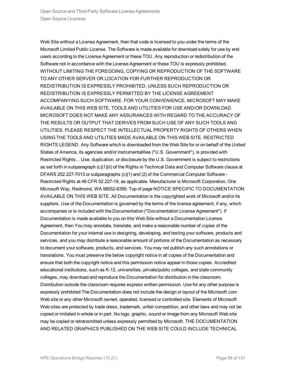Web Site without a License Agreement, then that code is licensed to you under the terms of the Microsoft Limited Public License. The Software is made available for download solely for use by end users according to the License Agreement or these TOU. Any reproduction or redistribution of the Software not in accordance with the License Agreement or these TOU is expressly prohibited. WITHOUT LIMITING THE FOREGOING, COPYING OR REPRODUCTION OF THE SOFTWARE TO ANY OTHER SERVER OR LOCATION FOR FURTHER REPRODUCTION OR REDISTRIBUTION IS EXPRESSLY PROHIBITED, UNLESS SUCH REPRODUCTION OR REDISTRIBUTION IS EXPRESSLY PERMITTED BY THE LICENSE AGREEMENT ACCOMPANYING SUCH SOFTWARE. FOR YOUR CONVENIENCE, MICROSOFT MAY MAKE AVAILABLE ON THIS WEB SITE, TOOLS AND UTILITIES FOR USE AND/OR DOWNLOAD. MICROSOFT DOES NOT MAKE ANY ASSURANCES WITH REGARD TO THE ACCURACY OF THE RESULTS OR OUTPUT THAT DERIVES FROM SUCH USE OF ANY SUCH TOOLS AND UTILITIES. PLEASE RESPECT THE INTELLECTUAL PROPERTY RIGHTS OF OTHERS WHEN USING THE TOOLS AND UTILITIES MADE AVAILABLE ON THIS WEB SITE. RESTRICTED RIGHTS LEGEND. Any Software which is downloaded from the Web Site for or on behalf of the United States of America, its agencies and/or instrumentalities ("U.S. Government"), is provided with Restricted Rights... Use, duplication, or disclosure by the U.S. Government is subject to restrictions as set forth in subparagraph (c)(1)(ii) of the Rights in Technical Data and Computer Software clause at DFARS 252.227-7013 or subparagraphs (c)(1) and (2) of the Commercial Computer Software - Restricted Rights at 48 CFR 52.227-19, as applicable. Manufacturer is Microsoft Corporation, One Microsoft Way, Redmond, WA 98052-6399. Top of page NOTICE SPECIFIC TO DOCUMENTATION AVAILABLE ON THIS WEB SITE. All Documentation is the copyrighted work of Microsoft and/or its suppliers. Use of the Documentation is governed by the terms of the license agreement, if any, which accompanies or is included with the Documentation ("Documentation License Agreement"). If Documentation is made available to you on this Web Site without a Documentation License Agreement, then You may annotate, translate, and make a reasonable number of copies of the Documentation for your internal use in designing, developing, and testing your software, products and services, and you may distribute a reasonable amount of portions of the Documentation as necessary to document your software, products, and services. You may not publish any such annotations or translations. You must preserve the below copyright notice in all copies of the Documentation and ensure that both the copyright notice and this permission notice appear in those copies. Accredited educational institutions, such as K-12, universities, private/public colleges, and state community colleges, may download and reproduce the Documentation for distribution in the classroom. Distribution outside the classroom requires express written permission. Use for any other purpose is expressly prohibited The Documentation does not include the design or layout of the Microsoft.com Web site or any other Microsoft owned, operated, licensed or controlled site. Elements of Microsoft Web sites are protected by trade dress, trademark, unfair competition, and other laws and may not be copied or imitated in whole or in part. No logo, graphic, sound or image from any Microsoft Web site may be copied or retransmitted unless expressly permitted by Microsoft. THE DOCUMENTATION AND RELATED GRAPHICS PUBLISHED ON THE WEB SITE COULD INCLUDE TECHNICAL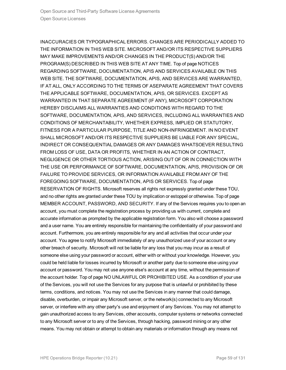INACCURACIES OR TYPOGRAPHICAL ERRORS. CHANGES ARE PERIODICALLY ADDED TO THE INFORMATION IN THIS WEB SITE. MICROSOFT AND/OR ITS RESPECTIVE SUPPLIERS MAY MAKE IMPROVEMENTS AND/OR CHANGES IN THE PRODUCT(S) AND/OR THE PROGRAM(S) DESCRIBED IN THIS WEB SITE AT ANY TIME. Top of page NOTICES REGARDING SOFTWARE, DOCUMENTATION, APIS AND SERVICES AVAILABLE ON THIS WEB SITE. THE SOFTWARE, DOCUMENTATION, APIS, AND SERVICES ARE WARRANTED, IF AT ALL, ONLY ACCORDING TO THE TERMS OF ASEPARATE AGREEMENT THAT COVERS THE APPLICABLE SOFTWARE, DOCUMENTATION, APIS, OR SERVICES. EXCEPT AS WARRANTED IN THAT SEPARATE AGREEMENT (IF ANY), MICROSOFT CORPORATION HEREBY DISCLAIMS ALL WARRANTIES AND CONDITIONS WITH REGARD TO THE SOFTWARE, DOCUMENTATION, APIS, AND SERVICES, INCLUDING ALL WARRANTIES AND CONDITIONS OF MERCHANTABILITY, WHETHER EXPRESS, IMPLIED OR STATUTORY, FITNESS FOR A PARTICULAR PURPOSE, TITLE AND NON-INFRINGEMENT. IN NO EVENT SHALL MICROSOFT AND/OR ITS RESPECTIVE SUPPLIERS BE LIABLE FOR ANY SPECIAL, INDIRECT OR CONSEQUENTIAL DAMAGES OR ANY DAMAGES WHATSOEVER RESULTING FROM LOSS OF USE, DATA OR PROFITS, WHETHER IN AN ACTION OF CONTRACT, NEGLIGENCE OR OTHER TORTIOUS ACTION, ARISING OUT OF OR IN CONNECTION WITH THE USE OR PERFORMANCE OF SOFTWARE, DOCUMENTATION, APIS, PROVISION OF OR FAILURE TO PROVIDE SERVICES, OR INFORMATION AVAILABLE FROM ANY OF THE FOREGOING SOFTWARE, DOCUMENTATION, APIS OR SERVICES. Top of page RESERVATION OF RIGHTS. Microsoft reserves all rights not expressly granted under these TOU, and no other rights are granted under these TOU by implication or estoppel or otherwise. Top of page MEMBER ACCOUNT, PASSWORD, AND SECURITY. If any of the Services requires you to open an account, you must complete the registration process by providing us with current, complete and accurate information as prompted by the applicable registration form. You also will choose a password and a user name. You are entirely responsible for maintaining the confidentiality of your password and account. Furthermore, you are entirely responsible for any and all activities that occur under your account. You agree to notify Microsoft immediately of any unauthorized use of your account or any other breach of security. Microsoft will not be liable for any loss that you may incur as a result of someone else using your password or account, either with or without your knowledge. However, you could be held liable for losses incurred by Microsoft or another party due to someone else using your account or password. You may not use anyone else's account at any time, without the permission of the account holder. Top of page NO UNLAWFUL OR PROHIBITED USE. As a condition of your use of the Services, you will not use the Services for any purpose that is unlawful or prohibited by these terms, conditions, and notices. You may not use the Services in any manner that could damage, disable, overburden, or impair any Microsoft server, or the network(s) connected to any Microsoft server, or interfere with any other party's use and enjoyment of any Services. You may not attempt to gain unauthorized access to any Services, other accounts, computer systems or networks connected to any Microsoft server or to any of the Services, through hacking, password mining or any other means. You may not obtain or attempt to obtain any materials or information through any means not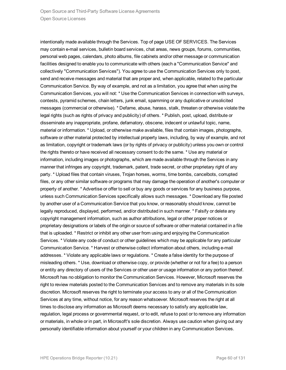intentionally made available through the Services. Top of page USE OF SERVICES. The Services may contain e-mail services, bulletin board services, chat areas, news groups, forums, communities, personal web pages, calendars, photo albums, file cabinets and/or other message or communication facilities designed to enable you to communicate with others (each a "Communication Service" and collectively "Communication Services"). You agree to use the Communication Services only to post, send and receive messages and material that are proper and, when applicable, related to the particular Communication Service. By way of example, and not as a limitation, you agree that when using the Communication Services, you will not: \* Use the Communication Services in connection with surveys, contests, pyramid schemes, chain letters, junk email, spamming or any duplicative or unsolicited messages (commercial or otherwise). \* Defame, abuse, harass, stalk, threaten or otherwise violate the legal rights (such as rights of privacy and publicity) of others. \* Publish, post, upload, distribute or disseminate any inappropriate, profane, defamatory, obscene, indecent or unlawful topic, name, material or information. \* Upload, or otherwise make available, files that contain images, photographs, software or other material protected by intellectual property laws, including, by way of example, and not as limitation, copyright or trademark laws (or by rights of privacy or publicity) unless you own or control the rights thereto or have received all necessary consent to do the same. \* Use any material or information, including images or photographs, which are made available through the Services in any manner that infringes any copyright, trademark, patent, trade secret, or other proprietary right of any party. \* Upload files that contain viruses, Trojan horses, worms, time bombs, cancelbots, corrupted files, or any other similar software or programs that may damage the operation of another's computer or property of another. \* Advertise or offer to sell or buy any goods or services for any business purpose, unless such Communication Services specifically allows such messages. \* Download any file posted by another user of a Communication Service that you know, or reasonably should know, cannot be legally reproduced, displayed, performed, and/or distributed in such manner. \* Falsify or delete any copyright management information, such as author attributions, legal or other proper notices or proprietary designations or labels of the origin or source of software or other material contained in a file that is uploaded. \* Restrict or inhibit any other user from using and enjoying the Communication Services. \* Violate any code of conduct or other guidelines which may be applicable for any particular Communication Service. \* Harvest or otherwise collect information about others, including e-mail addresses. \* Violate any applicable laws or regulations. \* Create a false identity for the purpose of misleading others. \* Use, download or otherwise copy, or provide (whether or not for a fee) to a person or entity any directory of users of the Services or other user or usage information or any portion thereof. Microsoft has no obligation to monitor the Communication Services. However, Microsoft reserves the right to review materials posted to the Communication Services and to remove any materials in its sole discretion. Microsoft reserves the right to terminate your access to any or all of the Communication Services at any time, without notice, for any reason whatsoever. Microsoft reserves the right at all times to disclose any information as Microsoft deems necessary to satisfy any applicable law, regulation, legal process or governmental request, or to edit, refuse to post or to remove any information or materials, in whole or in part, in Microsoft's sole discretion. Always use caution when giving out any personally identifiable information about yourself or your children in any Communication Services.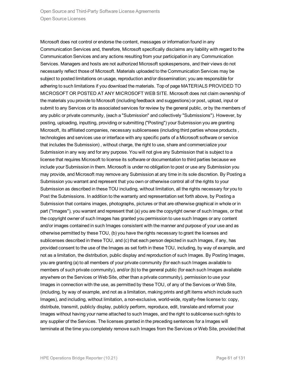Microsoft does not control or endorse the content, messages or information found in any Communication Services and, therefore, Microsoft specifically disclaims any liability with regard to the Communication Services and any actions resulting from your participation in any Communication Services. Managers and hosts are not authorized Microsoft spokespersons, and their views do not necessarily reflect those of Microsoft. Materials uploaded to the Communication Services may be subject to posted limitations on usage, reproduction and/or dissemination; you are responsible for adhering to such limitations if you download the materials. Top of page MATERIALS PROVIDED TO MICROSOFT OR POSTED AT ANY MICROSOFT WEB SITE. Microsoft does not claim ownership of the materials you provide to Microsoft (including feedback and suggestions) or post, upload, input or submit to any Services or its associated services for review by the general public, or by the members of any public or private community, (each a "Submission" and collectively "Submissions"). However, by posting, uploading, inputting, providing or submitting ("Posting") your Submission you are granting Microsoft, its affiliated companies, necessary sublicensees (including third parties whose products , technologies and services use or interface with any specific parts of a Microsoft software or service that includes the Submission) , without charge, the right to use, share and commercialize your Submission in any way and for any purpose. You will not give any Submission that is subject to a license that requires Microsoft to license its software or documentation to third parties because we include your Submission in them. Microsoft is under no obligation to post or use any Submission you may provide, and Microsoft may remove any Submission at any time in its sole discretion. By Posting a Submission you warrant and represent that you own or otherwise control all of the rights to your Submission as described in these TOU including, without limitation, all the rights necessary for you to Post the Submissions. In addition to the warranty and representation set forth above, by Posting a Submission that contains images, photographs, pictures or that are otherwise graphical in whole or in part ("Images"), you warrant and represent that (a) you are the copyright owner of such Images, or that the copyright owner of such Images has granted you permission to use such Images or any content and/or images contained in such Images consistent with the manner and purpose of your use and as otherwise permitted by these TOU, (b) you have the rights necessary to grant the licenses and sublicenses described in these TOU, and (c) that each person depicted in such Images, if any, has provided consent to the use of the Images as set forth in these TOU, including, by way of example, and not as a limitation, the distribution, public display and reproduction of such Images. By Posting Images, you are granting (a) to all members of your private community (for each such Images available to members of such private community), and/or (b) to the general public (for each such Images available anywhere on the Services or Web Site, other than a private community), permission to use your Images in connection with the use, as permitted by these TOU, of any of the Services or Web Site, (including, by way of example, and not as a limitation, making prints and gift items which include such Images), and including, without limitation, a non-exclusive, world-wide, royalty-free license to: copy, distribute, transmit, publicly display, publicly perform, reproduce, edit, translate and reformat your Images without having your name attached to such Images, and the right to sublicense such rights to any supplier of the Services. The licenses granted in the preceding sentences for a Images will terminate at the time you completely remove such Images from the Services or Web Site, provided that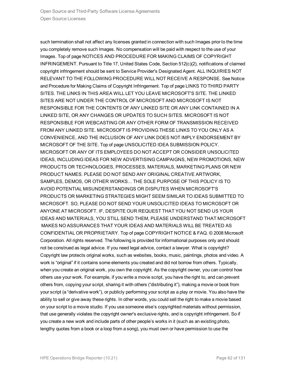such termination shall not affect any licenses granted in connection with such Images prior to the time you completely remove such Images. No compensation will be paid with respect to the use of your Images. Top of page NOTICES AND PROCEDURE FOR MAKING CLAIMS OF COPYRIGHT INFRINGEMENT. Pursuant to Title 17, United States Code, Section 512(c)(2), notifications of claimed copyright infringement should be sent to Service Provider's Designated Agent. ALL INQUIRIES NOT RELEVANT TO THE FOLLOWING PROCEDURE WILL NOT RECEIVE A RESPONSE. See Notice and Procedure for Making Claims of Copyright Infringement. Top of page LINKS TO THIRD PARTY SITES. THE LINKS IN THIS AREA WILL LET YOU LEAVE MICROSOFT'S SITE. THE LINKED SITES ARE NOT UNDER THE CONTROL OF MICROSOFT AND MICROSOFT IS NOT RESPONSIBLE FOR THE CONTENTS OF ANY LINKED SITE OR ANY LINK CONTAINED IN A LINKED SITE, OR ANY CHANGES OR UPDATES TO SUCH SITES. MICROSOFT IS NOT RESPONSIBLE FOR WEBCASTING OR ANY OTHER FORM OF TRANSMISSION RECEIVED FROM ANY LINKED SITE. MICROSOFT IS PROVIDING THESE LINKS TO YOU ONLY AS A CONVENIENCE, AND THE INCLUSION OF ANY LINK DOES NOT IMPLY ENDORSEMENT BY MICROSOFT OF THE SITE. Top of page UNSOLICITED IDEA SUBMISSION POLICY. MICROSOFT OR ANY OF ITS EMPLOYEES DO NOT ACCEPT OR CONSIDER UNSOLICITED IDEAS, INCLUDING IDEAS FOR NEW ADVERTISING CAMPAIGNS, NEW PROMOTIONS, NEW PRODUCTS OR TECHNOLOGIES, PROCESSES, MATERIALS, MARKETING PLANS OR NEW PRODUCT NAMES. PLEASE DO NOT SEND ANY ORIGINAL CREATIVE ARTWORK, SAMPLES, DEMOS, OR OTHER WORKS... THE SOLE PURPOSE OF THIS POLICY IS TO AVOID POTENTIAL MISUNDERSTANDINGS OR DISPUTES WHEN MICROSOFT'S PRODUCTS OR MARKETING STRATEGIES MIGHT SEEM SIMILAR TO IDEAS SUBMITTED TO MICROSOFT. SO, PLEASE DO NOT SEND YOUR UNSOLICITED IDEAS TO MICROSOFT OR ANYONE AT MICROSOFT. IF, DESPITE OUR REQUEST THAT YOU NOT SEND US YOUR IDEAS AND MATERIALS, YOU STILL SEND THEM, PLEASE UNDERSTAND THAT MICROSOFT MAKES NO ASSURANCES THAT YOUR IDEAS AND MATERIALS WILL BE TREATED AS CONFIDENTIAL OR PROPRIETARY. Top of page COPYRIGHT NOTICE & FAQ. © 2008 Microsoft Corporation. All rights reserved. The following is provided for informational purposes only and should not be construed as legal advice. If you need legal advice, contact a lawyer. What is copyright? Copyright law protects original works, such as websites, books, music, paintings, photos and video. A work is "original" if it contains some elements you created and did not borrow from others. Typically, when you create an original work, you own the copyright. As the copyright owner, you can control how others use your work. For example, if you write a movie script, you have the right to, and can prevent others from, copying your script, sharing it with others ("distributing it"), making a movie or book from your script (a "derivative work"), or publicly performing your script as a play or movie. You also have the ability to sell or give away these rights. In other words, you could sell the right to make a movie based on your script to a movie studio. If you use someone else's copyrighted materials without permission, that use generally violates the copyright owner's exclusive rights, and is copyright infringement. So if you create a new work and include parts of other people's works in it (such as an existing photo, lengthy quotes from a book or a loop from a song), you must own or have permission to use the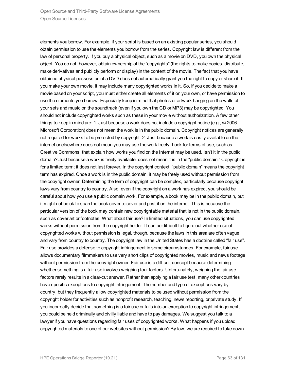elements you borrow. For example, if your script is based on an existing popular series, you should obtain permission to use the elements you borrow from the series. Copyright law is different from the law of personal property. If you buy a physical object, such as a movie on DVD, you own the physical object. You do not, however, obtain ownership of the "copyrights" (the rights to make copies, distribute, make derivatives and publicly perform or display) in the content of the movie. The fact that you have obtained physical possession of a DVD does not automatically grant you the right to copy or share it. If you make your own movie, it may include many copyrighted works in it. So, if you decide to make a movie based on your script, you must either create all elements of it on your own, or have permission to use the elements you borrow. Especially keep in mind that photos or artwork hanging on the walls of your sets and music on the soundtrack (even if you own the CD or MP3) may be copyrighted. You should not include copyrighted works such as these in your movie without authorization. A few other things to keep in mind are: 1. Just because a work does not include a copyright notice (e.g., © 2006 Microsoft Corporation) does not mean the work is in the public domain. Copyright notices are generally not required for works to be protected by copyright. 2. Just because a work is easily available on the internet or elsewhere does not mean you may use the work freely. Look for terms of use, such as Creative Commons, that explain how works you find on the Internet may be used. Isn't it in the public domain? Just because a work is freely available, does not mean it is in the "public domain." Copyright is for a limited term; it does not last forever. In the copyright context, "public domain" means the copyright term has expired. Once a work is in the public domain, it may be freely used without permission from the copyright owner. Determining the term of copyright can be complex, particularly because copyright laws vary from country to country. Also, even if the copyright on a work has expired, you should be careful about how you use a public domain work. For example, a book may be in the public domain, but it might not be ok to scan the book cover to cover and post it on the internet. This is because the particular version of the book may contain new copyrightable material that is not in the public domain, such as cover art or footnotes. What about fair use? In limited situations, you can use copyrighted works without permission from the copyright holder. It can be difficult to figure out whether use of copyrighted works without permission is legal, though, because the laws in this area are often vague and vary from country to country. The copyright law in the United States has a doctrine called "fair use". Fair use provides a defense to copyright infringement in some circumstances. For example, fair use allows documentary filmmakers to use very short clips of copyrighted movies, music and news footage without permission from the copyright owner. Fair use is a difficult concept because determining whether something is a fair use involves weighing four factors. Unfortunately, weighing the fair use factors rarely results in a clear-cut answer. Rather than applying a fair use test, many other countries have specific exceptions to copyright infringement. The number and type of exceptions vary by country, but they frequently allow copyrighted materials to be used without permission from the copyright holder for activities such as nonprofit research, teaching, news reporting, or private study. If you incorrectly decide that something is a fair use or falls into an exception to copyright infringement, you could be held criminally and civilly liable and have to pay damages. We suggest you talk to a lawyer if you have questions regarding fair uses of copyrighted works. What happens if you upload copyrighted materials to one of our websites without permission? By law, we are required to take down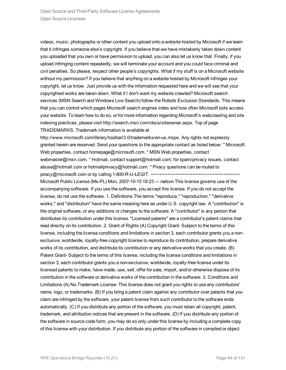videos, music, photographs or other content you upload onto a website hosted by Microsoft if we learn that it infringes someone else's copyright. If you believe that we have mistakenly taken down content you uploaded that you own or have permission to upload, you can also let us know that. Finally, if you upload infringing content repeatedly, we will terminate your account and you could face criminal and civil penalties. So please, respect other people's copyrights. What if my stuff is on a Microsoft website without my permission? If you believe that anything on a website hosted by Microsoft infringes your copyright, let us know. Just provide us with the information requested here and we will see that your copyrighted works are taken down. What if I don't want my website crawled? Microsoft search services (MSN Search and Windows Live Search) follow the Robots Exclusion Standards. This means that you can control which pages Microsoft search engines index and how often Microsoft bots access your website. To learn how to do so, or for more information regarding Microsoft's webcrawling and site indexing practices, please visit http://search.msn.com/docs/siteowner.aspx. Top of page TRADEMARKS. Trademark information is available at

http://www.microsoft.com/library/toolbar/3.0/trademarks/en-us.mspx. Any rights not expressly granted herein are reserved. Send your questions to the appropriate contact as listed below: \* Microsoft Web properties, contact homepage@microsoft.com. \* MSN Web properties, contact webmaster@msn.com. \* Hotmail, contact support@hotmail.com; for spam/privacy issues, contact abuse@hotmail.com or hotmailprivacy@hotmail.com. \* Piracy questions can be routed to piracy@microsoft.com or by calling 1-800-R-U-LEGIT. ~~~~~~~~~~~~~~~~~~~~~~~~~~~~~

Microsoft Public License (Ms-PL) Mon, 2007-10-15 19:23 — nelson This license governs use of the accompanying software. If you use the software, you accept this license. If you do not accept the license, do not use the software. 1. Definitions The terms "reproduce," "reproduction," "derivative works," and "distribution" have the same meaning here as under U.S. copyright law. A "contribution" is the original software, or any additions or changes to the software. A "contributor" is any person that distributes its contribution under this license. "Licensed patents" are a contributor's patent claims that read directly on its contribution. 2. Grant of Rights (A) Copyright Grant- Subject to the terms of this license, including the license conditions and limitations in section 3, each contributor grants you a nonexclusive, worldwide, royalty-free copyright license to reproduce its contribution, prepare derivative works of its contribution, and distribute its contribution or any derivative works that you create. (B) Patent Grant- Subject to the terms of this license, including the license conditions and limitations in section 3, each contributor grants you a non-exclusive, worldwide, royalty-free license under its licensed patents to make, have made, use, sell, offer for sale, import, and/or otherwise dispose of its contribution in the software or derivative works of the contribution in the software. 3. Conditions and Limitations (A) No Trademark License- This license does not grant you rights to use any contributors' name, logo, or trademarks. (B) If you bring a patent claim against any contributor over patents that you claim are infringed by the software, your patent license from such contributor to the software ends automatically. (C) If you distribute any portion of the software, you must retain all copyright, patent, trademark, and attribution notices that are present in the software. (D) If you distribute any portion of the software in source code form, you may do so only under this license by including a complete copy of this license with your distribution. If you distribute any portion of the software in compiled or object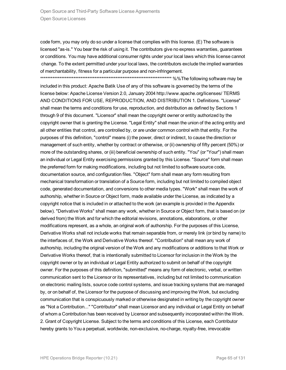code form, you may only do so under a license that complies with this license. (E) The software is licensed "as-is." You bear the risk of using it. The contributors give no express warranties, guarantees or conditions. You may have additional consumer rights under your local laws which this license cannot change. To the extent permitted under your local laws, the contributors exclude the implied warranties of merchantability, fitness for a particular purpose and non-infringement.

\*\*\*\*\*\*\*\*\*\*\*\*\*\*\*\*\*\*\*\*\*\*\*\*\*\*\*\*\*\*\*\*\*\*\*\*\*\*\*\*\*\*\*\*\*\*\*\*\*\*\*\*\*\*\*\*\*\*\*\*\*\*\*\*\*\*\*\*\*\*\*\*\*\*\* %%The following software may be included in this product: Apache Batik Use of any of this software is governed by the terms of the license below: Apache License Version 2.0, January 2004 http://www.apache.org/licenses/ TERMS AND CONDITIONS FOR USE, REPRODUCTION, AND DISTRIBUTION 1. Definitions. "License" shall mean the terms and conditions for use, reproduction, and distribution as defined by Sections 1 through 9 of this document. "Licensor" shall mean the copyright owner or entity authorized by the copyright owner that is granting the License. "Legal Entity" shall mean the union of the acting entity and all other entities that control, are controlled by, or are under common control with that entity. For the purposes of this definition, "control" means (i) the power, direct or indirect, to cause the direction or management of such entity, whether by contract or otherwise, or (ii) ownership of fifty percent (50%) or more of the outstanding shares, or (iii) beneficial ownership of such entity. "You" (or "Your") shall mean an individual or Legal Entity exercising permissions granted by this License. "Source" form shall mean the preferred form for making modifications, including but not limited to software source code, documentation source, and configuration files. "Object" form shall mean any form resulting from mechanical transformation or translation of a Source form, including but not limited to compiled object code, generated documentation, and conversions to other media types. "Work" shall mean the work of authorship, whether in Source or Object form, made available under the License, as indicated by a copyright notice that is included in or attached to the work (an example is provided in the Appendix below). "Derivative Works" shall mean any work, whether in Source or Object form, that is based on (or derived from) the Work and for which the editorial revisions, annotations, elaborations, or other modifications represent, as a whole, an original work of authorship. For the purposes of this License, Derivative Works shall not include works that remain separable from, or merely link (or bind by name) to the interfaces of, the Work and Derivative Works thereof. "Contribution" shall mean any work of authorship, including the original version of the Work and any modifications or additions to that Work or Derivative Works thereof, that is intentionally submitted to Licensor for inclusion in the Work by the copyright owner or by an individual or Legal Entity authorized to submit on behalf of the copyright owner. For the purposes of this definition, "submitted" means any form of electronic, verbal, or written communication sent to the Licensor or its representatives, including but not limited to communication on electronic mailing lists, source code control systems, and issue tracking systems that are managed by, or on behalf of, the Licensor for the purpose of discussing and improving the Work, but excluding communication that is conspicuously marked or otherwise designated in writing by the copyright owner as "Not a Contribution..." "Contributor" shall mean Licensor and any individual or Legal Entity on behalf of whom a Contribution has been received by Licensor and subsequently incorporated within the Work. 2. Grant of Copyright License. Subject to the terms and conditions of this License, each Contributor hereby grants to You a perpetual, worldwide, non-exclusive, no-charge, royalty-free, irrevocable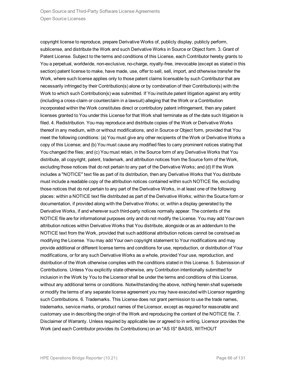copyright license to reproduce, prepare Derivative Works of, publicly display, publicly perform, sublicense, and distribute the Work and such Derivative Works in Source or Object form. 3. Grant of Patent License. Subject to the terms and conditions of this License, each Contributor hereby grants to You a perpetual, worldwide, non-exclusive, no-charge, royalty-free, irrevocable (except as stated in this section) patent license to make, have made, use, offer to sell, sell, import, and otherwise transfer the Work, where such license applies only to those patent claims licensable by such Contributor that are necessarily infringed by their Contribution(s) alone or by combination of their Contribution(s) with the Work to which such Contribution(s) was submitted. If You institute patent litigation against any entity (including a cross-claim or counterclaim in a lawsuit) alleging that the Work or a Contribution incorporated within the Work constitutes direct or contributory patent infringement, then any patent licenses granted to You under this License for that Work shall terminate as of the date such litigation is filed. 4. Redistribution. You may reproduce and distribute copies of the Work or Derivative Works thereof in any medium, with or without modifications, and in Source or Object form, provided that You meet the following conditions: (a) You must give any other recipients of the Work or Derivative Works a copy of this License; and (b) You must cause any modified files to carry prominent notices stating that You changed the files; and (c) You must retain, in the Source form of any Derivative Works that You distribute, all copyright, patent, trademark, and attribution notices from the Source form of the Work, excluding those notices that do not pertain to any part of the Derivative Works; and (d) If the Work includes a "NOTICE" text file as part of its distribution, then any Derivative Works that You distribute must include a readable copy of the attribution notices contained within such NOTICE file, excluding those notices that do not pertain to any part of the Derivative Works, in at least one of the following places: within a NOTICE text file distributed as part of the Derivative Works; within the Source form or documentation, if provided along with the Derivative Works; or, within a display generated by the Derivative Works, if and wherever such third-party notices normally appear. The contents of the NOTICE file are for informational purposes only and do not modify the License. You may add Your own attribution notices within Derivative Works that You distribute, alongside or as an addendum to the NOTICE text from the Work, provided that such additional attribution notices cannot be construed as modifying the License. You may add Your own copyright statement to Your modifications and may provide additional or different license terms and conditions for use, reproduction, or distribution of Your modifications, or for any such Derivative Works as a whole, provided Your use, reproduction, and distribution of the Work otherwise complies with the conditions stated in this License. 5. Submission of Contributions. Unless You explicitly state otherwise, any Contribution intentionally submitted for inclusion in the Work by You to the Licensor shall be under the terms and conditions of this License, without any additional terms or conditions. Notwithstanding the above, nothing herein shall supersede or modify the terms of any separate license agreement you may have executed with Licensor regarding such Contributions. 6. Trademarks. This License does not grant permission to use the trade names, trademarks, service marks, or product names of the Licensor, except as required for reasonable and customary use in describing the origin of the Work and reproducing the content of the NOTICE file. 7. Disclaimer of Warranty. Unless required by applicable law or agreed to in writing, Licensor provides the Work (and each Contributor provides its Contributions) on an "AS IS" BASIS, WITHOUT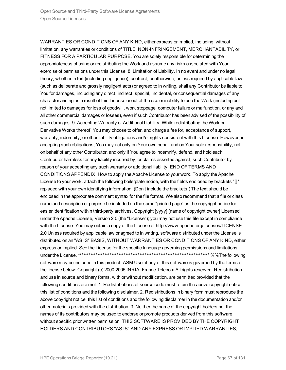WARRANTIES OR CONDITIONS OF ANY KIND, either express or implied, including, without limitation, any warranties or conditions of TITLE, NON-INFRINGEMENT, MERCHANTABILITY, or FITNESS FOR A PARTICULAR PURPOSE. You are solely responsible for determining the appropriateness of using or redistributing the Work and assume any risks associated with Your exercise of permissions under this License. 8. Limitation of Liability. In no event and under no legal theory, whether in tort (including negligence), contract, or otherwise, unless required by applicable law (such as deliberate and grossly negligent acts) or agreed to in writing, shall any Contributor be liable to You for damages, including any direct, indirect, special, incidental, or consequential damages of any character arising as a result of this License or out of the use or inability to use the Work (including but not limited to damages for loss of goodwill, work stoppage, computer failure or malfunction, or any and all other commercial damages or losses), even if such Contributor has been advised of the possibility of such damages. 9. Accepting Warranty or Additional Liability. While redistributing the Work or Derivative Works thereof, You may choose to offer, and charge a fee for, acceptance of support, warranty, indemnity, or other liability obligations and/or rights consistent with this License. However, in accepting such obligations, You may act only on Your own behalf and on Your sole responsibility, not on behalf of any other Contributor, and only if You agree to indemnify, defend, and hold each Contributor harmless for any liability incurred by, or claims asserted against, such Contributor by reason of your accepting any such warranty or additional liability. END OF TERMS AND CONDITIONS APPENDIX: How to apply the Apache License to your work. To apply the Apache License to your work, attach the following boilerplate notice, with the fields enclosed by brackets "[]" replaced with your own identifying information. (Don't include the brackets!) The text should be enclosed in the appropriate comment syntax for the file format. We also recommend that a file or class name and description of purpose be included on the same "printed page" as the copyright notice for easier identification within third-party archives. Copyright [yyyy] [name of copyright owner] Licensed under the Apache License, Version 2.0 (the "License"); you may not use this file except in compliance with the License. You may obtain a copy of the License at http://www.apache.org/licenses/LICENSE-2.0 Unless required by applicable law or agreed to in writing, software distributed under the License is distributed on an "AS IS" BASIS, WITHOUT WARRANTIES OR CONDITIONS OF ANY KIND, either express or implied. See the License for the specific language governing permissions and limitations under the License. \*\*\*\*\*\*\*\*\*\*\*\*\*\*\*\*\*\*\*\*\*\*\*\*\*\*\*\*\*\*\*\*\*\*\*\*\*\*\*\*\*\*\*\*\*\*\*\*\*\*\*\*\*\*\*\*\*\*\*\*\*\*\*\*\*\*\*\*\*\*\*\*\*\*\* %%The following software may be included in this product: ASM Use of any of this software is governed by the terms of the license below: Copyright (c) 2000-2005 INRIA, France Telecom All rights reserved. Redistribution and use in source and binary forms, with or without modification, are permitted provided that the following conditions are met: 1. Redistributions of source code must retain the above copyright notice, this list of conditions and the following disclaimer. 2. Redistributions in binary form must reproduce the above copyright notice, this list of conditions and the following disclaimer in the documentation and/or other materials provided with the distribution. 3. Neither the name of the copyright holders nor the names of its contributors may be used to endorse or promote products derived from this software without specific prior written permission. THIS SOFTWARE IS PROVIDED BY THE COPYRIGHT HOLDERS AND CONTRIBUTORS "AS IS" AND ANY EXPRESS OR IMPLIED WARRANTIES,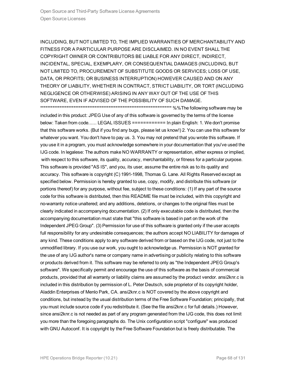INCLUDING, BUT NOT LIMITED TO, THE IMPLIED WARRANTIES OF MERCHANTABILITY AND FITNESS FOR A PARTICULAR PURPOSE ARE DISCLAIMED. IN NO EVENT SHALL THE COPYRIGHT OWNER OR CONTRIBUTORS BE LIABLE FOR ANY DIRECT, INDIRECT, INCIDENTAL, SPECIAL, EXEMPLARY, OR CONSEQUENTIAL DAMAGES (INCLUDING, BUT NOT LIMITED TO, PROCUREMENT OF SUBSTITUTE GOODS OR SERVICES; LOSS OF USE, DATA, OR PROFITS; OR BUSINESS INTERRUPTION) HOWEVER CAUSED AND ON ANY THEORY OF LIABILITY, WHETHER IN CONTRACT, STRICT LIABILITY, OR TORT (INCLUDING NEGLIGENCE OR OTHERWISE) ARISING IN ANY WAY OUT OF THE USE OF THIS SOFTWARE, EVEN IF ADVISED OF THE POSSIBILITY OF SUCH DAMAGE.

\*\*\*\*\*\*\*\*\*\*\*\*\*\*\*\*\*\*\*\*\*\*\*\*\*\*\*\*\*\*\*\*\*\*\*\*\*\*\*\*\*\*\*\*\*\*\*\*\*\*\*\*\*\*\*\*\*\*\*\*\*\*\*\*\*\*\*\*\*\*\*\*\*\*\* %%The following software may be included in this product: JPEG Use of any of this software is governed by the terms of the license below: Taken from code...... LEGAL ISSUES ============ In plain English: 1. We don't promise that this software works. (But if you find any bugs, please let us know!) 2. You can use this software for whatever you want. You don't have to pay us. 3. You may not pretend that you wrote this software. If you use it in a program, you must acknowledge somewhere in your documentation that you've used the IJG code. In legalese: The authors make NO WARRANTY or representation, either express or implied, with respect to this software, its quality, accuracy, merchantability, or fitness for a particular purpose. This software is provided "AS IS", and you, its user, assume the entire risk as to its quality and accuracy. This software is copyright (C) 1991-1998, Thomas G. Lane. All Rights Reserved except as specified below. Permission is hereby granted to use, copy, modify, and distribute this software (or portions thereof) for any purpose, without fee, subject to these conditions: (1) If any part of the source code for this software is distributed, then this README file must be included, with this copyright and no-warranty notice unaltered; and any additions, deletions, or changes to the original files must be clearly indicated in accompanying documentation. (2) If only executable code is distributed, then the accompanying documentation must state that "this software is based in part on the work of the Independent JPEG Group". (3) Permission for use of this software is granted only if the user accepts full responsibility for any undesirable consequences; the authors accept NO LIABILITY for damages of any kind. These conditions apply to any software derived from or based on the IJG code, not just to the unmodified library. If you use our work, you ought to acknowledge us. Permission is NOT granted for the use of any IJG author's name or company name in advertising or publicity relating to this software or products derived from it. This software may be referred to only as "the Independent JPEG Group's software". We specifically permit and encourage the use of this software as the basis of commercial products, provided that all warranty or liability claims are assumed by the product vendor. ansi2knr.c is included in this distribution by permission of L. Peter Deutsch, sole proprietor of its copyright holder, Aladdin Enterprises of Menlo Park, CA. ansi2knr.c is NOT covered by the above copyright and conditions, but instead by the usual distribution terms of the Free Software Foundation; principally, that you must include source code if you redistribute it. (See the file ansi2knr.c for full details.) However, since ansi2knr.c is not needed as part of any program generated from the IJG code, this does not limit you more than the foregoing paragraphs do. The Unix configuration script "configure" was produced with GNU Autoconf. It is copyright by the Free Software Foundation but is freely distributable. The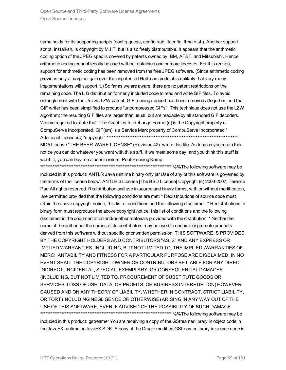same holds for its supporting scripts (config.guess, config.sub, ltconfig, ltmain.sh). Another support script, install-sh, is copyright by M.I.T. but is also freely distributable. It appears that the arithmetic coding option of the JPEG spec is covered by patents owned by IBM, AT&T, and Mitsubishi. Hence arithmetic coding cannot legally be used without obtaining one or more licenses. For this reason, support for arithmetic coding has been removed from the free JPEG software. (Since arithmetic coding provides only a marginal gain over the unpatented Huffman mode, it is unlikely that very many implementations will support it.) So far as we are aware, there are no patent restrictions on the remaining code. The IJG distribution formerly included code to read and write GIF files. To avoid entanglement with the Unisys LZW patent, GIF reading support has been removed altogether, and the GIF writer has been simplified to produce "uncompressed GIFs". This technique does not use the LZW algorithm; the resulting GIF files are larger than usual, but are readable by all standard GIF decoders. We are required to state that "The Graphics Interchange Format(c) is the Copyright property of CompuServe Incorporated. GIF(sm) is a Service Mark property of CompuServe Incorporated." Additional License(s) "copyright" \*\*\*\*\*\*\*\*\*\*\*\*\*\*\*\*\*\*\*\*\*\*\*\*\*\*\*\*\*\*\*\*\*\*\*\*\*\*\*\*\*\*\*\*\*\*\*\*\*\*\*\*\*\*\*\*\*\*\*\*\*\*\*\*\*\*\*\*\*\*\*\*\*\*\*

MD5 License "THE BEER-WARE LICENSE" (Revision 42): wrote this file. As long as you retain this notice you can do whatever you want with this stuff. If we meet some day, and you think this stuff is worth it, you can buy me a beer in return. Poul-Henning Kamp

\*\*\*\*\*\*\*\*\*\*\*\*\*\*\*\*\*\*\*\*\*\*\*\*\*\*\*\*\*\*\*\*\*\*\*\*\*\*\*\*\*\*\*\*\*\*\*\*\*\*\*\*\*\*\*\*\*\*\*\*\*\*\*\*\*\*\*\*\*\*\*\*\*\*\* %%The following software may be included in this product: ANTLR Java runtime binary only jar Use of any of this software is governed by the terms of the license below: ANTLR 3 License [The BSD License] Copyright (c) 2003-2007, Terence Parr All rights reserved. Redistribution and use in source and binary forms, with or without modification, are permitted provided that the following conditions are met: \* Redistributions of source code must retain the above copyright notice, this list of conditions and the following disclaimer. \* Redistributions in binary form must reproduce the above copyright notice, this list of conditions and the following disclaimer in the documentation and/or other materials provided with the distribution. \* Neither the name of the author nor the names of its contributors may be used to endorse or promote products derived from this software without specific prior written permission. THIS SOFTWARE IS PROVIDED BY THE COPYRIGHT HOLDERS AND CONTRIBUTORS "AS IS" AND ANY EXPRESS OR IMPLIED WARRANTIES, INCLUDING, BUT NOT LIMITED TO, THE IMPLIED WARRANTIES OF MERCHANTABILITY AND FITNESS FOR A PARTICULAR PURPOSE ARE DISCLAIMED. IN NO EVENT SHALL THE COPYRIGHT OWNER OR CONTRIBUTORS BE LIABLE FOR ANY DIRECT, INDIRECT, INCIDENTAL, SPECIAL, EXEMPLARY, OR CONSEQUENTIAL DAMAGES (INCLUDING, BUT NOT LIMITED TO, PROCUREMENT OF SUBSTITUTE GOODS OR SERVICES; LOSS OF USE, DATA, OR PROFITS; OR BUSINESS INTERRUPTION) HOWEVER CAUSED AND ON ANY THEORY OF LIABILITY, WHETHER IN CONTRACT, STRICT LIABILITY, OR TORT (INCLUDING NEGLIGENCE OR OTHERWISE) ARISING IN ANY WAY OUT OF THE USE OF THIS SOFTWARE, EVEN IF ADVISED OF THE POSSIBILITY OF SUCH DAMAGE. \*\*\*\*\*\*\*\*\*\*\*\*\*\*\*\*\*\*\*\*\*\*\*\*\*\*\*\*\*\*\*\*\*\*\*\*\*\*\*\*\*\*\*\*\*\*\*\*\*\*\*\*\*\*\*\*\*\*\*\*\*\*\*\*\*\*\*\*\*\*\*\*\*\*\* %%The following software may be included in this product: gstreamer You are receiving a copy of the GStreamer library in object code in

the JavaFX runtime or JavaFX SDK. A copy of the Oracle modified GStreamer library in source code is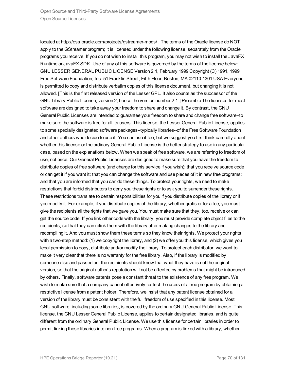located at http://oss.oracle.com/projects/gstreamer-mods/ . The terms of the Oracle license do NOT apply to the GStreamer program; it is licensed under the following license, separately from the Oracle programs you receive. If you do not wish to install this program, you may not wish to install the JavaFX Runtime or JavaFX SDK. Use of any of this software is governed by the terms of the license below: GNU LESSER GENERAL PUBLIC LICENSE Version 2.1, February 1999 Copyright (C) 1991, 1999 Free Software Foundation, Inc. 51 Franklin Street, Fifth Floor, Boston, MA 02110-1301 USA Everyone is permitted to copy and distribute verbatim copies of this license document, but changing it is not allowed. [This is the first released version of the Lesser GPL. It also counts as the successor of the GNU Library Public License, version 2, hence the version number 2.1.] Preamble The licenses for most software are designed to take away your freedom to share and change it. By contrast, the GNU General Public Licenses are intended to guarantee your freedom to share and change free software--to make sure the software is free for all its users. This license, the Lesser General Public License, applies to some specially designated software packages--typically libraries--of the Free Software Foundation and other authors who decide to use it. You can use it too, but we suggest you first think carefully about whether this license or the ordinary General Public License is the better strategy to use in any particular case, based on the explanations below. When we speak of free software, we are referring to freedom of use, not price. Our General Public Licenses are designed to make sure that you have the freedom to distribute copies of free software (and charge for this service if you wish); that you receive source code or can get it if you want it; that you can change the software and use pieces of it in new free programs; and that you are informed that you can do these things. To protect your rights, we need to make restrictions that forbid distributors to deny you these rights or to ask you to surrender these rights. These restrictions translate to certain responsibilities for you if you distribute copies of the library or if you modify it. For example, if you distribute copies of the library, whether gratis or for a fee, you must give the recipients all the rights that we gave you. You must make sure that they, too, receive or can get the source code. If you link other code with the library, you must provide complete object files to the recipients, so that they can relink them with the library after making changes to the library and recompiling it. And you must show them these terms so they know their rights. We protect your rights with a two-step method: (1) we copyright the library, and (2) we offer you this license, which gives you legal permission to copy, distribute and/or modify the library. To protect each distributor, we want to make it very clear that there is no warranty for the free library. Also, if the library is modified by someone else and passed on, the recipients should know that what they have is not the original version, so that the original author's reputation will not be affected by problems that might be introduced by others. Finally, software patents pose a constant threat to the existence of any free program. We wish to make sure that a company cannot effectively restrict the users of a free program by obtaining a restrictive license from a patent holder. Therefore, we insist that any patent license obtained for a version of the library must be consistent with the full freedom of use specified in this license. Most GNU software, including some libraries, is covered by the ordinary GNU General Public License. This license, the GNU Lesser General Public License, applies to certain designated libraries, and is quite different from the ordinary General Public License. We use this license for certain libraries in order to permit linking those libraries into non-free programs. When a program is linked with a library, whether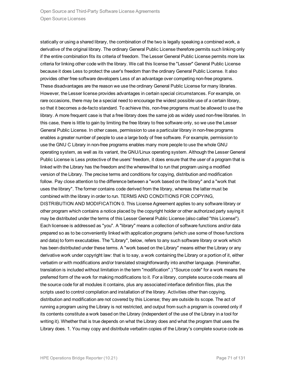statically or using a shared library, the combination of the two is legally speaking a combined work, a derivative of the original library. The ordinary General Public License therefore permits such linking only if the entire combination fits its criteria of freedom. The Lesser General Public License permits more lax criteria for linking other code with the library. We call this license the "Lesser" General Public License because it does Less to protect the user's freedom than the ordinary General Public License. It also provides other free software developers Less of an advantage over competing non-free programs. These disadvantages are the reason we use the ordinary General Public License for many libraries. However, the Lesser license provides advantages in certain special circumstances. For example, on rare occasions, there may be a special need to encourage the widest possible use of a certain library, so that it becomes a de-facto standard. To achieve this, non-free programs must be allowed to use the library. A more frequent case is that a free library does the same job as widely used non-free libraries. In this case, there is little to gain by limiting the free library to free software only, so we use the Lesser General Public License. In other cases, permission to use a particular library in non-free programs enables a greater number of people to use a large body of free software. For example, permission to use the GNU C Library in non-free programs enables many more people to use the whole GNU operating system, as well as its variant, the GNU/Linux operating system. Although the Lesser General Public License is Less protective of the users' freedom, it does ensure that the user of a program that is linked with the Library has the freedom and the wherewithal to run that program using a modified version of the Library. The precise terms and conditions for copying, distribution and modification follow. Pay close attention to the difference between a "work based on the library" and a "work that uses the library". The former contains code derived from the library, whereas the latter must be combined with the library in order to run. TERMS AND CONDITIONS FOR COPYING, DISTRIBUTION AND MODIFICATION 0. This License Agreement applies to any software library or other program which contains a notice placed by the copyright holder or other authorized party saying it may be distributed under the terms of this Lesser General Public License (also called "this License"). Each licensee is addressed as "you". A "library" means a collection of software functions and/or data prepared so as to be conveniently linked with application programs (which use some of those functions and data) to form executables. The "Library", below, refers to any such software library or work which has been distributed under these terms. A "work based on the Library" means either the Library or any derivative work under copyright law: that is to say, a work containing the Library or a portion of it, either verbatim or with modifications and/or translated straightforwardly into another language. (Hereinafter, translation is included without limitation in the term "modification".) "Source code" for a work means the preferred form of the work for making modifications to it. For a library, complete source code means all the source code for all modules it contains, plus any associated interface definition files, plus the scripts used to control compilation and installation of the library. Activities other than copying, distribution and modification are not covered by this License; they are outside its scope. The act of running a program using the Library is not restricted, and output from such a program is covered only if its contents constitute a work based on the Library (independent of the use of the Library in a tool for writing it). Whether that is true depends on what the Library does and what the program that uses the Library does. 1. You may copy and distribute verbatim copies of the Library's complete source code as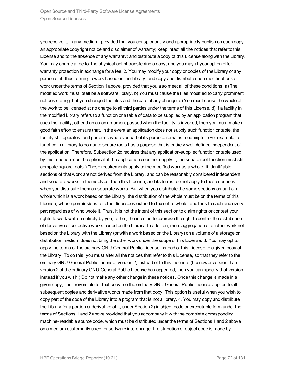you receive it, in any medium, provided that you conspicuously and appropriately publish on each copy an appropriate copyright notice and disclaimer of warranty; keep intact all the notices that refer to this License and to the absence of any warranty; and distribute a copy of this License along with the Library. You may charge a fee for the physical act of transferring a copy, and you may at your option offer warranty protection in exchange for a fee. 2. You may modify your copy or copies of the Library or any portion of it, thus forming a work based on the Library, and copy and distribute such modifications or work under the terms of Section 1 above, provided that you also meet all of these conditions: a) The modified work must itself be a software library. b) You must cause the files modified to carry prominent notices stating that you changed the files and the date of any change. c) You must cause the whole of the work to be licensed at no charge to all third parties under the terms of this License. d) If a facility in the modified Library refers to a function or a table of data to be supplied by an application program that uses the facility, other than as an argument passed when the facility is invoked, then you must make a good faith effort to ensure that, in the event an application does not supply such function or table, the facility still operates, and performs whatever part of its purpose remains meaningful. (For example, a function in a library to compute square roots has a purpose that is entirely well-defined independent of the application. Therefore, Subsection 2d requires that any application-supplied function or table used by this function must be optional: if the application does not supply it, the square root function must still compute square roots.) These requirements apply to the modified work as a whole. If identifiable sections of that work are not derived from the Library, and can be reasonably considered independent and separate works in themselves, then this License, and its terms, do not apply to those sections when you distribute them as separate works. But when you distribute the same sections as part of a whole which is a work based on the Library, the distribution of the whole must be on the terms of this License, whose permissions for other licensees extend to the entire whole, and thus to each and every part regardless of who wrote it. Thus, it is not the intent of this section to claim rights or contest your rights to work written entirely by you; rather, the intent is to exercise the right to control the distribution of derivative or collective works based on the Library. In addition, mere aggregation of another work not based on the Library with the Library (or with a work based on the Library) on a volume of a storage or distribution medium does not bring the other work under the scope of this License. 3. You may opt to apply the terms of the ordinary GNU General Public License instead of this License to a given copy of the Library. To do this, you must alter all the notices that refer to this License, so that they refer to the ordinary GNU General Public License, version 2, instead of to this License. (If a newer version than version 2 of the ordinary GNU General Public License has appeared, then you can specify that version instead if you wish.) Do not make any other change in these notices. Once this change is made in a given copy, it is irreversible for that copy, so the ordinary GNU General Public License applies to all subsequent copies and derivative works made from that copy. This option is useful when you wish to copy part of the code of the Library into a program that is not a library. 4. You may copy and distribute the Library (or a portion or derivative of it, under Section 2) in object code or executable form under the terms of Sections 1 and 2 above provided that you accompany it with the complete corresponding machine- readable source code, which must be distributed under the terms of Sections 1 and 2 above on a medium customarily used for software interchange. If distribution of object code is made by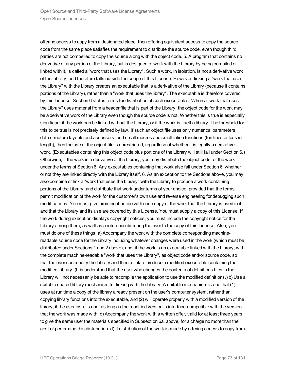offering access to copy from a designated place, then offering equivalent access to copy the source code from the same place satisfies the requirement to distribute the source code, even though third parties are not compelled to copy the source along with the object code. 5. A program that contains no derivative of any portion of the Library, but is designed to work with the Library by being compiled or linked with it, is called a "work that uses the Library". Such a work, in isolation, is not a derivative work of the Library, and therefore falls outside the scope of this License. However, linking a "work that uses the Library" with the Library creates an executable that is a derivative of the Library (because it contains portions of the Library), rather than a "work that uses the library". The executable is therefore covered by this License. Section 6 states terms for distribution of such executables. When a "work that uses the Library" uses material from a header file that is part of the Library, the object code for the work may be a derivative work of the Library even though the source code is not. Whether this is true is especially significant if the work can be linked without the Library, or if the work is itself a library. The threshold for this to be true is not precisely defined by law. If such an object file uses only numerical parameters, data structure layouts and accessors, and small macros and small inline functions (ten lines or less in length), then the use of the object file is unrestricted, regardless of whether it is legally a derivative work. (Executables containing this object code plus portions of the Library will still fall under Section 6.) Otherwise, if the work is a derivative of the Library, you may distribute the object code for the work under the terms of Section 6. Any executables containing that work also fall under Section 6, whether or not they are linked directly with the Library itself. 6. As an exception to the Sections above, you may also combine or link a "work that uses the Library" with the Library to produce a work containing portions of the Library, and distribute that work under terms of your choice, provided that the terms permit modification of the work for the customer's own use and reverse engineering for debugging such modifications. You must give prominent notice with each copy of the work that the Library is used in it and that the Library and its use are covered by this License. You must supply a copy of this License. If the work during execution displays copyright notices, you must include the copyright notice for the Library among them, as well as a reference directing the user to the copy of this License. Also, you must do one of these things: a) Accompany the work with the complete corresponding machinereadable source code for the Library including whatever changes were used in the work (which must be distributed under Sections 1 and 2 above); and, if the work is an executable linked with the Library, with the complete machine-readable "work that uses the Library", as object code and/or source code, so that the user can modify the Library and then relink to produce a modified executable containing the modified Library. (It is understood that the user who changes the contents of definitions files in the Library will not necessarily be able to recompile the application to use the modified definitions.) b) Use a suitable shared library mechanism for linking with the Library. A suitable mechanism is one that (1) uses at run time a copy of the library already present on the user's computer system, rather than copying library functions into the executable, and (2) will operate properly with a modified version of the library, if the user installs one, as long as the modified version is interface-compatible with the version that the work was made with. c) Accompany the work with a written offer, valid for at least three years, to give the same user the materials specified in Subsection 6a, above, for a charge no more than the cost of performing this distribution. d) If distribution of the work is made by offering access to copy from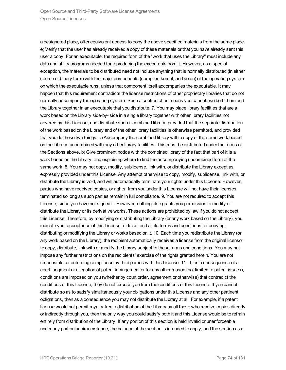a designated place, offer equivalent access to copy the above specified materials from the same place. e) Verify that the user has already received a copy of these materials or that you have already sent this user a copy. For an executable, the required form of the "work that uses the Library" must include any data and utility programs needed for reproducing the executable from it. However, as a special exception, the materials to be distributed need not include anything that is normally distributed (in either source or binary form) with the major components (compiler, kernel, and so on) of the operating system on which the executable runs, unless that component itself accompanies the executable. It may happen that this requirement contradicts the license restrictions of other proprietary libraries that do not normally accompany the operating system. Such a contradiction means you cannot use both them and the Library together in an executable that you distribute. 7. You may place library facilities that are a work based on the Library side-by- side in a single library together with other library facilities not covered by this License, and distribute such a combined library, provided that the separate distribution of the work based on the Library and of the other library facilities is otherwise permitted, and provided that you do these two things: a) Accompany the combined library with a copy of the same work based on the Library, uncombined with any other library facilities. This must be distributed under the terms of the Sections above. b) Give prominent notice with the combined library of the fact that part of it is a work based on the Library, and explaining where to find the accompanying uncombined form of the same work. 8. You may not copy, modify, sublicense, link with, or distribute the Library except as expressly provided under this License. Any attempt otherwise to copy, modify, sublicense, link with, or distribute the Library is void, and will automatically terminate your rights under this License. However, parties who have received copies, or rights, from you under this License will not have their licenses terminated so long as such parties remain in full compliance. 9. You are not required to accept this License, since you have not signed it. However, nothing else grants you permission to modify or distribute the Library or its derivative works. These actions are prohibited by law if you do not accept this License. Therefore, by modifying or distributing the Library (or any work based on the Library), you indicate your acceptance of this License to do so, and all its terms and conditions for copying, distributing or modifying the Library or works based on it. 10. Each time you redistribute the Library (or any work based on the Library), the recipient automatically receives a license from the original licensor to copy, distribute, link with or modify the Library subject to these terms and conditions. You may not impose any further restrictions on the recipients' exercise of the rights granted herein. You are not responsible for enforcing compliance by third parties with this License. 11. If, as a consequence of a court judgment or allegation of patent infringement or for any other reason (not limited to patent issues), conditions are imposed on you (whether by court order, agreement or otherwise) that contradict the conditions of this License, they do not excuse you from the conditions of this License. If you cannot distribute so as to satisfy simultaneously your obligations under this License and any other pertinent obligations, then as a consequence you may not distribute the Library at all. For example, if a patent license would not permit royalty-free redistribution of the Library by all those who receive copies directly or indirectly through you, then the only way you could satisfy both it and this License would be to refrain entirely from distribution of the Library. If any portion of this section is held invalid or unenforceable under any particular circumstance, the balance of the section is intended to apply, and the section as a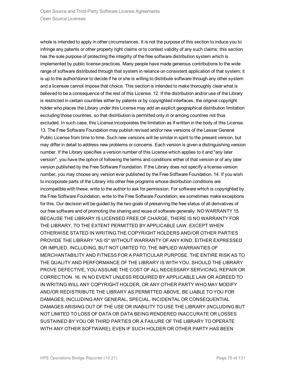whole is intended to apply in other circumstances. It is not the purpose of this section to induce you to infringe any patents or other property right claims or to contest validity of any such claims; this section has the sole purpose of protecting the integrity of the free software distribution system which is implemented by public license practices. Many people have made generous contributions to the wide range of software distributed through that system in reliance on consistent application of that system; it is up to the author/donor to decide if he or she is willing to distribute software through any other system and a licensee cannot impose that choice. This section is intended to make thoroughly clear what is believed to be a consequence of the rest of this License. 12. If the distribution and/or use of the Library is restricted in certain countries either by patents or by copyrighted interfaces, the original copyright holder who places the Library under this License may add an explicit geographical distribution limitation excluding those countries, so that distribution is permitted only in or among countries not thus excluded. In such case, this License incorporates the limitation as if written in the body of this License. 13. The Free Software Foundation may publish revised and/or new versions of the Lesser General Public License from time to time. Such new versions will be similar in spirit to the present version, but may differ in detail to address new problems or concerns. Each version is given a distinguishing version number. If the Library specifies a version number of this License which applies to it and "any later version", you have the option of following the terms and conditions either of that version or of any later version published by the Free Software Foundation. If the Library does not specify a license version number, you may choose any version ever published by the Free Software Foundation. 14. If you wish to incorporate parts of the Library into other free programs whose distribution conditions are incompatible with these, write to the author to ask for permission. For software which is copyrighted by the Free Software Foundation, write to the Free Software Foundation; we sometimes make exceptions for this. Our decision will be guided by the two goals of preserving the free status of all derivatives of our free software and of promoting the sharing and reuse of software generally. NO WARRANTY 15. BECAUSE THE LIBRARY IS LICENSED FREE OF CHARGE, THERE IS NO WARRANTY FOR THE LIBRARY, TO THE EXTENT PERMITTED BY APPLICABLE LAW. EXCEPT WHEN OTHERWISE STATED IN WRITING THE COPYRIGHT HOLDERS AND/OR OTHER PARTIES PROVIDE THE LIBRARY "AS IS" WITHOUT WARRANTY OF ANY KIND, EITHER EXPRESSED OR IMPLIED, INCLUDING, BUT NOT LIMITED TO, THE IMPLIED WARRANTIES OF MERCHANTABILITY AND FITNESS FOR A PARTICULAR PURPOSE. THE ENTIRE RISK AS TO THE QUALITY AND PERFORMANCE OF THE LIBRARY IS WITH YOU. SHOULD THE LIBRARY PROVE DEFECTIVE, YOU ASSUME THE COST OF ALL NECESSARY SERVICING, REPAIR OR CORRECTION. 16. IN NO EVENT UNLESS REQUIRED BY APPLICABLE LAW OR AGREED TO IN WRITING WILL ANY COPYRIGHT HOLDER, OR ANY OTHER PARTY WHO MAY MODIFY AND/OR REDISTRIBUTE THE LIBRARY AS PERMITTED ABOVE, BE LIABLE TO YOU FOR DAMAGES, INCLUDING ANY GENERAL, SPECIAL, INCIDENTAL OR CONSEQUENTIAL DAMAGES ARISING OUT OF THE USE OR INABILITY TO USE THE LIBRARY (INCLUDING BUT NOT LIMITED TO LOSS OF DATA OR DATA BEING RENDERED INACCURATE OR LOSSES SUSTAINED BY YOU OR THIRD PARTIES OR A FAILURE OF THE LIBRARY TO OPERATE WITH ANY OTHER SOFTWARE), EVEN IF SUCH HOLDER OR OTHER PARTY HAS BEEN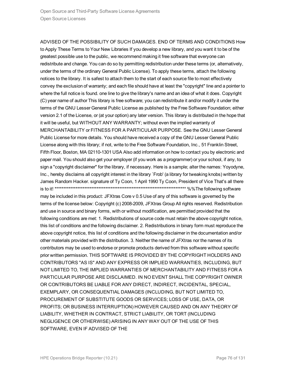ADVISED OF THE POSSIBILITY OF SUCH DAMAGES. END OF TERMS AND CONDITIONS How to Apply These Terms to Your New Libraries If you develop a new library, and you want it to be of the greatest possible use to the public, we recommend making it free software that everyone can redistribute and change. You can do so by permitting redistribution under these terms (or, alternatively, under the terms of the ordinary General Public License). To apply these terms, attach the following notices to the library. It is safest to attach them to the start of each source file to most effectively convey the exclusion of warranty; and each file should have at least the "copyright" line and a pointer to where the full notice is found. one line to give the library's name and an idea of what it does. Copyright (C) year name of author This library is free software; you can redistribute it and/or modify it under the terms of the GNU Lesser General Public License as published by the Free Software Foundation; either version 2.1 of the License, or (at your option) any later version. This library is distributed in the hope that it will be useful, but WITHOUT ANY WARRANTY; without even the implied warranty of MERCHANTABILITY or FITNESS FOR A PARTICULAR PURPOSE. See the GNU Lesser General Public License for more details. You should have received a copy of the GNU Lesser General Public License along with this library; if not, write to the Free Software Foundation, Inc., 51 Franklin Street, Fifth Floor, Boston, MA 02110-1301 USA Also add information on how to contact you by electronic and paper mail. You should also get your employer (if you work as a programmer) or your school, if any, to sign a "copyright disclaimer" for the library, if necessary. Here is a sample; alter the names: Yoyodyne, Inc., hereby disclaims all copyright interest in the library `Frob' (a library for tweaking knobs) written by James Random Hacker. signature of Ty Coon, 1 April 1990 Ty Coon, President of Vice That's all there is to it! \*\*\*\*\*\*\*\*\*\*\*\*\*\*\*\*\*\*\*\*\*\*\*\*\*\*\*\*\*\*\*\*\*\*\*\*\*\*\*\*\*\*\*\*\*\*\*\*\*\*\*\*\*\*\*\*\*\*\*\*\*\*\*\*\*\*\*\*\*\*\*\*\*\*\* %%The following software may be included in this product: JFXtras Core v 0.5 Use of any of this software is governed by the terms of the license below: Copyright (c) 2008-2009, JFXtras Group All rights reserved. Redistribution and use in source and binary forms, with or without modification, are permitted provided that the following conditions are met: 1. Redistributions of source code must retain the above copyright notice, this list of conditions and the following disclaimer. 2. Redistributions in binary form must reproduce the above copyright notice, this list of conditions and the following disclaimer in the documentation and/or other materials provided with the distribution. 3. Neither the name of JFXtras nor the names of its contributors may be used to endorse or promote products derived from this software without specific prior written permission. THIS SOFTWARE IS PROVIDED BY THE COPYRIGHT HOLDERS AND CONTRIBUTORS "AS IS" AND ANY EXPRESS OR IMPLIED WARRANTIES, INCLUDING, BUT NOT LIMITED TO, THE IMPLIED WARRANTIES OF MERCHANTABILITY AND FITNESS FOR A PARTICULAR PURPOSE ARE DISCLAIMED. IN NO EVENT SHALL THE COPYRIGHT OWNER OR CONTRIBUTORS BE LIABLE FOR ANY DIRECT, INDIRECT, INCIDENTAL, SPECIAL, EXEMPLARY, OR CONSEQUENTIAL DAMAGES (INCLUDING, BUT NOT LIMITED TO, PROCUREMENT OF SUBSTITUTE GOODS OR SERVICES; LOSS OF USE, DATA, OR PROFITS; OR BUSINESS INTERRUPTION) HOWEVER CAUSED AND ON ANY THEORY OF LIABILITY, WHETHER IN CONTRACT, STRICT LIABILITY, OR TORT (INCLUDING NEGLIGENCE OR OTHERWISE) ARISING IN ANY WAY OUT OF THE USE OF THIS SOFTWARE, EVEN IF ADVISED OF THE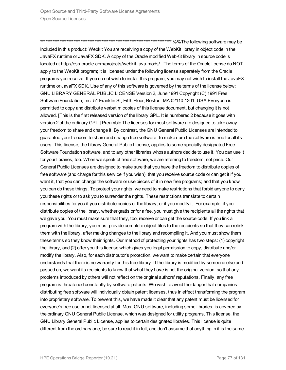\*\*\*\*\*\*\*\*\*\*\*\*\*\*\*\*\*\*\*\*\*\*\*\*\*\*\*\*\*\*\*\*\*\*\*\*\*\*\*\*\*\*\*\*\*\*\*\*\*\*\*\*\*\*\*\*\*\*\*\*\*\*\*\*\*\*\*\*\*\*\*\*\*\*\* %%The following software may be included in this product: Webkit You are receiving a copy of the WebKit library in object code in the JavaFX runtime or JavaFX SDK. A copy of the Oracle modified WebKit library in source code is located at http://oss.oracle.com/projects/webkit-java-mods/ . The terms of the Oracle license do NOT apply to the WebKit program; it is licensed under the following license separately from the Oracle programs you receive. If you do not wish to install this program, you may not wish to install the JavaFX runtime or JavaFX SDK. Use of any of this software is governed by the terms of the license below: GNU LIBRARY GENERAL PUBLIC LICENSE Version 2, June 1991 Copyright (C) 1991 Free Software Foundation, Inc. 51 Franklin St, Fifth Floor, Boston, MA 02110-1301, USA Everyone is permitted to copy and distribute verbatim copies of this license document, but changing it is not allowed. [This is the first released version of the library GPL. It is numbered 2 because it goes with version 2 of the ordinary GPL.] Preamble The licenses for most software are designed to take away your freedom to share and change it. By contrast, the GNU General Public Licenses are intended to guarantee your freedom to share and change free software--to make sure the software is free for all its users. This license, the Library General Public License, applies to some specially designated Free Software Foundation software, and to any other libraries whose authors decide to use it. You can use it for your libraries, too. When we speak of free software, we are referring to freedom, not price. Our General Public Licenses are designed to make sure that you have the freedom to distribute copies of free software (and charge for this service if you wish), that you receive source code or can get it if you want it, that you can change the software or use pieces of it in new free programs; and that you know you can do these things. To protect your rights, we need to make restrictions that forbid anyone to deny you these rights or to ask you to surrender the rights. These restrictions translate to certain responsibilities for you if you distribute copies of the library, or if you modify it. For example, if you distribute copies of the library, whether gratis or for a fee, you must give the recipients all the rights that we gave you. You must make sure that they, too, receive or can get the source code. If you link a program with the library, you must provide complete object files to the recipients so that they can relink them with the library, after making changes to the library and recompiling it. And you must show them these terms so they know their rights. Our method of protecting your rights has two steps: (1) copyright the library, and (2) offer you this license which gives you legal permission to copy, distribute and/or modify the library. Also, for each distributor's protection, we want to make certain that everyone understands that there is no warranty for this free library. If the library is modified by someone else and passed on, we want its recipients to know that what they have is not the original version, so that any problems introduced by others will not reflect on the original authors' reputations. Finally, any free program is threatened constantly by software patents. We wish to avoid the danger that companies distributing free software will individually obtain patent licenses, thus in effect transforming the program into proprietary software. To prevent this, we have made it clear that any patent must be licensed for everyone's free use or not licensed at all. Most GNU software, including some libraries, is covered by the ordinary GNU General Public License, which was designed for utility programs. This license, the GNU Library General Public License, applies to certain designated libraries. This license is quite different from the ordinary one; be sure to read it in full, and don't assume that anything in it is the same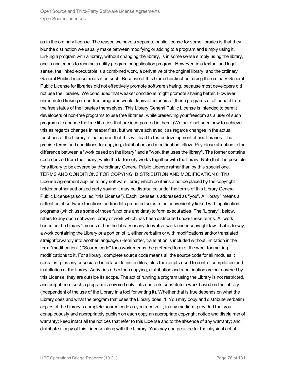as in the ordinary license. The reason we have a separate public license for some libraries is that they blur the distinction we usually make between modifying or adding to a program and simply using it. Linking a program with a library, without changing the library, is in some sense simply using the library, and is analogous to running a utility program or application program. However, in a textual and legal sense, the linked executable is a combined work, a derivative of the original library, and the ordinary General Public License treats it as such. Because of this blurred distinction, using the ordinary General Public License for libraries did not effectively promote software sharing, because most developers did not use the libraries. We concluded that weaker conditions might promote sharing better. However, unrestricted linking of non-free programs would deprive the users of those programs of all benefit from the free status of the libraries themselves. This Library General Public License is intended to permit developers of non-free programs to use free libraries, while preserving your freedom as a user of such programs to change the free libraries that are incorporated in them. (We have not seen how to achieve this as regards changes in header files, but we have achieved it as regards changes in the actual functions of the Library.) The hope is that this will lead to faster development of free libraries. The precise terms and conditions for copying, distribution and modification follow. Pay close attention to the difference between a "work based on the library" and a "work that uses the library". The former contains code derived from the library, while the latter only works together with the library. Note that it is possible for a library to be covered by the ordinary General Public License rather than by this special one. TERMS AND CONDITIONS FOR COPYING, DISTRIBUTION AND MODIFICATION 0. This License Agreement applies to any software library which contains a notice placed by the copyright holder or other authorized party saying it may be distributed under the terms of this Library General Public License (also called "this License"). Each licensee is addressed as "you". A "library" means a collection of software functions and/or data prepared so as to be conveniently linked with application programs (which use some of those functions and data) to form executables. The "Library", below, refers to any such software library or work which has been distributed under these terms. A "work based on the Library" means either the Library or any derivative work under copyright law: that is to say, a work containing the Library or a portion of it, either verbatim or with modifications and/or translated straightforwardly into another language. (Hereinafter, translation is included without limitation in the term "modification".) "Source code" for a work means the preferred form of the work for making modifications to it. For a library, complete source code means all the source code for all modules it contains, plus any associated interface definition files, plus the scripts used to control compilation and installation of the library. Activities other than copying, distribution and modification are not covered by this License; they are outside its scope. The act of running a program using the Library is not restricted, and output from such a program is covered only if its contents constitute a work based on the Library (independent of the use of the Library in a tool for writing it). Whether that is true depends on what the Library does and what the program that uses the Library does. 1. You may copy and distribute verbatim copies of the Library's complete source code as you receive it, in any medium, provided that you conspicuously and appropriately publish on each copy an appropriate copyright notice and disclaimer of warranty; keep intact all the notices that refer to this License and to the absence of any warranty; and distribute a copy of this License along with the Library. You may charge a fee for the physical act of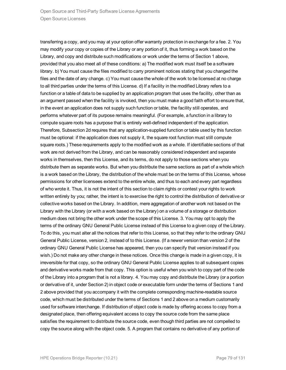transferring a copy, and you may at your option offer warranty protection in exchange for a fee. 2. You may modify your copy or copies of the Library or any portion of it, thus forming a work based on the Library, and copy and distribute such modifications or work under the terms of Section 1 above, provided that you also meet all of these conditions: a) The modified work must itself be a software library. b) You must cause the files modified to carry prominent notices stating that you changed the files and the date of any change. c) You must cause the whole of the work to be licensed at no charge to all third parties under the terms of this License. d) If a facility in the modified Library refers to a function or a table of data to be supplied by an application program that uses the facility, other than as an argument passed when the facility is invoked, then you must make a good faith effort to ensure that, in the event an application does not supply such function or table, the facility still operates, and performs whatever part of its purpose remains meaningful. (For example, a function in a library to compute square roots has a purpose that is entirely well-defined independent of the application. Therefore, Subsection 2d requires that any application-supplied function or table used by this function must be optional: if the application does not supply it, the square root function must still compute square roots.) These requirements apply to the modified work as a whole. If identifiable sections of that work are not derived from the Library, and can be reasonably considered independent and separate works in themselves, then this License, and its terms, do not apply to those sections when you distribute them as separate works. But when you distribute the same sections as part of a whole which is a work based on the Library, the distribution of the whole must be on the terms of this License, whose permissions for other licensees extend to the entire whole, and thus to each and every part regardless of who wrote it. Thus, it is not the intent of this section to claim rights or contest your rights to work written entirely by you; rather, the intent is to exercise the right to control the distribution of derivative or collective works based on the Library. In addition, mere aggregation of another work not based on the Library with the Library (or with a work based on the Library) on a volume of a storage or distribution medium does not bring the other work under the scope of this License. 3. You may opt to apply the terms of the ordinary GNU General Public License instead of this License to a given copy of the Library. To do this, you must alter all the notices that refer to this License, so that they refer to the ordinary GNU General Public License, version 2, instead of to this License. (If a newer version than version 2 of the ordinary GNU General Public License has appeared, then you can specify that version instead if you wish.) Do not make any other change in these notices. Once this change is made in a given copy, it is irreversible for that copy, so the ordinary GNU General Public License applies to all subsequent copies and derivative works made from that copy. This option is useful when you wish to copy part of the code of the Library into a program that is not a library. 4. You may copy and distribute the Library (or a portion or derivative of it, under Section 2) in object code or executable form under the terms of Sections 1 and 2 above provided that you accompany it with the complete corresponding machine-readable source code, which must be distributed under the terms of Sections 1 and 2 above on a medium customarily used for software interchange. If distribution of object code is made by offering access to copy from a designated place, then offering equivalent access to copy the source code from the same place satisfies the requirement to distribute the source code, even though third parties are not compelled to copy the source along with the object code. 5. A program that contains no derivative of any portion of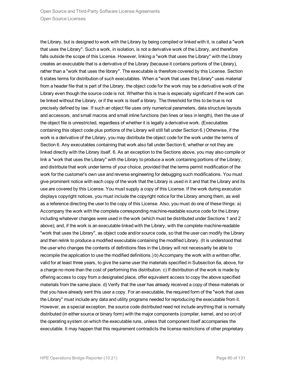the Library, but is designed to work with the Library by being compiled or linked with it, is called a "work that uses the Library". Such a work, in isolation, is not a derivative work of the Library, and therefore falls outside the scope of this License. However, linking a "work that uses the Library" with the Library creates an executable that is a derivative of the Library (because it contains portions of the Library), rather than a "work that uses the library". The executable is therefore covered by this License. Section 6 states terms for distribution of such executables. When a "work that uses the Library" uses material from a header file that is part of the Library, the object code for the work may be a derivative work of the Library even though the source code is not. Whether this is true is especially significant if the work can be linked without the Library, or if the work is itself a library. The threshold for this to be true is not precisely defined by law. If such an object file uses only numerical parameters, data structure layouts and accessors, and small macros and small inline functions (ten lines or less in length), then the use of the object file is unrestricted, regardless of whether it is legally a derivative work. (Executables containing this object code plus portions of the Library will still fall under Section 6.) Otherwise, if the work is a derivative of the Library, you may distribute the object code for the work under the terms of Section 6. Any executables containing that work also fall under Section 6, whether or not they are linked directly with the Library itself. 6. As an exception to the Sections above, you may also compile or link a "work that uses the Library" with the Library to produce a work containing portions of the Library, and distribute that work under terms of your choice, provided that the terms permit modification of the work for the customer's own use and reverse engineering for debugging such modifications. You must give prominent notice with each copy of the work that the Library is used in it and that the Library and its use are covered by this License. You must supply a copy of this License. If the work during execution displays copyright notices, you must include the copyright notice for the Library among them, as well as a reference directing the user to the copy of this License. Also, you must do one of these things: a) Accompany the work with the complete corresponding machine-readable source code for the Library including whatever changes were used in the work (which must be distributed under Sections 1 and 2 above); and, if the work is an executable linked with the Library, with the complete machine-readable "work that uses the Library", as object code and/or source code, so that the user can modify the Library and then relink to produce a modified executable containing the modified Library. (It is understood that the user who changes the contents of definitions files in the Library will not necessarily be able to recompile the application to use the modified definitions.) b) Accompany the work with a written offer, valid for at least three years, to give the same user the materials specified in Subsection 6a, above, for a charge no more than the cost of performing this distribution. c) If distribution of the work is made by offering access to copy from a designated place, offer equivalent access to copy the above specified materials from the same place. d) Verify that the user has already received a copy of these materials or that you have already sent this user a copy. For an executable, the required form of the "work that uses the Library" must include any data and utility programs needed for reproducing the executable from it. However, as a special exception, the source code distributed need not include anything that is normally distributed (in either source or binary form) with the major components (compiler, kernel, and so on) of the operating system on which the executable runs, unless that component itself accompanies the executable. It may happen that this requirement contradicts the license restrictions of other proprietary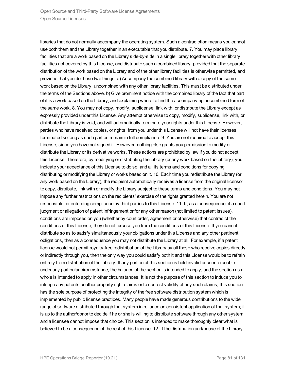libraries that do not normally accompany the operating system. Such a contradiction means you cannot use both them and the Library together in an executable that you distribute. 7. You may place library facilities that are a work based on the Library side-by-side in a single library together with other library facilities not covered by this License, and distribute such a combined library, provided that the separate distribution of the work based on the Library and of the other library facilities is otherwise permitted, and provided that you do these two things: a) Accompany the combined library with a copy of the same work based on the Library, uncombined with any other library facilities. This must be distributed under the terms of the Sections above. b) Give prominent notice with the combined library of the fact that part of it is a work based on the Library, and explaining where to find the accompanying uncombined form of the same work. 8. You may not copy, modify, sublicense, link with, or distribute the Library except as expressly provided under this License. Any attempt otherwise to copy, modify, sublicense, link with, or distribute the Library is void, and will automatically terminate your rights under this License. However, parties who have received copies, or rights, from you under this License will not have their licenses terminated so long as such parties remain in full compliance. 9. You are not required to accept this License, since you have not signed it. However, nothing else grants you permission to modify or distribute the Library or its derivative works. These actions are prohibited by law if you do not accept this License. Therefore, by modifying or distributing the Library (or any work based on the Library), you indicate your acceptance of this License to do so, and all its terms and conditions for copying, distributing or modifying the Library or works based on it. 10. Each time you redistribute the Library (or any work based on the Library), the recipient automatically receives a license from the original licensor to copy, distribute, link with or modify the Library subject to these terms and conditions. You may not impose any further restrictions on the recipients' exercise of the rights granted herein. You are not responsible for enforcing compliance by third parties to this License. 11. If, as a consequence of a court judgment or allegation of patent infringement or for any other reason (not limited to patent issues), conditions are imposed on you (whether by court order, agreement or otherwise) that contradict the conditions of this License, they do not excuse you from the conditions of this License. If you cannot distribute so as to satisfy simultaneously your obligations under this License and any other pertinent obligations, then as a consequence you may not distribute the Library at all. For example, if a patent license would not permit royalty-free redistribution of the Library by all those who receive copies directly or indirectly through you, then the only way you could satisfy both it and this License would be to refrain entirely from distribution of the Library. If any portion of this section is held invalid or unenforceable under any particular circumstance, the balance of the section is intended to apply, and the section as a whole is intended to apply in other circumstances. It is not the purpose of this section to induce you to infringe any patents or other property right claims or to contest validity of any such claims; this section has the sole purpose of protecting the integrity of the free software distribution system which is implemented by public license practices. Many people have made generous contributions to the wide range of software distributed through that system in reliance on consistent application of that system; it is up to the author/donor to decide if he or she is willing to distribute software through any other system and a licensee cannot impose that choice. This section is intended to make thoroughly clear what is believed to be a consequence of the rest of this License. 12. If the distribution and/or use of the Library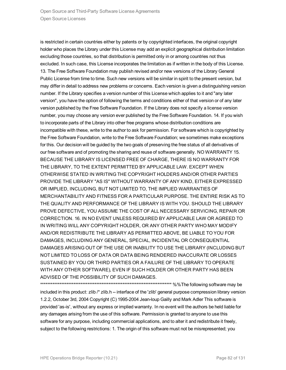is restricted in certain countries either by patents or by copyrighted interfaces, the original copyright holder who places the Library under this License may add an explicit geographical distribution limitation excluding those countries, so that distribution is permitted only in or among countries not thus excluded. In such case, this License incorporates the limitation as if written in the body of this License. 13. The Free Software Foundation may publish revised and/or new versions of the Library General Public License from time to time. Such new versions will be similar in spirit to the present version, but may differ in detail to address new problems or concerns. Each version is given a distinguishing version number. If the Library specifies a version number of this License which applies to it and "any later version", you have the option of following the terms and conditions either of that version or of any later version published by the Free Software Foundation. If the Library does not specify a license version number, you may choose any version ever published by the Free Software Foundation. 14. If you wish to incorporate parts of the Library into other free programs whose distribution conditions are incompatible with these, write to the author to ask for permission. For software which is copyrighted by the Free Software Foundation, write to the Free Software Foundation; we sometimes make exceptions for this. Our decision will be guided by the two goals of preserving the free status of all derivatives of our free software and of promoting the sharing and reuse of software generally. NO WARRANTY 15. BECAUSE THE LIBRARY IS LICENSED FREE OF CHARGE, THERE IS NO WARRANTY FOR THE LIBRARY, TO THE EXTENT PERMITTED BY APPLICABLE LAW. EXCEPT WHEN OTHERWISE STATED IN WRITING THE COPYRIGHT HOLDERS AND/OR OTHER PARTIES PROVIDE THE LIBRARY "AS IS" WITHOUT WARRANTY OF ANY KIND, EITHER EXPRESSED OR IMPLIED, INCLUDING, BUT NOT LIMITED TO, THE IMPLIED WARRANTIES OF MERCHANTABILITY AND FITNESS FOR A PARTICULAR PURPOSE. THE ENTIRE RISK AS TO THE QUALITY AND PERFORMANCE OF THE LIBRARY IS WITH YOU. SHOULD THE LIBRARY PROVE DEFECTIVE, YOU ASSUME THE COST OF ALL NECESSARY SERVICING, REPAIR OR CORRECTION. 16. IN NO EVENT UNLESS REQUIRED BY APPLICABLE LAW OR AGREED TO IN WRITING WILL ANY COPYRIGHT HOLDER, OR ANY OTHER PARTY WHO MAY MODIFY AND/OR REDISTRIBUTE THE LIBRARY AS PERMITTED ABOVE, BE LIABLE TO YOU FOR DAMAGES, INCLUDING ANY GENERAL, SPECIAL, INCIDENTAL OR CONSEQUENTIAL DAMAGES ARISING OUT OF THE USE OR INABILITY TO USE THE LIBRARY (INCLUDING BUT NOT LIMITED TO LOSS OF DATA OR DATA BEING RENDERED INACCURATE OR LOSSES SUSTAINED BY YOU OR THIRD PARTIES OR A FAILURE OF THE LIBRARY TO OPERATE WITH ANY OTHER SOFTWARE), EVEN IF SUCH HOLDER OR OTHER PARTY HAS BEEN ADVISED OF THE POSSIBILITY OF SUCH DAMAGES.

\*\*\*\*\*\*\*\*\*\*\*\*\*\*\*\*\*\*\*\*\*\*\*\*\*\*\*\*\*\*\*\*\*\*\*\*\*\*\*\*\*\*\*\*\*\*\*\*\*\*\*\*\*\*\*\*\*\*\*\*\*\*\*\*\*\*\*\*\*\*\*\*\*\*\* %%The following software may be included in this product: zlib /\* zlib.h -- interface of the 'zlib' general purpose compression library version 1.2.2, October 3rd, 2004 Copyright (C) 1995-2004 Jean-loup Gailly and Mark Adler This software is provided 'as-is', without any express or implied warranty. In no event will the authors be held liable for any damages arising from the use of this software. Permission is granted to anyone to use this software for any purpose, including commercial applications, and to alter it and redistribute it freely, subject to the following restrictions: 1. The origin of this software must not be misrepresented; you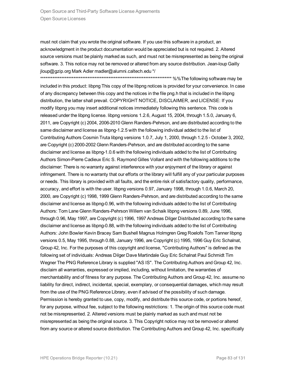must not claim that you wrote the original software. If you use this software in a product, an acknowledgment in the product documentation would be appreciated but is not required. 2. Altered source versions must be plainly marked as such, and must not be misrepresented as being the original software. 3. This notice may not be removed or altered from any source distribution. Jean-loup Gailly jloup@gzip.org Mark Adler madler@alumni.caltech.edu \*/

\*\*\*\*\*\*\*\*\*\*\*\*\*\*\*\*\*\*\*\*\*\*\*\*\*\*\*\*\*\*\*\*\*\*\*\*\*\*\*\*\*\*\*\*\*\*\*\*\*\*\*\*\*\*\*\*\*\*\*\*\*\*\*\*\*\*\*\*\*\*\*\*\*\*\* %%The following software may be included in this product: libpng This copy of the libpng notices is provided for your convenience. In case of any discrepancy between this copy and the notices in the file png.h that is included in the libpng distribution, the latter shall prevail. COPYRIGHT NOTICE, DISCLAIMER, and LICENSE: If you modify libpng you may insert additional notices immediately following this sentence. This code is released under the libpng license. libpng versions 1.2.6, August 15, 2004, through 1.5.0, January 6, 2011, are Copyright (c) 2004, 2006-2010 Glenn Randers-Pehrson, and are distributed according to the same disclaimer and license as libpng-1.2.5 with the following individual added to the list of Contributing Authors Cosmin Truta libpng versions 1.0.7, July 1, 2000, through 1.2.5 - October 3, 2002, are Copyright (c) 2000-2002 Glenn Randers-Pehrson, and are distributed according to the same disclaimer and license as libpng-1.0.6 with the following individuals added to the list of Contributing Authors Simon-Pierre Cadieux Eric S. Raymond Gilles Vollant and with the following additions to the disclaimer: There is no warranty against interference with your enjoyment of the library or against infringement. There is no warranty that our efforts or the library will fulfill any of your particular purposes or needs. This library is provided with all faults, and the entire risk of satisfactory quality, performance, accuracy, and effort is with the user. libpng versions 0.97, January 1998, through 1.0.6, March 20, 2000, are Copyright (c) 1998, 1999 Glenn Randers-Pehrson, and are distributed according to the same disclaimer and license as libpng-0.96, with the following individuals added to the list of Contributing Authors: Tom Lane Glenn Randers-Pehrson Willem van Schaik libpng versions 0.89, June 1996, through 0.96, May 1997, are Copyright (c) 1996, 1997 Andreas Dilger Distributed according to the same disclaimer and license as libpng-0.88, with the following individuals added to the list of Contributing Authors: John Bowler Kevin Bracey Sam Bushell Magnus Holmgren Greg Roelofs Tom Tanner libpng versions 0.5, May 1995, through 0.88, January 1996, are Copyright (c) 1995, 1996 Guy Eric Schalnat, Group 42, Inc. For the purposes of this copyright and license, "Contributing Authors" is defined as the following set of individuals: Andreas Dilger Dave Martindale Guy Eric Schalnat Paul Schmidt Tim Wegner The PNG Reference Library is supplied "AS IS". The Contributing Authors and Group 42, Inc. disclaim all warranties, expressed or implied, including, without limitation, the warranties of merchantability and of fitness for any purpose. The Contributing Authors and Group 42, Inc. assume no liability for direct, indirect, incidental, special, exemplary, or consequential damages, which may result from the use of the PNG Reference Library, even if advised of the possibility of such damage. Permission is hereby granted to use, copy, modify, and distribute this source code, or portions hereof, for any purpose, without fee, subject to the following restrictions: 1. The origin of this source code must not be misrepresented. 2. Altered versions must be plainly marked as such and must not be misrepresented as being the original source. 3. This Copyright notice may not be removed or altered from any source or altered source distribution. The Contributing Authors and Group 42, Inc. specifically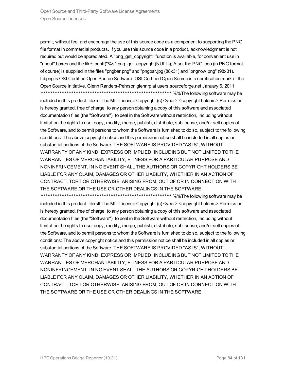permit, without fee, and encourage the use of this source code as a component to supporting the PNG file format in commercial products. If you use this source code in a product, acknowledgment is not required but would be appreciated. A "png\_get\_copyright" function is available, for convenient use in "about" boxes and the like: printf("%s", png\_get\_copyright(NULL)); Also, the PNG logo (in PNG format, of course) is supplied in the files "pngbar.png" and "pngbar.jpg (88x31) and "pngnow.png" (98x31). Libpng is OSI Certified Open Source Software. OSI Certified Open Source is a certification mark of the Open Source Initiative. Glenn Randers-Pehrson glennrp at users.sourceforge.net January 6, 2011 \*\*\*\*\*\*\*\*\*\*\*\*\*\*\*\*\*\*\*\*\*\*\*\*\*\*\*\*\*\*\*\*\*\*\*\*\*\*\*\*\*\*\*\*\*\*\*\*\*\*\*\*\*\*\*\*\*\*\*\*\*\*\*\*\*\*\*\*\*\*\*\*\*\*\* %%The following software may be included in this product: libxml The MIT License Copyright (c) <year> <copyright holders> Permission is hereby granted, free of charge, to any person obtaining a copy of this software and associated documentation files (the "Software"), to deal in the Software without restriction, including without limitation the rights to use, copy, modify, merge, publish, distribute, sublicense, and/or sell copies of the Software, and to permit persons to whom the Software is furnished to do so, subject to the following conditions: The above copyright notice and this permission notice shall be included in all copies or substantial portions of the Software. THE SOFTWARE IS PROVIDED "AS IS", WITHOUT WARRANTY OF ANY KIND, EXPRESS OR IMPLIED, INCLUDING BUT NOT LIMITED TO THE WARRANTIES OF MERCHANTABILITY, FITNESS FOR A PARTICULAR PURPOSE AND NONINFRINGEMENT. IN NO EVENT SHALL THE AUTHORS OR COPYRIGHT HOLDERS BE LIABLE FOR ANY CLAIM, DAMAGES OR OTHER LIABILITY, WHETHER IN AN ACTION OF CONTRACT, TORT OR OTHERWISE, ARISING FROM, OUT OF OR IN CONNECTION WITH THE SOFTWARE OR THE USE OR OTHER DEALINGS IN THE SOFTWARE. \*\*\*\*\*\*\*\*\*\*\*\*\*\*\*\*\*\*\*\*\*\*\*\*\*\*\*\*\*\*\*\*\*\*\*\*\*\*\*\*\*\*\*\*\*\*\*\*\*\*\*\*\*\*\*\*\*\*\*\*\*\*\*\*\*\*\*\*\*\*\*\*\*\*\* %%The following software may be

included in this product: libxslt The MIT License Copyright (c) <year> <copyright holders> Permission is hereby granted, free of charge, to any person obtaining a copy of this software and associated documentation files (the "Software"), to deal in the Software without restriction, including without limitation the rights to use, copy, modify, merge, publish, distribute, sublicense, and/or sell copies of the Software, and to permit persons to whom the Software is furnished to do so, subject to the following conditions: The above copyright notice and this permission notice shall be included in all copies or substantial portions of the Software. THE SOFTWARE IS PROVIDED "AS IS", WITHOUT WARRANTY OF ANY KIND, EXPRESS OR IMPLIED, INCLUDING BUT NOT LIMITED TO THE WARRANTIES OF MERCHANTABILITY, FITNESS FOR A PARTICULAR PURPOSE AND NONINFRINGEMENT. IN NO EVENT SHALL THE AUTHORS OR COPYRIGHT HOLDERS BE LIABLE FOR ANY CLAIM, DAMAGES OR OTHER LIABILITY, WHETHER IN AN ACTION OF CONTRACT, TORT OR OTHERWISE, ARISING FROM, OUT OF OR IN CONNECTION WITH THE SOFTWARE OR THE USE OR OTHER DEALINGS IN THE SOFTWARE.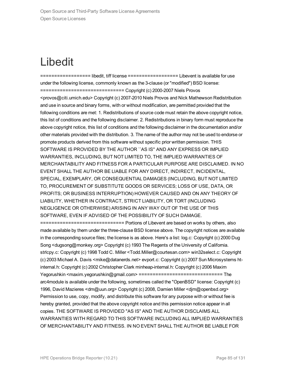# Libedit

================== libedit, tiff license ================== Libevent is available for use under the following license, commonly known as the 3-clause (or "modified") BSD license: ============================== Copyright (c) 2000-2007 Niels Provos <provos@citi.umich.edu> Copyright (c) 2007-2010 Niels Provos and Nick Mathewson Redistribution and use in source and binary forms, with or without modification, are permitted provided that the following conditions are met: 1. Redistributions of source code must retain the above copyright notice, this list of conditions and the following disclaimer. 2. Redistributions in binary form must reproduce the above copyright notice, this list of conditions and the following disclaimer in the documentation and/or other materials provided with the distribution. 3. The name of the author may not be used to endorse or promote products derived from this software without specific prior written permission. THIS SOFTWARE IS PROVIDED BY THE AUTHOR ``AS IS'' AND ANY EXPRESS OR IMPLIED WARRANTIES, INCLUDING, BUT NOT LIMITED TO, THE IMPLIED WARRANTIES OF MERCHANTABILITY AND FITNESS FOR A PARTICULAR PURPOSE ARE DISCLAIMED. IN NO EVENT SHALL THE AUTHOR BE LIABLE FOR ANY DIRECT, INDIRECT, INCIDENTAL, SPECIAL, EXEMPLARY, OR CONSEQUENTIAL DAMAGES (INCLUDING, BUT NOT LIMITED TO, PROCUREMENT OF SUBSTITUTE GOODS OR SERVICES; LOSS OF USE, DATA, OR PROFITS; OR BUSINESS INTERRUPTION) HOWEVER CAUSED AND ON ANY THEORY OF LIABILITY, WHETHER IN CONTRACT, STRICT LIABILITY, OR TORT (INCLUDING NEGLIGENCE OR OTHERWISE) ARISING IN ANY WAY OUT OF THE USE OF THIS SOFTWARE, EVEN IF ADVISED OF THE POSSIBILITY OF SUCH DAMAGE. ============================== Portions of Libevent are based on works by others, also made available by them under the three-clause BSD license above. The copyright notices are available in the corresponding source files; the license is as above. Here's a list: log.c: Copyright (c) 2000 Dug Song <dugsong@monkey.org> Copyright (c) 1993 The Regents of the University of California. strlcpy.c: Copyright (c) 1998 Todd C. Miller <Todd.Miller@courtesan.com> win32select.c: Copyright (c) 2003 Michael A. Davis <mike@datanerds.net> evport.c: Copyright (c) 2007 Sun Microsystems htinternal.h: Copyright (c) 2002 Christopher Clark minheap-internal.h: Copyright (c) 2006 Maxim Yegorushkin <maxim.yegorushkin@gmail.com> ============================== The arc4module is available under the following, sometimes called the "OpenBSD" license: Copyright (c) 1996, David Mazieres <dm@uun.org> Copyright (c) 2008, Damien Miller <djm@openbsd.org> Permission to use, copy, modify, and distribute this software for any purpose with or without fee is hereby granted, provided that the above copyright notice and this permission notice appear in all copies. THE SOFTWARE IS PROVIDED "AS IS" AND THE AUTHOR DISCLAIMS ALL WARRANTIES WITH REGARD TO THIS SOFTWARE INCLUDING ALL IMPLIED WARRANTIES OF MERCHANTABILITY AND FITNESS. IN NO EVENT SHALL THE AUTHOR BE LIABLE FOR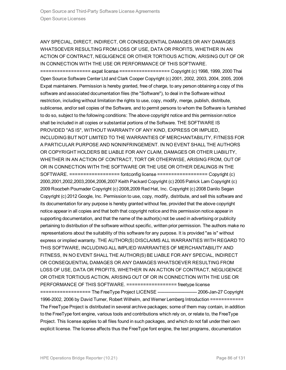ANY SPECIAL, DIRECT, INDIRECT, OR CONSEQUENTIAL DAMAGES OR ANY DAMAGES WHATSOEVER RESULTING FROM LOSS OF USE, DATA OR PROFITS, WHETHER IN AN ACTION OF CONTRACT, NEGLIGENCE OR OTHER TORTIOUS ACTION, ARISING OUT OF OR IN CONNECTION WITH THE USE OR PERFORMANCE OF THIS SOFTWARE. ================== expat license ================== Copyright (c) 1998, 1999, 2000 Thai Open Source Software Center Ltd and Clark Cooper Copyright (c) 2001, 2002, 2003, 2004, 2005, 2006 Expat maintainers. Permission is hereby granted, free of charge, to any person obtaining a copy of this software and associated documentation files (the "Software"), to deal in the Software without restriction, including without limitation the rights to use, copy, modify, merge, publish, distribute, sublicense, and/or sell copies of the Software, and to permit persons to whom the Software is furnished to do so, subject to the following conditions: The above copyright notice and this permission notice shall be included in all copies or substantial portions of the Software. THE SOFTWARE IS PROVIDED "AS IS", WITHOUT WARRANTY OF ANY KIND, EXPRESS OR IMPLIED, INCLUDING BUT NOT LIMITED TO THE WARRANTIES OF MERCHANTABILITY, FITNESS FOR A PARTICULAR PURPOSE AND NONINFRINGEMENT. IN NO EVENT SHALL THE AUTHORS OR COPYRIGHT HOLDERS BE LIABLE FOR ANY CLAIM, DAMAGES OR OTHER LIABILITY, WHETHER IN AN ACTION OF CONTRACT, TORT OR OTHERWISE, ARISING FROM, OUT OF OR IN CONNECTION WITH THE SOFTWARE OR THE USE OR OTHER DEALINGS IN THE SOFTWARE. ================== fontconfig license ================== Copyright (c) 2000,2001,2002,2003,2004,2006,2007 Keith Packard Copyright (c) 2005 Patrick Lam Copyright (c) 2009 Roozbeh Pournader Copyright (c) 2008,2009 Red Hat, Inc. Copyright (c) 2008 Danilo Segan Copyright (c) 2012 Google, Inc. Permission to use, copy, modify, distribute, and sell this software and its documentation for any purpose is hereby granted without fee, provided that the above copyright notice appear in all copies and that both that copyright notice and this permission notice appear in supporting documentation, and that the name of the author(s) not be used in advertising or publicity pertaining to distribution of the software without specific, written prior permission. The authors make no representations about the suitability of this software for any purpose. It is provided "as is" without express or implied warranty. THE AUTHOR(S) DISCLAIMS ALL WARRANTIES WITH REGARD TO THIS SOFTWARE, INCLUDING ALL IMPLIED WARRANTIES OF MERCHANTABILITY AND FITNESS, IN NO EVENT SHALL THE AUTHOR(S) BE LIABLE FOR ANY SPECIAL, INDIRECT OR CONSEQUENTIAL DAMAGES OR ANY DAMAGES WHATSOEVER RESULTING FROM LOSS OF USE, DATA OR PROFITS, WHETHER IN AN ACTION OF CONTRACT, NEGLIGENCE OR OTHER TORTIOUS ACTION, ARISING OUT OF OR IN CONNECTION WITH THE USE OR PERFORMANCE OF THIS SOFTWARE. ================== freetype license ================== The FreeType Project LICENSE ---------------------------- 2006-Jan-27 Copyright 1996-2002, 2006 by David Turner, Robert Wilhelm, and Werner Lemberg Introduction ============ The FreeType Project is distributed in several archive packages; some of them may contain, in addition to the FreeType font engine, various tools and contributions which rely on, or relate to, the FreeType Project. This license applies to all files found in such packages, and which do not fall under their own explicit license. The license affects thus the FreeType font engine, the test programs, documentation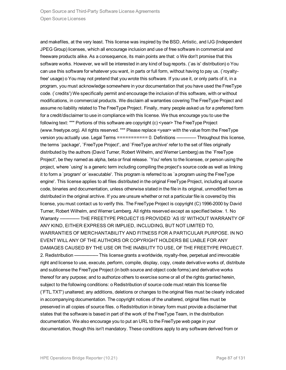and makefiles, at the very least. This license was inspired by the BSD, Artistic, and IJG (Independent JPEG Group) licenses, which all encourage inclusion and use of free software in commercial and freeware products alike. As a consequence, its main points are that: o We don't promise that this software works. However, we will be interested in any kind of bug reports. (`as is' distribution) o You can use this software for whatever you want, in parts or full form, without having to pay us. (`royaltyfree' usage) o You may not pretend that you wrote this software. If you use it, or only parts of it, in a program, you must acknowledge somewhere in your documentation that you have used the FreeType code. (`credits') We specifically permit and encourage the inclusion of this software, with or without modifications, in commercial products. We disclaim all warranties covering The FreeType Project and assume no liability related to The FreeType Project. Finally, many people asked us for a preferred form for a credit/disclaimer to use in compliance with this license. We thus encourage you to use the following text: """ Portions of this software are copyright (c) <year> The FreeType Project (www.freetype.org). All rights reserved. """ Please replace <year> with the value from the FreeType version you actually use. Legal Terms =========== 0. Definitions -------------- Throughout this license, the terms `package', `FreeType Project', and `FreeType archive' refer to the set of files originally distributed by the authors (David Turner, Robert Wilhelm, and Werner Lemberg) as the `FreeType Project', be they named as alpha, beta or final release. `You' refers to the licensee, or person using the project, where `using' is a generic term including compiling the project's source code as well as linking it to form a `program' or `executable'. This program is referred to as `a program using the FreeType engine'. This license applies to all files distributed in the original FreeType Project, including all source code, binaries and documentation, unless otherwise stated in the file in its original, unmodified form as distributed in the original archive. If you are unsure whether or not a particular file is covered by this license, you must contact us to verify this. The FreeType Project is copyright (C) 1996-2000 by David Turner, Robert Wilhelm, and Werner Lemberg. All rights reserved except as specified below. 1. No Warranty -------------- THE FREETYPE PROJECT IS PROVIDED `AS IS' WITHOUT WARRANTY OF ANY KIND, EITHER EXPRESS OR IMPLIED, INCLUDING, BUT NOT LIMITED TO, WARRANTIES OF MERCHANTABILITY AND FITNESS FOR A PARTICULAR PURPOSE. IN NO EVENT WILL ANY OF THE AUTHORS OR COPYRIGHT HOLDERS BE LIABLE FOR ANY DAMAGES CAUSED BY THE USE OR THE INABILITY TO USE, OF THE FREETYPE PROJECT. 2. Redistribution ----------------- This license grants a worldwide, royalty-free, perpetual and irrevocable right and license to use, execute, perform, compile, display, copy, create derivative works of, distribute and sublicense the FreeType Project (in both source and object code forms) and derivative works thereof for any purpose; and to authorize others to exercise some or all of the rights granted herein, subject to the following conditions: o Redistribution of source code must retain this license file (`FTL.TXT') unaltered; any additions, deletions or changes to the original files must be clearly indicated in accompanying documentation. The copyright notices of the unaltered, original files must be preserved in all copies of source files. o Redistribution in binary form must provide a disclaimer that states that the software is based in part of the work of the FreeType Team, in the distribution documentation. We also encourage you to put an URL to the FreeType web page in your documentation, though this isn't mandatory. These conditions apply to any software derived from or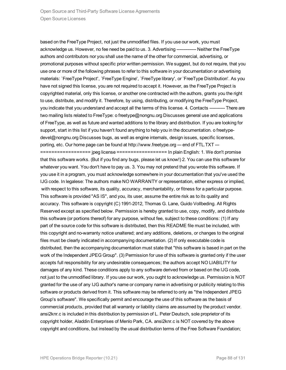based on the FreeType Project, not just the unmodified files. If you use our work, you must acknowledge us. However, no fee need be paid to us. 3. Advertising -------------- Neither the FreeType authors and contributors nor you shall use the name of the other for commercial, advertising, or promotional purposes without specific prior written permission. We suggest, but do not require, that you use one or more of the following phrases to refer to this software in your documentation or advertising materials: `FreeType Project', `FreeType Engine', `FreeType library', or `FreeType Distribution'. As you have not signed this license, you are not required to accept it. However, as the FreeType Project is copyrighted material, only this license, or another one contracted with the authors, grants you the right to use, distribute, and modify it. Therefore, by using, distributing, or modifying the FreeType Project, you indicate that you understand and accept all the terms of this license. 4. Contacts ----------- There are two mailing lists related to FreeType: o freetype@nongnu.org Discusses general use and applications of FreeType, as well as future and wanted additions to the library and distribution. If you are looking for support, start in this list if you haven't found anything to help you in the documentation. o freetypedevel@nongnu.org Discusses bugs, as well as engine internals, design issues, specific licenses, porting, etc. Our home page can be found at http://www.freetype.org --- end of FTL.TXT --- ================== jpeg license ================== In plain English: 1. We don't promise that this software works. (But if you find any bugs, please let us know!) 2. You can use this software for whatever you want. You don't have to pay us. 3. You may not pretend that you wrote this software. If you use it in a program, you must acknowledge somewhere in your documentation that you've used the IJG code. In legalese: The authors make NO WARRANTY or representation, either express or implied, with respect to this software, its quality, accuracy, merchantability, or fitness for a particular purpose. This software is provided "AS IS", and you, its user, assume the entire risk as to its quality and accuracy. This software is copyright (C) 1991-2012, Thomas G. Lane, Guido Vollbeding. All Rights Reserved except as specified below. Permission is hereby granted to use, copy, modify, and distribute this software (or portions thereof) for any purpose, without fee, subject to these conditions: (1) If any part of the source code for this software is distributed, then this README file must be included, with this copyright and no-warranty notice unaltered; and any additions, deletions, or changes to the original files must be clearly indicated in accompanying documentation. (2) If only executable code is distributed, then the accompanying documentation must state that "this software is based in part on the work of the Independent JPEG Group". (3) Permission for use of this software is granted only if the user accepts full responsibility for any undesirable consequences; the authors accept NO LIABILITY for damages of any kind. These conditions apply to any software derived from or based on the IJG code, not just to the unmodified library. If you use our work, you ought to acknowledge us. Permission is NOT granted for the use of any IJG author's name or company name in advertising or publicity relating to this software or products derived from it. This software may be referred to only as "the Independent JPEG Group's software". We specifically permit and encourage the use of this software as the basis of commercial products, provided that all warranty or liability claims are assumed by the product vendor. ansi2knr.c is included in this distribution by permission of L. Peter Deutsch, sole proprietor of its copyright holder, Aladdin Enterprises of Menlo Park, CA. ansi2knr.c is NOT covered by the above copyright and conditions, but instead by the usual distribution terms of the Free Software Foundation;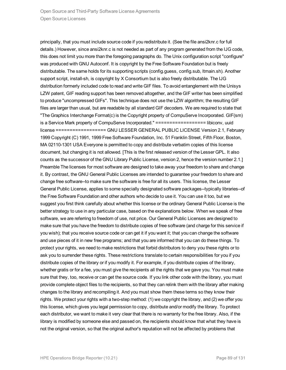principally, that you must include source code if you redistribute it. (See the file ansi2knr.c for full details.) However, since ansi2knr.c is not needed as part of any program generated from the IJG code, this does not limit you more than the foregoing paragraphs do. The Unix configuration script "configure" was produced with GNU Autoconf. It is copyright by the Free Software Foundation but is freely distributable. The same holds for its supporting scripts (config.guess, config.sub, ltmain.sh). Another support script, install-sh, is copyright by X Consortium but is also freely distributable. The IJG distribution formerly included code to read and write GIF files. To avoid entanglement with the Unisys LZW patent, GIF reading support has been removed altogether, and the GIF writer has been simplified to produce "uncompressed GIFs". This technique does not use the LZW algorithm; the resulting GIF files are larger than usual, but are readable by all standard GIF decoders. We are required to state that "The Graphics Interchange Format(c) is the Copyright property of CompuServe Incorporated. GIF(sm) is a Service Mark property of CompuServe Incorporated." ================== libiconv, uuid license ================== GNU LESSER GENERAL PUBLIC LICENSE Version 2.1, February 1999 Copyright (C) 1991, 1999 Free Software Foundation, Inc. 51 Franklin Street, Fifth Floor, Boston, MA 02110-1301 USA Everyone is permitted to copy and distribute verbatim copies of this license document, but changing it is not allowed. [This is the first released version of the Lesser GPL. It also counts as the successor of the GNU Library Public License, version 2, hence the version number 2.1.] Preamble The licenses for most software are designed to take away your freedom to share and change it. By contrast, the GNU General Public Licenses are intended to guarantee your freedom to share and change free software--to make sure the software is free for all its users. This license, the Lesser General Public License, applies to some specially designated software packages--typically libraries--of the Free Software Foundation and other authors who decide to use it. You can use it too, but we suggest you first think carefully about whether this license or the ordinary General Public License is the better strategy to use in any particular case, based on the explanations below. When we speak of free software, we are referring to freedom of use, not price. Our General Public Licenses are designed to make sure that you have the freedom to distribute copies of free software (and charge for this service if you wish); that you receive source code or can get it if you want it; that you can change the software and use pieces of it in new free programs; and that you are informed that you can do these things. To protect your rights, we need to make restrictions that forbid distributors to deny you these rights or to ask you to surrender these rights. These restrictions translate to certain responsibilities for you if you distribute copies of the library or if you modify it. For example, if you distribute copies of the library, whether gratis or for a fee, you must give the recipients all the rights that we gave you. You must make sure that they, too, receive or can get the source code. If you link other code with the library, you must provide complete object files to the recipients, so that they can relink them with the library after making changes to the library and recompiling it. And you must show them these terms so they know their rights. We protect your rights with a two-step method: (1) we copyright the library, and (2) we offer you this license, which gives you legal permission to copy, distribute and/or modify the library. To protect each distributor, we want to make it very clear that there is no warranty for the free library. Also, if the library is modified by someone else and passed on, the recipients should know that what they have is not the original version, so that the original author's reputation will not be affected by problems that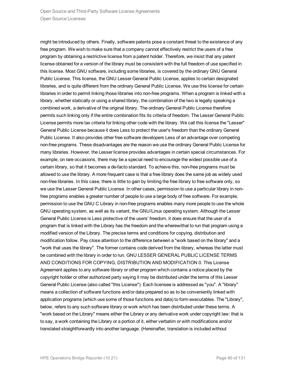might be introduced by others. Finally, software patents pose a constant threat to the existence of any free program. We wish to make sure that a company cannot effectively restrict the users of a free program by obtaining a restrictive license from a patent holder. Therefore, we insist that any patent license obtained for a version of the library must be consistent with the full freedom of use specified in this license. Most GNU software, including some libraries, is covered by the ordinary GNU General Public License. This license, the GNU Lesser General Public License, applies to certain designated libraries, and is quite different from the ordinary General Public License. We use this license for certain libraries in order to permit linking those libraries into non-free programs. When a program is linked with a library, whether statically or using a shared library, the combination of the two is legally speaking a combined work, a derivative of the original library. The ordinary General Public License therefore permits such linking only if the entire combination fits its criteria of freedom. The Lesser General Public License permits more lax criteria for linking other code with the library. We call this license the "Lesser" General Public License because it does Less to protect the user's freedom than the ordinary General Public License. It also provides other free software developers Less of an advantage over competing non-free programs. These disadvantages are the reason we use the ordinary General Public License for many libraries. However, the Lesser license provides advantages in certain special circumstances. For example, on rare occasions, there may be a special need to encourage the widest possible use of a certain library, so that it becomes a de-facto standard. To achieve this, non-free programs must be allowed to use the library. A more frequent case is that a free library does the same job as widely used non-free libraries. In this case, there is little to gain by limiting the free library to free software only, so we use the Lesser General Public License. In other cases, permission to use a particular library in nonfree programs enables a greater number of people to use a large body of free software. For example, permission to use the GNU C Library in non-free programs enables many more people to use the whole GNU operating system, as well as its variant, the GNU/Linux operating system. Although the Lesser General Public License is Less protective of the users' freedom, it does ensure that the user of a program that is linked with the Library has the freedom and the wherewithal to run that program using a modified version of the Library. The precise terms and conditions for copying, distribution and modification follow. Pay close attention to the difference between a "work based on the library" and a "work that uses the library". The former contains code derived from the library, whereas the latter must be combined with the library in order to run. GNU LESSER GENERAL PUBLIC LICENSE TERMS AND CONDITIONS FOR COPYING, DISTRIBUTION AND MODIFICATION 0. This License Agreement applies to any software library or other program which contains a notice placed by the copyright holder or other authorized party saying it may be distributed under the terms of this Lesser General Public License (also called "this License"). Each licensee is addressed as "you". A "library" means a collection of software functions and/or data prepared so as to be conveniently linked with application programs (which use some of those functions and data) to form executables. The "Library", below, refers to any such software library or work which has been distributed under these terms. A "work based on the Library" means either the Library or any derivative work under copyright law: that is to say, a work containing the Library or a portion of it, either verbatim or with modifications and/or translated straightforwardly into another language. (Hereinafter, translation is included without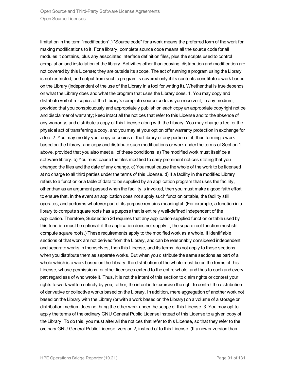limitation in the term "modification".) "Source code" for a work means the preferred form of the work for making modifications to it. For a library, complete source code means all the source code for all modules it contains, plus any associated interface definition files, plus the scripts used to control compilation and installation of the library. Activities other than copying, distribution and modification are not covered by this License; they are outside its scope. The act of running a program using the Library is not restricted, and output from such a program is covered only if its contents constitute a work based on the Library (independent of the use of the Library in a tool for writing it). Whether that is true depends on what the Library does and what the program that uses the Library does. 1. You may copy and distribute verbatim copies of the Library's complete source code as you receive it, in any medium, provided that you conspicuously and appropriately publish on each copy an appropriate copyright notice and disclaimer of warranty; keep intact all the notices that refer to this License and to the absence of any warranty; and distribute a copy of this License along with the Library. You may charge a fee for the physical act of transferring a copy, and you may at your option offer warranty protection in exchange for a fee. 2. You may modify your copy or copies of the Library or any portion of it, thus forming a work based on the Library, and copy and distribute such modifications or work under the terms of Section 1 above, provided that you also meet all of these conditions: a) The modified work must itself be a software library. b) You must cause the files modified to carry prominent notices stating that you changed the files and the date of any change. c) You must cause the whole of the work to be licensed at no charge to all third parties under the terms of this License. d) If a facility in the modified Library refers to a function or a table of data to be supplied by an application program that uses the facility, other than as an argument passed when the facility is invoked, then you must make a good faith effort to ensure that, in the event an application does not supply such function or table, the facility still operates, and performs whatever part of its purpose remains meaningful. (For example, a function in a library to compute square roots has a purpose that is entirely well-defined independent of the application. Therefore, Subsection 2d requires that any application-supplied function or table used by this function must be optional: if the application does not supply it, the square root function must still compute square roots.) These requirements apply to the modified work as a whole. If identifiable sections of that work are not derived from the Library, and can be reasonably considered independent and separate works in themselves, then this License, and its terms, do not apply to those sections when you distribute them as separate works. But when you distribute the same sections as part of a whole which is a work based on the Library, the distribution of the whole must be on the terms of this License, whose permissions for other licensees extend to the entire whole, and thus to each and every part regardless of who wrote it. Thus, it is not the intent of this section to claim rights or contest your rights to work written entirely by you; rather, the intent is to exercise the right to control the distribution of derivative or collective works based on the Library. In addition, mere aggregation of another work not based on the Library with the Library (or with a work based on the Library) on a volume of a storage or distribution medium does not bring the other work under the scope of this License. 3. You may opt to apply the terms of the ordinary GNU General Public License instead of this License to a given copy of the Library. To do this, you must alter all the notices that refer to this License, so that they refer to the ordinary GNU General Public License, version 2, instead of to this License. (If a newer version than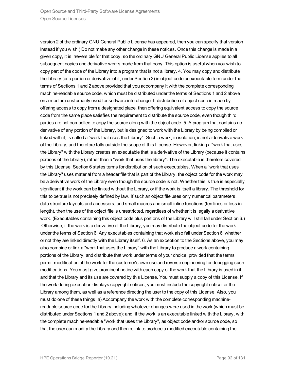version 2 of the ordinary GNU General Public License has appeared, then you can specify that version instead if you wish.) Do not make any other change in these notices. Once this change is made in a given copy, it is irreversible for that copy, so the ordinary GNU General Public License applies to all subsequent copies and derivative works made from that copy. This option is useful when you wish to copy part of the code of the Library into a program that is not a library. 4. You may copy and distribute the Library (or a portion or derivative of it, under Section 2) in object code or executable form under the terms of Sections 1 and 2 above provided that you accompany it with the complete corresponding machine-readable source code, which must be distributed under the terms of Sections 1 and 2 above on a medium customarily used for software interchange. If distribution of object code is made by offering access to copy from a designated place, then offering equivalent access to copy the source code from the same place satisfies the requirement to distribute the source code, even though third parties are not compelled to copy the source along with the object code. 5. A program that contains no derivative of any portion of the Library, but is designed to work with the Library by being compiled or linked with it, is called a "work that uses the Library". Such a work, in isolation, is not a derivative work of the Library, and therefore falls outside the scope of this License. However, linking a "work that uses the Library" with the Library creates an executable that is a derivative of the Library (because it contains portions of the Library), rather than a "work that uses the library". The executable is therefore covered by this License. Section 6 states terms for distribution of such executables. When a "work that uses the Library" uses material from a header file that is part of the Library, the object code for the work may be a derivative work of the Library even though the source code is not. Whether this is true is especially significant if the work can be linked without the Library, or if the work is itself a library. The threshold for this to be true is not precisely defined by law. If such an object file uses only numerical parameters, data structure layouts and accessors, and small macros and small inline functions (ten lines or less in length), then the use of the object file is unrestricted, regardless of whether it is legally a derivative work. (Executables containing this object code plus portions of the Library will still fall under Section 6.) Otherwise, if the work is a derivative of the Library, you may distribute the object code for the work under the terms of Section 6. Any executables containing that work also fall under Section 6, whether or not they are linked directly with the Library itself. 6. As an exception to the Sections above, you may also combine or link a "work that uses the Library" with the Library to produce a work containing portions of the Library, and distribute that work under terms of your choice, provided that the terms permit modification of the work for the customer's own use and reverse engineering for debugging such modifications. You must give prominent notice with each copy of the work that the Library is used in it and that the Library and its use are covered by this License. You must supply a copy of this License. If the work during execution displays copyright notices, you must include the copyright notice for the Library among them, as well as a reference directing the user to the copy of this License. Also, you must do one of these things: a) Accompany the work with the complete corresponding machinereadable source code for the Library including whatever changes were used in the work (which must be distributed under Sections 1 and 2 above); and, if the work is an executable linked with the Library, with the complete machine-readable "work that uses the Library", as object code and/or source code, so that the user can modify the Library and then relink to produce a modified executable containing the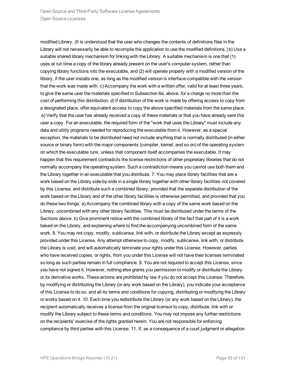modified Library. (It is understood that the user who changes the contents of definitions files in the Library will not necessarily be able to recompile the application to use the modified definitions.) b) Use a suitable shared library mechanism for linking with the Library. A suitable mechanism is one that (1) uses at run time a copy of the library already present on the user's computer system, rather than copying library functions into the executable, and (2) will operate properly with a modified version of the library, if the user installs one, as long as the modified version is interface-compatible with the version that the work was made with. c) Accompany the work with a written offer, valid for at least three years, to give the same user the materials specified in Subsection 6a, above, for a charge no more than the cost of performing this distribution. d) If distribution of the work is made by offering access to copy from a designated place, offer equivalent access to copy the above specified materials from the same place. e) Verify that the user has already received a copy of these materials or that you have already sent this user a copy. For an executable, the required form of the "work that uses the Library" must include any data and utility programs needed for reproducing the executable from it. However, as a special exception, the materials to be distributed need not include anything that is normally distributed (in either source or binary form) with the major components (compiler, kernel, and so on) of the operating system on which the executable runs, unless that component itself accompanies the executable. It may happen that this requirement contradicts the license restrictions of other proprietary libraries that do not normally accompany the operating system. Such a contradiction means you cannot use both them and the Library together in an executable that you distribute. 7. You may place library facilities that are a work based on the Library side-by-side in a single library together with other library facilities not covered by this License, and distribute such a combined library, provided that the separate distribution of the work based on the Library and of the other library facilities is otherwise permitted, and provided that you do these two things: a) Accompany the combined library with a copy of the same work based on the Library, uncombined with any other library facilities. This must be distributed under the terms of the Sections above. b) Give prominent notice with the combined library of the fact that part of it is a work based on the Library, and explaining where to find the accompanying uncombined form of the same work. 8. You may not copy, modify, sublicense, link with, or distribute the Library except as expressly provided under this License. Any attempt otherwise to copy, modify, sublicense, link with, or distribute the Library is void, and will automatically terminate your rights under this License. However, parties who have received copies, or rights, from you under this License will not have their licenses terminated so long as such parties remain in full compliance. 9. You are not required to accept this License, since you have not signed it. However, nothing else grants you permission to modify or distribute the Library or its derivative works. These actions are prohibited by law if you do not accept this License. Therefore, by modifying or distributing the Library (or any work based on the Library), you indicate your acceptance of this License to do so, and all its terms and conditions for copying, distributing or modifying the Library or works based on it. 10. Each time you redistribute the Library (or any work based on the Library), the recipient automatically receives a license from the original licensor to copy, distribute, link with or modify the Library subject to these terms and conditions. You may not impose any further restrictions on the recipients' exercise of the rights granted herein. You are not responsible for enforcing compliance by third parties with this License. 11. If, as a consequence of a court judgment or allegation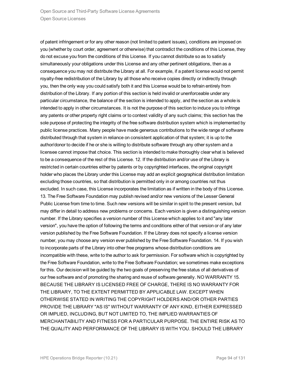of patent infringement or for any other reason (not limited to patent issues), conditions are imposed on you (whether by court order, agreement or otherwise) that contradict the conditions of this License, they do not excuse you from the conditions of this License. If you cannot distribute so as to satisfy simultaneously your obligations under this License and any other pertinent obligations, then as a consequence you may not distribute the Library at all. For example, if a patent license would not permit royalty-free redistribution of the Library by all those who receive copies directly or indirectly through you, then the only way you could satisfy both it and this License would be to refrain entirely from distribution of the Library. If any portion of this section is held invalid or unenforceable under any particular circumstance, the balance of the section is intended to apply, and the section as a whole is intended to apply in other circumstances. It is not the purpose of this section to induce you to infringe any patents or other property right claims or to contest validity of any such claims; this section has the sole purpose of protecting the integrity of the free software distribution system which is implemented by public license practices. Many people have made generous contributions to the wide range of software distributed through that system in reliance on consistent application of that system; it is up to the author/donor to decide if he or she is willing to distribute software through any other system and a licensee cannot impose that choice. This section is intended to make thoroughly clear what is believed to be a consequence of the rest of this License. 12. If the distribution and/or use of the Library is restricted in certain countries either by patents or by copyrighted interfaces, the original copyright holder who places the Library under this License may add an explicit geographical distribution limitation excluding those countries, so that distribution is permitted only in or among countries not thus excluded. In such case, this License incorporates the limitation as if written in the body of this License. 13. The Free Software Foundation may publish revised and/or new versions of the Lesser General Public License from time to time. Such new versions will be similar in spirit to the present version, but may differ in detail to address new problems or concerns. Each version is given a distinguishing version number. If the Library specifies a version number of this License which applies to it and "any later version", you have the option of following the terms and conditions either of that version or of any later version published by the Free Software Foundation. If the Library does not specify a license version number, you may choose any version ever published by the Free Software Foundation. 14. If you wish to incorporate parts of the Library into other free programs whose distribution conditions are incompatible with these, write to the author to ask for permission. For software which is copyrighted by the Free Software Foundation, write to the Free Software Foundation; we sometimes make exceptions for this. Our decision will be guided by the two goals of preserving the free status of all derivatives of our free software and of promoting the sharing and reuse of software generally. NO WARRANTY 15. BECAUSE THE LIBRARY IS LICENSED FREE OF CHARGE, THERE IS NO WARRANTY FOR THE LIBRARY, TO THE EXTENT PERMITTED BY APPLICABLE LAW. EXCEPT WHEN OTHERWISE STATED IN WRITING THE COPYRIGHT HOLDERS AND/OR OTHER PARTIES PROVIDE THE LIBRARY "AS IS" WITHOUT WARRANTY OF ANY KIND, EITHER EXPRESSED OR IMPLIED, INCLUDING, BUT NOT LIMITED TO, THE IMPLIED WARRANTIES OF MERCHANTABILITY AND FITNESS FOR A PARTICULAR PURPOSE. THE ENTIRE RISK AS TO THE QUALITY AND PERFORMANCE OF THE LIBRARY IS WITH YOU. SHOULD THE LIBRARY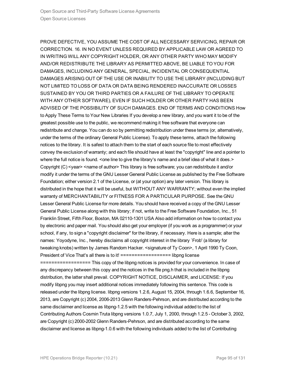PROVE DEFECTIVE, YOU ASSUME THE COST OF ALL NECESSARY SERVICING, REPAIR OR CORRECTION. 16. IN NO EVENT UNLESS REQUIRED BY APPLICABLE LAW OR AGREED TO IN WRITING WILL ANY COPYRIGHT HOLDER, OR ANY OTHER PARTY WHO MAY MODIFY AND/OR REDISTRIBUTE THE LIBRARY AS PERMITTED ABOVE, BE LIABLE TO YOU FOR DAMAGES, INCLUDING ANY GENERAL, SPECIAL, INCIDENTAL OR CONSEQUENTIAL DAMAGES ARISING OUT OF THE USE OR INABILITY TO USE THE LIBRARY (INCLUDING BUT NOT LIMITED TO LOSS OF DATA OR DATA BEING RENDERED INACCURATE OR LOSSES SUSTAINED BY YOU OR THIRD PARTIES OR A FAILURE OF THE LIBRARY TO OPERATE WITH ANY OTHER SOFTWARE), EVEN IF SUCH HOLDER OR OTHER PARTY HAS BEEN ADVISED OF THE POSSIBILITY OF SUCH DAMAGES. END OF TERMS AND CONDITIONS How to Apply These Terms to Your New Libraries If you develop a new library, and you want it to be of the greatest possible use to the public, we recommend making it free software that everyone can redistribute and change. You can do so by permitting redistribution under these terms (or, alternatively, under the terms of the ordinary General Public License). To apply these terms, attach the following notices to the library. It is safest to attach them to the start of each source file to most effectively convey the exclusion of warranty; and each file should have at least the "copyright" line and a pointer to where the full notice is found. < one line to give the library's name and a brief idea of what it does. > Copyright (C) <year> <name of author> This library is free software; you can redistribute it and/or modify it under the terms of the GNU Lesser General Public License as published by the Free Software Foundation; either version 2.1 of the License, or (at your option) any later version. This library is distributed in the hope that it will be useful, but WITHOUT ANY WARRANTY; without even the implied warranty of MERCHANTABILITY or FITNESS FOR A PARTICULAR PURPOSE. See the GNU Lesser General Public License for more details. You should have received a copy of the GNU Lesser General Public License along with this library; if not, write to the Free Software Foundation, Inc., 51 Franklin Street, Fifth Floor, Boston, MA 02110-1301 USA Also add information on how to contact you by electronic and paper mail. You should also get your employer (if you work as a programmer) or your school, if any, to sign a "copyright disclaimer" for the library, if necessary. Here is a sample; alter the names: Yoyodyne, Inc., hereby disclaims all copyright interest in the library `Frob' (a library for tweaking knobs) written by James Random Hacker. <signature of Ty Coon>, 1 April 1990 Ty Coon, President of Vice That's all there is to it! ================== libpng license ================== This copy of the libpng notices is provided for your convenience. In case of any discrepancy between this copy and the notices in the file png.h that is included in the libpng distribution, the latter shall prevail. COPYRIGHT NOTICE, DISCLAIMER, and LICENSE: If you modify libpng you may insert additional notices immediately following this sentence. This code is released under the libpng license. libpng versions 1.2.6, August 15, 2004, through 1.6.6, September 16, 2013, are Copyright (c) 2004, 2006-2013 Glenn Randers-Pehrson, and are distributed according to the same disclaimer and license as libpng-1.2.5 with the following individual added to the list of Contributing Authors Cosmin Truta libpng versions 1.0.7, July 1, 2000, through 1.2.5 - October 3, 2002, are Copyright (c) 2000-2002 Glenn Randers-Pehrson, and are distributed according to the same disclaimer and license as libpng-1.0.6 with the following individuals added to the list of Contributing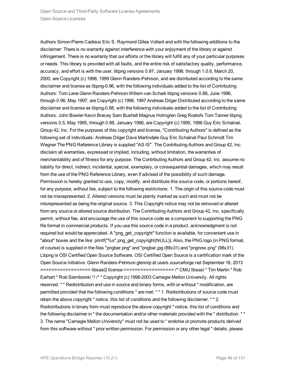Authors Simon-Pierre Cadieux Eric S. Raymond Gilles Vollant and with the following additions to the disclaimer: There is no warranty against interference with your enjoyment of the library or against infringement. There is no warranty that our efforts or the library will fulfill any of your particular purposes or needs. This library is provided with all faults, and the entire risk of satisfactory quality, performance, accuracy, and effort is with the user. libpng versions 0.97, January 1998, through 1.0.6, March 20, 2000, are Copyright (c) 1998, 1999 Glenn Randers-Pehrson, and are distributed according to the same disclaimer and license as libpng-0.96, with the following individuals added to the list of Contributing Authors: Tom Lane Glenn Randers-Pehrson Willem van Schaik libpng versions 0.89, June 1996, through 0.96, May 1997, are Copyright (c) 1996, 1997 Andreas Dilger Distributed according to the same disclaimer and license as libpng-0.88, with the following individuals added to the list of Contributing Authors: John Bowler Kevin Bracey Sam Bushell Magnus Holmgren Greg Roelofs Tom Tanner libpng versions 0.5, May 1995, through 0.88, January 1996, are Copyright (c) 1995, 1996 Guy Eric Schalnat, Group 42, Inc. For the purposes of this copyright and license, "Contributing Authors" is defined as the following set of individuals: Andreas Dilger Dave Martindale Guy Eric Schalnat Paul Schmidt Tim Wegner The PNG Reference Library is supplied "AS IS". The Contributing Authors and Group 42, Inc. disclaim all warranties, expressed or implied, including, without limitation, the warranties of merchantability and of fitness for any purpose. The Contributing Authors and Group 42, Inc. assume no liability for direct, indirect, incidental, special, exemplary, or consequential damages, which may result from the use of the PNG Reference Library, even if advised of the possibility of such damage. Permission is hereby granted to use, copy, modify, and distribute this source code, or portions hereof, for any purpose, without fee, subject to the following restrictions: 1. The origin of this source code must not be misrepresented. 2. Altered versions must be plainly marked as such and must not be misrepresented as being the original source. 3. This Copyright notice may not be removed or altered from any source or altered source distribution. The Contributing Authors and Group 42, Inc. specifically permit, without fee, and encourage the use of this source code as a component to supporting the PNG file format in commercial products. If you use this source code in a product, acknowledgment is not required but would be appreciated. A "png\_get\_copyright" function is available, for convenient use in "about" boxes and the like: printf("%s", png\_get\_copyright(NULL)); Also, the PNG logo (in PNG format, of course) is supplied in the files "pngbar.png" and "pngbar.jpg (88x31) and "pngnow.png" (98x31). Libpng is OSI Certified Open Source Software. OSI Certified Open Source is a certification mark of the Open Source Initiative. Glenn Randers-Pehrson glennrp at users.sourceforge.net September 16, 2013 ================== libsasl2 license ================== /\* CMU libsasl \* Tim Martin \* Rob Earhart \* Rob Siemborski \*/ /\* \* Copyright (c) 1998-2003 Carnegie Mellon University. All rights reserved. \* \* Redistribution and use in source and binary forms, with or without \* modification, are permitted provided that the following conditions \* are met: \* \* 1. Redistributions of source code must retain the above copyright \* notice, this list of conditions and the following disclaimer. \* \* 2. Redistributions in binary form must reproduce the above copyright \* notice, this list of conditions and the following disclaimer in \* the documentation and/or other materials provided with the \* distribution. \* \* 3. The name "Carnegie Mellon University" must not be used to \* endorse or promote products derived from this software without \* prior written permission. For permission or any other legal \* details, please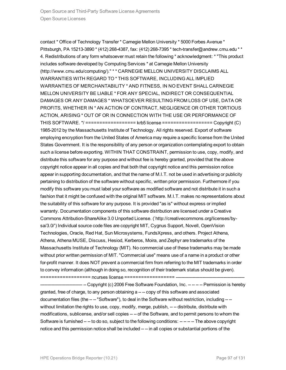contact \* Office of Technology Transfer\* Carnegie Mellon University \* 5000 Forbes Avenue \* Pittsburgh, PA 15213-3890 \* (412) 268-4387, fax: (412) 268-7395 \* tech-transfer@andrew.cmu.edu \* \* 4. Redistributions of any form whatsoever must retain the following \* acknowledgment: \* "This product includes software developed by Computing Services \* at Carnegie Mellon University (http://www.cmu.edu/computing/)." \* \* CARNEGIE MELLON UNIVERSITY DISCLAIMS ALL WARRANTIES WITH REGARD TO \* THIS SOFTWARE, INCLUDING ALL IMPLIED WARRANTIES OF MERCHANTABILITY \* AND FITNESS, IN NO EVENT SHALL CARNEGIE MELLON UNIVERSITY BE LIABLE \* FOR ANY SPECIAL, INDIRECT OR CONSEQUENTIAL DAMAGES OR ANY DAMAGES \* WHATSOEVER RESULTING FROM LOSS OF USE, DATA OR PROFITS, WHETHER IN \* AN ACTION OF CONTRACT, NEGLIGENCE OR OTHER TORTIOUS ACTION, ARISING \* OUT OF OR IN CONNECTION WITH THE USE OR PERFORMANCE OF THIS SOFTWARE. \*/ ================== krb5 license ================== Copyright (C) 1985-2012 by the Massachusetts Institute of Technology. All rights reserved. Export of software employing encryption from the United States of America may require a specific license from the United States Government. It is the responsibility of any person or organization contemplating export to obtain such a license before exporting. WITHIN THAT CONSTRAINT, permission to use, copy, modify, and distribute this software for any purpose and without fee is hereby granted, provided that the above copyright notice appear in all copies and that both that copyright notice and this permission notice appear in supporting documentation, and that the name of M.I.T. not be used in advertising or publicity pertaining to distribution of the software without specific, written prior permission. Furthermore if you modify this software you must label your software as modified software and not distribute it in such a fashion that it might be confused with the original MIT software. M.I.T. makes no representations about the suitability of this software for any purpose. It is provided "as is" without express or implied warranty. Documentation components of this software distribution are licensed under a Creative Commons Attribution-ShareAlike 3.0 Unported License. (`http://creativecommons.org/licenses/bysa/3.0/') Individual source code files are copyright MIT, Cygnus Support, Novell, OpenVision Technologies, Oracle, Red Hat, Sun Microsystems, FundsXpress, and others. Project Athena, Athena, Athena MUSE, Discuss, Hesiod, Kerberos, Moira, and Zephyr are trademarks of the Massachusetts Institute of Technology (MIT). No commercial use of these trademarks may be made without prior written permission of MIT. "Commercial use" means use of a name in a product or other for-profit manner. It does NOT prevent a commercial firm from referring to the MIT trademarks in order to convey information (although in doing so, recognition of their trademark status should be given). =================== ncurses license ================== --

---Copyright (c) 2006 Free Software Foundation, Inc. ------- Permission is hereby granted, free of charge, to any person obtaining a -- - copy of this software and associated documentation files (the  $--$  "Software"), to deal in the Software without restriction, including  $-$ without limitation the rights to use, copy, modify, merge, publish, --- distribute, distribute with modifications, sublicense, and/or sell copies -- -- of the Software, and to permit persons to whom the Software is furnished -- to do so, subject to the following conditions: -- -- -- The above copyright notice and this permission notice shall be included -- -- in all copies or substantial portions of the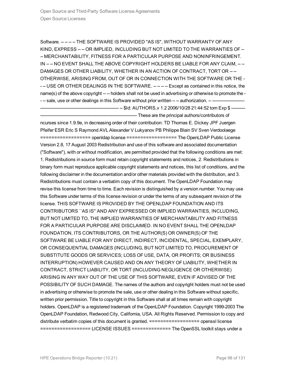Software. -- -- -- -- THE SOFTWARE IS PROVIDED "AS IS", WITHOUT WARRANTY OF ANY KIND, EXPRESS -- OR IMPLIED, INCLUDING BUT NOT LIMITED TO THE WARRANTIES OF ---- MERCHANTABILITY, FITNESS FOR A PARTICULAR PURPOSE AND NONINFRINGEMENT. IN -- -- NO EVENT SHALL THE ABOVE COPYRIGHT HOLDERS BE LIABLE FOR ANY CLAIM, -- -- DAMAGES OR OTHER LIABILITY, WHETHER IN AN ACTION OF CONTRACT, TORT OR -- -- OTHERWISE, ARISING FROM, OUT OF OR IN CONNECTION WITH THE SOFTWARE OR THE - -- USE OR OTHER DEALINGS IN THE SOFTWARE. ---- - Except as contained in this notice, the name(s) of the above copyright --- holders shall not be used in advertising or otherwise to promote the ---- sale, use or other dealings in this Software without prior written -- - authorization. -- --------------------------------------------------------------------- -- \$Id: AUTHORS,v 1.2 2006/10/28 21:44:52 tom Exp \$ ----------

--------------------------------------------------------------------- These are the principal authors/contributors of

ncurses since 1.9.9e, in decreasing order of their contribution: TD Thomas E. Dickey JPF Juergen Pfeifer ESR Eric S Raymond AVL Alexander V Lukyanov PB Philippe Blain SV Sven Verdoolaege ================== openldap license ================== The OpenLDAP Public License Version 2.8, 17 August 2003 Redistribution and use of this software and associated documentation ("Software"), with or without modification, are permitted provided that the following conditions are met: 1. Redistributions in source form must retain copyright statements and notices, 2. Redistributions in binary form must reproduce applicable copyright statements and notices, this list of conditions, and the following disclaimer in the documentation and/or other materials provided with the distribution, and 3. Redistributions must contain a verbatim copy of this document. The OpenLDAP Foundation may revise this license from time to time. Each revision is distinguished by a version number. You may use this Software under terms of this license revision or under the terms of any subsequent revision of the license. THIS SOFTWARE IS PROVIDED BY THE OPENLDAP FOUNDATION AND ITS CONTRIBUTORS ``AS IS'' AND ANY EXPRESSED OR IMPLIED WARRANTIES, INCLUDING, BUT NOT LIMITED TO, THE IMPLIED WARRANTIES OF MERCHANTABILITY AND FITNESS FOR A PARTICULAR PURPOSE ARE DISCLAIMED. IN NO EVENT SHALL THE OPENLDAP FOUNDATION, ITS CONTRIBUTORS, OR THE AUTHOR(S) OR OWNER(S) OF THE SOFTWARE BE LIABLE FOR ANY DIRECT, INDIRECT, INCIDENTAL, SPECIAL, EXEMPLARY, OR CONSEQUENTIAL DAMAGES (INCLUDING, BUT NOT LIMITED TO, PROCUREMENT OF SUBSTITUTE GOODS OR SERVICES; LOSS OF USE, DATA, OR PROFITS; OR BUSINESS INTERRUPTION) HOWEVER CAUSED AND ON ANY THEORY OF LIABILITY, WHETHER IN CONTRACT, STRICT LIABILITY, OR TORT (INCLUDING NEGLIGENCE OR OTHERWISE) ARISING IN ANY WAY OUT OF THE USE OF THIS SOFTWARE, EVEN IF ADVISED OF THE POSSIBILITY OF SUCH DAMAGE. The names of the authors and copyright holders must not be used in advertising or otherwise to promote the sale, use or other dealing in this Software without specific, written prior permission. Title to copyright in this Software shall at all times remain with copyright holders. OpenLDAP is a registered trademark of the OpenLDAP Foundation. Copyright 1999-2003 The OpenLDAP Foundation, Redwood City, California, USA. All Rights Reserved. Permission to copy and distribute verbatim copies of this document is granted. ================== openssl license ================== LICENSE ISSUES ============== The OpenSSL toolkit stays under a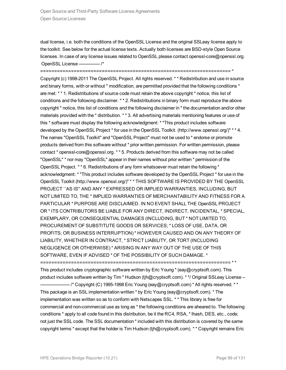Open Source and Third-Party Software License Agreements Open Source Licenses

dual license, i.e. both the conditions of the OpenSSL License and the original SSLeay license apply to the toolkit. See below for the actual license texts. Actually both licenses are BSD-style Open Source licenses. In case of any license issues related to OpenSSL please contact openssl-core@openssl.org. OpenSSL License --------------- /\*

==================================================================== \*

Copyright (c) 1998-2011 The OpenSSL Project. All rights reserved. \* \* Redistribution and use in source and binary forms, with or without \* modification, are permitted provided that the following conditions \* are met: \* \* 1. Redistributions of source code must retain the above copyright \* notice, this list of conditions and the following disclaimer. \* \* 2. Redistributions in binary form must reproduce the above copyright \* notice, this list of conditions and the following disclaimer in \* the documentation and/or other materials provided with the \* distribution. \* \* 3. All advertising materials mentioning features or use of this \* software must display the following acknowledgment: \* "This product includes software developed by the OpenSSL Project \* for use in the OpenSSL Toolkit. (http://www.openssl.org/)" \* \* 4. The names "OpenSSL Toolkit" and "OpenSSL Project" must not be used to \* endorse or promote products derived from this software without \* prior written permission. For written permission, please contact \* openssl-core@openssl.org. \* \* 5. Products derived from this software may not be called "OpenSSL" \* nor may "OpenSSL" appear in their names without prior written \* permission of the OpenSSL Project. \* \* 6. Redistributions of any form whatsoever must retain the following \* acknowledgment: \* "This product includes software developed by the OpenSSL Project \* for use in the OpenSSL Toolkit (http://www.openssl.org/)" \* \* THIS SOFTWARE IS PROVIDED BY THE OpenSSL PROJECT ``AS IS'' AND ANY \* EXPRESSED OR IMPLIED WARRANTIES, INCLUDING, BUT NOT LIMITED TO, THE \* IMPLIED WARRANTIES OF MERCHANTABILITY AND FITNESS FOR A PARTICULAR \* PURPOSE ARE DISCLAIMED. IN NO EVENT SHALL THE OpenSSL PROJECT OR \* ITS CONTRIBUTORS BE LIABLE FOR ANY DIRECT, INDIRECT, INCIDENTAL, \* SPECIAL, EXEMPLARY, OR CONSEQUENTIAL DAMAGES (INCLUDING, BUT \* NOT LIMITED TO, PROCUREMENT OF SUBSTITUTE GOODS OR SERVICES; \* LOSS OF USE, DATA, OR PROFITS; OR BUSINESS INTERRUPTION)\* HOWEVER CAUSED AND ON ANY THEORY OF LIABILITY, WHETHER IN CONTRACT, \* STRICT LIABILITY, OR TORT (INCLUDING NEGLIGENCE OR OTHERWISE)\* ARISING IN ANY WAY OUT OF THE USE OF THIS SOFTWARE, EVEN IF ADVISED \* OF THE POSSIBILITY OF SUCH DAMAGE. \*

==================================================================== \* \* This product includes cryptographic software written by Eric Young \* (eay@cryptsoft.com). This product includes software written by Tim \* Hudson (tjh@cryptsoft.com). \* \*/ Original SSLeay License --

 $-$  /\* Copyright (C) 1995-1998 Eric Young (eay@cryptsoft.com) \* All rights reserved. \* \* This package is an SSL implementation written \* by Eric Young (eay@cryptsoft.com). \* The implementation was written so as to conform with Netscapes SSL. \* \* This library is free for commercial and non-commercial use as long as \* the following conditions are aheared to. The following conditions \* apply to all code found in this distribution, be it the RC4, RSA, \* lhash, DES, etc., code; not just the SSL code. The SSL documentation \* included with this distribution is covered by the same copyright terms \* except that the holder is Tim Hudson (tjh@cryptsoft.com). \* \* Copyright remains Eric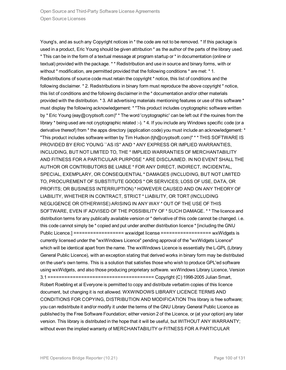Young's, and as such any Copyright notices in \* the code are not to be removed. \* If this package is used in a product, Eric Young should be given attribution \* as the author of the parts of the library used. \* This can be in the form of a textual message at program startup or\* in documentation (online or textual) provided with the package. \* \* Redistribution and use in source and binary forms, with or without \* modification, are permitted provided that the following conditions \* are met: \* 1. Redistributions of source code must retain the copyright \* notice, this list of conditions and the following disclaimer. \* 2. Redistributions in binary form must reproduce the above copyright \* notice, this list of conditions and the following disclaimer in the \* documentation and/or other materials provided with the distribution. \* 3. All advertising materials mentioning features or use of this software \* must display the following acknowledgement: \* "This product includes cryptographic software written by \* Eric Young (eay@cryptsoft.com)" \* The word 'cryptographic' can be left out if the rouines from the library \* being used are not cryptographic related :-). \* 4. If you include any Windows specific code (or a derivative thereof) from \* the apps directory (application code) you must include an acknowledgement: \* "This product includes software written by Tim Hudson (tjh@cryptsoft.com)" \* \* THIS SOFTWARE IS PROVIDED BY ERIC YOUNG ``AS IS'' AND \* ANY EXPRESS OR IMPLIED WARRANTIES, INCLUDING, BUT NOT LIMITED TO, THE \* IMPLIED WARRANTIES OF MERCHANTABILITY AND FITNESS FOR A PARTICULAR PURPOSE \* ARE DISCLAIMED. IN NO EVENT SHALL THE AUTHOR OR CONTRIBUTORS BE LIABLE \* FOR ANY DIRECT, INDIRECT, INCIDENTAL, SPECIAL, EXEMPLARY, OR CONSEQUENTIAL \* DAMAGES (INCLUDING, BUT NOT LIMITED TO, PROCUREMENT OF SUBSTITUTE GOODS \* OR SERVICES; LOSS OF USE, DATA, OR PROFITS; OR BUSINESS INTERRUPTION)\* HOWEVER CAUSED AND ON ANY THEORY OF LIABILITY, WHETHER IN CONTRACT, STRICT \* LIABILITY, OR TORT (INCLUDING NEGLIGENCE OR OTHERWISE) ARISING IN ANY WAY \* OUT OF THE USE OF THIS SOFTWARE, EVEN IF ADVISED OF THE POSSIBILITY OF \* SUCH DAMAGE. \* \* The licence and distribution terms for any publically available version or \* derivative of this code cannot be changed. i.e. this code cannot simply be \* copied and put under another distribution licence \* [including the GNU Public Licence.] ================== wxwidget license ================== wxWidgets is currently licensed under the "wxWindows Licence" pending approval of the "wxWidgets Licence" which will be identical apart from the name. The wxWindows Licence is essentially the L-GPL (Library General Public Licence), with an exception stating that derived works in binary form may be distributed on the user's own terms. This is a solution that satisfies those who wish to produce GPL'ed software using wxWidgets, and also those producing proprietary software. wxWindows Library Licence, Version 3.1 ====================================== Copyright (C) 1998-2005 Julian Smart, Robert Roebling et al Everyone is permitted to copy and distribute verbatim copies of this licence document, but changing it is not allowed. WXWINDOWS LIBRARY LICENCE TERMS AND CONDITIONS FOR COPYING, DISTRIBUTION AND MODIFICATION This library is free software; you can redistribute it and/or modify it under the terms of the GNU Library General Public Licence as published by the Free Software Foundation; either version 2 of the Licence, or (at your option) any later version. This library is distributed in the hope that it will be useful, but WITHOUT ANY WARRANTY; without even the implied warranty of MERCHANTABILITY or FITNESS FOR A PARTICULAR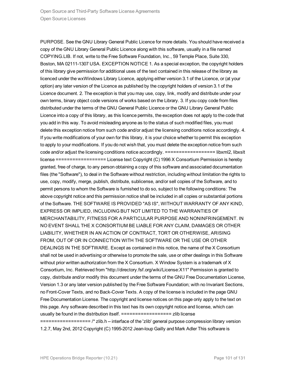PURPOSE. See the GNU Library General Public Licence for more details. You should have received a copy of the GNU Library General Public Licence along with this software, usually in a file named COPYING.LIB. If not, write to the Free Software Foundation, Inc., 59 Temple Place, Suite 330, Boston, MA 02111-1307 USA. EXCEPTION NOTICE 1. As a special exception, the copyright holders of this library give permission for additional uses of the text contained in this release of the library as licenced under the wxWindows Library Licence, applying either version 3.1 of the Licence, or (at your option) any later version of the Licence as published by the copyright holders of version 3.1 of the Licence document. 2. The exception is that you may use, copy, link, modify and distribute under your own terms, binary object code versions of works based on the Library. 3. If you copy code from files distributed under the terms of the GNU General Public Licence or the GNU Library General Public Licence into a copy of this library, as this licence permits, the exception does not apply to the code that you add in this way. To avoid misleading anyone as to the status of such modified files, you must delete this exception notice from such code and/or adjust the licensing conditions notice accordingly. 4. If you write modifications of your own for this library, it is your choice whether to permit this exception to apply to your modifications. If you do not wish that, you must delete the exception notice from such code and/or adjust the licensing conditions notice accordingly. ================== libxml2, libxslt license ================== License text Copyright (C) 1996 X Consortium Permission is hereby granted, free of charge, to any person obtaining a copy of this software and associated documentation files (the "Software"), to deal in the Software without restriction, including without limitation the rights to use, copy, modify, merge, publish, distribute, sublicense, and/or sell copies of the Software, and to permit persons to whom the Software is furnished to do so, subject to the following conditions: The above copyright notice and this permission notice shall be included in all copies or substantial portions of the Software. THE SOFTWARE IS PROVIDED "AS IS", WITHOUT WARRANTY OF ANY KIND, EXPRESS OR IMPLIED, INCLUDING BUT NOT LIMITED TO THE WARRANTIES OF MERCHANTABILITY, FITNESS FOR A PARTICULAR PURPOSE AND NONINFRINGEMENT. IN NO EVENT SHALL THE X CONSORTIUM BE LIABLE FOR ANY CLAIM, DAMAGES OR OTHER LIABILITY, WHETHER IN AN ACTION OF CONTRACT, TORT OR OTHERWISE, ARISING FROM, OUT OF OR IN CONNECTION WITH THE SOFTWARE OR THE USE OR OTHER DEALINGS IN THE SOFTWARE. Except as contained in this notice, the name of the X Consortium shall not be used in advertising or otherwise to promote the sale, use or other dealings in this Software without prior written authorization from the X Consortium. X Window System is a trademark of X Consortium, Inc. Retrieved from "http://directory.fsf.org/wiki/License:X11" Permission is granted to copy, distribute and/or modify this document under the terms of the GNU Free Documentation License, Version 1.3 or any later version published by the Free Software Foundation; with no Invariant Sections, no Front-Cover Texts, and no Back-Cover Texts. A copy of the license is included in the page GNU Free Documentation License. The copyright and license notices on this page only apply to the text on this page. Any software described in this text has its own copyright notice and license, which can usually be found in the distribution itself. ================== zlib license ================== /\* zlib.h -- interface of the 'zlib' general purpose compression library version 1.2.7, May 2nd, 2012 Copyright (C) 1995-2012 Jean-loup Gailly and Mark Adler This software is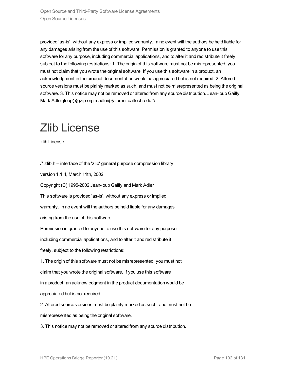provided 'as-is', without any express or implied warranty. In no event will the authors be held liable for any damages arising from the use of this software. Permission is granted to anyone to use this software for any purpose, including commercial applications, and to alter it and redistribute it freely, subject to the following restrictions: 1. The origin of this software must not be misrepresented; you must not claim that you wrote the original software. If you use this software in a product, an acknowledgment in the product documentation would be appreciated but is not required. 2. Altered source versions must be plainly marked as such, and must not be misrepresented as being the original software. 3. This notice may not be removed or altered from any source distribution. Jean-loup Gailly Mark Adler jloup@gzip.org madler@alumni.caltech.edu \*/

## Zlib License

zlib License

------------ /\* zlib.h -- interface of the 'zlib' general purpose compression library version 1.1.4, March 11th, 2002 Copyright (C) 1995-2002 Jean-loup Gailly and Mark Adler This software is provided 'as-is', without any express or implied warranty. In no event will the authors be held liable for any damages arising from the use of this software. Permission is granted to anyone to use this software for any purpose, including commercial applications, and to alter it and redistribute it freely, subject to the following restrictions: 1. The origin of this software must not be misrepresented; you must not claim that you wrote the original software. If you use this software in a product, an acknowledgment in the product documentation would be appreciated but is not required. 2. Altered source versions must be plainly marked as such, and must not be misrepresented as being the original software.

3. This notice may not be removed or altered from any source distribution.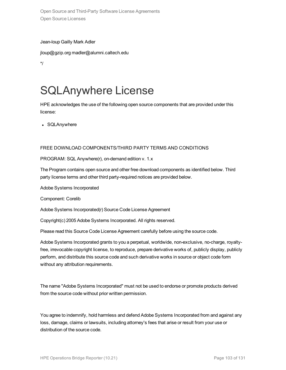Open Source and Third-Party Software License Agreements Open Source Licenses

#### Jean-loup Gailly Mark Adler

jloup@gzip.org madler@alumni.caltech.edu

\*/

## SQLAnywhere License

HPE acknowledges the use of the following open source components that are provided under this license:

• SQLAnywhere

## FREE DOWNLOAD COMPONENTS/THIRD PARTY TERMS AND CONDITIONS

PROGRAM: SQL Anywhere(r), on-demand edition v. 1.x

The Program contains open source and other free download components as identified below. Third party license terms and other third party-required notices are provided below.

Adobe Systems Incorporated

Component: Corelib

Adobe Systems Incorporated(r) Source Code License Agreement

Copyright(c) 2005 Adobe Systems Incorporated. All rights reserved.

Please read this Source Code License Agreement carefully before using the source code.

Adobe Systems Incorporated grants to you a perpetual, worldwide, non-exclusive, no-charge, royaltyfree, irrevocable copyright license, to reproduce, prepare derivative works of, publicly display, publicly perform, and distribute this source code and such derivative works in source or object code form without any attribution requirements.

The name "Adobe Systems Incorporated" must not be used to endorse or promote products derived from the source code without prior written permission.

You agree to indemnify, hold harmless and defend Adobe Systems Incorporated from and against any loss, damage, claims or lawsuits, including attorney's fees that arise or result from your use or distribution of the source code.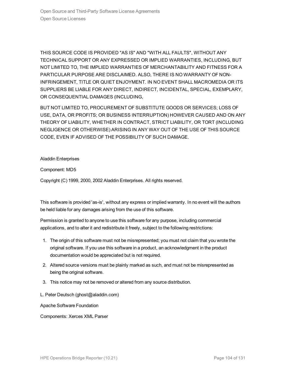THIS SOURCE CODE IS PROVIDED "AS IS" AND "WITH ALL FAULTS", WITHOUT ANY TECHNICAL SUPPORT OR ANY EXPRESSED OR IMPLIED WARRANTIES, INCLUDING, BUT NOT LIMITED TO, THE IMPLIED WARRANTIES OF MERCHANTABILITY AND FITNESS FOR A PARTICULAR PURPOSE ARE DISCLAIMED. ALSO, THERE IS NO WARRANTY OF NON-INFRINGEMENT, TITLE OR QUIET ENJOYMENT. IN NO EVENT SHALL MACROMEDIA OR ITS SUPPLIERS BE LIABLE FOR ANY DIRECT, INDIRECT, INCIDENTAL, SPECIAL, EXEMPLARY, OR CONSEQUENTIAL DAMAGES (INCLUDING,

BUT NOT LIMITED TO, PROCUREMENT OF SUBSTITUTE GOODS OR SERVICES; LOSS OF USE, DATA, OR PROFITS; OR BUSINESS INTERRUPTION) HOWEVER CAUSED AND ON ANY THEORY OF LIABILITY, WHETHER IN CONTRACT, STRICT LIABILITY, OR TORT (INCLUDING NEGLIGENCE OR OTHERWISE) ARISING IN ANY WAY OUT OF THE USE OF THIS SOURCE CODE, EVEN IF ADVISED OF THE POSSIBILITY OF SUCH DAMAGE.

### Aladdin Enterprises

Component: MD5

Copyright (C) 1999, 2000, 2002 Aladdin Enterprises. All rights reserved.

This software is provided 'as-is', without any express or implied warranty. In no event will the authors be held liable for any damages arising from the use of this software.

Permission is granted to anyone to use this software for any purpose, including commercial applications, and to alter it and redistribute it freely, subject to the following restrictions:

- 1. The origin of this software must not be misrepresented; you must not claim that you wrote the original software. If you use this software in a product, an acknowledgment in the product documentation would be appreciated but is not required.
- 2. Altered source versions must be plainly marked as such, and must not be misrepresented as being the original software.
- 3. This notice may not be removed or altered from any source distribution.
- L. Peter Deutsch (ghost@aladdin.com)

Apache Software Foundation

Components: Xerces XML Parser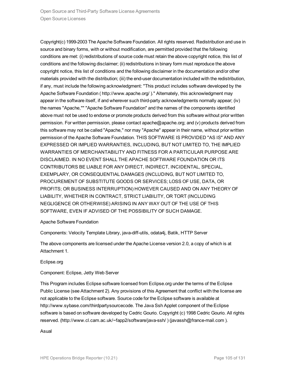Copyright(c) 1999-2003 The Apache Software Foundation. All rights reserved. Redistribution and use in source and binary forms, with or without modification, are permitted provided that the following conditions are met: (i) redistributions of source code must retain the above copyright notice, this list of conditions and the following disclaimer; (ii) redistributions in binary form must reproduce the above copyright notice, this list of conditions and the following disclaimer in the documentation and/or other materials provided with the distribution; (iii) the end-user documentation included with the redistribution, if any, must include the following acknowledgment: "This product includes software developed by the Apache Software Foundation ( http://www.apache.org/ )." Alternately, this acknowledgment may appear in the software itself, if and wherever such third-party acknowledgments normally appear; (iv) the names "Apache,"" "Apache Software Foundation" and the names of the components identified above must not be used to endorse or promote products derived from this software without prior written permission. For written permission, please contact apache@apache.org; and (v) products derived from this software may not be called "Apache," nor may "Apache" appear in their name, without prior written permission of the Apache Software Foundation. THIS SOFTWARE IS PROVIDED "AS IS" AND ANY EXPRESSED OR IMPLIED WARRANTIES, INCLUDING, BUT NOT LIMITED TO, THE IMPLIED WARRANTIES OF MERCHANTABILITY AND FITNESS FOR A PARTICULAR PURPOSE ARE DISCLAIMED. IN NO EVENT SHALL THE APACHE SOFTWARE FOUNDATION OR ITS CONTRIBUTORS BE LIABLE FOR ANY DIRECT, INDIRECT, INCIDENTAL, SPECIAL, EXEMPLARY, OR CONSEQUENTIAL DAMAGES (INCLUDING, BUT NOT LIMITED TO, PROCUREMENT OF SUBSTITUTE GOODS OR SERVICES; LOSS OF USE, DATA, OR PROFITS; OR BUSINESS INTERRUPTION) HOWEVER CAUSED AND ON ANY THEORY OF LIABILITY, WHETHER IN CONTRACT, STRICT LIABILITY, OR TORT (INCLUDING NEGLIGENCE OR OTHERWISE) ARISING IN ANY WAY OUT OF THE USE OF THIS SOFTWARE, EVEN IF ADVISED OF THE POSSIBILITY OF SUCH DAMAGE.

#### Apache Software Foundation

Components: Velocity Template Library, java-diff-utils, odata4j, Batik, HTTP Server

The above components are licensed under the Apache License version 2.0, a copy of which is at Attachment 1.

Eclipse.org

Component: Eclipse, Jetty Web Server

This Program includes Eclipse software licensed from Eclipse.org under the terms of the Eclipse Public License (see Attachment 2). Any provisions of this Agreement that conflict with the license are not applicable to the Eclipse software. Source code for the Eclipse software is available at http://www.sybase.com/thirdpartysourcecode. The Java Ssh Applet component of the Eclipse software is based on software developed by Cedric Gourio. Copyright (c) 1998 Cedric Gourio. All rights reserved. (http://www.cl.cam.ac.uk/~fapp2/software/java-ssh/ ) (javassh@france-mail.com ).

Asual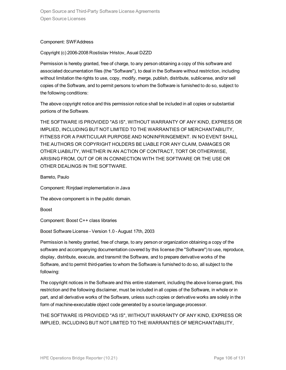Open Source and Third-Party Software License Agreements Open Source Licenses

#### Component: SWFAddress

### Copyright (c) 2006-2008 Rostislav Hristov, Asual DZZD

Permission is hereby granted, free of charge, to any person obtaining a copy of this software and associated documentation files (the "Software"), to deal in the Software without restriction, including without limitation the rights to use, copy, modify, merge, publish, distribute, sublicense, and/or sell copies of the Software, and to permit persons to whom the Software is furnished to do so, subject to the following conditions:

The above copyright notice and this permission notice shall be included in all copies or substantial portions of the Software.

THE SOFTWARE IS PROVIDED "AS IS", WITHOUT WARRANTY OF ANY KIND, EXPRESS OR IMPLIED, INCLUDING BUT NOT LIMITED TO THE WARRANTIES OF MERCHANTABILITY, FITNESS FOR A PARTICULAR PURPOSE AND NONINFRINGEMENT. IN NO EVENT SHALL THE AUTHORS OR COPYRIGHT HOLDERS BE LIABLE FOR ANY CLAIM, DAMAGES OR OTHER LIABILITY, WHETHER IN AN ACTION OF CONTRACT, TORT OR OTHERWISE, ARISING FROM, OUT OF OR IN CONNECTION WITH THE SOFTWARE OR THE USE OR OTHER DEALINGS IN THE SOFTWARE.

Barreto, Paulo

Component: Rinjdael implementation in Java

The above component is in the public domain.

Boost

Component: Boost C++ class libraries

Boost Software License - Version 1.0 - August 17th, 2003

Permission is hereby granted, free of charge, to any person or organization obtaining a copy of the software and accompanying documentation covered by this license (the "Software") to use, reproduce, display, distribute, execute, and transmit the Software, and to prepare derivative works of the Software, and to permit third-parties to whom the Software is furnished to do so, all subject to the following:

The copyright notices in the Software and this entire statement, including the above license grant, this restriction and the following disclaimer, must be included in all copies of the Software, in whole or in part, and all derivative works of the Software, unless such copies or derivative works are solely in the form of machine-executable object code generated by a source language processor.

THE SOFTWARE IS PROVIDED "AS IS", WITHOUT WARRANTY OF ANY KIND, EXPRESS OR IMPLIED, INCLUDING BUT NOT LIMITED TO THE WARRANTIES OF MERCHANTABILITY,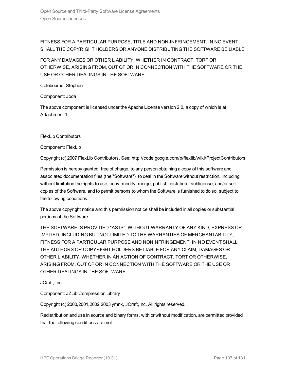## FITNESS FOR A PARTICULAR PURPOSE, TITLE AND NON-INFRINGEMENT. IN NO EVENT SHALL THE COPYRIGHT HOLDERS OR ANYONE DISTRIBUTING THE SOFTWARE BE LIABLE

FOR ANY DAMAGES OR OTHER LIABILITY, WHETHER IN CONTRACT, TORT OR OTHERWISE, ARISING FROM, OUT OF OR IN CONNECTION WITH THE SOFTWARE OR THE USE OR OTHER DEALINGS IN THE SOFTWARE.

Colebourne, Stephen

Component: Joda

The above component is licensed under the Apache License version 2.0, a copy of which is at Attachment 1.

### FlexLib Contributors

Component: FlexLib

Copyright (c) 2007 FlexLib Contributors. See: http://code.google.com/p/flexlib/wiki/ProjectContributors

Permission is hereby granted, free of charge, to any person obtaining a copy of this software and associated documentation files (the "Software"), to deal in the Software without restriction, including without limitation the rights to use, copy, modify, merge, publish, distribute, sublicense, and/or sell copies of the Software, and to permit persons to whom the Software is furnished to do so, subject to the following conditions:

The above copyright notice and this permission notice shall be included in all copies or substantial portions of the Software.

THE SOFTWARE IS PROVIDED "AS IS", WITHOUT WARRANTY OF ANY KIND, EXPRESS OR IMPLIED, INCLUDING BUT NOT LIMITED TO THE WARRANTIES OF MERCHANTABILITY, FITNESS FOR A PARTICULAR PURPOSE AND NONINFRINGEMENT. IN NO EVENT SHALL THE AUTHORS OR COPYRIGHT HOLDERS BE LIABLE FOR ANY CLAIM, DAMAGES OR OTHER LIABILITY, WHETHER IN AN ACTION OF CONTRACT, TORT OR OTHERWISE, ARISING FROM, OUT OF OR IN CONNECTION WITH THE SOFTWARE OR THE USE OR OTHER DEALINGS IN THE SOFTWARE.

JCraft, Inc.

Component: JZLib Compression Library

Copyright (c) 2000,2001,2002,2003 ymnk, JCraft,Inc. All rights reserved.

Redistribution and use in source and binary forms, with or without modification, are permitted provided that the following conditions are met: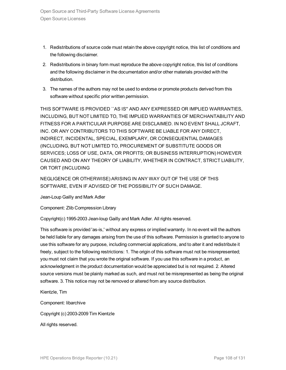- 1. Redistributions of source code must retain the above copyright notice, this list of conditions and the following disclaimer.
- 2. Redistributions in binary form must reproduce the above copyright notice, this list of conditions and the following disclaimer in the documentation and/or other materials provided with the distribution.
- 3. The names of the authors may not be used to endorse or promote products derived from this software without specific prior written permission.

THIS SOFTWARE IS PROVIDED ``AS IS'' AND ANY EXPRESSED OR IMPLIED WARRANTIES, INCLUDING, BUT NOT LIMITED TO, THE IMPLIED WARRANTIES OF MERCHANTABILITY AND FITNESS FOR A PARTICULAR PURPOSE ARE DISCLAIMED. IN NO EVENT SHALL JCRAFT, INC. OR ANY CONTRIBUTORS TO THIS SOFTWARE BE LIABLE FOR ANY DIRECT, INDIRECT, INCIDENTAL, SPECIAL, EXEMPLARY, OR CONSEQUENTIAL DAMAGES (INCLUDING, BUT NOT LIMITED TO, PROCUREMENT OF SUBSTITUTE GOODS OR SERVICES; LOSS OF USE, DATA, OR PROFITS; OR BUSINESS INTERRUPTION) HOWEVER CAUSED AND ON ANY THEORY OF LIABILITY, WHETHER IN CONTRACT, STRICT LIABILITY, OR TORT (INCLUDING

NEGLIGENCE OR OTHERWISE) ARISING IN ANY WAY OUT OF THE USE OF THIS SOFTWARE, EVEN IF ADVISED OF THE POSSIBILITY OF SUCH DAMAGE.

Jean-Loup Gailly and Mark Adler

Component: Zlib Compression Library

Copyright(c) 1995-2003 Jean-loup Gailly and Mark Adler. All rights reserved.

This software is provided 'as-is,' without any express or implied warranty. In no event will the authors be held liable for any damages arising from the use of this software. Permission is granted to anyone to use this software for any purpose, including commercial applications, and to alter it and redistribute it freely, subject to the following restrictions: 1. The origin of this software must not be misrepresented; you must not claim that you wrote the original software. If you use this software in a product, an acknowledgment in the product documentation would be appreciated but is not required. 2. Altered source versions must be plainly marked as such, and must not be misrepresented as being the original software. 3. This notice may not be removed or altered from any source distribution.

Kientzle, Tim

Component: libarchive

Copyright (c) 2003-2009 Tim Kientzle

All rights reserved.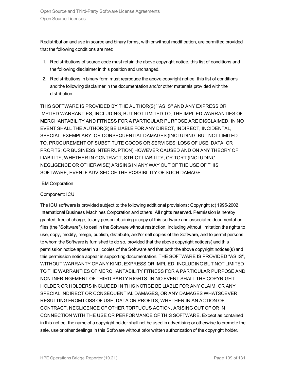Redistribution and use in source and binary forms, with or without modification, are permitted provided that the following conditions are met:

- 1. Redistributions of source code must retain the above copyright notice, this list of conditions and the following disclaimer in this position and unchanged.
- 2. Redistributions in binary form must reproduce the above copyright notice, this list of conditions and the following disclaimer in the documentation and/or other materials provided with the distribution.

THIS SOFTWARE IS PROVIDED BY THE AUTHOR(S) ``AS IS'' AND ANY EXPRESS OR IMPLIED WARRANTIES, INCLUDING, BUT NOT LIMITED TO, THE IMPLIED WARRANTIES OF MERCHANTABILITY AND FITNESS FOR A PARTICULAR PURPOSE ARE DISCLAIMED. IN NO EVENT SHALL THE AUTHOR(S) BE LIABLE FOR ANY DIRECT, INDIRECT, INCIDENTAL, SPECIAL, EXEMPLARY, OR CONSEQUENTIAL DAMAGES (INCLUDING, BUT NOT LIMITED TO, PROCUREMENT OF SUBSTITUTE GOODS OR SERVICES; LOSS OF USE, DATA, OR PROFITS; OR BUSINESS INTERRUPTION) HOWEVER CAUSED AND ON ANY THEORY OF LIABILITY, WHETHER IN CONTRACT, STRICT LIABILITY, OR TORT (INCLUDING NEGLIGENCE OR OTHERWISE) ARISING IN ANY WAY OUT OF THE USE OF THIS SOFTWARE, EVEN IF ADVISED OF THE POSSIBILITY OF SUCH DAMAGE.

## IBM Corporation

## Component: ICU

The ICU software is provided subject to the following additional provisions: Copyright (c) 1995-2002 International Business Machines Corporation and others. All rights reserved. Permission is hereby granted, free of charge, to any person obtaining a copy of this software and associated documentation files (the "Software"), to deal in the Software without restriction, including without limitation the rights to use, copy, modify, merge, publish, distribute, and/or sell copies of the Software, and to permit persons to whom the Software is furnished to do so, provided that the above copyright notice(s) and this permission notice appear in all copies of the Software and that both the above copyright notices(s) and this permission notice appear in supporting documentation. THE SOFTWARE IS PROVIDED "AS IS", WITHOUT WARRANTY OF ANY KIND, EXPRESS OR IMPLIED, INCLUDING BUT NOT LIMITED TO THE WARRANTIES OF MERCHANTABILITY FITNESS FOR A PARTICULAR PURPOSE AND NON-INFRINGEMENT OF THIRD PARTY RIGHTS. IN NO EVENT SHALL THE COPYRIGHT HOLDER OR HOLDERS INCLUDED IN THIS NOTICE BE LIABLE FOR ANY CLAIM, OR ANY SPECIAL INDIRECT OR CONSEQUENTIAL DAMAGES, OR ANY DAMAGES WHATSOEVER RESULTING FROM LOSS OF USE, DATA OR PROFITS, WHETHER IN AN ACTION OF CONTRACT, NEGLIGENCE OF OTHER TORTUOUS ACTION, ARISING OUT OF OR IN CONNECTION WITH THE USE OR PERFORMANCE OF THIS SOFTWARE. Except as contained in this notice, the name of a copyright holder shall not be used in advertising or otherwise to promote the sale, use or other dealings in this Software without prior written authorization of the copyright holder.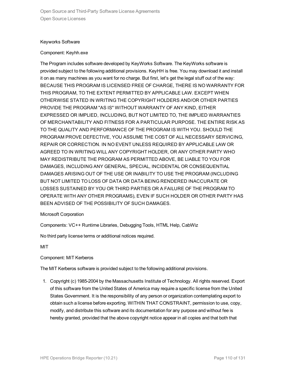### Keyworks Software

### Component: Keyhh.exe

The Program includes software developed by KeyWorks Software. The KeyWorks software is provided subject to the following additional provisions. KeyHH is free. You may download it and install it on as many machines as you want for no charge. But first, let's get the legal stuff out of the way: BECAUSE THIS PROGRAM IS LICENSED FREE OF CHARGE, THERE IS NO WARRANTY FOR THIS PROGRAM, TO THE EXTENT PERMITTED BY APPLICABLE LAW. EXCEPT WHEN OTHERWISE STATED IN WRITING THE COPYRIGHT HOLDERS AND/OR OTHER PARTIES PROVIDE THE PROGRAM "AS IS" WITHOUT WARRANTY OF ANY KIND, EITHER EXPRESSED OR IMPLIED, INCLUDING, BUT NOT LIMITED TO, THE IMPLIED WARRANTIES OF MERCHANTABILITY AND FITNESS FOR A PARTICULAR PURPOSE. THE ENTIRE RISK AS TO THE QUALITY AND PERFORMANCE OF THE PROGRAM IS WITH YOU. SHOULD THE PROGRAM PROVE DEFECTIVE, YOU ASSUME THE COST OF ALL NECESSARY SERVICING, REPAIR OR CORRECTION. IN NO EVENT UNLESS REQUIRED BY APPLICABLE LAW OR AGREED TO IN WRITING WILL ANY COPYRIGHT HOLDER, OR ANY OTHER PARTY WHO MAY REDISTRIBUTE THE PROGRAM AS PERMITTED ABOVE, BE LIABLE TO YOU FOR DAMAGES, INCLUDING ANY GENERAL, SPECIAL, INCIDENTAL OR CONSEQUENTIAL DAMAGES ARISING OUT OF THE USE OR INABILITY TO USE THE PROGRAM (INCLUDING BUT NOT LIMITED TO LOSS OF DATA OR DATA BEING RENDERED INACCURATE OR LOSSES SUSTAINED BY YOU OR THIRD PARTIES OR A FAILURE OF THE PROGRAM TO OPERATE WITH ANY OTHER PROGRAMS), EVEN IF SUCH HOLDER OR OTHER PARTY HAS BEEN ADVISED OF THE POSSIBILITY OF SUCH DAMAGES.

## Microsoft Corporation

Components: VC++ Runtime Libraries, Debugging Tools, HTML Help, CabWiz

No third party license terms or additional notices required.

MIT

## Component: MIT Kerberos

The MIT Kerberos software is provided subject to the following additional provisions.

1. Copyright (c) 1985-2004 by the Massachusetts Institute of Technology. All rights reserved. Export of this software from the United States of America may require a specific license from the United States Government. It is the responsibility of any person or organization contemplating export to obtain such a license before exporting. WITHIN THAT CONSTRAINT, permission to use, copy, modify, and distribute this software and its documentation for any purpose and without fee is hereby granted, provided that the above copyright notice appear in all copies and that both that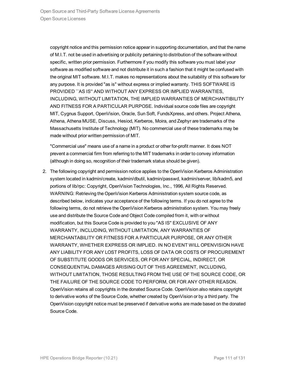copyright notice and this permission notice appear in supporting documentation, and that the name of M.I.T. not be used in advertising or publicity pertaining to distribution of the software without specific, written prior permission. Furthermore if you modify this software you must label your software as modified software and not distribute it in such a fashion that it might be confused with the original MIT software. M.I.T. makes no representations about the suitability of this software for any purpose. It is provided "as is" without express or implied warranty. THIS SOFTWARE IS PROVIDED ``AS IS'' AND WITHOUT ANY EXPRESS OR IMPLIED WARRANTIES, INCLUDING, WITHOUT LIMITATION, THE IMPLIED WARRANTIES OF MERCHANTIBILITY AND FITNESS FOR A PARTICULAR PURPOSE. Individual source code files are copyright MIT, Cygnus Support, OpenVision, Oracle, Sun Soft, FundsXpress, and others. Project Athena, Athena, Athena MUSE, Discuss, Hesiod, Kerberos, Moira, and Zephyr are trademarks of the Massachusetts Institute of Technology (MIT). No commercial use of these trademarks may be made without prior written permission of MIT.

"Commercial use" means use of a name in a product or other for-profit manner. It does NOT prevent a commercial firm from referring to the MIT trademarks in order to convey information (although in doing so, recognition of their trademark status should be given).

2. The following copyright and permission notice applies to the OpenVision Kerberos Administration system located in kadmin/create, kadmin/dbutil, kadmin/passwd, kadmin/server, lib/kadm5, and portions of lib/rpc: Copyright, OpenVision Technologies, Inc., 1996, All Rights Reserved. WARNING: Retrieving the OpenVision Kerberos Administration system source code, as described below, indicates your acceptance of the following terms. If you do not agree to the following terms, do not retrieve the OpenVision Kerberos administration system. You may freely use and distribute the Source Code and Object Code compiled from it, with or without modification, but this Source Code is provided to you "AS IS" EXCLUSIVE OF ANY WARRANTY, INCLUDING, WITHOUT LIMITATION, ANY WARRANTIES OF MERCHANTABILITY OR FITNESS FOR A PARTICULAR PURPOSE, OR ANY OTHER WARRANTY, WHETHER EXPRESS OR IMPLIED. IN NO EVENT WILL OPENVISION HAVE ANY LIABILITY FOR ANY LOST PROFITS, LOSS OF DATA OR COSTS OF PROCUREMENT OF SUBSTITUTE GOODS OR SERVICES, OR FOR ANY SPECIAL, INDIRECT, OR CONSEQUENTIAL DAMAGES ARISING OUT OF THIS AGREEMENT, INCLUDING, WITHOUT LIMITATION, THOSE RESULTING FROM THE USE OF THE SOURCE CODE, OR THE FAILURE OF THE SOURCE CODE TO PERFORM, OR FOR ANY OTHER REASON. OpenVision retains all copyrights in the donated Source Code. OpenVision also retains copyright to derivative works of the Source Code, whether created by OpenVision or by a third party. The OpenVision copyright notice must be preserved if derivative works are made based on the donated Source Code.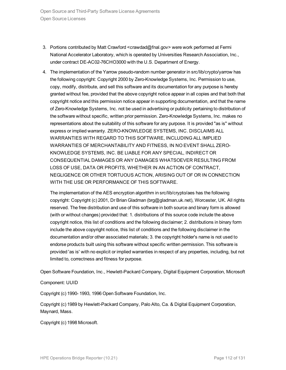Open Source and Third-Party Software License Agreements Open Source Licenses

- 3. Portions contributed by Matt Crawford <crawdad@fnal.gov> were work performed at Fermi National Accelerator Laboratory, which is operated by Universities Research Association, Inc., under contract DE-AC02-76CHO3000 with the U.S. Department of Energy.
- 4. The implementation of the Yarrow pseudo-random number generator in src/lib/crypto/yarrow has the following copyright: Copyright 2000 by Zero-Knowledge Systems, Inc. Permission to use, copy, modify, distribute, and sell this software and its documentation for any purpose is hereby granted without fee, provided that the above copyright notice appear in all copies and that both that copyright notice and this permission notice appear in supporting documentation, and that the name of Zero-Knowledge Systems, Inc. not be used in advertising or publicity pertaining to distribution of the software without specific, written prior permission. Zero-Knowledge Systems, Inc. makes no representations about the suitability of this software for any purpose. It is provided "as is" without express or implied warranty. ZERO-KNOWLEDGE SYSTEMS, INC. DISCLAIMS ALL WARRANTIES WITH REGARD TO THIS SOFTWARE, INCLUDING ALL IMPLIED WARRANTIES OF MERCHANTABILITY AND FITNESS, IN NO EVENT SHALL ZERO-KNOWLEDGE SYSTEMS, INC. BE LIABLE FOR ANY SPECIAL, INDIRECT OR CONSEQUENTIAL DAMAGES OR ANY DAMAGES WHATSOEVER RESULTING FROM LOSS OF USE, DATA OR PROFITS, WHETHER IN AN ACTION OF CONTRACT, NEGLIGENCE OR OTHER TORTUOUS ACTION, ARISING OUT OF OR IN CONNECTION WITH THE USE OR PERFORMANCE OF THIS SOFTWARE.

The implementation of the AES encryption algorithm in src/lib/crypto/aes has the following copyright: Copyright (c) 2001, Dr Brian Gladman (brg@gladman.uk.net), Worcester, UK. All rights reserved. The free distribution and use of this software in both source and binary form is allowed (with or without changes) provided that: 1. distributions of this source code include the above copyright notice, this list of conditions and the following disclaimer; 2. distributions in binary form include the above copyright notice, this list of conditions and the following disclaimer in the documentation and/or other associated materials; 3. the copyright holder's name is not used to endorse products built using this software without specific written permission. This software is provided 'as is' with no explicit or implied warranties in respect of any properties, including, but not limited to, correctness and fitness for purpose.

Open Software Foundation, Inc., Hewlett-Packard Company, Digital Equipment Corporation, Microsoft

#### Component: UUID

Copyright (c) 1990- 1993, 1996 Open Software Foundation, Inc.

Copyright (c) 1989 by Hewlett-Packard Company, Palo Alto, Ca. & Digital Equipment Corporation, Maynard, Mass.

Copyright (c) 1998 Microsoft.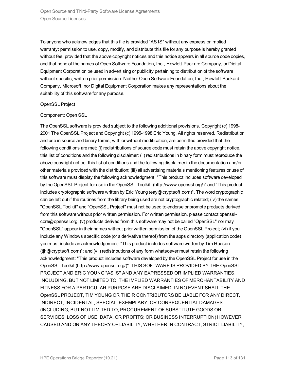To anyone who acknowledges that this file is provided "AS IS" without any express or implied warranty: permission to use, copy, modify, and distribute this file for any purpose is hereby granted without fee, provided that the above copyright notices and this notice appears in all source code copies, and that none of the names of Open Software Foundation, Inc., Hewlett-Packard Company, or Digital Equipment Corporation be used in advertising or publicity pertaining to distribution of the software without specific, written prior permission. Neither Open Software Foundation, Inc., Hewlett-Packard Company, Microsoft, nor Digital Equipment Corporation makes any representations about the suitability of this software for any purpose.

#### OpenSSL Project

## Component: Open SSL

The OpenSSL software is provided subject to the following additional provisions. Copyright (c) 1998- 2001 The OpenSSL Project and Copyright (c) 1995-1998 Eric Young. All rights reserved. Redistribution and use in source and binary forms, with or without modification, are permitted provided that the following conditions are met: (i) redistributions of source code must retain the above copyright notice, this list of conditions and the following disclaimer; (ii) redistributions in binary form must reproduce the above copyright notice, this list of conditions and the following disclaimer in the documentation and/or other materials provided with the distribution; (iii) all advertising materials mentioning features or use of this software must display the following acknowledgment: "This product includes software developed by the OpenSSL Project for use in the OpenSSL Toolkit. (http://www.openssl.org/)" and "This product includes cryptographic software written by Eric Young (eay@cryptsoft.com)". The word cryptographic can be left out if the routines from the library being used are not cryptographic related; (iv) the names "OpenSSL Toolkit" and "OpenSSL Project" must not be used to endorse or promote products derived from this software without prior written permission. For written permission, please contact opensslcore@openssl.org; (v) products derived from this software may not be called "OpenSSL" nor may "OpenSSL" appear in their names without prior written permission of the OpenSSL Project; (vi) if you include any Windows specific code (or a derivative thereof) from the apps directory (application code) you must include an acknowledgement: "This product includes software written by Tim Hudson (tjh@cryptsoft.com)"; and (vii) redistributions of any form whatsoever must retain the following acknowledgment: "This product includes software developed by the OpenSSL Project for use in the OpenSSL Toolkit (http://www.openssl.org/)". THIS SOFTWARE IS PROVIDED BY THE OpenSSL PROJECT AND ERIC YOUNG "AS IS'' AND ANY EXPRESSED OR IMPLIED WARRANTIES, INCLUDING, BUT NOT LIMITED TO, THE IMPLIED WARRANTIES OF MERCHANTABILITY AND FITNESS FOR A PARTICULAR PURPOSE ARE DISCLAIMED. IN NO EVENT SHALL THE OpenSSL PROJECT, TIM YOUNG OR THEIR CONTRIBUTORS BE LIABLE FOR ANY DIRECT, INDIRECT, INCIDENTAL, SPECIAL, EXEMPLARY, OR CONSEQUENTIAL DAMAGES (INCLUDING, BUT NOT LIMITED TO, PROCUREMENT OF SUBSTITUTE GOODS OR SERVICES; LOSS OF USE, DATA, OR PROFITS; OR BUSINESS INTERRUPTION) HOWEVER CAUSED AND ON ANY THEORY OF LIABILITY, WHETHER IN CONTRACT, STRICT LIABILITY,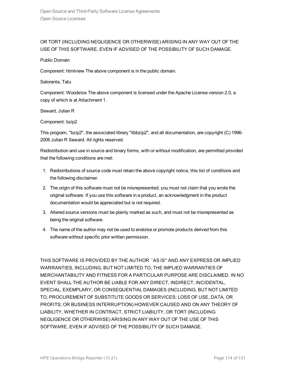## OR TORT (INCLUDING NEGLIGENCE OR OTHERWISE) ARISING IN ANY WAY OUT OF THE USE OF THIS SOFTWARE, EVEN IF ADVISED OF THE POSSIBILITY OF SUCH DAMAGE.

### Public Domain

Component: htmlview The above component is in the public domain.

#### Saloranta, Tatu

Component: Woodstox The above component is licensed under the Apache License version 2.0, a copy of which is at Attachment 1.

#### Seward, Julian R

#### Component: bzip2

This program, "bzip2", the associated library "libbzip2", and all documentation, are copyright (C) 1996- 2006 Julian R Seward. All rights reserved.

Redistribution and use in source and binary forms, with or without modification, are permitted provided that the following conditions are met:

- 1. Redistributions of source code must retain the above copyright notice, this list of conditions and the following disclaimer.
- 2. The origin of this software must not be misrepresented; you must not claim that you wrote the original software. If you use this software in a product, an acknowledgment in the product documentation would be appreciated but is not required.
- 3. Altered source versions must be plainly marked as such, and must not be misrepresented as being the original software.
- 4. The name of the author may not be used to endorse or promote products derived from this software without specific prior written permission.

THIS SOFTWARE IS PROVIDED BY THE AUTHOR ``AS IS'' AND ANY EXPRESS OR IMPLIED WARRANTIES, INCLUDING, BUT NOT LIMITED TO, THE IMPLIED WARRANTIES OF MERCHANTABILITY AND FITNESS FOR A PARTICULAR PURPOSE ARE DISCLAIMED. IN NO EVENT SHALL THE AUTHOR BE LIABLE FOR ANY DIRECT, INDIRECT, INCIDENTAL, SPECIAL, EXEMPLARY, OR CONSEQUENTIAL DAMAGES (INCLUDING, BUT NOT LIMITED TO, PROCUREMENT OF SUBSTITUTE GOODS OR SERVICES; LOSS OF USE, DATA, OR PROFITS; OR BUSINESS INTERRUPTION) HOWEVER CAUSED AND ON ANY THEORY OF LIABILITY, WHETHER IN CONTRACT, STRICT LIABILITY, OR TORT (INCLUDING NEGLIGENCE OR OTHERWISE) ARISING IN ANY WAY OUT OF THE USE OF THIS SOFTWARE, EVEN IF ADVISED OF THE POSSIBILITY OF SUCH DAMAGE.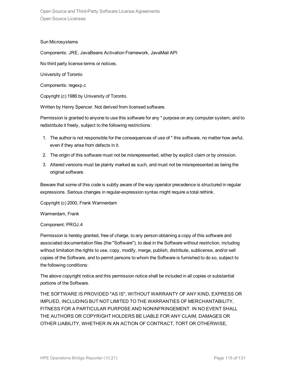Open Source and Third-Party Software License Agreements Open Source Licenses

#### Sun Microsystems

Components: JRE, JavaBeans Activation Framework, JavaMail API

No third party license terms or notices.

University of Toronto

Components: regexp.c

Copyright (c) 1986 by University of Toronto.

Written by Henry Spencer. Not derived from licensed software.

Permission is granted to anyone to use this software for any \* purpose on any computer system, and to redistribute it freely, subject to the following restrictions:

- 1. The author is not responsible for the consequences of use of \* this software, no matter how awful, even if they arise from defects in it.
- 2. The origin of this software must not be misrepresented, either by explicit claim or by omission.
- 3. Altered versions must be plainly marked as such, and must not be misrepresented as being the original software.

Beware that some of this code is subtly aware of the way operator precedence is structured in regular expressions. Serious changes in regular-expression syntax might require a total rethink.

Copyright (c) 2000, Frank Warmerdam

Warmerdam, Frank

Component: PROJ.4

Permission is hereby granted, free of charge, to any person obtaining a copy of this software and associated documentation files (the "Software"), to deal in the Software without restriction, including without limitation the rights to use, copy, modify, merge, publish, distribute, sublicense, and/or sell copies of the Software, and to permit persons to whom the Software is furnished to do so, subject to the following conditions:

The above copyright notice and this permission notice shall be included in all copies or substantial portions of the Software.

THE SOFTWARE IS PROVIDED "AS IS", WITHOUT WARRANTY OF ANY KIND, EXPRESS OR IMPLIED, INCLUDING BUT NOT LIMITED TO THE WARRANTIES OF MERCHANTABILITY, FITNESS FOR A PARTICULAR PURPOSE AND NONINFRINGEMENT. IN NO EVENT SHALL THE AUTHORS OR COPYRIGHT HOLDERS BE LIABLE FOR ANY CLAIM, DAMAGES OR OTHER LIABILITY, WHETHER IN AN ACTION OF CONTRACT, TORT OR OTHERWISE,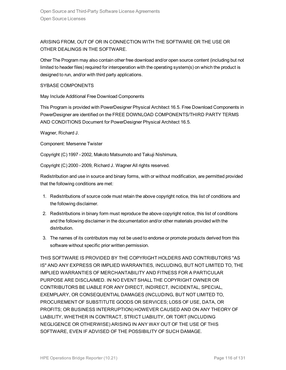## ARISING FROM, OUT OF OR IN CONNECTION WITH THE SOFTWARE OR THE USE OR OTHER DEALINGS IN THE SOFTWARE.

Other The Program may also contain other free download and/or open source content (including but not limited to header files) required for interoperation with the operating system(s) on which the product is designed to run, and/or with third party applications.

## SYBASE COMPONENTS

May Include Additional Free Download Components

This Program is provided with PowerDesigner Physical Architect 16.5. Free Download Components in PowerDesigner are identified on the FREE DOWNLOAD COMPONENTS/THIRD PARTY TERMS AND CONDITIONS Document for PowerDesigner Physical Architect 16.5.

Wagner, Richard J.

Component: Mersenne Twister

Copyright (C) 1997 - 2002, Makoto Matsumoto and Takuji Nishimura,

Copyright (C) 2000 - 2009, Richard J. Wagner All rights reserved.

Redistribution and use in source and binary forms, with or without modification, are permitted provided that the following conditions are met:

- 1. Redistributions of source code must retain the above copyright notice, this list of conditions and the following disclaimer.
- 2. Redistributions in binary form must reproduce the above copyright notice, this list of conditions and the following disclaimer in the documentation and/or other materials provided with the distribution.
- 3. The names of its contributors may not be used to endorse or promote products derived from this software without specific prior written permission.

THIS SOFTWARE IS PROVIDED BY THE COPYRIGHT HOLDERS AND CONTRIBUTORS "AS IS" AND ANY EXPRESS OR IMPLIED WARRANTIES, INCLUDING, BUT NOT LIMITED TO, THE IMPLIED WARRANTIES OF MERCHANTABILITY AND FITNESS FOR A PARTICULAR PURPOSE ARE DISCLAIMED. IN NO EVENT SHALL THE COPYRIGHT OWNER OR CONTRIBUTORS BE LIABLE FOR ANY DIRECT, INDIRECT, INCIDENTAL, SPECIAL, EXEMPLARY, OR CONSEQUENTIAL DAMAGES (INCLUDING, BUT NOT LIMITED TO, PROCUREMENT OF SUBSTITUTE GOODS OR SERVICES; LOSS OF USE, DATA, OR PROFITS; OR BUSINESS INTERRUPTION) HOWEVER CAUSED AND ON ANY THEORY OF LIABILITY, WHETHER IN CONTRACT, STRICT LIABILITY, OR TORT (INCLUDING NEGLIGENCE OR OTHERWISE) ARISING IN ANY WAY OUT OF THE USE OF THIS SOFTWARE, EVEN IF ADVISED OF THE POSSIBILITY OF SUCH DAMAGE.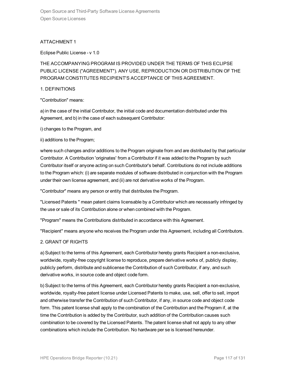## ATTACHMENT 1

## Eclipse Public License - v 1.0

THE ACCOMPANYING PROGRAM IS PROVIDED UNDER THE TERMS OF THIS ECLIPSE PUBLIC LICENSE ("AGREEMENT"). ANY USE, REPRODUCTION OR DISTRIBUTION OF THE PROGRAM CONSTITUTES RECIPIENT'S ACCEPTANCE OF THIS AGREEMENT.

## 1. DEFINITIONS

"Contribution" means:

a) in the case of the initial Contributor, the initial code and documentation distributed under this Agreement, and b) in the case of each subsequent Contributor:

i) changes to the Program, and

ii) additions to the Program;

where such changes and/or additions to the Program originate from and are distributed by that particular Contributor. A Contribution 'originates' from a Contributor if it was added to the Program by such Contributor itself or anyone acting on such Contributor's behalf. Contributions do not include additions to the Program which: (i) are separate modules of software distributed in conjunction with the Program under their own license agreement, and (ii) are not derivative works of the Program.

"Contributor" means any person or entity that distributes the Program.

"Licensed Patents " mean patent claims licensable by a Contributor which are necessarily infringed by the use or sale of its Contribution alone or when combined with the Program.

"Program" means the Contributions distributed in accordance with this Agreement.

"Recipient" means anyone who receives the Program under this Agreement, including all Contributors.

## 2. GRANT OF RIGHTS

a) Subject to the terms of this Agreement, each Contributor hereby grants Recipient a non-exclusive, worldwide, royalty-free copyright license to reproduce, prepare derivative works of, publicly display, publicly perform, distribute and sublicense the Contribution of such Contributor, if any, and such derivative works, in source code and object code form.

b) Subject to the terms of this Agreement, each Contributor hereby grants Recipient a non-exclusive, worldwide, royalty-free patent license under Licensed Patents to make, use, sell, offer to sell, import and otherwise transfer the Contribution of such Contributor, if any, in source code and object code form. This patent license shall apply to the combination of the Contribution and the Program if, at the time the Contribution is added by the Contributor, such addition of the Contribution causes such combination to be covered by the Licensed Patents. The patent license shall not apply to any other combinations which include the Contribution. No hardware per se is licensed hereunder.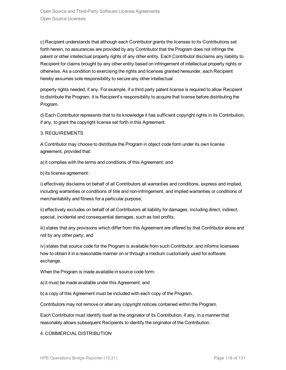c) Recipient understands that although each Contributor grants the licenses to its Contributions set forth herein, no assurances are provided by any Contributor that the Program does not infringe the patent or other intellectual property rights of any other entity. Each Contributor disclaims any liability to Recipient for claims brought by any other entity based on infringement of intellectual property rights or otherwise. As a condition to exercising the rights and licenses granted hereunder, each Recipient hereby assumes sole responsibility to secure any other intellectual

property rights needed, if any. For example, if a third party patent license is required to allow Recipient to distribute the Program, it is Recipient's responsibility to acquire that license before distributing the Program.

d) Each Contributor represents that to its knowledge it has sufficient copyright rights in its Contribution, if any, to grant the copyright license set forth in this Agreement.

## 3. REQUIREMENTS

A Contributor may choose to distribute the Program in object code form under its own license agreement, provided that:

a) it complies with the terms and conditions of this Agreement; and

b) its license agreement:

i) effectively disclaims on behalf of all Contributors all warranties and conditions, express and implied, including warranties or conditions of title and non-infringement, and implied warranties or conditions of merchantability and fitness for a particular purpose;

ii) effectively excludes on behalf of all Contributors all liability for damages, including direct, indirect, special, incidental and consequential damages, such as lost profits;

iii) states that any provisions which differ from this Agreement are offered by that Contributor alone and not by any other party; and

iv) states that source code for the Program is available from such Contributor, and informs licensees how to obtain it in a reasonable manner on or through a medium customarily used for software exchange.

When the Program is made available in source code form:

a) it must be made available under this Agreement; and

b) a copy of this Agreement must be included with each copy of the Program.

Contributors may not remove or alter any copyright notices contained within the Program.

Each Contributor must identify itself as the originator of its Contribution, if any, in a manner that reasonably allows subsequent Recipients to identify the originator of the Contribution.

#### 4. COMMERCIAL DISTRIBUTION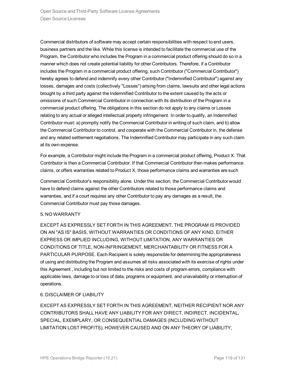Commercial distributors of software may accept certain responsibilities with respect to end users, business partners and the like. While this license is intended to facilitate the commercial use of the Program, the Contributor who includes the Program in a commercial product offering should do so in a manner which does not create potential liability for other Contributors. Therefore, if a Contributor includes the Program in a commercial product offering, such Contributor ("Commercial Contributor") hereby agrees to defend and indemnify every other Contributor ("Indemnified Contributor") against any losses, damages and costs (collectively "Losses") arising from claims, lawsuits and other legal actions brought by a third party against the Indemnified Contributor to the extent caused by the acts or omissions of such Commercial Contributor in connection with its distribution of the Program in a commercial product offering. The obligations in this section do not apply to any claims or Losses relating to any actual or alleged intellectual property infringement. In order to qualify, an Indemnified Contributor must: a) promptly notify the Commercial Contributor in writing of such claim, and b) allow the Commercial Contributor to control, and cooperate with the Commercial Contributor in, the defense and any related settlement negotiations. The Indemnified Contributor may participate in any such claim at its own expense.

For example, a Contributor might include the Program in a commercial product offering, Product X. That Contributor is then a Commercial Contributor. If that Commercial Contributor then makes performance claims, or offers warranties related to Product X, those performance claims and warranties are such

Commercial Contributor's responsibility alone. Under this section, the Commercial Contributor would have to defend claims against the other Contributors related to those performance claims and warranties, and if a court requires any other Contributor to pay any damages as a result, the Commercial Contributor must pay those damages.

## 5. NO WARRANTY

EXCEPT AS EXPRESSLY SET FORTH IN THIS AGREEMENT, THE PROGRAM IS PROVIDED ON AN "AS IS" BASIS, WITHOUT WARRANTIES OR CONDITIONS OF ANY KIND, EITHER EXPRESS OR IMPLIED INCLUDING, WITHOUT LIMITATION, ANY WARRANTIES OR CONDITIONS OF TITLE, NON-INFRINGEMENT, MERCHANTABILITY OR FITNESS FOR A PARTICULAR PURPOSE. Each Recipient is solely responsible for determining the appropriateness of using and distributing the Program and assumes all risks associated with its exercise of rights under this Agreement , including but not limited to the risks and costs of program errors, compliance with applicable laws, damage to or loss of data, programs or equipment, and unavailability or interruption of operations.

## 6. DISCLAIMER OF LIABILITY

EXCEPT AS EXPRESSLY SET FORTH IN THIS AGREEMENT, NEITHER RECIPIENT NOR ANY CONTRIBUTORS SHALL HAVE ANY LIABILITY FOR ANY DIRECT, INDIRECT, INCIDENTAL, SPECIAL, EXEMPLARY, OR CONSEQUENTIAL DAMAGES (INCLUDING WITHOUT LIMITATION LOST PROFITS), HOWEVER CAUSED AND ON ANY THEORY OF LIABILITY,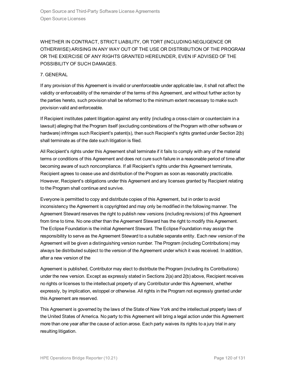WHETHER IN CONTRACT, STRICT LIABILITY, OR TORT (INCLUDING NEGLIGENCE OR OTHERWISE) ARISING IN ANY WAY OUT OF THE USE OR DISTRIBUTION OF THE PROGRAM OR THE EXERCISE OF ANY RIGHTS GRANTED HEREUNDER, EVEN IF ADVISED OF THE POSSIBILITY OF SUCH DAMAGES.

## 7. GENERAL

If any provision of this Agreement is invalid or unenforceable under applicable law, it shall not affect the validity or enforceability of the remainder of the terms of this Agreement, and without further action by the parties hereto, such provision shall be reformed to the minimum extent necessary to make such provision valid and enforceable.

If Recipient institutes patent litigation against any entity (including a cross-claim or counterclaim in a lawsuit) alleging that the Program itself (excluding combinations of the Program with other software or hardware) infringes such Recipient's patent(s), then such Recipient's rights granted under Section 2(b) shall terminate as of the date such litigation is filed.

All Recipient's rights under this Agreement shall terminate if it fails to comply with any of the material terms or conditions of this Agreement and does not cure such failure in a reasonable period of time after becoming aware of such noncompliance. If all Recipient's rights under this Agreement terminate, Recipient agrees to cease use and distribution of the Program as soon as reasonably practicable. However, Recipient's obligations under this Agreement and any licenses granted by Recipient relating to the Program shall continue and survive.

Everyone is permitted to copy and distribute copies of this Agreement, but in order to avoid inconsistency the Agreement is copyrighted and may only be modified in the following manner. The Agreement Steward reserves the right to publish new versions (including revisions) of this Agreement from time to time. No one other than the Agreement Steward has the right to modify this Agreement. The Eclipse Foundation is the initial Agreement Steward. The Eclipse Foundation may assign the responsibility to serve as the Agreement Steward to a suitable separate entity. Each new version of the Agreement will be given a distinguishing version number. The Program (including Contributions) may always be distributed subject to the version of the Agreement under which it was received. In addition, after a new version of the

Agreement is published, Contributor may elect to distribute the Program (including its Contributions) under the new version. Except as expressly stated in Sections 2(a) and 2(b) above, Recipient receives no rights or licenses to the intellectual property of any Contributor under this Agreement, whether expressly, by implication, estoppel or otherwise. All rights in the Program not expressly granted under this Agreement are reserved.

This Agreement is governed by the laws of the State of New York and the intellectual property laws of the United States of America. No party to this Agreement will bring a legal action under this Agreement more than one year after the cause of action arose. Each party waives its rights to a jury trial in any resulting litigation.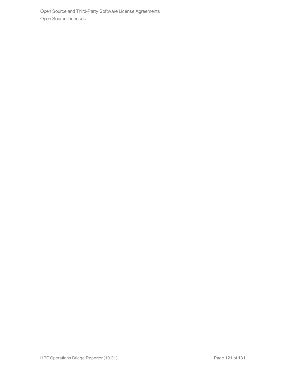Open Source and Third-Party Software License Agreements Open Source Licenses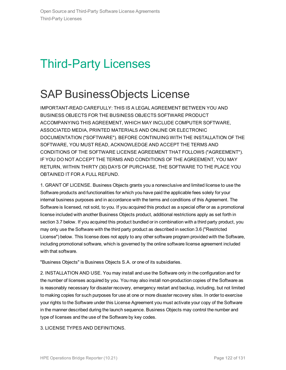# Third-Party Licenses

## SAP BusinessObjects License

IMPORTANT-READ CAREFULLY: THIS IS A LEGAL AGREEMENT BETWEEN YOU AND BUSINESS OBJECTS FOR THE BUSINESS OBJECTS SOFTWARE PRODUCT ACCOMPANYING THIS AGREEMENT, WHICH MAY INCLUDE COMPUTER SOFTWARE, ASSOCIATED MEDIA, PRINTED MATERIALS AND ONLINE OR ELECTRONIC DOCUMENTATION ("SOFTWARE"). BEFORE CONTINUING WITH THE INSTALLATION OF THE SOFTWARE, YOU MUST READ, ACKNOWLEDGE AND ACCEPT THE TERMS AND CONDITIONS OF THE SOFTWARE LICENSE AGREEMENT THAT FOLLOWS ("AGREEMENT"). IF YOU DO NOT ACCEPT THE TERMS AND CONDITIONS OF THE AGREEMENT, YOU MAY RETURN, WITHIN THIRTY (30) DAYS OF PURCHASE, THE SOFTWARE TO THE PLACE YOU OBTAINED IT FOR A FULL REFUND.

1. GRANT OF LICENSE. Business Objects grants you a nonexclusive and limited license to use the Software products and functionalities for which you have paid the applicable fees solely for your internal business purposes and in accordance with the terms and conditions of this Agreement. The Software is licensed, not sold, to you. If you acquired this product as a special offer or as a promotional license included with another Business Objects product, additional restrictions apply as set forth in section 3.7 below. If you acquired this product bundled or in combination with a third party product, you may only use the Software with the third party product as described in section 3.6 ("Restricted License") below. This license does not apply to any other software program provided with the Software, including promotional software, which is governed by the online software license agreement included with that software.

"Business Objects" is Business Objects S.A. or one of its subsidiaries.

2. INSTALLATION AND USE. You may install and use the Software only in the configuration and for the number of licenses acquired by you. You may also install non-production copies of the Software as is reasonably necessary for disaster recovery, emergency restart and backup, including, but not limited to making copies for such purposes for use at one or more disaster recovery sites. In order to exercise your rights to the Software under this License Agreement you must activate your copy of the Software in the manner described during the launch sequence. Business Objects may control the number and type of licenses and the use of the Software by key codes.

3. LICENSE TYPES AND DEFINITIONS.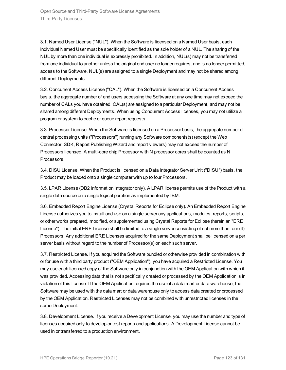3.1. Named User License ("NUL"). When the Software is licensed on a Named User basis, each individual Named User must be specifically identified as the sole holder of a NUL. The sharing of the NUL by more than one individual is expressly prohibited. In addition, NUL(s) may not be transferred from one individual to another unless the original end user no longer requires, and is no longer permitted, access to the Software. NUL(s) are assigned to a single Deployment and may not be shared among different Deployments.

3.2. Concurrent Access License ("CAL"). When the Software is licensed on a Concurrent Access basis, the aggregate number of end users accessing the Software at any one time may not exceed the number of CALs you have obtained. CAL(s) are assigned to a particular Deployment, and may not be shared among different Deployments. When using Concurrent Access licenses, you may not utilize a program or system to cache or queue report requests.

3.3. Processor License. When the Software is licensed on a Processor basis, the aggregate number of central processing units ("Processors") running any Software components(s) (except the Web Connector, SDK, Report Publishing Wizard and report viewers) may not exceed the number of Processors licensed. A multi-core chip Processor with N processor cores shall be counted as N Processors.

3.4. DISU License. When the Product is licensed on a Data Integrator Server Unit ("DISU") basis, the Product may be loaded onto a single computer with up to four Processors.

3.5. LPAR License (DB2 Information Integrator only). A LPAR license permits use of the Product with a single data source on a single logical partition as implemented by IBM.

3.6. Embedded Report Engine License (Crystal Reports for Eclipse only). An Embedded Report Engine License authorizes you to install and use on a single server any applications, modules, reports, scripts, or other works prepared, modified, or supplemented using Crystal Reports for Eclipse (herein an "ERE License"). The initial ERE License shall be limited to a single server consisting of not more than four (4) Processors. Any additional ERE Licenses acquired for the same Deployment shall be licensed on a per server basis without regard to the number of Processor(s) on each such server.

3.7. Restricted License. If you acquired the Software bundled or otherwise provided in combination with or for use with a third party product ("OEM Application"), you have acquired a Restricted License. You may use each licensed copy of the Software only in conjunction with the OEM Application with which it was provided. Accessing data that is not specifically created or processed by the OEM Application is in violation of this license. If the OEM Application requires the use of a data mart or data warehouse, the Software may be used with the data mart or data warehouse only to access data created or processed by the OEM Application. Restricted Licenses may not be combined with unrestricted licenses in the same Deployment.

3.8. Development License. If you receive a Development License, you may use the number and type of licenses acquired only to develop or test reports and applications. A Development License cannot be used in or transferred to a production environment.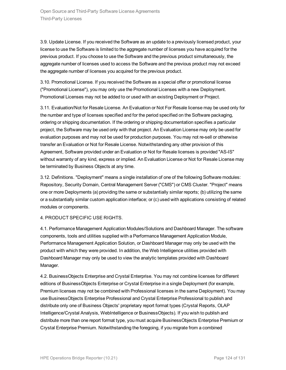3.9. Update License. If you received the Software as an update to a previously licensed product, your license to use the Software is limited to the aggregate number of licenses you have acquired for the previous product. If you choose to use the Software and the previous product simultaneously, the aggregate number of licenses used to access the Software and the previous product may not exceed the aggregate number of licenses you acquired for the previous product.

3.10. Promotional License. If you received the Software as a special offer or promotional license ("Promotional License"), you may only use the Promotional Licenses with a new Deployment. Promotional Licenses may not be added to or used with an existing Deployment or Project.

3.11. Evaluation/Not for Resale License. An Evaluation or Not For Resale license may be used only for the number and type of licenses specified and for the period specified on the Software packaging, ordering or shipping documentation. If the ordering or shipping documentation specifies a particular project, the Software may be used only with that project. An Evaluation License may only be used for evaluation purposes and may not be used for production purposes. You may not re-sell or otherwise transfer an Evaluation or Not for Resale License. Notwithstanding any other provision of this Agreement, Software provided under an Evaluation or Not for Resale licenses is provided "AS-IS" without warranty of any kind, express or implied. An Evaluation License or Not for Resale License may be terminated by Business Objects at any time.

3.12. Definitions. "Deployment" means a single installation of one of the following Software modules: Repository, Security Domain, Central Management Server ("CMS") or CMS Cluster. "Project" means one or more Deployments (a) providing the same or substantially similar reports; (b) utilizing the same or a substantially similar custom application interface; or (c) used with applications consisting of related modules or components.

## 4. PRODUCT SPECIFIC USE RIGHTS.

4.1. Performance Management Application Modules/Solutions and Dashboard Manager. The software components, tools and utilities supplied with a Performance Management Application Module, Performance Management Application Solution, or Dashboard Manager may only be used with the product with which they were provided. In addition, the Web Intelligence utilities provided with Dashboard Manager may only be used to view the analytic templates provided with Dashboard Manager.

4.2. BusinessObjects Enterprise and Crystal Enterprise. You may not combine licenses for different editions of BusinessObjects Enterprise or Crystal Enterprise in a single Deployment (for example, Premium licenses may not be combined with Professional licenses in the same Deployment). You may use BusinessObjects Enterprise Professional and Crystal Enterprise Professional to publish and distribute only one of Business Objects' proprietary report format types (Crystal Reports, OLAP Intelligence/Crystal Analysis, WebIntelligence or BusinessObjects). If you wish to publish and distribute more than one report format type, you must acquire BusinessObjects Enterprise Premium or Crystal Enterprise Premium. Notwithstanding the foregoing, if you migrate from a combined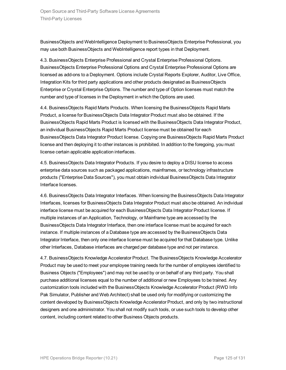BusinessObjects and WebIntelligence Deployment to BusinessObjects Enterprise Professional, you may use both BusinessObjects and WebIntelligence report types in that Deployment.

4.3. BusinessObjects Enterprise Professional and Crystal Enterprise Professional Options. BusinessObjects Enterprise Professional Options and Crystal Enterprise Professional Options are licensed as add-ons to a Deployment. Options include Crystal Reports Explorer, Auditor, Live Office, Integration Kits for third party applications and other products designated as BusinessObjects Enterprise or Crystal Enterprise Options. The number and type of Option licenses must match the number and type of licenses in the Deployment in which the Options are used.

4.4. BusinessObjects Rapid Marts Products. When licensing the BusinessObjects Rapid Marts Product, a license for BusinessObjects Data Integrator Product must also be obtained. If the BusinessObjects Rapid Marts Product is licensed with the BusinessObjects Data Integrator Product, an individual BusinessObjects Rapid Marts Product license must be obtained for each BusinessObjects Data Integrator Product license. Copying one BusinessObjects Rapid Marts Product license and then deploying it to other instances is prohibited. In addition to the foregoing, you must license certain applicable application interfaces.

4.5. BusinessObjects Data Integrator Products. If you desire to deploy a DISU license to access enterprise data sources such as packaged applications, mainframes, or technology infrastructure products ("Enterprise Data Sources"), you must obtain individual BusinessObjects Data Integrator Interface licenses.

4.6. BusinessObjects Data Integrator Interfaces. When licensing the BusinessObjects Data Integrator Interfaces, licenses for BusinessObjects Data Integrator Product must also be obtained. An individual interface license must be acquired for each BusinessObjects Data Integrator Product license. If multiple instances of an Application, Technology, or Mainframe type are accessed by the BusinessObjects Data Integrator Interface, then one interface license must be acquired for each instance. If multiple instances of a Database type are accessed by the BusinessObjects Data Integrator Interface, then only one interface license must be acquired for that Database type. Unlike other Interfaces, Database interfaces are charged per database type and not per instance.

4.7. BusinessObjects Knowledge Accelerator Product. The BusinessObjects Knowledge Accelerator Product may be used to meet your employee training needs for the number of employees identified to Business Objects ("Employees") and may not be used by or on behalf of any third party. You shall purchase additional licenses equal to the number of additional or new Employees to be trained. Any customization tools included with the BusinessObjects Knowledge Accelerator Product (RWD Info Pak Simulator, Publisher and Web Architect) shall be used only for modifying or customizing the content developed by BusinessObjects Knowledge Accelerator Product, and only by two instructional designers and one administrator. You shall not modify such tools, or use such tools to develop other content, including content related to other Business Objects products.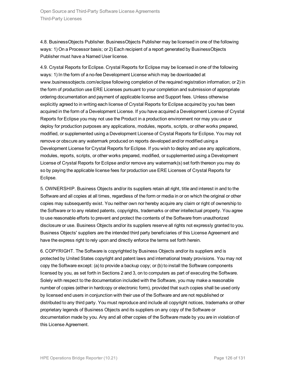4.8. BusinessObjects Publisher. BusinessObjects Publisher may be licensed in one of the following ways: 1) On a Processor basis; or 2) Each recipient of a report generated by BusinessObjects Publisher must have a Named User license.

4.9. Crystal Reports for Eclipse. Crystal Reports for Eclipse may be licensed in one of the following ways: 1) In the form of a no-fee Development License which may be downloaded at www.businessobjects.com/eclipse following completion of the required registration information; or 2) in the form of production use ERE Licenses pursuant to your completion and submission of appropriate ordering documentation and payment of applicable license and Support fees. Unless otherwise explicitly agreed to in writing each license of Crystal Reports for Eclipse acquired by you has been acquired in the form of a Development License. If you have acquired a Development License of Crystal Reports for Eclipse you may not use the Product in a production environment nor may you use or deploy for production purposes any applications, modules, reports, scripts, or other works prepared, modified, or supplemented using a Development License of Crystal Reports for Eclipse. You may not remove or obscure any watermark produced on reports developed and/or modified using a Development License for Crystal Reports for Eclipse. If you wish to deploy and use any applications, modules, reports, scripts, or other works prepared, modified, or supplemented using a Development License of Crystal Reports for Eclipse and/or remove any watermark(s) set forth thereon you may do so by paying the applicable license fees for production use ERE Licenses of Crystal Reports for Eclipse.

5. OWNERSHIP. Business Objects and/or its suppliers retain all right, title and interest in and to the Software and all copies at all times, regardless of the form or media in or on which the original or other copies may subsequently exist. You neither own nor hereby acquire any claim or right of ownership to the Software or to any related patents, copyrights, trademarks or other intellectual property. You agree to use reasonable efforts to prevent and protect the contents of the Software from unauthorized disclosure or use. Business Objects and/or its suppliers reserve all rights not expressly granted to you. Business Objects' suppliers are the intended third party beneficiaries of this License Agreement and have the express right to rely upon and directly enforce the terms set forth herein.

6. COPYRIGHT. The Software is copyrighted by Business Objects and/or its suppliers and is protected by United States copyright and patent laws and international treaty provisions. You may not copy the Software except: (a) to provide a backup copy; or (b) to install the Software components licensed by you, as set forth in Sections 2 and 3, on to computers as part of executing the Software. Solely with respect to the documentation included with the Software, you may make a reasonable number of copies (either in hardcopy or electronic form), provided that such copies shall be used only by licensed end users in conjunction with their use of the Software and are not republished or distributed to any third party. You must reproduce and include all copyright notices, trademarks or other proprietary legends of Business Objects and its suppliers on any copy of the Software or documentation made by you. Any and all other copies of the Software made by you are in violation of this License Agreement.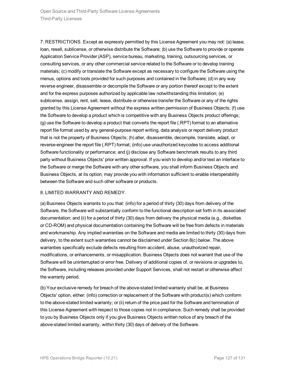Open Source and Third-Party Software License Agreements Third-Party Licenses

7. RESTRICTIONS. Except as expressly permitted by this License Agreement you may not: (a) lease, loan, resell, sublicense, or otherwise distribute the Software; (b) use the Software to provide or operate Application Service Provider (ASP), service bureau, marketing, training, outsourcing services, or consulting services, or any other commercial service related to the Software or to develop training materials; (c) modify or translate the Software except as necessary to configure the Software using the menus, options and tools provided for such purposes and contained in the Software; (d) in any way reverse engineer, disassemble or decompile the Software or any portion thereof except to the extent and for the express purposes authorized by applicable law notwithstanding this limitation; (e) sublicense, assign, rent, sell, lease, distribute or otherwise transfer the Software or any of the rights granted by this License Agreement without the express written permission of Business Objects; (f) use the Software to develop a product which is competitive with any Business Objects product offerings; (g) use the Software to develop a product that converts the report file (.RPT) format to an alternative report file format used by any general-purpose report writing, data analysis or report delivery product that is not the property of Business Objects; (h) alter, disassemble, decompile, translate, adapt, or reverse-engineer the report file (.RPT) format; (info) use unauthorized keycodes to access additional Software functionality or performance; and (j) disclose any Software benchmark results to any third party without Business Objects' prior written approval. If you wish to develop and/or test an interface to the Software or merge the Software with any other software, you shall inform Business Objects and Business Objects, at its option, may provide you with information sufficient to enable interoperability between the Software and such other software or products.

#### 8. LIMITED WARRANTY AND REMEDY.

(a) Business Objects warrants to you that: (info) for a period of thirty (30) days from delivery of the Software, the Software will substantially conform to the functional description set forth in its associated documentation; and (ii) for a period of thirty (30) days from delivery the physical media (e.g., diskettes or CD-ROM) and physical documentation containing the Software will be free from defects in materials and workmanship. Any implied warranties on the Software and media are limited to thirty (30) days from delivery, to the extent such warranties cannot be disclaimed under Section 8(c) below. The above warranties specifically exclude defects resulting from accident, abuse, unauthorized repair, modifications, or enhancements, or misapplication. Business Objects does not warrant that use of the Software will be uninterrupted or error free. Delivery of additional copies of, or revisions or upgrades to, the Software, including releases provided under Support Services, shall not restart or otherwise affect the warranty period.

(b) Your exclusive remedy for breach of the above-stated limited warranty shall be, at Business Objects' option, either: (info) correction or replacement of the Software with product(s) which conform to the above-stated limited warranty; or (ii) return of the price paid for the Software and termination of this License Agreement with respect to those copies not in compliance. Such remedy shall be provided to you by Business Objects only if you give Business Objects written notice of any breach of the above-stated limited warranty, within thirty (30) days of delivery of the Software.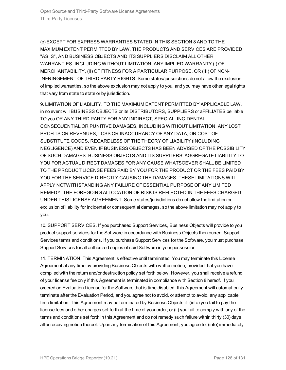(c) EXCEPT FOR EXPRESS WARRANTIES STATED IN THIS SECTION 8 AND TO THE MAXIMUM EXTENT PERMITTED BY LAW, THE PRODUCTS AND SERVICES ARE PROVIDED "AS IS", AND BUSINESS OBJECTS AND ITS SUPPLIERS DISCLAIM ALL OTHER WARRANTIES, INCLUDING WITHOUT LIMITATION, ANY IMPLIED WARRANTY (I) OF MERCHANTABILITY, (II) OF FITNESS FOR A PARTICULAR PURPOSE, OR (III) OF NON-INFRINGEMENT OF THIRD PARTY RIGHTS. Some states/jurisdictions do not allow the exclusion of implied warranties, so the above exclusion may not apply to you, and you may have other legal rights that vary from state to state or by jurisdiction.

9. LIMITATION OF LIABILITY. TO THE MAXIMUM EXTENT PERMITTED BY APPLICABLE LAW, in no event will BUSINESS OBJECTS or its DISTRIBUTORS, SUPPLIERS or aFFILIATES be liable TO you OR ANY THIRD PARTY FOR ANY INDIRECT, SPECIAL, INCIDENTAL, CONSEQUENTIAL OR PUNITIVE DAMAGES, INCLUDING WITHOUT LIMITATION, ANY LOST PROFITS OR REVENUES, LOSS OR INACCURANCY OF ANY DATA, OR COST OF SUBSTITUTE GOODS, REGARDLESS OF THE THEORY OF LIABILITY (INCLUDING NEGLIGENCE) AND EVEN IF BUSINESS OBJECTS HAS BEEN ADVISED OF THE POSSIBILITY OF SUCH DAMAGES. BUSINESS OBJECTS AND ITS SUPPLIERS' AGGREGATE LIABILITY TO YOU FOR ACTUAL DIRECT DAMAGES FOR ANY CAUSE WHATSOEVER SHALL BE LIMITED TO THE PRODUCT LICENSE FEES PAID BY YOU FOR THE PRODUCT OR THE FEES PAID BY YOU FOR THE SERVICE DIRECTLY CAUSING THE DAMAGES. THESE LIMITATIONS WILL APPLY NOTWITHSTANDING ANY FAILURE OF ESSENTIAL PURPOSE OF ANY LIMITED REMEDY. THE FOREGOING ALLOCATION OF RISK IS REFLECTED IN THE FEES CHARGED UNDER THIS LICENSE AGREEMENT. Some states/jurisdictions do not allow the limitation or exclusion of liability for incidental or consequential damages, so the above limitation may not apply to you.

10. SUPPORT SERVICES. If you purchased Support Services, Business Objects will provide to you product support services for the Software in accordance with Business Objects then current Support Services terms and conditions. If you purchase Support Services for the Software, you must purchase Support Services for all authorized copies of said Software in your possession.

11. TERMINATION. This Agreement is effective until terminated. You may terminate this License Agreement at any time by providing Business Objects with written notice, provided that you have complied with the return and/or destruction policy set forth below. However, you shall receive a refund of your license fee only if this Agreement is terminated in compliance with Section 8 hereof. If you ordered an Evaluation License for the Software that is time disabled, this Agreement will automatically terminate after the Evaluation Period, and you agree not to avoid, or attempt to avoid, any applicable time limitation. This Agreement may be terminated by Business Objects if: (info) you fail to pay the license fees and other charges set forth at the time of your order; or (ii) you fail to comply with any of the terms and conditions set forth in this Agreement and do not remedy such failure within thirty (30) days after receiving notice thereof. Upon any termination of this Agreement, you agree to: (info) immediately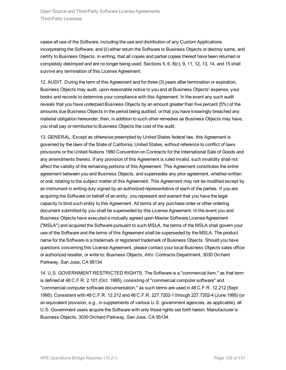cease all use of the Software, including the use and distribution of any Custom Applications incorporating the Software; and (ii) either return the Software to Business Objects or destroy same, and certify to Business Objects, in writing, that all copies and partial copies thereof have been returned or completely destroyed and are no longer being used. Sections 5, 6, 8(c), 9, 11, 12, 13, 14, and 15 shall survive any termination of this License Agreement.

12. AUDIT. During the term of this Agreement and for three (3) years after termination or expiration, Business Objects may audit, upon reasonable notice to you and at Business Objects' expense, your books and records to determine your compliance with this Agreement. In the event any such audit reveals that you have underpaid Business Objects by an amount greater than five percent (5%) of the amounts due Business Objects in the period being audited, or that you have knowingly breached any material obligation hereunder, then, in addition to such other remedies as Business Objects may have, you shall pay or reimburse to Business Objects the cost of the audit.

13. GENERAL. Except as otherwise preempted by United States federal law, this Agreement is governed by the laws of the State of California, United States, without reference to conflict of laws provisions or the United Nations 1980 Convention on Contracts for the International Sale of Goods and any amendments thereto. If any provision of this Agreement is ruled invalid, such invalidity shall not affect the validity of the remaining portions of this Agreement. This Agreement constitutes the entire agreement between you and Business Objects, and supersedes any prior agreement, whether written or oral, relating to the subject matter of this Agreement. This Agreement may not be modified except by an instrument in writing duly signed by an authorized representative of each of the parties. If you are acquiring the Software on behalf of an entity, you represent and warrant that you have the legal capacity to bind such entity to this Agreement. All terms of any purchase order or other ordering document submitted by you shall be superseded by this License Agreement. In the event you and Business Objects have executed a mutually agreed upon Master Software License Agreement ("MSLA") and acquired the Software pursuant to such MSLA, the terms of the MSLA shall govern your use of the Software and the terms of this Agreement shall be superseded by the MSLA. The product name for the Software is a trademark or registered trademark of Business Objects. Should you have questions concerning this License Agreement, please contact your local Business Objects sales office or authorized reseller, or write to: Business Objects, Attn: Contracts Department, 3030 Orchard Parkway, San Jose, CA 95134.

14. U.S. GOVERNMENT RESTRICTED RIGHTS. The Software is a "commercial item," as that term is defined at 48 C.F.R. 2.101 (Oct. 1995), consisting of "commercial computer software" and "commercial computer software documentation," as such terms are used in 48 C.F.R. 12.212 (Sept. 1995). Consistent with 48 C.F.R. 12.212 and 48 C.F.R. 227.7202-1 through 227.7202-4 (June 1995) (or an equivalent provision, e.g., in supplements of various U.S. government agencies, as applicable), all U.S. Government users acquire the Software with only those rights set forth herein. Manufacturer is Business Objects, 3030 Orchard Parkway, San Jose, CA 95134.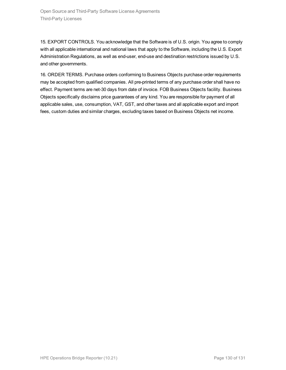15. EXPORT CONTROLS. You acknowledge that the Software is of U.S. origin. You agree to comply with all applicable international and national laws that apply to the Software, including the U.S. Export Administration Regulations, as well as end-user, end-use and destination restrictions issued by U.S. and other governments.

16. ORDER TERMS. Purchase orders conforming to Business Objects purchase order requirements may be accepted from qualified companies. All pre-printed terms of any purchase order shall have no effect. Payment terms are net-30 days from date of invoice. FOB Business Objects facility. Business Objects specifically disclaims price guarantees of any kind. You are responsible for payment of all applicable sales, use, consumption, VAT, GST, and other taxes and all applicable export and import fees, custom duties and similar charges, excluding taxes based on Business Objects net income.